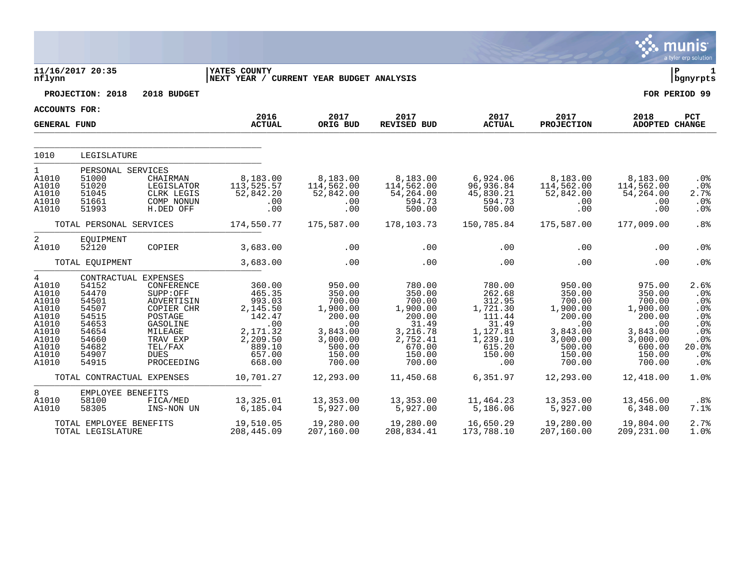|                                                                                                                   |                                                                                                                         |                                                                                                                                          |                                                                                                               |                                                                                                               |                                                                                                                 |                                                                                                              |                                                                                                               |                                                                                                               | munis<br>a tyler erp solution                                                |
|-------------------------------------------------------------------------------------------------------------------|-------------------------------------------------------------------------------------------------------------------------|------------------------------------------------------------------------------------------------------------------------------------------|---------------------------------------------------------------------------------------------------------------|---------------------------------------------------------------------------------------------------------------|-----------------------------------------------------------------------------------------------------------------|--------------------------------------------------------------------------------------------------------------|---------------------------------------------------------------------------------------------------------------|---------------------------------------------------------------------------------------------------------------|------------------------------------------------------------------------------|
| nflynn                                                                                                            | 11/16/2017 20:35                                                                                                        |                                                                                                                                          | <b>YATES COUNTY</b><br>NEXT YEAR / CURRENT YEAR BUDGET ANALYSIS                                               |                                                                                                               |                                                                                                                 |                                                                                                              |                                                                                                               |                                                                                                               | lР<br>1<br>  bgnyrpts                                                        |
|                                                                                                                   | PROJECTION: 2018                                                                                                        | 2018 BUDGET                                                                                                                              |                                                                                                               |                                                                                                               |                                                                                                                 |                                                                                                              |                                                                                                               |                                                                                                               | FOR PERIOD 99                                                                |
| <b>ACCOUNTS FOR:</b>                                                                                              |                                                                                                                         |                                                                                                                                          |                                                                                                               |                                                                                                               |                                                                                                                 |                                                                                                              |                                                                                                               |                                                                                                               |                                                                              |
| <b>GENERAL FUND</b>                                                                                               |                                                                                                                         |                                                                                                                                          | 2016<br><b>ACTUAL</b>                                                                                         | 2017<br>ORIG BUD                                                                                              | 2017<br>REVISED BUD                                                                                             | 2017<br><b>ACTUAL</b>                                                                                        | 2017<br><b>PROJECTION</b>                                                                                     | 2018<br><b>ADOPTED CHANGE</b>                                                                                 | PCT                                                                          |
| 1010                                                                                                              | LEGISLATURE                                                                                                             |                                                                                                                                          |                                                                                                               |                                                                                                               |                                                                                                                 |                                                                                                              |                                                                                                               |                                                                                                               |                                                                              |
| $\mathbf{1}$<br>A1010<br>A1010<br>A1010<br>A1010<br>A1010                                                         | PERSONAL SERVICES<br>51000<br>51020<br>51045<br>51661<br>51993                                                          | CHAIRMAN<br>LEGISLATOR<br>CLRK LEGIS<br>COMP NONUN<br>H.DED OFF                                                                          | 8,183.00<br>113,525.57<br>52,842.20<br>.00<br>.00                                                             | 8,183.00<br>114,562.00<br>52,842.00<br>.00<br>.00                                                             | 8,183.00<br>114,562.00<br>54,264.00<br>594.73<br>500.00                                                         | 6,924.06<br>96,936.84<br>45,830.21<br>594.73<br>500.00                                                       | 8,183.00<br>114,562.00<br>52,842.00<br>$.00 \ \rm$<br>$.00 \ \rm$                                             | 8,183.00<br>114,562.00<br>54,264.00<br>.00<br>.00                                                             | .0%<br>.0%<br>2.7%<br>$.0\%$<br>.0%                                          |
|                                                                                                                   | TOTAL PERSONAL SERVICES                                                                                                 |                                                                                                                                          | 174,550.77                                                                                                    | 175,587.00                                                                                                    | 178,103.73                                                                                                      | 150,785.84                                                                                                   | 175,587.00                                                                                                    | 177,009.00                                                                                                    | .8%                                                                          |
| $\overline{a}$<br>A1010                                                                                           | EQUIPMENT<br>52120                                                                                                      | COPIER                                                                                                                                   | 3,683.00                                                                                                      | .00                                                                                                           | .00                                                                                                             | .00                                                                                                          | $.00 \ \rm$                                                                                                   | .00                                                                                                           | .0%                                                                          |
|                                                                                                                   | TOTAL EQUIPMENT                                                                                                         |                                                                                                                                          | 3,683.00                                                                                                      | .00                                                                                                           | .00                                                                                                             | .00                                                                                                          | .00                                                                                                           | .00                                                                                                           | .0%                                                                          |
| $\overline{4}$<br>A1010<br>A1010<br>A1010<br>A1010<br>A1010<br>A1010<br>A1010<br>A1010<br>A1010<br>A1010<br>A1010 | CONTRACTUAL EXPENSES<br>54152<br>54470<br>54501<br>54507<br>54515<br>54653<br>54654<br>54660<br>54682<br>54907<br>54915 | CONFERENCE<br>SUPP:OFF<br>ADVERTISIN<br>COPIER CHR<br>POSTAGE<br>GASOLINE<br>MILEAGE<br>TRAV EXP<br>TEL/FAX<br><b>DUES</b><br>PROCEEDING | 360.00<br>465.35<br>993.03<br>2,145.50<br>142.47<br>.00<br>2,171.32<br>2,209.50<br>889.10<br>657.00<br>668.00 | 950.00<br>350.00<br>700.00<br>1,900.00<br>200.00<br>.00<br>3,843.00<br>3,000.00<br>500.00<br>150.00<br>700.00 | 780.00<br>350.00<br>700.00<br>1,900.00<br>200.00<br>31.49<br>3,216.78<br>2,752.41<br>670.00<br>150.00<br>700.00 | 780.00<br>262.68<br>312.95<br>1,721.30<br>111.44<br>31.49<br>1,127.81<br>1,239.10<br>615.20<br>150.00<br>.00 | 950.00<br>350.00<br>700.00<br>1,900.00<br>200.00<br>.00<br>3,843.00<br>3,000.00<br>500.00<br>150.00<br>700.00 | 975.00<br>350.00<br>700.00<br>1,900.00<br>200.00<br>.00<br>3,843.00<br>3,000.00<br>600.00<br>150.00<br>700.00 | 2.6%<br>.0%<br>.0%<br>.0%<br>.0%<br>.0%<br>.0%<br>.0%<br>20.0%<br>.0%<br>.0% |
|                                                                                                                   | TOTAL CONTRACTUAL EXPENSES                                                                                              |                                                                                                                                          | 10,701.27                                                                                                     | 12,293.00                                                                                                     | 11,450.68                                                                                                       | 6,351.97                                                                                                     | 12,293.00                                                                                                     | 12,418.00                                                                                                     | 1.0%                                                                         |
| 8<br>A1010<br>A1010                                                                                               | EMPLOYEE BENEFITS<br>58100<br>58305                                                                                     | FICA/MED<br>INS-NON UN                                                                                                                   | 13,325.01<br>6, 185.04                                                                                        | 13,353.00<br>5,927.00                                                                                         | 13,353.00<br>5,927.00                                                                                           | 11,464.23<br>5,186.06                                                                                        | 13,353.00<br>5,927.00                                                                                         | 13,456.00<br>6,348.00                                                                                         | .8%<br>7.1%                                                                  |
|                                                                                                                   | TOTAL EMPLOYEE BENEFITS<br>TOTAL LEGISLATURE                                                                            |                                                                                                                                          | 19,510.05<br>208,445.09                                                                                       | 19,280.00<br>207,160.00                                                                                       | 19,280.00<br>208,834.41                                                                                         | 16,650.29<br>173,788.10                                                                                      | 19,280.00<br>207,160.00                                                                                       | 19,804.00<br>209, 231.00                                                                                      | 2.7%<br>1.0%                                                                 |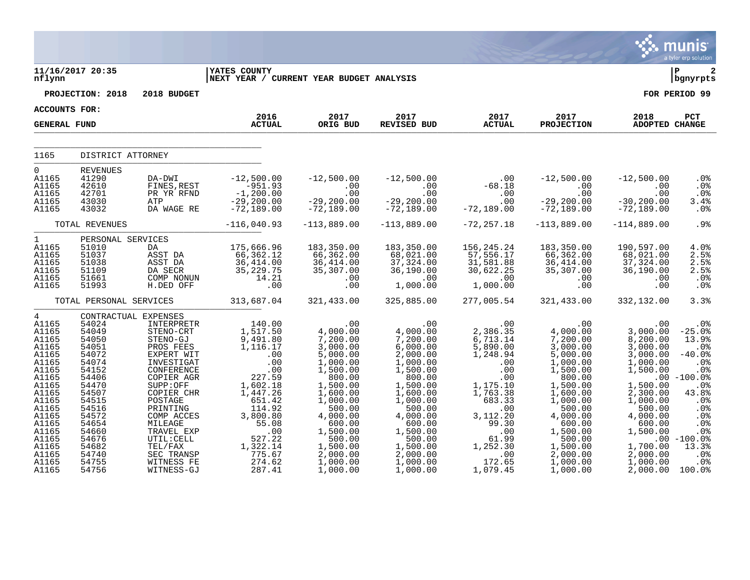|                                                                                                                                                                                                    |                                                                                                                                                                                                          |                                                                                                                                                                                                                                                                     |                                                                                                                                                                                                       |                                                                                                                                                                                                                                 |                                                                                                                                                                                                                                      |                                                                                                                                                                                                                |                                                                                                                                                                                                                                          |                                                                                                                                                                                                             | <b>munis</b><br>a tyler erp solution                                                                                                                                                                       |
|----------------------------------------------------------------------------------------------------------------------------------------------------------------------------------------------------|----------------------------------------------------------------------------------------------------------------------------------------------------------------------------------------------------------|---------------------------------------------------------------------------------------------------------------------------------------------------------------------------------------------------------------------------------------------------------------------|-------------------------------------------------------------------------------------------------------------------------------------------------------------------------------------------------------|---------------------------------------------------------------------------------------------------------------------------------------------------------------------------------------------------------------------------------|--------------------------------------------------------------------------------------------------------------------------------------------------------------------------------------------------------------------------------------|----------------------------------------------------------------------------------------------------------------------------------------------------------------------------------------------------------------|------------------------------------------------------------------------------------------------------------------------------------------------------------------------------------------------------------------------------------------|-------------------------------------------------------------------------------------------------------------------------------------------------------------------------------------------------------------|------------------------------------------------------------------------------------------------------------------------------------------------------------------------------------------------------------|
| nflynn                                                                                                                                                                                             | 11/16/2017 20:35                                                                                                                                                                                         |                                                                                                                                                                                                                                                                     | <b>IYATES COUNTY</b><br>NEXT YEAR / CURRENT YEAR BUDGET ANALYSIS                                                                                                                                      |                                                                                                                                                                                                                                 |                                                                                                                                                                                                                                      |                                                                                                                                                                                                                |                                                                                                                                                                                                                                          |                                                                                                                                                                                                             | ∣ P<br>2<br>bgnyrpts                                                                                                                                                                                       |
|                                                                                                                                                                                                    | PROJECTION: 2018                                                                                                                                                                                         | 2018 BUDGET                                                                                                                                                                                                                                                         |                                                                                                                                                                                                       |                                                                                                                                                                                                                                 |                                                                                                                                                                                                                                      |                                                                                                                                                                                                                |                                                                                                                                                                                                                                          |                                                                                                                                                                                                             | FOR PERIOD 99                                                                                                                                                                                              |
| ACCOUNTS FOR:                                                                                                                                                                                      |                                                                                                                                                                                                          |                                                                                                                                                                                                                                                                     |                                                                                                                                                                                                       |                                                                                                                                                                                                                                 |                                                                                                                                                                                                                                      |                                                                                                                                                                                                                |                                                                                                                                                                                                                                          |                                                                                                                                                                                                             |                                                                                                                                                                                                            |
| <b>GENERAL FUND</b>                                                                                                                                                                                |                                                                                                                                                                                                          |                                                                                                                                                                                                                                                                     | 2016<br><b>ACTUAL</b>                                                                                                                                                                                 | 2017<br>ORIG BUD                                                                                                                                                                                                                | 2017<br>REVISED BUD                                                                                                                                                                                                                  | 2017<br><b>ACTUAL</b>                                                                                                                                                                                          | 2017<br><b>PROJECTION</b>                                                                                                                                                                                                                | 2018<br>ADOPTED CHANGE                                                                                                                                                                                      | PCT                                                                                                                                                                                                        |
|                                                                                                                                                                                                    |                                                                                                                                                                                                          |                                                                                                                                                                                                                                                                     |                                                                                                                                                                                                       |                                                                                                                                                                                                                                 |                                                                                                                                                                                                                                      |                                                                                                                                                                                                                |                                                                                                                                                                                                                                          |                                                                                                                                                                                                             |                                                                                                                                                                                                            |
| 1165                                                                                                                                                                                               | DISTRICT ATTORNEY                                                                                                                                                                                        |                                                                                                                                                                                                                                                                     |                                                                                                                                                                                                       |                                                                                                                                                                                                                                 |                                                                                                                                                                                                                                      |                                                                                                                                                                                                                |                                                                                                                                                                                                                                          |                                                                                                                                                                                                             |                                                                                                                                                                                                            |
| $\overline{0}$<br>A1165<br>A1165<br>A1165<br>A1165<br>A1165                                                                                                                                        | <b>REVENUES</b><br>41290<br>42610<br>42701<br>43030<br>43032                                                                                                                                             | DA-DWI<br>FINES, REST<br>PR YR RFND<br>ATP<br>DA WAGE RE                                                                                                                                                                                                            | $-12,500.00$<br>$-951.93$<br>$-1,200.00$<br>$-29,200.00$<br>$-72,189.00$                                                                                                                              | $-12,500.00$<br>.00<br>.00<br>$-29, 200.00$<br>$-72,189.00$                                                                                                                                                                     | $-12,500.00$<br>$.00 \,$<br>$.00 \,$<br>$-29, 200.00$<br>$-72,189.00$                                                                                                                                                                | $\sim$ 00<br>$-68.18$<br>.00<br>.00<br>$-72,189.00$                                                                                                                                                            | $-12,500.00$<br>$.00 \,$<br>.00<br>$-29, 200.00$<br>$-72,189.00$                                                                                                                                                                         | $-12,500.00$<br>.00<br>.00<br>$-30, 200.00$<br>$-72,189.00$                                                                                                                                                 | .0%<br>.0 <sub>8</sub><br>$.0\%$<br>3.4%<br>.0%                                                                                                                                                            |
|                                                                                                                                                                                                    | TOTAL REVENUES                                                                                                                                                                                           |                                                                                                                                                                                                                                                                     | $-116,040.93$                                                                                                                                                                                         | $-113,889.00$                                                                                                                                                                                                                   | $-113,889.00$                                                                                                                                                                                                                        | $-72, 257.18$                                                                                                                                                                                                  | $-113,889.00$                                                                                                                                                                                                                            | $-114,889.00$                                                                                                                                                                                               | .9%                                                                                                                                                                                                        |
| $\mathbf{1}$<br>A1165<br>A1165<br>A1165<br>A1165<br>A1165<br>A1165                                                                                                                                 | PERSONAL SERVICES<br>51010<br>51037<br>51038<br>51109<br>51661<br>51993                                                                                                                                  | DA<br>ASST DA<br>ASST DA<br>DA SECR<br>COMP NONUN<br>H.DED OFF                                                                                                                                                                                                      | 175,666.96<br>66,362.12<br>36,414.00<br>35, 229.75<br>14.21<br>.00                                                                                                                                    | 183,350.00<br>66,362.00<br>36,414.00<br>35,307.00<br>.00<br>.00                                                                                                                                                                 | 183,350.00<br>68,021.00<br>37, 324.00<br>36, 190.00<br>.00<br>1,000.00                                                                                                                                                               | 156,245.24<br>57, 556.17<br>31,581.88<br>30,622.25<br>.00<br>1,000.00                                                                                                                                          | 183,350.00<br>66,362.00<br>36, 414.00<br>35,307.00<br>.00<br>.00                                                                                                                                                                         | 190,597.00<br>68,021.00<br>37, 324.00<br>36, 190.00<br>.00<br>.00                                                                                                                                           | 4.0%<br>2.5%<br>2.5%<br>2.5%<br>.0%<br>.0%                                                                                                                                                                 |
|                                                                                                                                                                                                    | TOTAL PERSONAL SERVICES                                                                                                                                                                                  |                                                                                                                                                                                                                                                                     | 313,687.04                                                                                                                                                                                            | 321,433.00                                                                                                                                                                                                                      | 325,885.00                                                                                                                                                                                                                           | 277,005.54                                                                                                                                                                                                     | 321,433.00                                                                                                                                                                                                                               | 332,132.00                                                                                                                                                                                                  | 3.3%                                                                                                                                                                                                       |
| $\overline{4}$<br>A1165<br>A1165<br>A1165<br>A1165<br>A1165<br>A1165<br>A1165<br>A1165<br>A1165<br>A1165<br>A1165<br>A1165<br>A1165<br>A1165<br>A1165<br>A1165<br>A1165<br>A1165<br>A1165<br>A1165 | CONTRACTUAL EXPENSES<br>54024<br>54049<br>54050<br>54051<br>54072<br>54074<br>54152<br>54406<br>54470<br>54507<br>54515<br>54516<br>54572<br>54654<br>54660<br>54676<br>54682<br>54740<br>54755<br>54756 | INTERPRETR<br>STENO-CRT<br>STENO-GJ<br>PROS FEES<br>EXPERT WIT<br>INVESTIGAT<br>CONFERENCE<br>COPIER AGR<br>SUPP:OFF<br>COPIER CHR<br>POSTAGE<br>PRINTING<br>COMP ACCES<br>MILEAGE<br>TRAVEL EXP<br>UTIL: CELL<br>TEL/FAX<br>SEC TRANSP<br>WITNESS FE<br>WITNESS-GJ | 140.00<br>1,517.50<br>9,491.80<br>1,116.17<br>.00<br>.00<br>.00<br>227.59<br>1,602.18<br>1,447.26<br>651.42<br>114.92<br>3,800.80<br>55.08<br>.00<br>527.22<br>1,322.14<br>775.67<br>274.62<br>287.41 | .00<br>4,000.00<br>7,200.00<br>3,000.00<br>5,000.00<br>1,000.00<br>1,500.00<br>800.00<br>1,500.00<br>1,600.00<br>1,000.00<br>500.00<br>4,000.00<br>600.00<br>1,500.00<br>500.00<br>1,500.00<br>2,000.00<br>1,000.00<br>1,000.00 | $.00 \,$<br>4,000.00<br>7,200.00<br>6,000.00<br>2,000.00<br>1,000.00<br>1,500.00<br>800.00<br>1,500.00<br>1,600.00<br>1,000.00<br>500.00<br>4,000.00<br>600.00<br>1,500.00<br>500.00<br>1,500.00<br>2,000.00<br>1,000.00<br>1,000.00 | .00<br>2,386.35<br>6,713.14<br>5,890.00<br>1,248.94<br>.00<br>.00<br>.00<br>$1, 175.10$<br>1,763.38<br>683.33<br>.00<br>3,112.20<br>99.30<br>.00<br>61.99<br>1,252.30<br>$\overline{00}$<br>172.65<br>1,079.45 | $.00 \,$<br>4,000.00<br>7,200.00<br>3,000.00<br>5,000.00<br>1,000.00<br>1,500.00<br>800.00<br>1,500.00<br>1,600.00<br>1,000.00<br>500.00<br>4,000.00<br>600.00<br>1,500.00<br>500.00<br>$1,500.00$<br>$2,000.00$<br>1,000.00<br>1,000.00 | .00<br>3,000.00<br>8,200.00<br>3,000.00<br>3,000.00<br>1,000.00<br>1,500.00<br>1,500.00<br>2,300.00<br>1,000.00<br>500.00<br>4,000.00<br>600.00<br>1,500.00<br>1,700.00<br>2,000.00<br>1,000.00<br>2,000.00 | .0 <sub>8</sub><br>$-25.0%$<br>13.9%<br>.0%<br>$-40.0%$<br>.0%<br>.0%<br>$.00 - 100.0$<br>.0%<br>43.8%<br>.0%<br>.0%<br>.0 <sub>8</sub><br>.0%<br>.0%<br>$.00 - 100.0$<br>13.3%<br>$.0\%$<br>.0%<br>100.0% |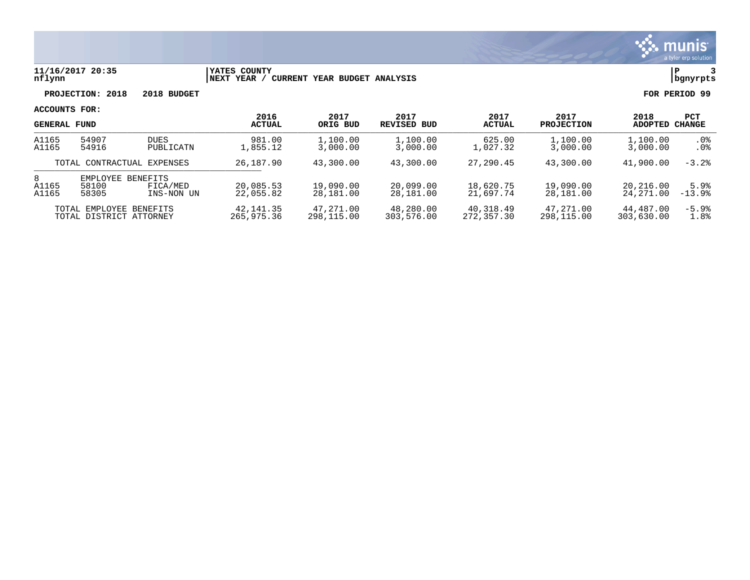

### **11/16/2017 20:35 |YATES COUNTY |P 3 nflynn |NEXT YEAR / CURRENT YEAR BUDGET ANALYSIS |bgnyrpts**

**PROJECTION: 2018 2018 BUDGET FOR PERIOD 99**

|                            | <b>GENERAL FUND</b>                                |                          | 2017<br>2016<br><b>ACTUAL</b><br>ORIG BUD | 2017<br>REVISED BUD     | 2017<br><b>ACTUAL</b>   | 2017<br><b>PROJECTION</b> | 2018<br>ADOPTED         | PCT<br>CHANGE           |                          |
|----------------------------|----------------------------------------------------|--------------------------|-------------------------------------------|-------------------------|-------------------------|---------------------------|-------------------------|-------------------------|--------------------------|
| A1165<br>A1165             | 54907<br>54916                                     | <b>DUES</b><br>PUBLICATN | 981.00<br>1,855.12                        | 1,100.00<br>3,000.00    | 1,100.00<br>3,000.00    | 625.00<br>1,027.32        | 1,100.00<br>3,000.00    | 1,100.00<br>3,000.00    | . 0 %<br>.0 <sub>8</sub> |
| TOTAL CONTRACTUAL EXPENSES |                                                    | 26,187.90                | 43,300.00                                 | 43,300.00               | 27,290.45               | 43,300.00                 | 41,900.00               | $-3.2%$                 |                          |
| 8<br>A1165<br>A1165        | EMPLOYEE BENEFITS<br>58100<br>58305                | FICA/MED<br>INS-NON UN   | 20,085.53<br>22,055.82                    | 19,090.00<br>28,181.00  | 20,099.00<br>28,181.00  | 18,620.75<br>21,697.74    | 19,090.00<br>28,181.00  | 20,216.00<br>24,271.00  | 5.9%<br>$-13.9%$         |
|                            | TOTAL EMPLOYEE BENEFITS<br>TOTAL DISTRICT ATTORNEY |                          | 42, 141.35<br>265,975.36                  | 47,271.00<br>298,115.00 | 48,280.00<br>303,576.00 | 40,318.49<br>272,357.30   | 47,271.00<br>298,115.00 | 44,487.00<br>303,630,00 | $-5.9%$<br>1.8%          |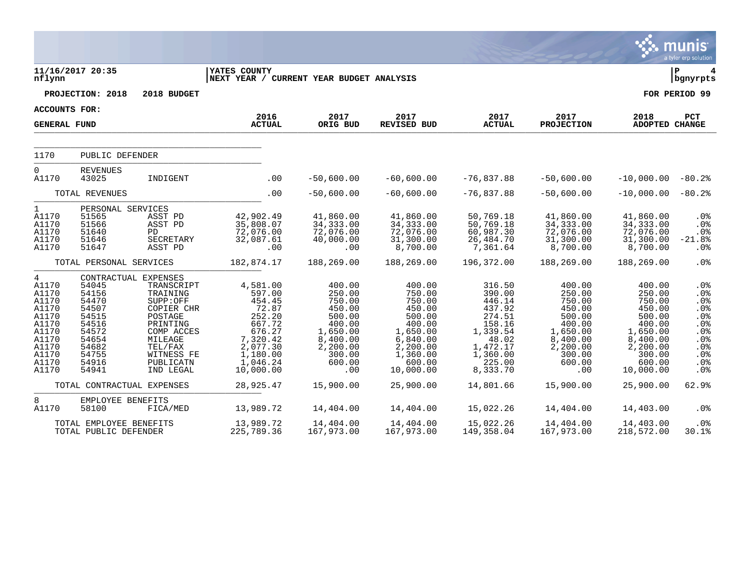|                                                                                                               |                                                                                                                                  |                                                                                                                                                     |                                                                                                                                  |                                                                                                                         |                                                                                                                                 |                                                                                                                             |                                                                                                                         |                                                                                                                               | munis<br>a tyler erp solution                                                    |
|---------------------------------------------------------------------------------------------------------------|----------------------------------------------------------------------------------------------------------------------------------|-----------------------------------------------------------------------------------------------------------------------------------------------------|----------------------------------------------------------------------------------------------------------------------------------|-------------------------------------------------------------------------------------------------------------------------|---------------------------------------------------------------------------------------------------------------------------------|-----------------------------------------------------------------------------------------------------------------------------|-------------------------------------------------------------------------------------------------------------------------|-------------------------------------------------------------------------------------------------------------------------------|----------------------------------------------------------------------------------|
| nflynn                                                                                                        | 11/16/2017 20:35                                                                                                                 |                                                                                                                                                     | YATES COUNTY<br>NEXT YEAR / CURRENT YEAR BUDGET ANALYSIS                                                                         |                                                                                                                         |                                                                                                                                 |                                                                                                                             |                                                                                                                         |                                                                                                                               | lР<br>4<br>  bgnyrpts                                                            |
|                                                                                                               | PROJECTION: 2018                                                                                                                 | 2018 BUDGET                                                                                                                                         |                                                                                                                                  |                                                                                                                         |                                                                                                                                 |                                                                                                                             |                                                                                                                         |                                                                                                                               | FOR PERIOD 99                                                                    |
| <b>ACCOUNTS FOR:</b>                                                                                          |                                                                                                                                  |                                                                                                                                                     | 2016                                                                                                                             | 2017                                                                                                                    | 2017                                                                                                                            | 2017                                                                                                                        | 2017                                                                                                                    | 2018                                                                                                                          | PCT                                                                              |
| <b>GENERAL FUND</b>                                                                                           |                                                                                                                                  |                                                                                                                                                     | <b>ACTUAL</b>                                                                                                                    | ORIG BUD                                                                                                                | REVISED BUD                                                                                                                     | <b>ACTUAL</b>                                                                                                               | <b>PROJECTION</b>                                                                                                       | ADOPTED CHANGE                                                                                                                |                                                                                  |
| 1170                                                                                                          | PUBLIC DEFENDER                                                                                                                  |                                                                                                                                                     |                                                                                                                                  |                                                                                                                         |                                                                                                                                 |                                                                                                                             |                                                                                                                         |                                                                                                                               |                                                                                  |
|                                                                                                               |                                                                                                                                  |                                                                                                                                                     |                                                                                                                                  |                                                                                                                         |                                                                                                                                 |                                                                                                                             |                                                                                                                         |                                                                                                                               |                                                                                  |
| $\Omega$<br>A1170                                                                                             | <b>REVENUES</b><br>43025                                                                                                         | INDIGENT                                                                                                                                            | .00                                                                                                                              | $-50,600.00$                                                                                                            | $-60,600.00$                                                                                                                    | $-76,837.88$                                                                                                                | $-50,600.00$                                                                                                            | $-10,000.00$                                                                                                                  | $-80.2%$                                                                         |
|                                                                                                               | TOTAL REVENUES                                                                                                                   |                                                                                                                                                     | .00                                                                                                                              | $-50,600.00$                                                                                                            | $-60,600.00$                                                                                                                    | $-76,837.88$                                                                                                                | $-50,600.00$                                                                                                            | $-10,000.00$                                                                                                                  | $-80.2%$                                                                         |
| $\mathbf{1}$<br>A1170<br>A1170<br>A1170<br>A1170<br>A1170                                                     | PERSONAL SERVICES<br>51565<br>51566<br>51640<br>51646<br>51647                                                                   | ASST PD<br>ASST PD<br>PD<br>SECRETARY<br>ASST PD                                                                                                    | 42,902.49<br>35,808.07<br>72,076.00<br>32,087.61<br>.00                                                                          | 41,860.00<br>34, 333.00<br>72,076.00<br>40,000.00<br>.00                                                                | 41,860.00<br>34, 333.00<br>72,076.00<br>31,300.00<br>8,700.00                                                                   | 50,769.18<br>50,769.18<br>60,987.30<br>26,484.70<br>7,361.64                                                                | 41,860.00<br>34, 333.00<br>72,076.00<br>31,300.00<br>8,700.00                                                           | 41,860.00<br>34, 333.00<br>72,076.00<br>31,300.00<br>8,700.00                                                                 | .0%<br>.0%<br>.0%<br>$-21.8%$<br>.0%                                             |
|                                                                                                               | TOTAL PERSONAL SERVICES                                                                                                          |                                                                                                                                                     | 182,874.17                                                                                                                       | 188,269.00                                                                                                              | 188,269.00                                                                                                                      | 196,372.00                                                                                                                  | 188,269.00                                                                                                              | 188,269.00                                                                                                                    | .0%                                                                              |
| 4<br>A1170<br>A1170<br>A1170<br>A1170<br>A1170<br>A1170<br>A1170<br>A1170<br>A1170<br>A1170<br>A1170<br>A1170 | CONTRACTUAL EXPENSES<br>54045<br>54156<br>54470<br>54507<br>54515<br>54516<br>54572<br>54654<br>54682<br>54755<br>54916<br>54941 | TRANSCRIPT<br>TRAINING<br>SUPP:OFF<br>COPIER CHR<br>POSTAGE<br>PRINTING<br>COMP ACCES<br>MILEAGE<br>TEL/FAX<br>WITNESS FE<br>PUBLICATN<br>IND LEGAL | 4,581.00<br>597.00<br>454.45<br>72.87<br>252.20<br>667.72<br>676.27<br>7,320.42<br>2,077.30<br>1,180.00<br>1,046.24<br>10,000.00 | 400.00<br>250.00<br>750.00<br>450.00<br>500.00<br>400.00<br>1,650.00<br>8,400.00<br>2,200.00<br>300.00<br>600.00<br>.00 | 400.00<br>750.00<br>750.00<br>450.00<br>500.00<br>400.00<br>1,650.00<br>6,840.00<br>2,200.00<br>1,360.00<br>600.00<br>10,000.00 | 316.50<br>390.00<br>446.14<br>437.92<br>274.51<br>158.16<br>1,339.54<br>48.02<br>1,472.17<br>1,360.00<br>225.00<br>8,333.70 | 400.00<br>250.00<br>750.00<br>450.00<br>500.00<br>400.00<br>1,650.00<br>8,400.00<br>2,200.00<br>300.00<br>600.00<br>.00 | 400.00<br>250.00<br>750.00<br>450.00<br>500.00<br>400.00<br>1,650.00<br>8,400.00<br>2,200.00<br>300.00<br>600.00<br>10,000.00 | .0%<br>.0%<br>.0%<br>.0%<br>.0%<br>.0%<br>.0%<br>.0%<br>.0%<br>.0%<br>.0%<br>.0% |
|                                                                                                               | TOTAL CONTRACTUAL EXPENSES                                                                                                       |                                                                                                                                                     | 28,925.47                                                                                                                        | 15,900.00                                                                                                               | 25,900.00                                                                                                                       | 14,801.66                                                                                                                   | 15,900.00                                                                                                               | 25,900.00                                                                                                                     | 62.9%                                                                            |
| 8<br>A1170                                                                                                    | EMPLOYEE BENEFITS<br>58100                                                                                                       | FICA/MED                                                                                                                                            | 13,989.72                                                                                                                        | 14,404.00                                                                                                               | 14,404.00                                                                                                                       | 15,022.26                                                                                                                   | 14,404.00                                                                                                               | 14,403.00                                                                                                                     | .0%                                                                              |
|                                                                                                               | TOTAL EMPLOYEE BENEFITS<br>TOTAL PUBLIC DEFENDER                                                                                 |                                                                                                                                                     | 13,989.72<br>225,789.36                                                                                                          | 14,404.00<br>167,973.00                                                                                                 | 14,404.00<br>167,973.00                                                                                                         | 15,022.26<br>149,358.04                                                                                                     | 14,404.00<br>167,973.00                                                                                                 | 14,403.00<br>218,572.00                                                                                                       | .0 <sub>8</sub><br>30.1%                                                         |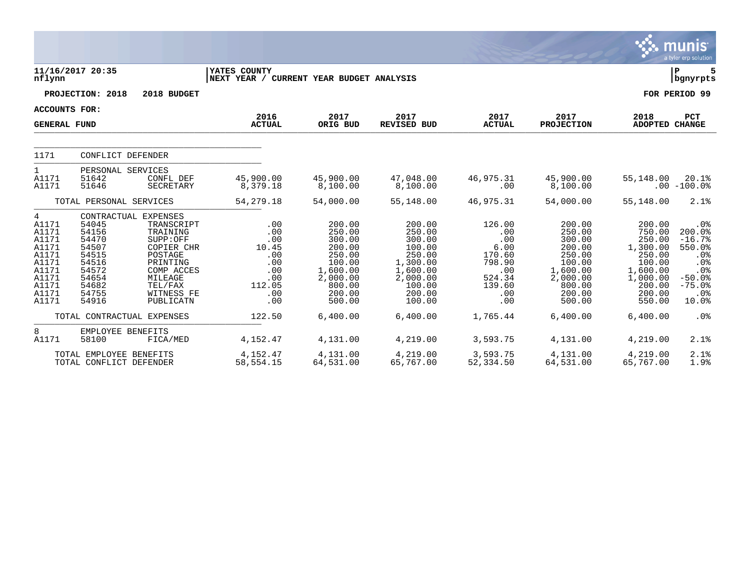|                                                                                                      |                                                                                                 |                                                                                                                                                                |                                                                                |                                                                                                                |                                                                                                                  |                                                                                           |                                                                                                                |                                                                                                                  | <b>munis</b><br>a tyler erp solution                                                                         |
|------------------------------------------------------------------------------------------------------|-------------------------------------------------------------------------------------------------|----------------------------------------------------------------------------------------------------------------------------------------------------------------|--------------------------------------------------------------------------------|----------------------------------------------------------------------------------------------------------------|------------------------------------------------------------------------------------------------------------------|-------------------------------------------------------------------------------------------|----------------------------------------------------------------------------------------------------------------|------------------------------------------------------------------------------------------------------------------|--------------------------------------------------------------------------------------------------------------|
| nflynn                                                                                               | 11/16/2017 20:35                                                                                |                                                                                                                                                                | YATES COUNTY<br>NEXT YEAR / CURRENT YEAR BUDGET ANALYSIS                       |                                                                                                                |                                                                                                                  |                                                                                           |                                                                                                                |                                                                                                                  | lР<br>5<br>  bgnyrpts                                                                                        |
|                                                                                                      | PROJECTION: 2018                                                                                | 2018 BUDGET                                                                                                                                                    |                                                                                |                                                                                                                |                                                                                                                  |                                                                                           |                                                                                                                |                                                                                                                  | FOR PERIOD 99                                                                                                |
| <b>ACCOUNTS FOR:</b>                                                                                 |                                                                                                 |                                                                                                                                                                |                                                                                |                                                                                                                |                                                                                                                  |                                                                                           |                                                                                                                |                                                                                                                  |                                                                                                              |
| <b>GENERAL FUND</b>                                                                                  |                                                                                                 |                                                                                                                                                                | 2016<br><b>ACTUAL</b>                                                          | 2017<br>ORIG BUD                                                                                               | 2017<br>REVISED BUD                                                                                              | 2017<br><b>ACTUAL</b>                                                                     | 2017<br><b>PROJECTION</b>                                                                                      | 2018<br><b>ADOPTED CHANGE</b>                                                                                    | PCT                                                                                                          |
| 1171                                                                                                 | CONFLICT DEFENDER                                                                               |                                                                                                                                                                |                                                                                |                                                                                                                |                                                                                                                  |                                                                                           |                                                                                                                |                                                                                                                  |                                                                                                              |
| $\mathbf{1}$<br>A1171<br>A1171                                                                       | PERSONAL SERVICES<br>51642<br>51646                                                             | CONFL DEF<br>SECRETARY                                                                                                                                         | 45,900.00<br>8,379.18                                                          | 45,900.00<br>8,100.00                                                                                          | 47,048.00<br>8,100.00                                                                                            | 46,975.31<br>.00                                                                          | 45,900.00<br>8,100.00                                                                                          | 55,148.00                                                                                                        | 20.1%<br>$.00 - 100.0$                                                                                       |
|                                                                                                      | TOTAL PERSONAL SERVICES                                                                         |                                                                                                                                                                | 54, 279. 18                                                                    | 54,000.00                                                                                                      | 55,148.00                                                                                                        | 46,975.31                                                                                 | 54,000.00                                                                                                      | 55,148.00                                                                                                        | 2.1%                                                                                                         |
| 4<br>A1171<br>A1171<br>A1171<br>A1171<br>A1171<br>A1171<br>A1171<br>A1171<br>A1171<br>A1171<br>A1171 | 54045<br>54156<br>54470<br>54507<br>54515<br>54516<br>54572<br>54654<br>54682<br>54755<br>54916 | CONTRACTUAL EXPENSES<br>TRANSCRIPT<br>TRAINING<br>SUPP:OFF<br>COPIER CHR<br>POSTAGE<br>PRINTING<br>COMP ACCES<br>MILEAGE<br>TEL/FAX<br>WITNESS FE<br>PUBLICATN | .00<br>.00<br>.00<br>10.45<br>.00<br>.00<br>.00<br>.00<br>112.05<br>.00<br>.00 | 200.00<br>250.00<br>300.00<br>200.00<br>250.00<br>100.00<br>1,600.00<br>2,000.00<br>800.00<br>200.00<br>500.00 | 200.00<br>250.00<br>300.00<br>100.00<br>250.00<br>1,300.00<br>1,600.00<br>2,000.00<br>100.00<br>200.00<br>100.00 | 126.00<br>.00<br>.00<br>6.00<br>170.60<br>798.90<br>.00<br>524.34<br>139.60<br>.00<br>.00 | 200.00<br>250.00<br>300.00<br>200.00<br>250.00<br>100.00<br>1,600.00<br>2,000.00<br>800.00<br>200.00<br>500.00 | 200.00<br>750.00<br>250.00<br>1,300.00<br>250.00<br>100.00<br>1,600.00<br>1,000.00<br>200.00<br>200.00<br>550.00 | .0 <sub>8</sub><br>200.0%<br>$-16.7%$<br>550.0%<br>.0%<br>.0%<br>.0%<br>$-50.0%$<br>$-75.0%$<br>.0%<br>10.0% |
|                                                                                                      |                                                                                                 | TOTAL CONTRACTUAL EXPENSES                                                                                                                                     | 122.50                                                                         | 6,400.00                                                                                                       | 6,400.00                                                                                                         | 1,765.44                                                                                  | 6,400.00                                                                                                       | 6,400.00                                                                                                         | .0 <sub>8</sub>                                                                                              |
| 8<br>A1171                                                                                           | EMPLOYEE BENEFITS<br>58100                                                                      | FICA/MED                                                                                                                                                       | 4,152.47                                                                       | 4,131.00                                                                                                       | 4,219.00                                                                                                         | 3,593.75                                                                                  | 4,131.00                                                                                                       | 4,219.00                                                                                                         | 2.1%                                                                                                         |
|                                                                                                      | TOTAL EMPLOYEE BENEFITS<br>TOTAL CONFLICT DEFENDER                                              |                                                                                                                                                                | 4,152.47<br>58,554.15                                                          | 4,131.00<br>64,531.00                                                                                          | 4,219.00<br>65,767.00                                                                                            | 3,593.75<br>52,334.50                                                                     | 4,131.00<br>64,531.00                                                                                          | 4,219.00<br>65,767.00                                                                                            | 2.1%<br>1.9%                                                                                                 |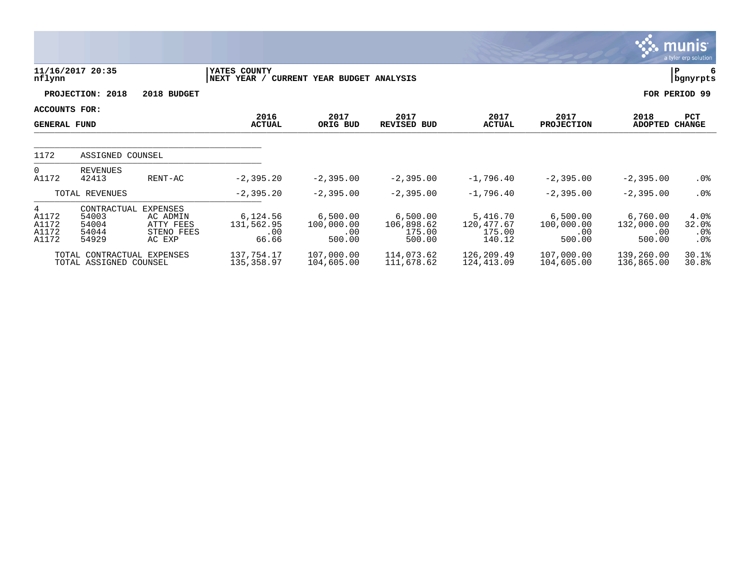|                                       |                                                      |                                                                  |                                        |                                         |                                            |                                            |                                         |                                         | munis<br>a tyler erp solution  |
|---------------------------------------|------------------------------------------------------|------------------------------------------------------------------|----------------------------------------|-----------------------------------------|--------------------------------------------|--------------------------------------------|-----------------------------------------|-----------------------------------------|--------------------------------|
| nflynn                                | 11/16/2017 20:35                                     |                                                                  | YATES COUNTY<br>NEXT YEAR /            | CURRENT YEAR BUDGET ANALYSIS            |                                            |                                            |                                         |                                         | Р<br>6<br>bgnyrpts             |
|                                       | PROJECTION: 2018                                     | 2018 BUDGET                                                      |                                        |                                         |                                            |                                            |                                         |                                         | FOR PERIOD 99                  |
| ACCOUNTS FOR:<br><b>GENERAL FUND</b>  |                                                      |                                                                  | 2016<br><b>ACTUAL</b>                  | 2017<br>ORIG BUD                        | 2017<br>REVISED BUD                        | 2017<br><b>ACTUAL</b>                      | 2017<br><b>PROJECTION</b>               | 2018<br>ADOPTED CHANGE                  | PCT                            |
| 1172                                  | ASSIGNED COUNSEL                                     |                                                                  |                                        |                                         |                                            |                                            |                                         |                                         |                                |
| $\overline{0}$<br>A1172               | REVENUES<br>42413                                    | RENT-AC                                                          | $-2, 395.20$                           | $-2,395.00$                             | $-2, 395.00$                               | $-1,796.40$                                | $-2, 395.00$                            | $-2,395.00$                             | $.0\%$                         |
|                                       | TOTAL REVENUES                                       |                                                                  | $-2, 395.20$                           | $-2, 395.00$                            | $-2, 395.00$                               | $-1,796.40$                                | $-2, 395.00$                            | $-2, 395.00$                            | $.0\%$                         |
| 4<br>A1172<br>A1172<br>A1172<br>A1172 | CONTRACTUAL<br>54003<br>54004<br>54044<br>54929      | <b>EXPENSES</b><br>AC ADMIN<br>ATTY FEES<br>STENO FEES<br>AC EXP | 6,124.56<br>131,562.95<br>.00<br>66.66 | 6,500.00<br>100,000.00<br>.00<br>500.00 | 6,500.00<br>106,898.62<br>175.00<br>500.00 | 5,416.70<br>120,477.67<br>175.00<br>140.12 | 6,500.00<br>100,000.00<br>.00<br>500.00 | 6,760.00<br>132,000.00<br>.00<br>500.00 | 4.0%<br>32.0%<br>.0%<br>$.0\%$ |
|                                       | TOTAL CONTRACTUAL EXPENSES<br>TOTAL ASSIGNED COUNSEL |                                                                  | 137,754.17<br>135,358.97               | 107,000.00<br>104,605.00                | 114,073.62<br>111,678.62                   | 126,209.49<br>124,413.09                   | 107,000.00<br>104,605.00                | 139,260.00<br>136,865.00                | 30.1%<br>30.8%                 |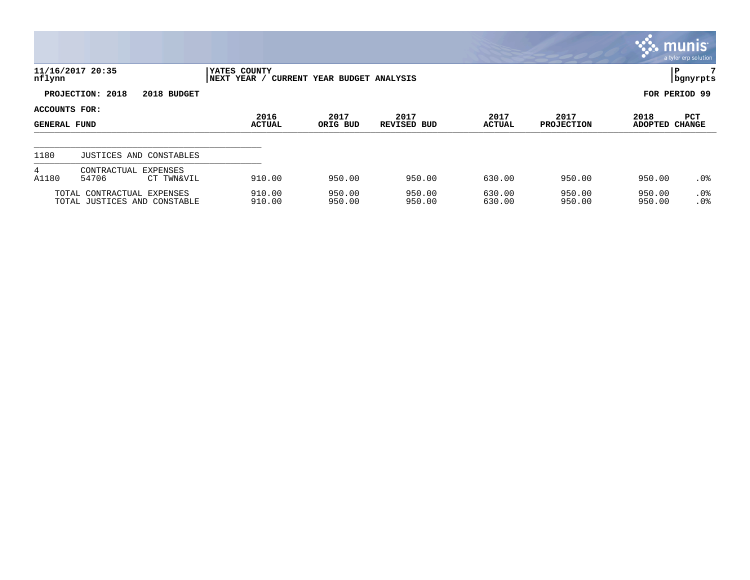|                                      |                                                            |                             |                              |                     |                       |                           |                        | $\mathbb{C}$ . Munis $\mathbb{C}$<br>a tyler erp solution |
|--------------------------------------|------------------------------------------------------------|-----------------------------|------------------------------|---------------------|-----------------------|---------------------------|------------------------|-----------------------------------------------------------|
| nflynn                               | 11/16/2017 20:35                                           | YATES COUNTY<br>NEXT YEAR / | CURRENT YEAR BUDGET ANALYSIS |                     |                       |                           |                        | P<br>  bgnyrpts                                           |
|                                      | PROJECTION: 2018<br>2018 BUDGET                            |                             |                              |                     |                       |                           |                        | FOR PERIOD 99                                             |
| ACCOUNTS FOR:<br><b>GENERAL FUND</b> |                                                            | 2016<br><b>ACTUAL</b>       | 2017<br>ORIG BUD             | 2017<br>REVISED BUD | 2017<br><b>ACTUAL</b> | 2017<br><b>PROJECTION</b> | 2018<br><b>ADOPTED</b> | PCT<br><b>CHANGE</b>                                      |
| 1180                                 | JUSTICES AND CONSTABLES                                    |                             |                              |                     |                       |                           |                        |                                                           |
| 4<br>A1180                           | CONTRACTUAL<br><b>EXPENSES</b><br>54706<br>CT TWN&VIL      | 910.00                      | 950.00                       | 950.00              | 630.00                | 950.00                    | 950.00                 | $.0\%$                                                    |
|                                      | TOTAL CONTRACTUAL EXPENSES<br>TOTAL JUSTICES AND CONSTABLE | 910.00<br>910.00            | 950.00<br>950.00             | 950.00<br>950.00    | 630.00<br>630.00      | 950.00<br>950.00          | 950.00<br>950.00       | $.0\%$<br>.0%                                             |

 $\bullet$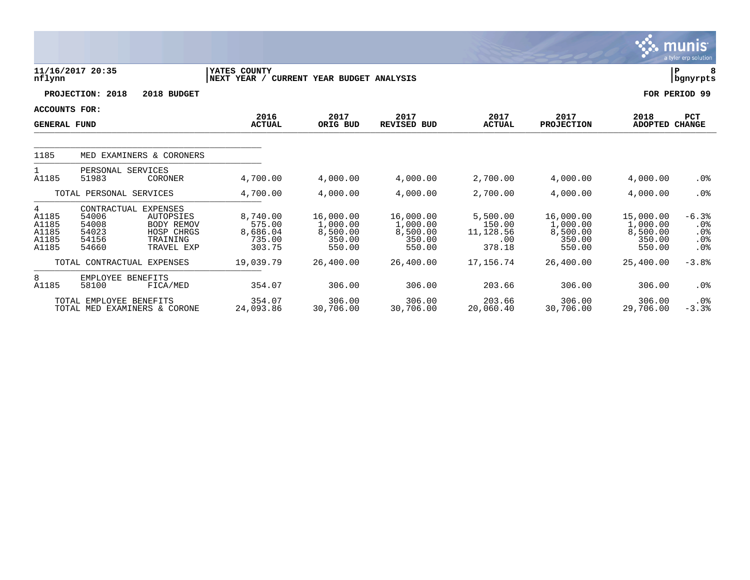|                                                |                                                                                       |                                                                 |                                                    |                                                       |                                                       |                                                  |                                                       |                                                       | munis<br>a tyler erp solution                            |
|------------------------------------------------|---------------------------------------------------------------------------------------|-----------------------------------------------------------------|----------------------------------------------------|-------------------------------------------------------|-------------------------------------------------------|--------------------------------------------------|-------------------------------------------------------|-------------------------------------------------------|----------------------------------------------------------|
| nflynn                                         | 11/16/2017 20:35                                                                      |                                                                 | YATES COUNTY<br>NEXT YEAR /                        | CURRENT YEAR BUDGET ANALYSIS                          |                                                       |                                                  |                                                       |                                                       | lР<br>  bgnyrpts                                         |
|                                                | PROJECTION: 2018                                                                      | 2018 BUDGET                                                     |                                                    |                                                       |                                                       |                                                  |                                                       |                                                       | FOR PERIOD 99                                            |
| ACCOUNTS FOR:<br><b>GENERAL FUND</b>           |                                                                                       |                                                                 | 2016<br><b>ACTUAL</b>                              | 2017<br>ORIG BUD                                      | 2017<br><b>REVISED BUD</b>                            | 2017<br><b>ACTUAL</b>                            | 2017<br><b>PROJECTION</b>                             | 2018<br><b>ADOPTED</b>                                | <b>PCT</b><br><b>CHANGE</b>                              |
| 1185                                           |                                                                                       | MED EXAMINERS & CORONERS                                        |                                                    |                                                       |                                                       |                                                  |                                                       |                                                       |                                                          |
| 1<br>A1185                                     | PERSONAL SERVICES<br>51983                                                            | CORONER                                                         | 4,700.00                                           | 4,000.00                                              | 4,000.00                                              | 2,700.00                                         | 4,000.00                                              | 4,000.00                                              | .0%                                                      |
|                                                | TOTAL PERSONAL SERVICES                                                               |                                                                 | 4,700.00                                           | 4,000.00                                              | 4,000.00                                              | 2,700.00                                         | 4,000.00                                              | 4,000.00                                              | .0%                                                      |
| 4<br>A1185<br>A1185<br>A1185<br>A1185<br>A1185 | CONTRACTUAL EXPENSES<br>54006<br>54008<br>54023<br>54156<br>54660                     | AUTOPSIES<br>BODY REMOV<br>HOSP CHRGS<br>TRAINING<br>TRAVEL EXP | 8,740.00<br>575.00<br>8,686.04<br>735.00<br>303.75 | 16,000.00<br>1,000.00<br>8,500.00<br>350.00<br>550.00 | 16,000.00<br>1,000.00<br>8,500.00<br>350.00<br>550.00 | 5,500.00<br>150.00<br>11,128.56<br>.00<br>378.18 | 16,000.00<br>1,000.00<br>8,500.00<br>350.00<br>550.00 | 15,000.00<br>1,000.00<br>8,500.00<br>350.00<br>550.00 | $-6.3%$<br>$.0\%$<br>$.0\%$<br>$.0\%$<br>.0 <sub>8</sub> |
|                                                | TOTAL CONTRACTUAL EXPENSES                                                            |                                                                 | 19,039.79                                          | 26,400.00                                             | 26,400.00                                             | 17,156.74                                        | 26,400.00                                             | 25,400.00                                             | $-3.8%$                                                  |
| 8<br>A1185                                     | EMPLOYEE BENEFITS<br>58100<br>TOTAL EMPLOYEE BENEFITS<br>TOTAL MED EXAMINERS & CORONE | FICA/MED                                                        | 354.07<br>354.07<br>24,093.86                      | 306.00<br>306.00<br>30,706.00                         | 306.00<br>306.00<br>30,706.00                         | 203.66<br>203.66<br>20,060.40                    | 306.00<br>306.00<br>30,706.00                         | 306.00<br>306.00<br>29,706.00                         | .0%<br>$.0\%$<br>$-3.3%$                                 |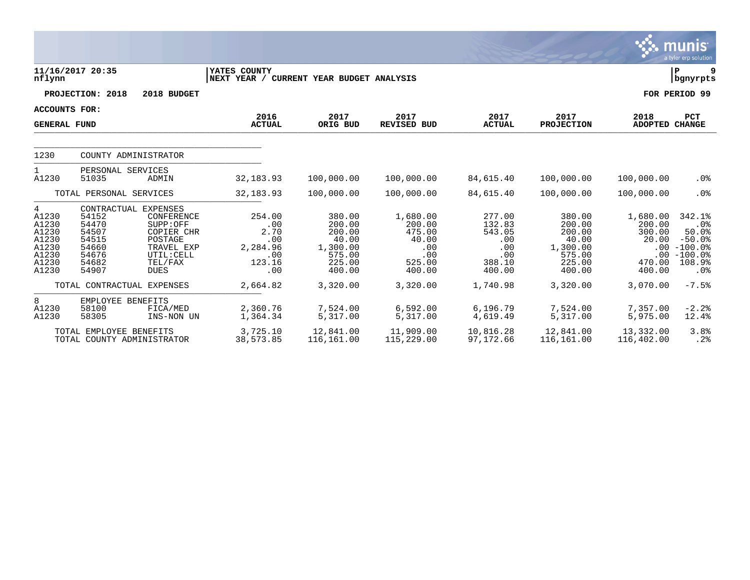|                                                                           |                                                                                              |                                                                                                       |                                                                  |                                                                               |                                                                         |                                                                     |                                                                               |                                                                       | munıs <sup>.</sup><br>a tyler erp solution                                                      |
|---------------------------------------------------------------------------|----------------------------------------------------------------------------------------------|-------------------------------------------------------------------------------------------------------|------------------------------------------------------------------|-------------------------------------------------------------------------------|-------------------------------------------------------------------------|---------------------------------------------------------------------|-------------------------------------------------------------------------------|-----------------------------------------------------------------------|-------------------------------------------------------------------------------------------------|
| nflynn                                                                    | 11/16/2017 20:35                                                                             |                                                                                                       | YATES COUNTY<br>NEXT YEAR / CURRENT YEAR BUDGET ANALYSIS         |                                                                               |                                                                         |                                                                     |                                                                               |                                                                       | P.<br>9<br>  bgnyrpts                                                                           |
|                                                                           | PROJECTION: 2018                                                                             | 2018 BUDGET                                                                                           |                                                                  |                                                                               |                                                                         |                                                                     |                                                                               |                                                                       | FOR PERIOD 99                                                                                   |
| <b>ACCOUNTS FOR:</b>                                                      |                                                                                              |                                                                                                       | 2016                                                             | 2017                                                                          | 2017                                                                    | 2017                                                                | 2017                                                                          | 2018                                                                  | PCT                                                                                             |
| <b>GENERAL FUND</b>                                                       |                                                                                              |                                                                                                       | <b>ACTUAL</b>                                                    | ORIG BUD                                                                      | <b>REVISED BUD</b>                                                      | <b>ACTUAL</b>                                                       | <b>PROJECTION</b>                                                             | ADOPTED CHANGE                                                        |                                                                                                 |
| 1230                                                                      | COUNTY ADMINISTRATOR                                                                         |                                                                                                       |                                                                  |                                                                               |                                                                         |                                                                     |                                                                               |                                                                       |                                                                                                 |
| 1<br>A1230                                                                | PERSONAL SERVICES<br>51035                                                                   | ADMIN                                                                                                 | 32, 183.93                                                       | 100,000.00                                                                    | 100,000.00                                                              | 84,615.40                                                           | 100,000.00                                                                    | 100,000.00                                                            | $.0\%$                                                                                          |
|                                                                           | TOTAL PERSONAL SERVICES                                                                      |                                                                                                       | 32,183.93                                                        | 100,000.00                                                                    | 100,000.00                                                              | 84,615.40                                                           | 100,000.00                                                                    | 100,000.00                                                            | .0%                                                                                             |
| 4<br>A1230<br>A1230<br>A1230<br>A1230<br>A1230<br>A1230<br>A1230<br>A1230 | CONTRACTUAL EXPENSES<br>54152<br>54470<br>54507<br>54515<br>54660<br>54676<br>54682<br>54907 | CONFERENCE<br>SUPP:OFF<br>COPIER CHR<br>POSTAGE<br>TRAVEL EXP<br>UTIL: CELL<br>TEL/FAX<br><b>DUES</b> | 254.00<br>.00<br>2.70<br>.00<br>2,284.96<br>.00<br>123.16<br>.00 | 380.00<br>200.00<br>200.00<br>40.00<br>1,300.00<br>575.00<br>225.00<br>400.00 | 1,680.00<br>200.00<br>475.00<br>40.00<br>.00<br>.00<br>525.00<br>400.00 | 277.00<br>132.83<br>543.05<br>.00<br>.00<br>.00<br>388.10<br>400.00 | 380.00<br>200.00<br>200.00<br>40.00<br>1,300.00<br>575.00<br>225.00<br>400.00 | 1,680.00<br>200.00<br>300.00<br>20.00<br>$.00 \,$<br>470.00<br>400.00 | 342.1%<br>.0%<br>50.0%<br>$-50.0%$<br>$-100.0$ %<br>$.00 - 100.0%$<br>108.9%<br>.0 <sub>8</sub> |
|                                                                           | TOTAL CONTRACTUAL EXPENSES                                                                   |                                                                                                       | 2,664.82                                                         | 3,320.00                                                                      | 3,320.00                                                                | 1,740.98                                                            | 3,320.00                                                                      | 3,070.00                                                              | $-7.5%$                                                                                         |
| 8<br>A1230<br>A1230                                                       | EMPLOYEE BENEFITS<br>58100<br>58305                                                          | FICA/MED<br>INS-NON UN                                                                                | 2,360.76<br>1,364.34                                             | 7,524.00<br>5,317.00                                                          | 6,592.00<br>5,317.00                                                    | 6,196.79<br>4,619.49                                                | 7,524.00<br>5,317.00                                                          | 7,357.00<br>5,975.00                                                  | $-2.2$<br>12.4%                                                                                 |
|                                                                           | TOTAL EMPLOYEE BENEFITS<br>TOTAL COUNTY ADMINISTRATOR                                        |                                                                                                       | 3,725.10<br>38,573.85                                            | 12,841.00<br>116,161.00                                                       | 11,909.00<br>115,229.00                                                 | 10,816.28<br>97,172.66                                              | 12,841.00<br>116,161.00                                                       | 13,332.00<br>116,402.00                                               | 3.8%<br>.2%                                                                                     |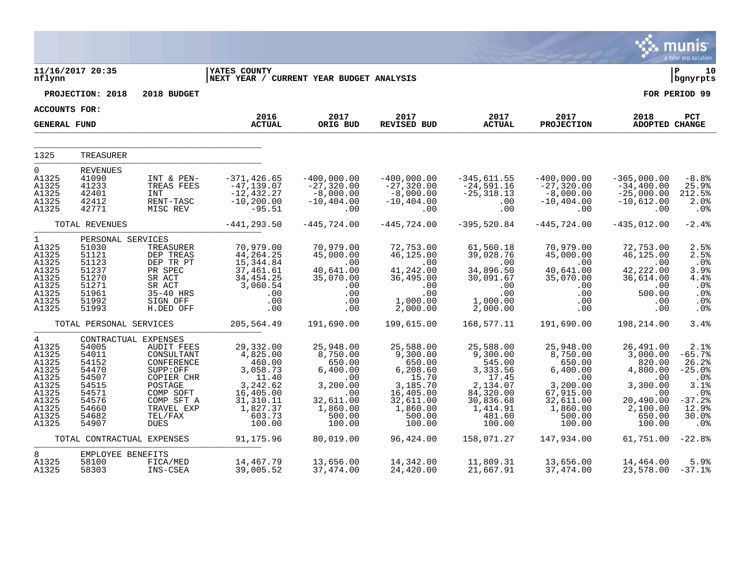|                                                                                                                    |                                                                                                                         |                                                                                                                                                       |                                                                                                                             |                                                                                                                    |                                                                                                                             |                                                                                                                            |                                                                                                                          |                                                                                                                    | munis<br>a tyler erp solution                                                                    |
|--------------------------------------------------------------------------------------------------------------------|-------------------------------------------------------------------------------------------------------------------------|-------------------------------------------------------------------------------------------------------------------------------------------------------|-----------------------------------------------------------------------------------------------------------------------------|--------------------------------------------------------------------------------------------------------------------|-----------------------------------------------------------------------------------------------------------------------------|----------------------------------------------------------------------------------------------------------------------------|--------------------------------------------------------------------------------------------------------------------------|--------------------------------------------------------------------------------------------------------------------|--------------------------------------------------------------------------------------------------|
| nflynn                                                                                                             | 11/16/2017 20:35                                                                                                        |                                                                                                                                                       | <b>YATES COUNTY</b><br>NEXT YEAR / CURRENT YEAR BUDGET ANALYSIS                                                             |                                                                                                                    |                                                                                                                             |                                                                                                                            |                                                                                                                          |                                                                                                                    | ∣ P<br>10<br>bgnyrpts                                                                            |
|                                                                                                                    | PROJECTION: 2018                                                                                                        | 2018 BUDGET                                                                                                                                           |                                                                                                                             |                                                                                                                    |                                                                                                                             |                                                                                                                            |                                                                                                                          |                                                                                                                    | FOR PERIOD 99                                                                                    |
| <b>ACCOUNTS FOR:</b>                                                                                               |                                                                                                                         |                                                                                                                                                       |                                                                                                                             |                                                                                                                    |                                                                                                                             |                                                                                                                            |                                                                                                                          |                                                                                                                    |                                                                                                  |
| <b>GENERAL FUND</b>                                                                                                |                                                                                                                         |                                                                                                                                                       | 2016<br><b>ACTUAL</b>                                                                                                       | 2017<br>ORIG BUD                                                                                                   | 2017<br><b>REVISED BUD</b>                                                                                                  | 2017<br><b>ACTUAL</b>                                                                                                      | 2017<br><b>PROJECTION</b>                                                                                                | 2018<br>ADOPTED CHANGE                                                                                             | PCT                                                                                              |
| 1325                                                                                                               | TREASURER                                                                                                               |                                                                                                                                                       |                                                                                                                             |                                                                                                                    |                                                                                                                             |                                                                                                                            |                                                                                                                          |                                                                                                                    |                                                                                                  |
| $\Omega$<br>A1325<br>A1325<br>A1325<br>A1325<br>A1325                                                              | <b>REVENUES</b><br>41090<br>41233<br>42401<br>42412<br>42771                                                            | INT & PEN-<br>TREAS FEES<br>INT<br>RENT-TASC<br>MISC REV                                                                                              | -371,426.65<br>$-47, 139.07$<br>$-12,432.27$<br>$-10, 200.00$<br>$-95.51$                                                   | $-400,000.00$<br>$-27,320.00$<br>$-8,000.00$<br>$-10, 404.00$<br>.00                                               | $-400,000.00$<br>$-27,320.00$<br>$-8,000.00$<br>$-10, 404.00$<br>.00                                                        | $-345,611.55$<br>$-24,591.16$<br>$-25, 318.13$<br>.00<br>.00                                                               | $-400,000.00$<br>$-27,320.00$<br>$-8,000.00$<br>$-10, 404.00$<br>.00                                                     | $-365,000.00$<br>$-34,400.00$<br>$-25,000.00$<br>$-10,612.00$<br>.00                                               | $-8.8%$<br>25.9%<br>212.5%<br>2.0%<br>.0 <sub>8</sub>                                            |
|                                                                                                                    | TOTAL REVENUES                                                                                                          |                                                                                                                                                       | $-441, 293.50$                                                                                                              | $-445,724.00$                                                                                                      | $-445,724.00$                                                                                                               | $-395,520.84$                                                                                                              | $-445,724.00$                                                                                                            | $-435,012.00$                                                                                                      | $-2.4%$                                                                                          |
| 1<br>A1325<br>A1325<br>A1325<br>A1325<br>A1325<br>A1325<br>A1325<br>A1325<br>A1325                                 | PERSONAL SERVICES<br>51030<br>51121<br>51123<br>51237<br>51270<br>51271<br>51961<br>51992<br>51993                      | TREASURER<br>DEP TREAS<br>DEP TR PT<br>PR SPEC<br>SR ACT<br>SR ACT<br>35-40 HRS<br>SIGN OFF<br>H.DED OFF                                              | 70,979.00<br>44, 264. 25<br>15, 344.84<br>37,461.61<br>34,454.25<br>3,060.54<br>.00<br>$.00 \,$<br>.00                      | 70,979.00<br>45,000.00<br>.00<br>40,641.00<br>35,070.00<br>.00<br>.00<br>.00<br>.00                                | 72,753.00<br>46,125.00<br>.00<br>41,242.00<br>36,495.00<br>.00<br>.00<br>1,000.00<br>2,000.00                               | 61,560.18<br>39,028.76<br>.00<br>34,896.50<br>30,091.67<br>.00<br>.00<br>1,000.00<br>2,000.00                              | 70,979.00<br>45,000.00<br>.00<br>40,641.00<br>35,070.00<br>.00<br>.00<br>.00<br>.00                                      | 72,753.00<br>46,125.00<br>.00<br>42,222.00<br>36,614.00<br>.00<br>500.00<br>.00<br>.00                             | 2.5%<br>2.5%<br>.0%<br>3.9%<br>4.4%<br>.0%<br>.0%<br>.0 <sub>8</sub><br>.0%                      |
|                                                                                                                    | TOTAL PERSONAL SERVICES                                                                                                 |                                                                                                                                                       | 205,564.49                                                                                                                  | 191,690.00                                                                                                         | 199,615.00                                                                                                                  | 168,577.11                                                                                                                 | 191,690.00                                                                                                               | 198,214.00                                                                                                         | 3.4%                                                                                             |
| $4\overline{ }$<br>A1325<br>A1325<br>A1325<br>A1325<br>A1325<br>A1325<br>A1325<br>A1325<br>A1325<br>A1325<br>A1325 | CONTRACTUAL EXPENSES<br>54005<br>54011<br>54152<br>54470<br>54507<br>54515<br>54571<br>54576<br>54660<br>54682<br>54907 | <b>AUDIT FEES</b><br>CONSULTANT<br>CONFERENCE<br>SUPP:OFF<br>COPIER CHR<br>POSTAGE<br>COMP SOFT<br>COMP SFT A<br>TRAVEL EXP<br>TEL/FAX<br><b>DUES</b> | 29,332.00<br>4,825.00<br>460.00<br>3,058.73<br>11.40<br>3,242.62<br>16,405.00<br>31, 310.11<br>1,827.37<br>603.73<br>100.00 | 25,948.00<br>8,750.00<br>650.00<br>6,400.00<br>.00<br>3,200.00<br>.00<br>32,611.00<br>1,860.00<br>500.00<br>100.00 | 25,588.00<br>9,300.00<br>650.00<br>6, 208.60<br>15.70<br>3,185.70<br>16,405.00<br>32,611.00<br>1,860.00<br>500.00<br>100.00 | 25,588.00<br>9,300.00<br>545.00<br>3,333.56<br>17.45<br>2,134.07<br>84,320.00<br>30,836.68<br>1,414.91<br>481.60<br>100.00 | 25,948.00<br>8,750.00<br>650.00<br>6,400.00<br>.00<br>3,200.00<br>67,915.00<br>32,611.00<br>1,860.00<br>500.00<br>100.00 | 26,491.00<br>3,000.00<br>820.00<br>4,800.00<br>.00<br>3,300.00<br>.00<br>20,490.00<br>2,100.00<br>650.00<br>100.00 | 2.1%<br>$-65.7%$<br>26.2%<br>$-25.0%$<br>.0%<br>3.1%<br>.0%<br>$-37.2%$<br>12.9%<br>30.0%<br>.0% |
|                                                                                                                    | TOTAL CONTRACTUAL EXPENSES                                                                                              |                                                                                                                                                       | 91,175.96                                                                                                                   | 80,019.00                                                                                                          | 96,424.00                                                                                                                   | 158,071.27                                                                                                                 | 147,934.00                                                                                                               | 61,751.00                                                                                                          | $-22.8%$                                                                                         |
| 8<br>A1325<br>A1325                                                                                                | EMPLOYEE BENEFITS<br>58100<br>58303                                                                                     | FICA/MED<br>INS-CSEA                                                                                                                                  | 14,467.79<br>39,005.52                                                                                                      | 13,656.00<br>37,474.00                                                                                             | 14,342.00<br>24,420.00                                                                                                      | 11,809.31<br>21,667.91                                                                                                     | 13,656.00<br>37,474.00                                                                                                   | 14,464.00<br>23,578.00                                                                                             | 5.9%<br>$-37.1%$                                                                                 |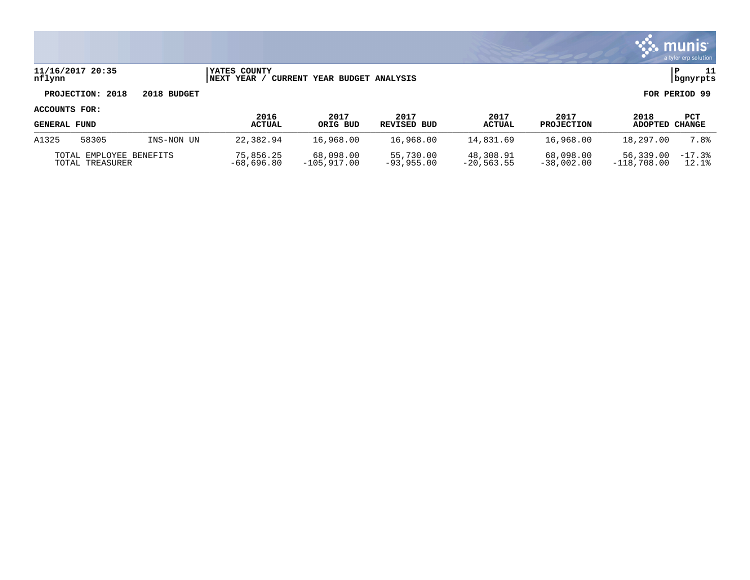|                     |                                            |             |                                      |                              |                           |                            |                           |                            | a tyler erp solution    |
|---------------------|--------------------------------------------|-------------|--------------------------------------|------------------------------|---------------------------|----------------------------|---------------------------|----------------------------|-------------------------|
| nflynn              | 11/16/2017 20:35                           |             | <b>IYATES COUNTY</b><br> NEXT YEAR / | CURRENT YEAR BUDGET ANALYSIS |                           |                            |                           |                            | 11<br>l P<br>  bgnyrpts |
|                     | PROJECTION: 2018                           | 2018 BUDGET |                                      |                              |                           |                            |                           |                            | FOR PERIOD 99           |
| ACCOUNTS FOR:       |                                            |             | 2016                                 | 2017                         | 2017                      | 2017                       | 2017                      | 2018                       |                         |
| <b>GENERAL FUND</b> |                                            |             | <b>ACTUAL</b>                        | ORIG BUD                     | <b>REVISED BUD</b>        | <b>ACTUAL</b>              | <b>PROJECTION</b>         | ADOPTED                    | PCT<br>CHANGE           |
| A1325               | 58305                                      | INS-NON UN  | 22,382.94                            | 16,968.00                    | 16,968.00                 | 14,831.69                  | 16,968.00                 | 18,297.00                  | 7.8%                    |
|                     | TOTAL EMPLOYEE BENEFITS<br>TOTAL TREASURER |             | 75,856.25<br>$-68,696.80$            | 68,098.00<br>$-105,917.00$   | 55,730.00<br>$-93,955.00$ | 48,308.91<br>$-20, 563.55$ | 68,098.00<br>$-38,002.00$ | 56,339.00<br>$-118,708.00$ | $-17.3%$<br>12.1%       |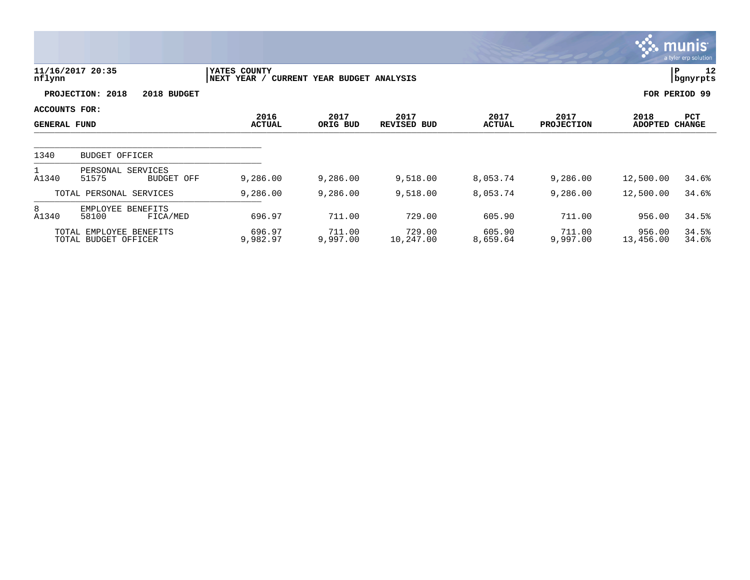|                                      |                                                 |                             |                              |                            |                       |                           |                        | <b>munis</b><br>a tyler erp solution |
|--------------------------------------|-------------------------------------------------|-----------------------------|------------------------------|----------------------------|-----------------------|---------------------------|------------------------|--------------------------------------|
| nflynn                               | 11/16/2017 20:35                                | YATES COUNTY<br>NEXT YEAR / | CURRENT YEAR BUDGET ANALYSIS |                            |                       |                           |                        | 12<br>P<br>  bgnyrpts                |
|                                      | PROJECTION: 2018<br>2018 BUDGET                 |                             |                              |                            |                       |                           |                        | FOR PERIOD 99                        |
| ACCOUNTS FOR:<br><b>GENERAL FUND</b> |                                                 | 2016<br><b>ACTUAL</b>       | 2017<br>ORIG BUD             | 2017<br><b>REVISED BUD</b> | 2017<br><b>ACTUAL</b> | 2017<br><b>PROJECTION</b> | 2018<br><b>ADOPTED</b> | PCT<br><b>CHANGE</b>                 |
| 1340                                 | <b>BUDGET OFFICER</b>                           |                             |                              |                            |                       |                           |                        |                                      |
|                                      |                                                 |                             |                              |                            |                       |                           |                        |                                      |
| A1340                                | PERSONAL SERVICES<br>51575<br><b>BUDGET OFF</b> | 9,286.00                    | 9,286.00                     | 9,518.00                   | 8,053.74              | 9,286.00                  | 12,500.00              | 34.6%                                |
|                                      | TOTAL PERSONAL SERVICES                         | 9,286.00                    | 9,286.00                     | 9,518.00                   | 8,053.74              | 9,286.00                  | 12,500.00              | 34.6%                                |
| 8<br>A1340                           | EMPLOYEE BENEFITS<br>58100<br>FICA/MED          | 696.97                      | 711.00                       | 729.00                     | 605.90                | 711.00                    | 956.00                 | 34.5%                                |
|                                      | TOTAL EMPLOYEE BENEFITS<br>TOTAL BUDGET OFFICER | 696.97<br>9,982.97          | 711.00<br>9,997.00           | 729.00<br>10,247.00        | 605.90<br>8,659.64    | 711.00<br>9,997.00        | 956.00<br>13,456.00    | 34.5%<br>34.6%                       |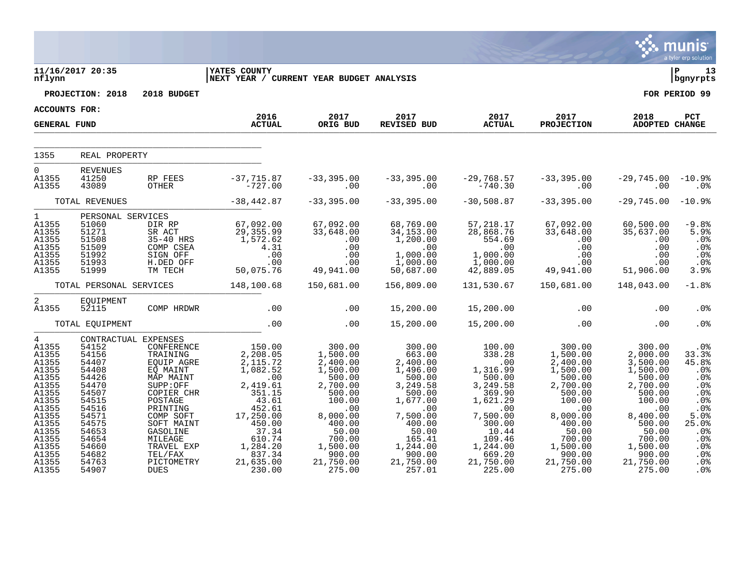|                                                                                                                                                                     |                                                                                                                                                                               |                                                                                                                                                                                                                        |                                                                                                                                                                                           |                                                                                                                                                                                      |                                                                                                                                                                                       |                                                                                                                                                                                                     |                                                                                                                                                                                     |                                                                                                                                                                                   | a tyler erp solution                                                                                                             |
|---------------------------------------------------------------------------------------------------------------------------------------------------------------------|-------------------------------------------------------------------------------------------------------------------------------------------------------------------------------|------------------------------------------------------------------------------------------------------------------------------------------------------------------------------------------------------------------------|-------------------------------------------------------------------------------------------------------------------------------------------------------------------------------------------|--------------------------------------------------------------------------------------------------------------------------------------------------------------------------------------|---------------------------------------------------------------------------------------------------------------------------------------------------------------------------------------|-----------------------------------------------------------------------------------------------------------------------------------------------------------------------------------------------------|-------------------------------------------------------------------------------------------------------------------------------------------------------------------------------------|-----------------------------------------------------------------------------------------------------------------------------------------------------------------------------------|----------------------------------------------------------------------------------------------------------------------------------|
| nflynn                                                                                                                                                              | 11/16/2017 20:35<br>PROJECTION: 2018                                                                                                                                          | 2018 BUDGET                                                                                                                                                                                                            | <b>YATES COUNTY</b><br>NEXT YEAR / CURRENT YEAR BUDGET ANALYSIS                                                                                                                           |                                                                                                                                                                                      |                                                                                                                                                                                       |                                                                                                                                                                                                     |                                                                                                                                                                                     |                                                                                                                                                                                   | l P<br>13<br>  bgnyrpts<br>FOR PERIOD 99                                                                                         |
| <b>ACCOUNTS FOR:</b>                                                                                                                                                |                                                                                                                                                                               |                                                                                                                                                                                                                        |                                                                                                                                                                                           |                                                                                                                                                                                      |                                                                                                                                                                                       |                                                                                                                                                                                                     |                                                                                                                                                                                     |                                                                                                                                                                                   |                                                                                                                                  |
|                                                                                                                                                                     |                                                                                                                                                                               |                                                                                                                                                                                                                        | 2016                                                                                                                                                                                      | 2017                                                                                                                                                                                 |                                                                                                                                                                                       | 2017 2017<br>TISED BUD ACTUAL                                                                                                                                                                       | 2017                                                                                                                                                                                | 2018                                                                                                                                                                              | PCT                                                                                                                              |
| <b>GENERAL FUND</b>                                                                                                                                                 |                                                                                                                                                                               |                                                                                                                                                                                                                        | <b>ACTUAL</b>                                                                                                                                                                             | ORIG BUD                                                                                                                                                                             | REVISED BUD                                                                                                                                                                           |                                                                                                                                                                                                     | <b>PROJECTION</b>                                                                                                                                                                   | <b>ADOPTED CHANGE</b>                                                                                                                                                             |                                                                                                                                  |
| 1355                                                                                                                                                                | REAL PROPERTY                                                                                                                                                                 |                                                                                                                                                                                                                        |                                                                                                                                                                                           |                                                                                                                                                                                      |                                                                                                                                                                                       |                                                                                                                                                                                                     |                                                                                                                                                                                     |                                                                                                                                                                                   |                                                                                                                                  |
|                                                                                                                                                                     |                                                                                                                                                                               |                                                                                                                                                                                                                        |                                                                                                                                                                                           |                                                                                                                                                                                      |                                                                                                                                                                                       |                                                                                                                                                                                                     |                                                                                                                                                                                     |                                                                                                                                                                                   |                                                                                                                                  |
| $\Omega$<br>A1355<br>A1355                                                                                                                                          | <b>REVENUES</b><br>41250<br>43089                                                                                                                                             | RP FEES<br>OTHER                                                                                                                                                                                                       | -37,715.87<br>-727.00                                                                                                                                                                     | .00                                                                                                                                                                                  | $-33,395.00$ $-33,395.00$<br>$\sim$ 00                                                                                                                                                | -29,768.57 -33,395.00<br>-740.30 -00                                                                                                                                                                | $-33,395.00$                                                                                                                                                                        | $-29,745.00$<br>.00                                                                                                                                                               | $-10.9\%$<br>.0%                                                                                                                 |
|                                                                                                                                                                     | TOTAL REVENUES                                                                                                                                                                |                                                                                                                                                                                                                        | $-38,442.87$                                                                                                                                                                              | $-33,395.00$                                                                                                                                                                         | $-33,395.00$                                                                                                                                                                          | $-30,508.87$                                                                                                                                                                                        | $-33,395.00$                                                                                                                                                                        | $-29,745.00$                                                                                                                                                                      | $-10.9%$                                                                                                                         |
| 1<br>A1355<br>A1355<br>A1355<br>A1355<br>A1355<br>A1355<br>A1355                                                                                                    | 51060<br>51271<br>51508<br>51509<br>51992<br>51993<br>51999                                                                                                                   | PERSONAL SERVICES<br>DIR RP<br>SR ACT                                                                                                                                                                                  | 67,092.00<br>ERET 507,092.00<br>SREACT 29,355.99<br>35-40 HRS 29,355.62<br>COMP CSEA 4.31<br>SIGN OFF .00<br>H.DED OFF .00<br>TM TECH 50,075.76                                           | $67,092.00$<br>33,648.00<br>.00<br>.00<br>.00<br>.00<br>49,941.00                                                                                                                    | 68,769.00<br>34, 153.00<br>$1,200.00$<br>0.00<br>1,000.00<br>1,000.00<br>50                                                                                                           | $57, 2$<br>28,868.75<br>554.69<br>500.00<br>00.00<br>$1,000.00$<br>$1,000.00$<br>$42,889.05$                                                                                                        | 67,092.00<br>$33,648.00$<br>0.00<br>0.00<br>0.00<br>0.00<br>49,941.00                                                                                                               | 60,500.00<br>35,637.00<br>.00<br>$\begin{array}{cc} .00 & .00 \ .00 & .00 \ .00 & .00 \ .00 & .00 \ .00 & 0.00 \ 1.00 & 51,906.00 \ \end{array}$                                  | $-9.8%$<br>5.9%<br>$.0\%$<br>.0 <sup>°</sup><br>.0%<br>.0%<br>3.9%                                                               |
|                                                                                                                                                                     |                                                                                                                                                                               |                                                                                                                                                                                                                        | TOTAL PERSONAL SERVICES 148,100.68                                                                                                                                                        | 150,681.00                                                                                                                                                                           | 156,809.00                                                                                                                                                                            |                                                                                                                                                                                                     |                                                                                                                                                                                     | 148,043.00                                                                                                                                                                        | $-1.8%$                                                                                                                          |
| $\overline{2}$<br>A1355                                                                                                                                             | EQUIPMENT<br>52115                                                                                                                                                            | COMP HRDWR                                                                                                                                                                                                             | $\sim$ 00                                                                                                                                                                                 | .00                                                                                                                                                                                  | 15,200.00                                                                                                                                                                             | 15,200.00                                                                                                                                                                                           | .00                                                                                                                                                                                 | .00                                                                                                                                                                               | .0 <sub>8</sub>                                                                                                                  |
|                                                                                                                                                                     | TOTAL EQUIPMENT                                                                                                                                                               |                                                                                                                                                                                                                        | .00                                                                                                                                                                                       | .00                                                                                                                                                                                  | 15,200.00                                                                                                                                                                             | 15,200.00                                                                                                                                                                                           | .00                                                                                                                                                                                 | .00                                                                                                                                                                               | .0%                                                                                                                              |
| $4\degree$<br>A1355<br>A1355<br>A1355<br>A1355<br>A1355<br>A1355<br>A1355<br>A1355<br>A1355<br>A1355<br>A1355<br>A1355<br>A1355<br>A1355<br>A1355<br>A1355<br>A1355 | CONTRACTUAL EXPENSES<br>54152<br>54156<br>54407<br>54408<br>54426<br>54470<br>54507<br>54515<br>54516<br>54571<br>54575<br>54653<br>54654<br>54660<br>54682<br>54763<br>54907 | CONFERENCE<br>TRAINING<br>EOUIP AGRE<br>EQ MAINT<br>MAP MAINT<br>SUPP:OFF<br>COPIER CHR<br>POSTAGE<br>PRINTING<br>COMP SOFT<br>SOFT MAINT<br>GASOLINE<br>MILEAGE<br>TRAVEL EXP<br>TEL/FAX<br>PICTOMETRY<br><b>DUES</b> | 150.00<br>2,208.05<br>2,115.72<br>1,082.52<br>$\sim$ 00<br>2,419.61<br>351.15<br>43.61<br>452.61<br>17,250.00<br>450.00<br>$37.34$<br>610.74<br>1,284.20<br>837.34<br>21,635.00<br>230.00 | 300.00<br>1,500.00<br>2,400.00<br>1,500.00<br>500.00<br>2,700.00<br>$500.00$<br>$100$<br>.00<br>8,000.00<br>$400.00$<br>50.00<br>700.00<br>1,500.00<br>900.00<br>21,750.00<br>275.00 | $300.00$<br>$663.00$<br>2,400.00<br>1,496.00<br>500.00<br>3,249.58<br>500.00<br>1,677.00<br>.00<br>7,500.00<br>400.00<br>50.00<br>165.41<br>1,244.00<br>900.00<br>21,750.00<br>257.01 | 100.00<br>338.28<br>338.28<br>$1,316.99$<br>50.00<br>50.00<br>500.00<br>3,249.58<br>369.90<br>1,621.29<br>.00<br>7,500.00<br>300.00<br>10.44<br>109.46<br>1,244.00<br>669.20<br>21,750.00<br>225.00 | $300.00$<br>1,500.00<br>2,400.00<br>1,500.00<br>500.00<br>2,700.00<br>500.00<br>100.00<br>.00<br>8,000.00<br>400.00<br>50.00<br>700.00<br>1,500.00<br>900.00<br>21,750.00<br>275.00 | 300.00<br>2,000.00<br>3,500.00<br>1,500.00<br>500.00<br>2,700.00<br>500.00<br>100.00<br>.00<br>8,400.00<br>500.00<br>50.00<br>700.00<br>1,500.00<br>900.00<br>21,750.00<br>275.00 | .0%<br>33.3%<br>45.8%<br>.0%<br>.0%<br>.0%<br>.0%<br>.0%<br>.0%<br>5.0%<br>25.0%<br>$.0\%$<br>.0%<br>.0%<br>.0%<br>.0%<br>$.0\%$ |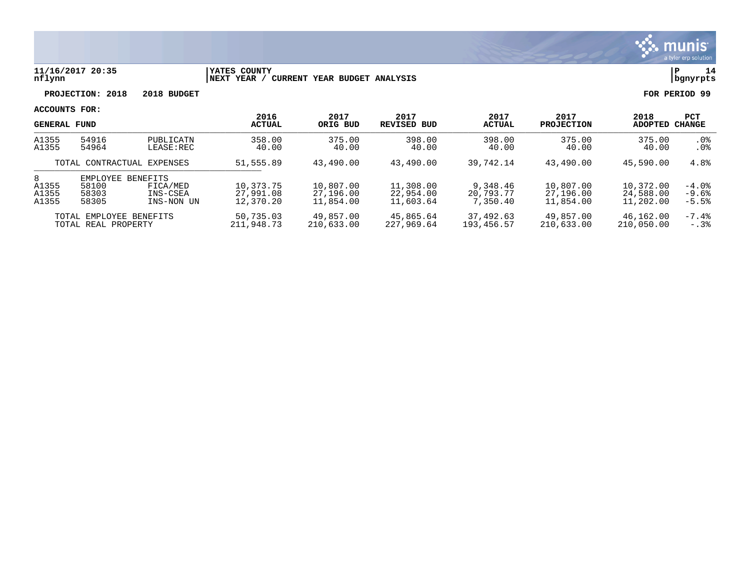

### **11/16/2017 20:35 |YATES COUNTY |P 14 nflynn |NEXT YEAR / CURRENT YEAR BUDGET ANALYSIS |bgnyrpts**

**PROJECTION: 2018 2018 BUDGET FOR PERIOD 99**

| <b>GENERAL FUND</b>                            |                                            |                                                       | 2016<br><b>ACTUAL</b>               | 2017<br>ORIG BUD                    | 2017<br>REVISED BUD                 | 2017<br><b>ACTUAL</b>             | 2017<br><b>PROJECTION</b>           | 2018<br>ADOPTED                     | <b>PCT</b><br>CHANGE          |
|------------------------------------------------|--------------------------------------------|-------------------------------------------------------|-------------------------------------|-------------------------------------|-------------------------------------|-----------------------------------|-------------------------------------|-------------------------------------|-------------------------------|
| A1355<br>A1355                                 | 54916<br>54964                             | PUBLICATN<br>$LEASE$ : REC                            | 358.00<br>40.00                     | 375.00<br>40.00                     | 398.00<br>40.00                     | 398.00<br>40.00                   | 375.00<br>40.00                     | 375.00<br>40.00                     | $.0\%$<br>$.0\%$              |
|                                                | TOTAL CONTRACTUAL EXPENSES                 |                                                       | 51,555.89                           | 43,490.00                           | 43,490.00                           | 39,742.14                         | 43,490.00                           | 45,590.00                           | 4.8%                          |
| 8<br>A1355<br>A1355<br>A1355                   | <b>EMPLOYEE</b><br>58100<br>58303<br>58305 | <b>BENEFITS</b><br>FICA/MED<br>INS-CSEA<br>INS-NON UN | 10,373.75<br>27,991.08<br>12,370.20 | 10,807.00<br>27,196.00<br>11,854.00 | 11,308.00<br>22,954.00<br>11,603.64 | 9,348.46<br>20,793.77<br>7,350.40 | 10,807.00<br>27,196.00<br>11,854.00 | 10,372.00<br>24,588.00<br>11,202.00 | $-4.0%$<br>$-9.6%$<br>$-5.5%$ |
| TOTAL EMPLOYEE BENEFITS<br>TOTAL REAL PROPERTY |                                            | 50,735.03<br>211,948.73                               | 49,857.00<br>210,633.00             | 45,865.64<br>227,969.64             | 37,492.63<br>193,456.57             | 49,857.00<br>210,633.00           | 46,162.00<br>210,050.00             | $-7.4\%$<br>$-0.38$                 |                               |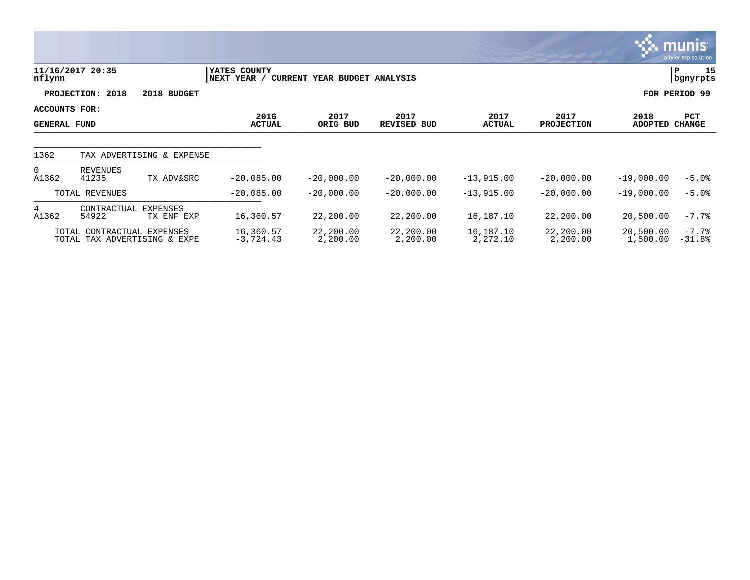|                                             |                            |                               |                             |                              |                       |                       |                           |                        | <b>munis</b><br>a tyler erp solution |
|---------------------------------------------|----------------------------|-------------------------------|-----------------------------|------------------------------|-----------------------|-----------------------|---------------------------|------------------------|--------------------------------------|
| nflynn                                      | 11/16/2017 20:35           |                               | YATES COUNTY<br>NEXT YEAR / | CURRENT YEAR BUDGET ANALYSIS |                       |                       |                           |                        | 15<br>P<br>bgnyrpts                  |
|                                             | PROJECTION: 2018           | 2018 BUDGET                   |                             |                              |                       |                       |                           |                        | FOR PERIOD 99                        |
| <b>ACCOUNTS FOR:</b><br><b>GENERAL FUND</b> |                            |                               | 2016<br><b>ACTUAL</b>       | 2017<br>ORIG BUD             | 2017<br>REVISED BUD   | 2017<br><b>ACTUAL</b> | 2017<br><b>PROJECTION</b> | 2018<br><b>ADOPTED</b> | PCT<br><b>CHANGE</b>                 |
| 1362                                        |                            | TAX ADVERTISING & EXPENSE     |                             |                              |                       |                       |                           |                        |                                      |
| $\overline{0}$<br>A1362                     | REVENUES<br>41235          | TX ADV&SRC                    | $-20,085.00$                | $-20,000.00$                 | $-20,000.00$          | $-13,915.00$          | $-20,000.00$              | $-19,000.00$           | $-5.0%$                              |
|                                             | TOTAL REVENUES             |                               | $-20,085.00$                | $-20,000.00$                 | $-20,000.00$          | $-13,915.00$          | $-20,000.00$              | $-19,000.00$           | $-5.0%$                              |
| 4<br>A1362                                  | CONTRACTUAL<br>54922       | <b>EXPENSES</b><br>TX ENF EXP | 16,360.57                   | 22,200.00                    | 22,200.00             | 16,187.10             | 22,200.00                 | 20,500.00              | $-7.7%$                              |
|                                             | TOTAL CONTRACTUAL EXPENSES | TOTAL TAX ADVERTISING & EXPE  | 16,360.57<br>$-3,724.43$    | 22,200.00<br>2,200.00        | 22,200.00<br>2,200.00 | 16,187.10<br>2,272.10 | 22,200.00<br>2,200.00     | 20,500.00<br>1,500.00  | $-7.7%$<br>$-31.8%$                  |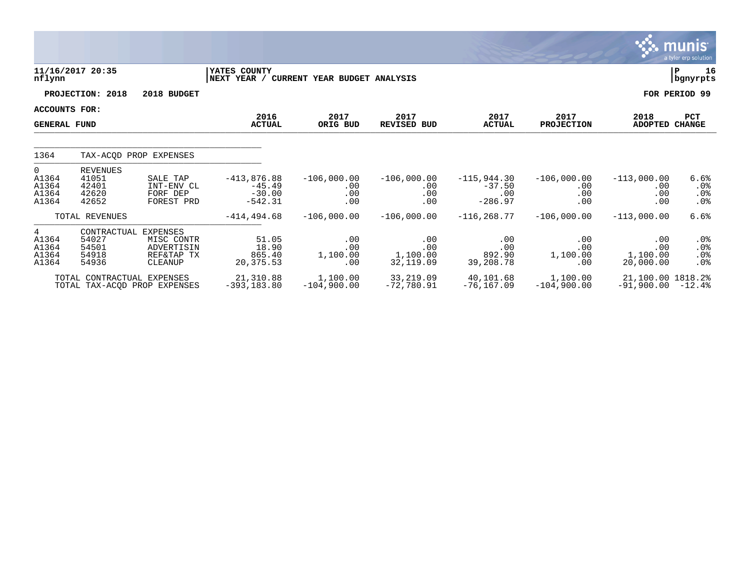|                                                 |                                                          |                                                   |                                                    |                                    |                                         |                                               |                                    |                                          | <b>munis</b><br>a tyler erp solution |
|-------------------------------------------------|----------------------------------------------------------|---------------------------------------------------|----------------------------------------------------|------------------------------------|-----------------------------------------|-----------------------------------------------|------------------------------------|------------------------------------------|--------------------------------------|
| nflynn                                          | 11/16/2017 20:35                                         |                                                   | YATES COUNTY<br>NEXT YEAR /                        | CURRENT YEAR BUDGET ANALYSIS       |                                         |                                               |                                    |                                          | P<br>16<br>bgnyrpts                  |
|                                                 | PROJECTION: 2018                                         | 2018 BUDGET                                       |                                                    |                                    |                                         |                                               |                                    |                                          | FOR PERIOD 99                        |
| <b>ACCOUNTS FOR:</b><br><b>GENERAL FUND</b>     |                                                          |                                                   | 2016<br><b>ACTUAL</b>                              | 2017<br>ORIG BUD                   | 2017<br><b>REVISED BUD</b>              | 2017<br><b>ACTUAL</b>                         | 2017<br><b>PROJECTION</b>          | 2018<br>ADOPTED CHANGE                   | <b>PCT</b>                           |
| 1364                                            |                                                          | TAX-ACOD PROP EXPENSES                            |                                                    |                                    |                                         |                                               |                                    |                                          |                                      |
| 0<br>A1364<br>A1364<br>A1364<br>A1364           | <b>REVENUES</b><br>41051<br>42401<br>42620<br>42652      | SALE TAP<br>INT-ENV CL<br>FORF DEP<br>FOREST PRD  | $-413,876.88$<br>$-45.49$<br>$-30.00$<br>$-542.31$ | $-106,000.00$<br>.00<br>.00<br>.00 | $-106,000.00$<br>$.00 \,$<br>.00<br>.00 | $-115,944.30$<br>$-37.50$<br>.00<br>$-286.97$ | $-106,000.00$<br>.00<br>.00<br>.00 | $-113,000.00$<br>.00<br>.00<br>.00       | 6.6%<br>.0%<br>$.0\%$<br>$.0\%$      |
|                                                 | TOTAL REVENUES                                           |                                                   | $-414, 494.68$                                     | $-106,000.00$                      | $-106,000.00$                           | $-116, 268.77$                                | $-106,000.00$                      | $-113,000.00$                            | 6.6%                                 |
| $4^{\circ}$<br>A1364<br>A1364<br>A1364<br>A1364 | CONTRACTUAL EXPENSES<br>54027<br>54501<br>54918<br>54936 | MISC CONTR<br>ADVERTISIN<br>REF&TAP TX<br>CLEANUP | 51.05<br>18.90<br>865.40<br>20,375.53              | .00<br>.00<br>1,100.00<br>.00      | .00<br>.00<br>1,100.00<br>32,119.09     | .00<br>.00<br>892.90<br>39,208.78             | .00<br>.00<br>1,100.00<br>.00      | .00<br>.00<br>1,100.00<br>20,000.00      | .0%<br>$.0\%$<br>$.0\%$<br>$.0\%$    |
|                                                 | TOTAL CONTRACTUAL EXPENSES                               | TOTAL TAX-ACOD PROP EXPENSES                      | 21,310.88<br>$-393, 183.80$                        | 1,100.00<br>$-104,900.00$          | 33,219.09<br>-72,780.91                 | 40,101.68<br>$-76, 167.09$                    | 1,100.00<br>$-104,900.00$          | 21,100.00 1818.2%<br>$-91,900.00 - 12.4$ |                                      |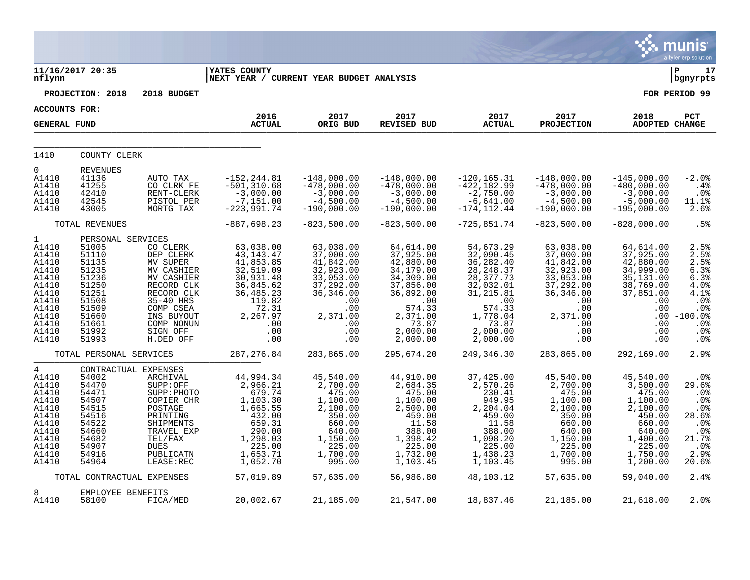|                                                                                                                                   |                                                                                                                                        |                                                                                                                                                                          |                                                                                                                                                 |                                                                                                                                        |                                                                                                                                                       |                                                                                                                                                          |                                                                                                                                         |                                                                                                                                        | munis<br>a tyler erp solution                                                                                 |
|-----------------------------------------------------------------------------------------------------------------------------------|----------------------------------------------------------------------------------------------------------------------------------------|--------------------------------------------------------------------------------------------------------------------------------------------------------------------------|-------------------------------------------------------------------------------------------------------------------------------------------------|----------------------------------------------------------------------------------------------------------------------------------------|-------------------------------------------------------------------------------------------------------------------------------------------------------|----------------------------------------------------------------------------------------------------------------------------------------------------------|-----------------------------------------------------------------------------------------------------------------------------------------|----------------------------------------------------------------------------------------------------------------------------------------|---------------------------------------------------------------------------------------------------------------|
| nflynn                                                                                                                            | 11/16/2017 20:35                                                                                                                       |                                                                                                                                                                          | <b>YATES COUNTY</b><br> NEXT YEAR / CURRENT YEAR BUDGET ANALYSIS                                                                                |                                                                                                                                        |                                                                                                                                                       |                                                                                                                                                          |                                                                                                                                         |                                                                                                                                        | l P<br>17<br>bgnyrpts                                                                                         |
|                                                                                                                                   | PROJECTION: 2018                                                                                                                       | 2018 BUDGET                                                                                                                                                              |                                                                                                                                                 |                                                                                                                                        |                                                                                                                                                       |                                                                                                                                                          |                                                                                                                                         |                                                                                                                                        | FOR PERIOD 99                                                                                                 |
| <b>ACCOUNTS FOR:</b>                                                                                                              |                                                                                                                                        |                                                                                                                                                                          |                                                                                                                                                 |                                                                                                                                        |                                                                                                                                                       |                                                                                                                                                          |                                                                                                                                         |                                                                                                                                        |                                                                                                               |
| <b>GENERAL FUND</b>                                                                                                               |                                                                                                                                        |                                                                                                                                                                          | 2016<br><b>ACTUAL</b>                                                                                                                           | 2017<br>ORIG BUD                                                                                                                       | 2017<br>REVISED BUD                                                                                                                                   | 2017<br><b>ACTUAL</b>                                                                                                                                    | 2017<br><b>PROJECTION</b>                                                                                                               | 2018<br>ADOPTED CHANGE                                                                                                                 | PCT                                                                                                           |
| 1410                                                                                                                              | COUNTY CLERK                                                                                                                           |                                                                                                                                                                          |                                                                                                                                                 |                                                                                                                                        |                                                                                                                                                       |                                                                                                                                                          |                                                                                                                                         |                                                                                                                                        |                                                                                                               |
| $\Omega$<br>A1410<br>A1410<br>A1410<br>A1410<br>A1410                                                                             | REVENUES<br>41136<br>41255<br>42410<br>42545<br>43005                                                                                  | AUTO TAX<br>CO CLRK FE<br>$\texttt{RENT-CLERK}$<br>PISTOL PER<br>MORTG TAX                                                                                               | $-152, 244.81$<br>$-501, 310.68$<br>$-3,000.00$<br>$-7, 151.00$<br>$-223,991.74$                                                                | $-148,000.00$<br>$-478,000.00$<br>$-3,000.00$<br>$-4,500.00$<br>$-190,000.00$                                                          | $-148,000.00$<br>$-478,000.00$<br>$-3,000.00$<br>$-4,500.00$<br>$-190,000.00$                                                                         | $-120, 165.31$<br>$-422, 182.99$<br>$-2,750.00$<br>$-6,641.00$<br>$-174, 112.44$                                                                         | $-148,000.00$<br>$-478,000.00$<br>$-3,000.00$<br>$-4,500.00$<br>$-190,000.00$                                                           | $-145,000.00$<br>$-480,000.00$<br>$-3,000.00$<br>$-5,000.00$<br>$-195,000.00$                                                          | $-2.0%$<br>.4%<br>.0%<br>11.1%<br>2.6%                                                                        |
|                                                                                                                                   | TOTAL REVENUES                                                                                                                         |                                                                                                                                                                          | $-887,698.23$                                                                                                                                   | $-823,500.00$                                                                                                                          | $-823,500.00$                                                                                                                                         | $-725, 851.74$                                                                                                                                           | $-823,500.00$                                                                                                                           | $-828,000.00$                                                                                                                          | .5%                                                                                                           |
| $\mathbf{1}$<br>A1410<br>A1410<br>A1410<br>A1410<br>A1410<br>A1410<br>A1410<br>A1410<br>A1410<br>A1410<br>A1410<br>A1410<br>A1410 | PERSONAL SERVICES<br>51005<br>51110<br>51135<br>51235<br>51236<br>51250<br>51251<br>51508<br>51509<br>51660<br>51661<br>51992<br>51993 | CO CLERK<br>DEP CLERK<br>MV SUPER<br>MV CASHIER<br>MV CASHIER<br>RECORD CLK<br>RECORD CLK<br>35-40 HRS<br>COMP CSEA<br>INS BUYOUT<br>COMP NONUN<br>SIGN OFF<br>H.DED OFF | 63,038.00<br>43, 143. 47<br>41,853.85<br>32,519.09<br>30,931.48<br>36,845.62<br>36, 485. 23<br>119.82<br>72.31<br>2,267.97<br>.00<br>.00<br>.00 | 63,038.00<br>37,000.00<br>41,842.00<br>32,923.00<br>33,053.00<br>37,292.00<br>36,346.00<br>.00<br>.00<br>2,371.00<br>.00<br>.00<br>.00 | 64,614.00<br>37,925.00<br>42,880.00<br>34,179.00<br>34,309.00<br>37,856.00<br>36,892.00<br>.00<br>574.33<br>2,371.00<br>73.87<br>2,000.00<br>2,000.00 | 54,673.29<br>32,090.45<br>36,282.40<br>28, 248.37<br>28, 377.73<br>32,032.01<br>31, 215.81<br>.00<br>574.33<br>1,778.04<br>73.87<br>2,000.00<br>2,000.00 | 63,038.00<br>37,000.00<br>41,842.00<br>32,923.00<br>33,053.00<br>37,292.00<br>36, 346.00<br>.00<br>.00<br>2,371.00<br>.00<br>.00<br>.00 | 64,614.00<br>37,925.00<br>42,880.00<br>34,999.00<br>35,131.00<br>38,769.00<br>37,851.00<br>.00<br>.00<br>$.00 \,$<br>.00<br>.00<br>.00 | 2.5%<br>2.5%<br>2.5%<br>6.3%<br>6.3%<br>4.0%<br>$\frac{4.1\%}{.0\%}$<br>.0%<br>$-100.0%$<br>.0%<br>.0%<br>.0% |
|                                                                                                                                   | TOTAL PERSONAL SERVICES                                                                                                                |                                                                                                                                                                          | 287, 276.84                                                                                                                                     | 283,865.00                                                                                                                             | 295,674.20                                                                                                                                            | 249,346.30                                                                                                                                               | 283,865.00                                                                                                                              | 292,169.00                                                                                                                             | 2.9%                                                                                                          |
| 4<br>A1410<br>A1410<br>A1410<br>A1410<br>A1410<br>A1410<br>A1410<br>A1410<br>A1410<br>A1410<br>A1410<br>A1410                     | CONTRACTUAL EXPENSES<br>54002<br>54470<br>54471<br>54507<br>54515<br>54516<br>54522<br>54660<br>54682<br>54907<br>54916<br>54964       | ARCHIVAL<br>SUPP:OFF<br>SUPP: PHOTO<br>COPIER CHR<br>POSTAGE<br>PRINTING<br>SHIPMENTS<br>TRAVEL EXP<br>TEL/FAX<br><b>DUES</b><br>PUBLICATN<br>LEASE:REC                  | 44,994.34<br>2,966.21<br>679.74<br>1,103.30<br>1,665.55<br>432.00<br>659.31<br>290.00<br>1,298.03<br>225.00<br>1,653.71<br>1,052.70             | 45,540.00<br>2,700.00<br>475.00<br>1,100.00<br>2,100.00<br>350.00<br>660.00<br>640.00<br>1,150.00<br>225.00<br>1,700.00<br>995.00      | 44,910.00<br>2,684.35<br>475.00<br>1,100.00<br>2,500.00<br>459.00<br>11.58<br>388.00<br>1,398.42<br>225.00<br>1,732.00<br>1,103.45                    | 37,425.00<br>2,570.26<br>230.41<br>949.95<br>2,204.04<br>459.00<br>11.58<br>388.00<br>1,098.20<br>225.00<br>1,438.23<br>1,103.45                         | 45,540.00<br>2,700.00<br>475.00<br>1,100.00<br>2,100.00<br>350.00<br>660.00<br>640.00<br>1,150.00<br>225.00<br>1,700.00<br>995.00       | 45,540.00<br>3,500.00<br>475.00<br>1,100.00<br>2,100.00<br>450.00<br>660.00<br>640.00<br>1,400.00<br>225.00<br>1,750.00<br>1,200.00    | .0%<br>29.6%<br>.0%<br>.0 <sub>8</sub><br>.0%<br>28.6%<br>.0%<br>$.0%$<br>21.7%<br>$.0\%$<br>2.9%<br>20.6%    |
|                                                                                                                                   | TOTAL CONTRACTUAL EXPENSES                                                                                                             |                                                                                                                                                                          | 57,019.89                                                                                                                                       | 57,635.00                                                                                                                              | 56,986.80                                                                                                                                             | 48,103.12                                                                                                                                                | 57,635.00                                                                                                                               | 59,040.00                                                                                                                              | 2.4%                                                                                                          |
| 8<br>A1410                                                                                                                        | EMPLOYEE BENEFITS<br>58100                                                                                                             | FICA/MED                                                                                                                                                                 | 20,002.67                                                                                                                                       | 21,185.00                                                                                                                              | 21,547.00                                                                                                                                             | 18,837.46                                                                                                                                                | 21,185.00                                                                                                                               | 21,618.00                                                                                                                              | 2.0%                                                                                                          |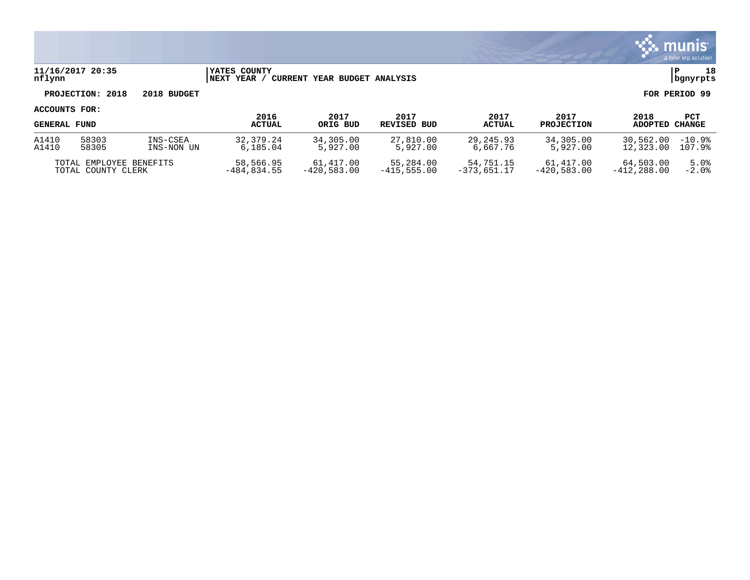

## **11/16/2017 20:35 |YATES COUNTY |P 18 nflynn |NEXT YEAR / CURRENT YEAR BUDGET ANALYSIS |bgnyrpts**

# **PROJECTION: 2018 2018 BUDGET FOR PERIOD 99**

| <b>GENERAL FUND</b>     |       |               | 2016<br><b>ACTUAL</b> | 2017<br>ORIG BUD | 2017<br>REVISED BUD | 2017<br><b>ACTUAL</b> | 2017<br><b>PROJECTION</b> | 2018<br>ADOPTED | PCT<br>CHANGE |
|-------------------------|-------|---------------|-----------------------|------------------|---------------------|-----------------------|---------------------------|-----------------|---------------|
| A1410                   | 58303 | INS-CSEA      | 32, 379, 24           | 34,305.00        | 27,810.00           | 29, 245, 93           | 34,305.00                 | 30,562.00       | $-10.9%$      |
| A1410                   | 58305 | INS-NON UN    | 6,185.04              | 5,927.00         | 5,927.00            | 6,667.76              | 5,927.00                  | 12,323.00       | 107.9%        |
| TOTAL EMPLOYEE BENEFITS |       | 58,566.95     | 61,417.00             | 55,284.00        | 54,751.15           | 61,417.00             | 64,503.00                 | 5.0%            |               |
| TOTAL COUNTY CLERK      |       | $-484.834.55$ | $-420.583.00$         | $-415.555.00$    | $-373.651.17$       | $-420.583.00$         | $-412.288.00$             | $-2.0%$         |               |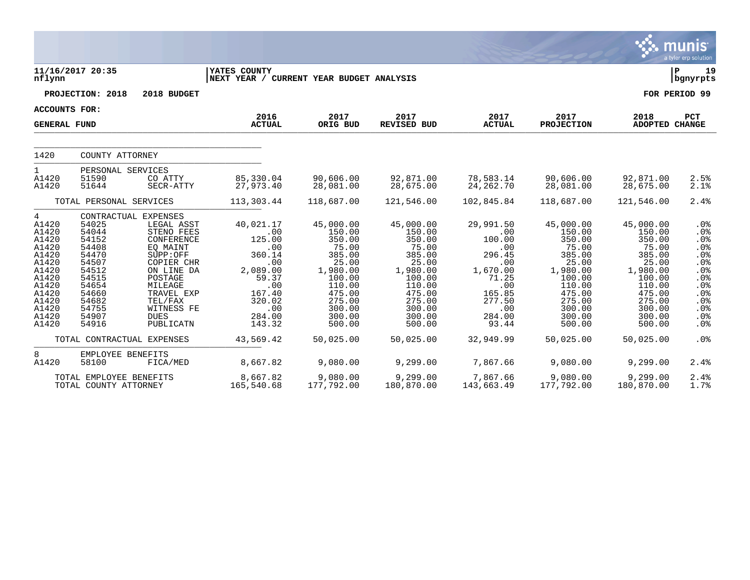|                                                                                                                                               |                                                                                                                                                          |                                                                                                                                                                                                             |                                                                                                                                            |                                                                                                                                                          |                                                                                                                                                          |                                                                                                                                           |                                                                                                                                                          |                                                                                                                                                          | <b>munis</b><br>a tyler erp solution                                                                                             |
|-----------------------------------------------------------------------------------------------------------------------------------------------|----------------------------------------------------------------------------------------------------------------------------------------------------------|-------------------------------------------------------------------------------------------------------------------------------------------------------------------------------------------------------------|--------------------------------------------------------------------------------------------------------------------------------------------|----------------------------------------------------------------------------------------------------------------------------------------------------------|----------------------------------------------------------------------------------------------------------------------------------------------------------|-------------------------------------------------------------------------------------------------------------------------------------------|----------------------------------------------------------------------------------------------------------------------------------------------------------|----------------------------------------------------------------------------------------------------------------------------------------------------------|----------------------------------------------------------------------------------------------------------------------------------|
| nflynn                                                                                                                                        | 11/16/2017 20:35                                                                                                                                         |                                                                                                                                                                                                             | YATES COUNTY<br>NEXT YEAR / CURRENT YEAR BUDGET ANALYSIS                                                                                   |                                                                                                                                                          |                                                                                                                                                          |                                                                                                                                           |                                                                                                                                                          |                                                                                                                                                          | $\mathbf{P}$<br>19<br>bgnyrpts                                                                                                   |
|                                                                                                                                               | PROJECTION: 2018                                                                                                                                         | 2018 BUDGET                                                                                                                                                                                                 |                                                                                                                                            |                                                                                                                                                          |                                                                                                                                                          |                                                                                                                                           |                                                                                                                                                          |                                                                                                                                                          | FOR PERIOD 99                                                                                                                    |
| <b>ACCOUNTS FOR:</b>                                                                                                                          |                                                                                                                                                          |                                                                                                                                                                                                             |                                                                                                                                            |                                                                                                                                                          |                                                                                                                                                          |                                                                                                                                           |                                                                                                                                                          |                                                                                                                                                          |                                                                                                                                  |
| <b>GENERAL FUND</b>                                                                                                                           |                                                                                                                                                          |                                                                                                                                                                                                             | 2016<br><b>ACTUAL</b>                                                                                                                      | 2017<br>ORIG BUD                                                                                                                                         | 2017<br>REVISED BUD                                                                                                                                      | 2017<br><b>ACTUAL</b>                                                                                                                     | 2017<br><b>PROJECTION</b>                                                                                                                                | 2018<br>ADOPTED CHANGE                                                                                                                                   | PCT                                                                                                                              |
| 1420                                                                                                                                          | COUNTY ATTORNEY                                                                                                                                          |                                                                                                                                                                                                             |                                                                                                                                            |                                                                                                                                                          |                                                                                                                                                          |                                                                                                                                           |                                                                                                                                                          |                                                                                                                                                          |                                                                                                                                  |
| 1<br>A1420<br>A1420                                                                                                                           | PERSONAL SERVICES<br>51590<br>51644                                                                                                                      | CO ATTY<br>SECR-ATTY                                                                                                                                                                                        | 85,330.04<br>27,973.40                                                                                                                     | 90,606.00<br>28,081.00                                                                                                                                   | 92,871.00<br>28,675.00                                                                                                                                   | 78,583.14<br>24,262.70                                                                                                                    | 90,606.00<br>28,081.00                                                                                                                                   | 92,871.00<br>28,675.00                                                                                                                                   | 2.5%<br>2.1%                                                                                                                     |
|                                                                                                                                               | TOTAL PERSONAL SERVICES                                                                                                                                  |                                                                                                                                                                                                             | 113,303.44                                                                                                                                 | 118,687.00                                                                                                                                               | 121,546.00                                                                                                                                               | 102,845.84                                                                                                                                | 118,687.00                                                                                                                                               | 121,546.00                                                                                                                                               | 2.4%                                                                                                                             |
| $4\overline{ }$<br>A1420<br>A1420<br>A1420<br>A1420<br>A1420<br>A1420<br>A1420<br>A1420<br>A1420<br>A1420<br>A1420<br>A1420<br>A1420<br>A1420 | 54025<br>54044<br>54152<br>54408<br>54470<br>54507<br>54512<br>54515<br>54654<br>54660<br>54682<br>54755<br>54907<br>54916<br>TOTAL CONTRACTUAL EXPENSES | CONTRACTUAL EXPENSES<br>LEGAL ASST<br>STENO FEES<br>CONFERENCE<br>EQ MAINT<br>SUPP:OFF<br>COPIER CHR<br>ON LINE DA<br>POSTAGE<br>MILEAGE<br>TRAVEL EXP<br>TEL/FAX<br>WITNESS FE<br><b>DUES</b><br>PUBLICATN | 40,021.17<br>.00<br>125.00<br>.00<br>360.14<br>.00<br>2,089.00<br>59.37<br>.00<br>167.40<br>320.02<br>.00<br>284.00<br>143.32<br>43,569.42 | 45,000.00<br>150.00<br>350.00<br>75.00<br>385.00<br>25.00<br>1,980.00<br>100.00<br>110.00<br>475.00<br>275.00<br>300.00<br>300.00<br>500.00<br>50,025.00 | 45,000.00<br>150.00<br>350.00<br>75.00<br>385.00<br>25.00<br>1,980.00<br>100.00<br>110.00<br>475.00<br>275.00<br>300.00<br>300.00<br>500.00<br>50,025.00 | 29,991.50<br>.00<br>100.00<br>.00<br>296.45<br>.00<br>1,670.00<br>71.25<br>.00<br>165.85<br>277.50<br>.00<br>284.00<br>93.44<br>32,949.99 | 45,000.00<br>150.00<br>350.00<br>75.00<br>385.00<br>25.00<br>1,980.00<br>100.00<br>110.00<br>475.00<br>275.00<br>300.00<br>300.00<br>500.00<br>50,025.00 | 45,000.00<br>150.00<br>350.00<br>75.00<br>385.00<br>25.00<br>1,980.00<br>100.00<br>110.00<br>475.00<br>275.00<br>300.00<br>300.00<br>500.00<br>50,025.00 | .0%<br>.0%<br>.0%<br>.0%<br>.0%<br>.0%<br>.0%<br>.0%<br>.0 <sub>8</sub><br>.0%<br>.0%<br>.0%<br>$.0\%$<br>.0 <sub>8</sub><br>.0% |
| 8<br>A1420                                                                                                                                    | EMPLOYEE BENEFITS<br>58100                                                                                                                               | FICA/MED                                                                                                                                                                                                    | 8,667.82                                                                                                                                   | 9,080.00                                                                                                                                                 | 9,299.00                                                                                                                                                 | 7,867.66                                                                                                                                  | 9,080.00                                                                                                                                                 | 9,299.00                                                                                                                                                 | 2.4%                                                                                                                             |
|                                                                                                                                               | TOTAL EMPLOYEE BENEFITS<br>TOTAL COUNTY ATTORNEY                                                                                                         |                                                                                                                                                                                                             | 8,667.82<br>165,540.68                                                                                                                     | 9,080.00<br>177,792.00                                                                                                                                   | 9,299.00<br>180,870.00                                                                                                                                   | 7,867.66<br>143,663.49                                                                                                                    | 9,080.00<br>177,792.00                                                                                                                                   | 9,299.00<br>180,870.00                                                                                                                                   | 2.4%<br>1.7%                                                                                                                     |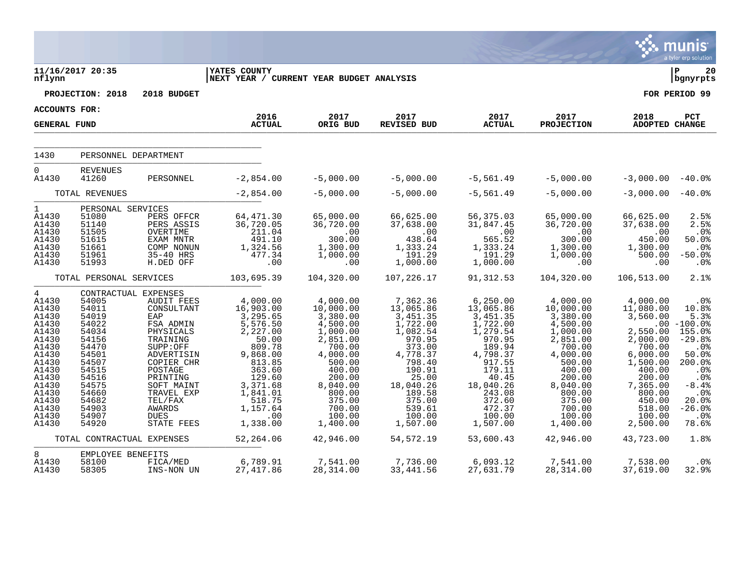|                                                                                                                                                                         |                                                                                                                                                                                                             |                                                                                                                                                                                                                           |                                                                                                                                                                                                          |                                                                                                                                                                                                        |                                                                                                                                                                                                       |                                                                                                                                                                                                          |                                                                                                                                                                                                        |                                                                                                                                                                                              | <b>munis</b><br>a tyler erp solution                                                                                                                                                                      |
|-------------------------------------------------------------------------------------------------------------------------------------------------------------------------|-------------------------------------------------------------------------------------------------------------------------------------------------------------------------------------------------------------|---------------------------------------------------------------------------------------------------------------------------------------------------------------------------------------------------------------------------|----------------------------------------------------------------------------------------------------------------------------------------------------------------------------------------------------------|--------------------------------------------------------------------------------------------------------------------------------------------------------------------------------------------------------|-------------------------------------------------------------------------------------------------------------------------------------------------------------------------------------------------------|----------------------------------------------------------------------------------------------------------------------------------------------------------------------------------------------------------|--------------------------------------------------------------------------------------------------------------------------------------------------------------------------------------------------------|----------------------------------------------------------------------------------------------------------------------------------------------------------------------------------------------|-----------------------------------------------------------------------------------------------------------------------------------------------------------------------------------------------------------|
| nflynn                                                                                                                                                                  | 11/16/2017 20:35<br>PROJECTION: 2018                                                                                                                                                                        | 2018 BUDGET                                                                                                                                                                                                               | <b>IYATES COUNTY</b><br>NEXT YEAR / CURRENT YEAR BUDGET ANALYSIS                                                                                                                                         |                                                                                                                                                                                                        |                                                                                                                                                                                                       |                                                                                                                                                                                                          |                                                                                                                                                                                                        |                                                                                                                                                                                              | ∣ P<br>20<br>  bgnyrpts<br>FOR PERIOD 99                                                                                                                                                                  |
| ACCOUNTS FOR:                                                                                                                                                           |                                                                                                                                                                                                             |                                                                                                                                                                                                                           | 2016<br><b>ACTUAL</b>                                                                                                                                                                                    | 2017<br>ORIG BUD                                                                                                                                                                                       | 2017<br><b>REVISED BUD</b>                                                                                                                                                                            | 2017<br><b>ACTUAL</b>                                                                                                                                                                                    | 2017<br><b>PROJECTION</b>                                                                                                                                                                              | 2018<br><b>ADOPTED CHANGE</b>                                                                                                                                                                | PCT                                                                                                                                                                                                       |
| <b>GENERAL FUND</b>                                                                                                                                                     |                                                                                                                                                                                                             |                                                                                                                                                                                                                           |                                                                                                                                                                                                          |                                                                                                                                                                                                        |                                                                                                                                                                                                       |                                                                                                                                                                                                          |                                                                                                                                                                                                        |                                                                                                                                                                                              |                                                                                                                                                                                                           |
| 1430                                                                                                                                                                    | PERSONNEL DEPARTMENT                                                                                                                                                                                        |                                                                                                                                                                                                                           |                                                                                                                                                                                                          |                                                                                                                                                                                                        |                                                                                                                                                                                                       |                                                                                                                                                                                                          |                                                                                                                                                                                                        |                                                                                                                                                                                              |                                                                                                                                                                                                           |
| $\Omega$<br>A1430                                                                                                                                                       | <b>REVENUES</b><br>41260                                                                                                                                                                                    | PERSONNEL                                                                                                                                                                                                                 | $-2,854.00$                                                                                                                                                                                              | $-5,000.00$                                                                                                                                                                                            | $-5,000.00$                                                                                                                                                                                           | $-5,561.49$                                                                                                                                                                                              | $-5,000.00$                                                                                                                                                                                            | $-3,000.00 - 40.0$                                                                                                                                                                           |                                                                                                                                                                                                           |
|                                                                                                                                                                         | TOTAL REVENUES                                                                                                                                                                                              |                                                                                                                                                                                                                           | $-2,854.00$                                                                                                                                                                                              | $-5,000.00$                                                                                                                                                                                            | $-5,000.00$                                                                                                                                                                                           | $-5,561.49$                                                                                                                                                                                              | $-5,000.00$                                                                                                                                                                                            | $-3,000.00 - 40.0$                                                                                                                                                                           |                                                                                                                                                                                                           |
| $\mathbf{1}$<br>A1430<br>A1430<br>A1430<br>A1430<br>A1430<br>A1430<br>A1430                                                                                             | PERSONAL SERVICES<br>51080<br>51140<br>51505<br>51615<br>51661<br>51961<br>51993                                                                                                                            | PERS OFFCR<br>PERS ASSIS<br>OVERTIME<br>EXAM MNTR<br>COMP NONUN<br>35-40 HRS<br>H.DED OFF                                                                                                                                 | 64,471.30<br>36,720.05<br>211.04<br>491.10<br>1,324.56<br>477.34<br>.00                                                                                                                                  | 65,000.00<br>36,720.00<br>.00<br>300.00<br>1,300.00<br>1,000.00<br>.00                                                                                                                                 | 66,625.00<br>37,638.00<br>00.00<br>438.64<br>1,333.24<br>191.29<br>1,000.00                                                                                                                           | 56,375.03<br>31,847.45<br>.00<br>565.52<br>1,333.24<br>191.29<br>1,000.00                                                                                                                                | 65,000.00<br>36,720.00<br>.00<br>300.00<br>1,300.00<br>1,000.00<br>$.00 \ \,$                                                                                                                          | 66,625.00<br>37,638.00<br>.00<br>450.00<br>1,300.00<br>500.00<br>.00                                                                                                                         | 2.5%<br>2.5%<br>.0%<br>50.0%<br>.0%<br>$-50.0%$<br>.0%                                                                                                                                                    |
|                                                                                                                                                                         | TOTAL PERSONAL SERVICES                                                                                                                                                                                     |                                                                                                                                                                                                                           | 103,695.39                                                                                                                                                                                               | 104,320.00                                                                                                                                                                                             | 107,226.17                                                                                                                                                                                            | 91, 312.53                                                                                                                                                                                               | 104,320.00                                                                                                                                                                                             | 106,513.00                                                                                                                                                                                   | 2.1%                                                                                                                                                                                                      |
| $\overline{4}$<br>A1430<br>A1430<br>A1430<br>A1430<br>A1430<br>A1430<br>A1430<br>A1430<br>A1430<br>A1430<br>A1430<br>A1430<br>A1430<br>A1430<br>A1430<br>A1430<br>A1430 | CONTRACTUAL EXPENSES<br>54005<br>54011<br>54019<br>54022<br>54034<br>54156<br>54470<br>54501<br>54507<br>54515<br>54516<br>54575<br>54660<br>54682<br>54903<br>54907<br>54920<br>TOTAL CONTRACTUAL EXPENSES | AUDIT FEES<br>CONSULTANT<br>EAP<br>FSA ADMIN<br>PHYSICALS<br>TRAINING<br>SUPP:OFF<br>ADVERTISIN<br>COPIER CHR<br>POSTAGE<br>PRINTING<br>SOFT MAINT<br>TRAVEL EXP<br>TEL/FAX<br><b>AWARDS</b><br><b>DUES</b><br>STATE FEES | $4,000.00$<br>$16,903.00$<br>3,295.65<br>5,576.50<br>2,227.00<br>50.00<br>809.78<br>9,868.00<br>813.85<br>363.60<br>129.60<br>3,371.68<br>1,841.01<br>518.75<br>1,157.64<br>.00<br>1,338.00<br>52,264.06 | 4,000.00<br>10,000.00<br>3,380.00<br>4,500.00<br>1,000.00<br>2,851.00<br>700.00<br>4,000.00<br>500.00<br>400.00<br>200.00<br>8,040.00<br>800.00<br>375.00<br>700.00<br>100.00<br>1,400.00<br>42,946.00 | 7,362.36<br>13,065.86<br>3,451.35<br>1,722.00<br>1,082.54<br>970.95<br>373.00<br>4,778.37<br>798.40<br>190.91<br>25.00<br>18,040.26<br>189.58<br>375.00<br>539.61<br>100.00<br>1,507.00<br>54, 572.19 | 6,250.00<br>13,065.86<br>$3,451.35$<br>$1,722.00$<br>1,279.54<br>970.95<br>189.94<br>4,798.37<br>917.55<br>179.11<br>40.45<br>18,040.26<br>243.08<br>372.60<br>472.37<br>100.00<br>1,507.00<br>53,600.43 | 4,000.00<br>10,000.00<br>3,380.00<br>4,500.00<br>1,000.00<br>2,851.00<br>700.00<br>4,000.00<br>500.00<br>400.00<br>200.00<br>8,040.00<br>800.00<br>375.00<br>700.00<br>100.00<br>1,400.00<br>42,946.00 | 4,000.00<br>11,080.00<br>3,560.00<br>2,550.00<br>2,000.00<br>700.00<br>6,000.00<br>1,500.00<br>400.00<br>200.00<br>7,365.00<br>800.00<br>450.00<br>518.00<br>100.00<br>2,500.00<br>43,723.00 | $.0\%$<br>10.8%<br>5.3%<br>$.00 - 100.0$<br>155.0%<br>$-29.8%$<br>.0%<br>50.0%<br>200.0%<br>.0 <sub>8</sub><br>.0%<br>$-8.4%$<br>.0 <sub>8</sub><br>20.0%<br>$-26.0%$<br>.0 <sub>8</sub><br>78.6%<br>1.8% |
| 8<br>A1430<br>A1430                                                                                                                                                     | EMPLOYEE BENEFITS<br>58100<br>58305                                                                                                                                                                         | FICA/MED<br>INS-NON UN                                                                                                                                                                                                    | 6,789.91<br>27, 417.86                                                                                                                                                                                   | 7,541.00<br>28,314.00                                                                                                                                                                                  | 7,736.00<br>33, 441.56                                                                                                                                                                                | 6,093.12<br>27,631.79                                                                                                                                                                                    | 7,541.00<br>28, 314.00                                                                                                                                                                                 | 7,538.00<br>37,619.00                                                                                                                                                                        | $.0\%$<br>32.9%                                                                                                                                                                                           |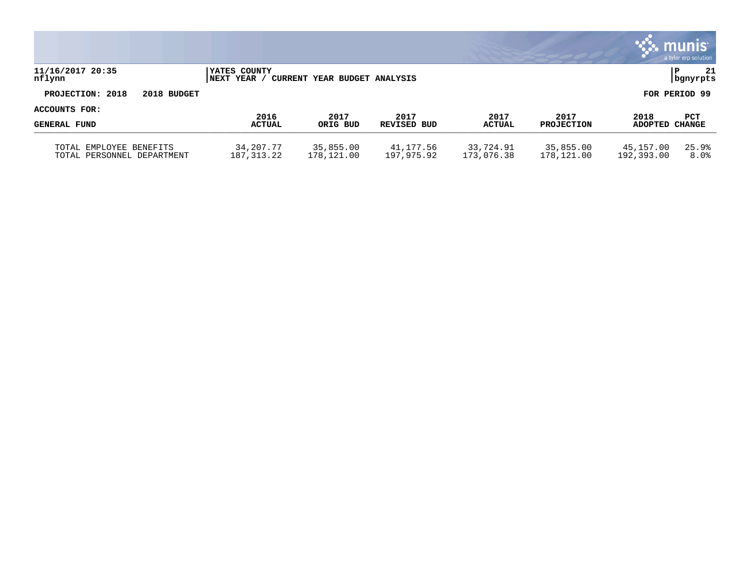|                                                          |                                   |                              |                         |                         |                         |                         | $\ddotsc$ munis<br>a tyler erp solution |
|----------------------------------------------------------|-----------------------------------|------------------------------|-------------------------|-------------------------|-------------------------|-------------------------|-----------------------------------------|
| 11/16/2017 20:35<br>nflynn                               | YATES COUNTY<br><b>INEXT YEAR</b> | CURRENT YEAR BUDGET ANALYSIS |                         |                         |                         |                         | 21<br>P<br>bgnyrpts                     |
| PROJECTION: 2018<br>2018 BUDGET                          |                                   |                              |                         |                         |                         |                         | FOR PERIOD 99                           |
| ACCOUNTS FOR:                                            | 2016                              | 2017                         | 2017                    | 2017                    | 2017                    | 2018                    | <b>PCT</b>                              |
| <b>GENERAL FUND</b>                                      | <b>ACTUAL</b>                     | ORIG BUD                     | REVISED BUD             | <b>ACTUAL</b>           | <b>PROJECTION</b>       | ADOPTED CHANGE          |                                         |
| EMPLOYEE BENEFITS<br>TOTAL<br>TOTAL PERSONNEL DEPARTMENT | 34,207.77<br>187,313.22           | 35,855.00<br>178,121.00      | 41,177.56<br>197,975.92 | 33,724.91<br>173,076.38 | 35,855.00<br>178,121.00 | 45,157.00<br>192,393.00 | 25.9%<br>8.0%                           |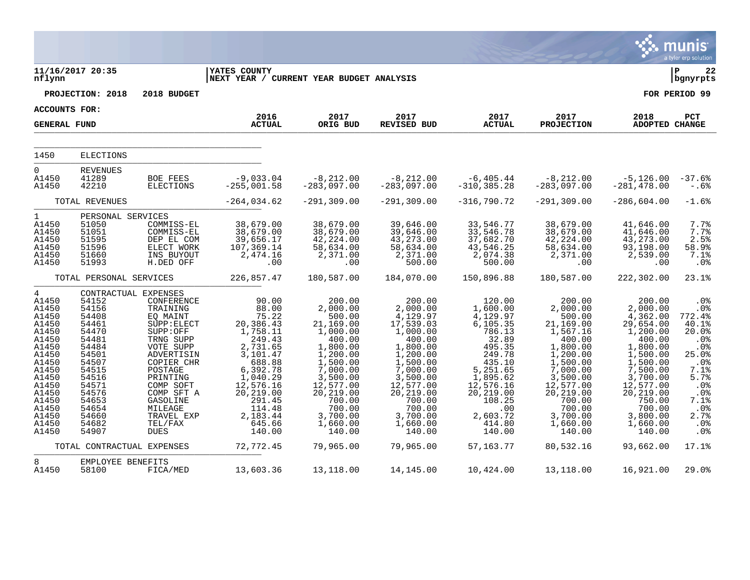|                                                                                                                                                                                  |                                                                                                                                                                                        |                                                                                                                                                                                                                                      |                                                                                                                                                                                                    |                                                                                                                                                                                                             |                                                                                                                                                                                                               |                                                                                                                                                                                                |                                                                                                                                                                                                              |                                                                                                                                                                                                               | munis<br>a tyler erp solution                                                                                                                       |
|----------------------------------------------------------------------------------------------------------------------------------------------------------------------------------|----------------------------------------------------------------------------------------------------------------------------------------------------------------------------------------|--------------------------------------------------------------------------------------------------------------------------------------------------------------------------------------------------------------------------------------|----------------------------------------------------------------------------------------------------------------------------------------------------------------------------------------------------|-------------------------------------------------------------------------------------------------------------------------------------------------------------------------------------------------------------|---------------------------------------------------------------------------------------------------------------------------------------------------------------------------------------------------------------|------------------------------------------------------------------------------------------------------------------------------------------------------------------------------------------------|--------------------------------------------------------------------------------------------------------------------------------------------------------------------------------------------------------------|---------------------------------------------------------------------------------------------------------------------------------------------------------------------------------------------------------------|-----------------------------------------------------------------------------------------------------------------------------------------------------|
| nflynn                                                                                                                                                                           | 11/16/2017 20:35                                                                                                                                                                       |                                                                                                                                                                                                                                      | <b>YATES COUNTY</b><br>NEXT YEAR / CURRENT YEAR BUDGET ANALYSIS                                                                                                                                    |                                                                                                                                                                                                             |                                                                                                                                                                                                               |                                                                                                                                                                                                |                                                                                                                                                                                                              |                                                                                                                                                                                                               | ΙP<br>22<br>  bgnyrpts                                                                                                                              |
|                                                                                                                                                                                  | PROJECTION: 2018                                                                                                                                                                       | 2018 BUDGET                                                                                                                                                                                                                          |                                                                                                                                                                                                    |                                                                                                                                                                                                             |                                                                                                                                                                                                               |                                                                                                                                                                                                |                                                                                                                                                                                                              |                                                                                                                                                                                                               | FOR PERIOD 99                                                                                                                                       |
| <b>ACCOUNTS FOR:</b>                                                                                                                                                             |                                                                                                                                                                                        |                                                                                                                                                                                                                                      | 2016                                                                                                                                                                                               | 2017                                                                                                                                                                                                        | 2017                                                                                                                                                                                                          | 2017                                                                                                                                                                                           | 2017                                                                                                                                                                                                         | 2018                                                                                                                                                                                                          | PCT                                                                                                                                                 |
| <b>GENERAL FUND</b>                                                                                                                                                              |                                                                                                                                                                                        |                                                                                                                                                                                                                                      | <b>ACTUAL</b>                                                                                                                                                                                      | ORIG BUD                                                                                                                                                                                                    | <b>REVISED BUD</b>                                                                                                                                                                                            | <b>ACTUAL</b>                                                                                                                                                                                  | <b>PROJECTION</b>                                                                                                                                                                                            | ADOPTED CHANGE                                                                                                                                                                                                |                                                                                                                                                     |
| 1450                                                                                                                                                                             | <b>ELECTIONS</b>                                                                                                                                                                       |                                                                                                                                                                                                                                      |                                                                                                                                                                                                    |                                                                                                                                                                                                             |                                                                                                                                                                                                               |                                                                                                                                                                                                |                                                                                                                                                                                                              |                                                                                                                                                                                                               |                                                                                                                                                     |
| $\mathbf 0$<br>A1450<br>A1450                                                                                                                                                    | <b>REVENUES</b><br>41289<br>42210                                                                                                                                                      | <b>BOE FEES</b><br><b>ELECTIONS</b>                                                                                                                                                                                                  | $-9,033.04$<br>$-255,001.58$                                                                                                                                                                       | $-8,212.00$<br>$-283,097.00$                                                                                                                                                                                | $-8, 212.00$<br>$-283,097.00$                                                                                                                                                                                 | $-6, 405.44$<br>$-310, 385.28$                                                                                                                                                                 | $-8,212.00$<br>$-283,097.00$                                                                                                                                                                                 | $-5,126.00$<br>$-281, 478.00$                                                                                                                                                                                 | $-37.6%$<br>$-.6%$                                                                                                                                  |
|                                                                                                                                                                                  | TOTAL REVENUES                                                                                                                                                                         |                                                                                                                                                                                                                                      | $-264,034.62$                                                                                                                                                                                      | $-291, 309.00$                                                                                                                                                                                              | $-291, 309.00$                                                                                                                                                                                                | $-316,790.72$                                                                                                                                                                                  | $-291, 309.00$                                                                                                                                                                                               | $-286,604.00$                                                                                                                                                                                                 | $-1.6%$                                                                                                                                             |
| $\mathbf 1$<br>A1450<br>A1450<br>A1450<br>A1450<br>A1450<br>A1450                                                                                                                | PERSONAL SERVICES<br>51050<br>51051<br>51595<br>51596<br>51660<br>51993                                                                                                                | COMMISS-EL<br>COMMISS-EL<br>DEP EL COM<br>ELECT WORK<br>INS BUYOUT<br>H.DED OFF                                                                                                                                                      | 38,679.00<br>38,679.00<br>39,656.17<br>107,369.14<br>2,474.16<br>.00                                                                                                                               | 38,679.00<br>38,679.00<br>42,224.00<br>58,634.00<br>2,371.00<br>.00                                                                                                                                         | 39,646.00<br>39,646.00<br>43, 273.00<br>58,634.00<br>2,371.00<br>500.00                                                                                                                                       | 33,546.77<br>33,546.78<br>37,682.70<br>43,546.25<br>2,074.38<br>500.00                                                                                                                         | 38,679.00<br>38,679.00<br>42,224.00<br>58,634.00<br>2,371.00<br>.00                                                                                                                                          | 41,646.00<br>41,646.00<br>43, 273.00<br>93, 198.00<br>2,539.00<br>.00                                                                                                                                         | 7.7%<br>7.7%<br>2.5%<br>58.9%<br>7.1%<br>.0 <sub>8</sub>                                                                                            |
|                                                                                                                                                                                  | TOTAL PERSONAL SERVICES                                                                                                                                                                |                                                                                                                                                                                                                                      | 226,857.47                                                                                                                                                                                         | 180,587.00                                                                                                                                                                                                  | 184,070.00                                                                                                                                                                                                    | 150,896.88                                                                                                                                                                                     | 180,587.00                                                                                                                                                                                                   | 222,302.00                                                                                                                                                                                                    | 23.1%                                                                                                                                               |
| $\overline{4}$<br>A1450<br>A1450<br>A1450<br>A1450<br>A1450<br>A1450<br>A1450<br>A1450<br>A1450<br>A1450<br>A1450<br>A1450<br>A1450<br>A1450<br>A1450<br>A1450<br>A1450<br>A1450 | CONTRACTUAL EXPENSES<br>54152<br>54156<br>54408<br>54461<br>54470<br>54481<br>54484<br>54501<br>54507<br>54515<br>54516<br>54571<br>54576<br>54653<br>54654<br>54660<br>54682<br>54907 | CONFERENCE<br>TRAINING<br>EQ MAINT<br>SUPP: ELECT<br>SUPP:OFF<br>TRNG SUPP<br>VOTE SUPP<br>ADVERTISIN<br>COPIER CHR<br>POSTAGE<br>PRINTING<br>COMP SOFT<br>COMP SFT A<br>GASOLINE<br>MILEAGE<br>TRAVEL EXP<br>TEL/FAX<br><b>DUES</b> | 90.00<br>88.00<br>75.22<br>20,386.43<br>1,758.11<br>249.43<br>2,731.65<br>3,101.47<br>688.88<br>6,392.78<br>1,040.29<br>12,576.16<br>20,219.00<br>291.45<br>114.48<br>2,183.44<br>645.66<br>140.00 | 200.00<br>2,000.00<br>500.00<br>21,169.00<br>1,000.00<br>400.00<br>1,800.00<br>1,200.00<br>1,500.00<br>7,000.00<br>3,500.00<br>12,577.00<br>20,219.00<br>700.00<br>700.00<br>3,700.00<br>1,660.00<br>140.00 | 200.00<br>2,000.00<br>4,129.97<br>17,539.03<br>1,000.00<br>400.00<br>1,800.00<br>1,200.00<br>1,500.00<br>7,000.00<br>3,500.00<br>12,577.00<br>20,219.00<br>700.00<br>700.00<br>3,700.00<br>1,660.00<br>140.00 | 120.00<br>1,600.00<br>4,129.97<br>6,105.35<br>786.13<br>32.89<br>495.35<br>249.78<br>435.10<br>5,251.65<br>1,895.62<br>12,576.16<br>20,219.00<br>108.25<br>.00<br>2,603.72<br>414.80<br>140.00 | 200.00<br>2,000.00<br>500.00<br>21,169.00<br>1,567.16<br>400.00<br>1,800.00<br>1,200.00<br>1,500.00<br>7,000.00<br>3,500.00<br>12,577.00<br>20, 219.00<br>700.00<br>700.00<br>3,700.00<br>1,660.00<br>140.00 | 200.00<br>2,000.00<br>4,362.00<br>29,654.00<br>1,200.00<br>400.00<br>1,800.00<br>1,500.00<br>1,500.00<br>7,500.00<br>3,700.00<br>12,577.00<br>20,219.00<br>750.00<br>700.00<br>3,800.00<br>1,660.00<br>140.00 | .0%<br>.0%<br>772.4%<br>40.1%<br>20.0%<br>.0%<br>.0%<br>25.0%<br>.0%<br>7.1%<br>5.7%<br>.0%<br>.0%<br>7.1%<br>.0%<br>2.7%<br>.0%<br>.0 <sub>8</sub> |
|                                                                                                                                                                                  | TOTAL CONTRACTUAL EXPENSES                                                                                                                                                             |                                                                                                                                                                                                                                      | 72,772.45                                                                                                                                                                                          | 79,965.00                                                                                                                                                                                                   | 79,965.00                                                                                                                                                                                                     | 57,163.77                                                                                                                                                                                      | 80,532.16                                                                                                                                                                                                    | 93,662.00                                                                                                                                                                                                     | 17.1%                                                                                                                                               |
| 8<br>A1450                                                                                                                                                                       | EMPLOYEE BENEFITS<br>58100                                                                                                                                                             | FICA/MED                                                                                                                                                                                                                             | 13,603.36                                                                                                                                                                                          | 13,118.00                                                                                                                                                                                                   | 14,145.00                                                                                                                                                                                                     | 10,424.00                                                                                                                                                                                      | 13,118.00                                                                                                                                                                                                    | 16,921.00                                                                                                                                                                                                     | 29.0%                                                                                                                                               |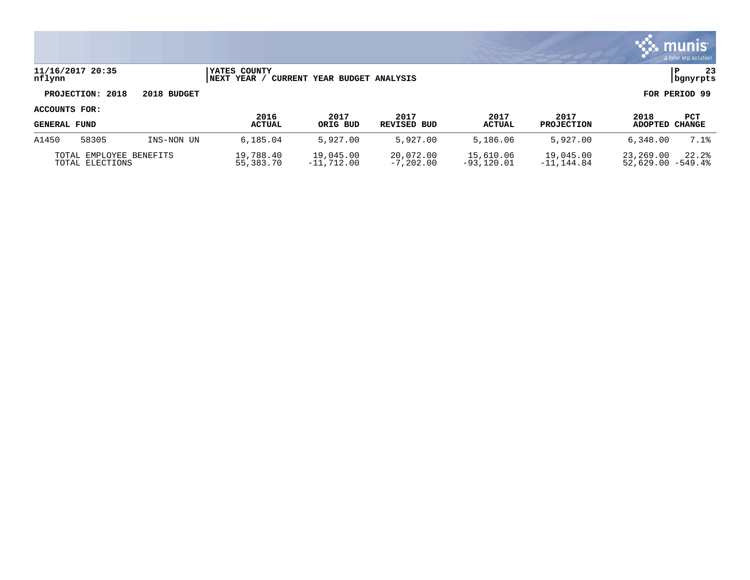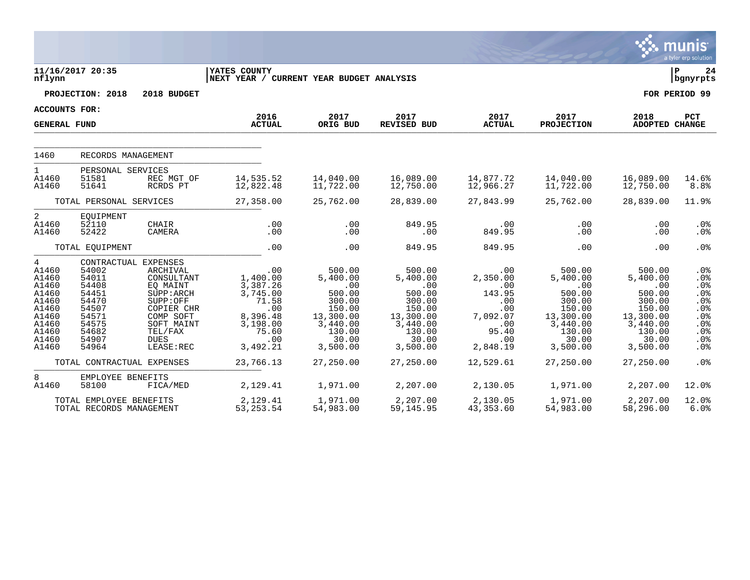|                                                                                                      |                                                                                                                                              |                                                                                                                                                                  |                                                                                                                          |                                                                                                                              |                                                                                                                              |                                                                                                            |                                                                                                                                      |                                                                                                                              | munis<br>a tyler erp solution                                                                                              |
|------------------------------------------------------------------------------------------------------|----------------------------------------------------------------------------------------------------------------------------------------------|------------------------------------------------------------------------------------------------------------------------------------------------------------------|--------------------------------------------------------------------------------------------------------------------------|------------------------------------------------------------------------------------------------------------------------------|------------------------------------------------------------------------------------------------------------------------------|------------------------------------------------------------------------------------------------------------|--------------------------------------------------------------------------------------------------------------------------------------|------------------------------------------------------------------------------------------------------------------------------|----------------------------------------------------------------------------------------------------------------------------|
| nflynn                                                                                               | 11/16/2017 20:35                                                                                                                             |                                                                                                                                                                  | <b>YATES COUNTY</b><br>NEXT YEAR / CURRENT YEAR BUDGET ANALYSIS                                                          |                                                                                                                              |                                                                                                                              |                                                                                                            |                                                                                                                                      |                                                                                                                              | l P<br>24<br>  bgnyrpts                                                                                                    |
|                                                                                                      | PROJECTION: 2018                                                                                                                             | 2018 BUDGET                                                                                                                                                      |                                                                                                                          |                                                                                                                              |                                                                                                                              |                                                                                                            |                                                                                                                                      |                                                                                                                              | FOR PERIOD 99                                                                                                              |
| <b>ACCOUNTS FOR:</b>                                                                                 |                                                                                                                                              |                                                                                                                                                                  |                                                                                                                          |                                                                                                                              |                                                                                                                              |                                                                                                            |                                                                                                                                      |                                                                                                                              |                                                                                                                            |
| <b>GENERAL FUND</b>                                                                                  |                                                                                                                                              |                                                                                                                                                                  | 2016<br><b>ACTUAL</b>                                                                                                    | 2017<br>ORIG BUD                                                                                                             | 2017<br>REVISED BUD                                                                                                          | 2017<br><b>ACTUAL</b>                                                                                      | 2017<br><b>PROJECTION</b>                                                                                                            | 2018<br><b>ADOPTED CHANGE</b>                                                                                                | PCT                                                                                                                        |
| 1460                                                                                                 | RECORDS MANAGEMENT                                                                                                                           |                                                                                                                                                                  |                                                                                                                          |                                                                                                                              |                                                                                                                              |                                                                                                            |                                                                                                                                      |                                                                                                                              |                                                                                                                            |
| $\mathbf{1}$<br>A1460<br>A1460                                                                       | PERSONAL SERVICES<br>51581<br>51641                                                                                                          | REC MGT OF<br>RCRDS PT                                                                                                                                           | 14,535.52<br>12,822.48                                                                                                   | 14,040.00<br>11,722.00                                                                                                       | 16,089.00<br>12,750.00                                                                                                       | 14,877.72<br>12,966.27                                                                                     | 14,040.00<br>11,722.00                                                                                                               | 16,089.00<br>12,750.00                                                                                                       | 14.6%<br>8.8%                                                                                                              |
|                                                                                                      | TOTAL PERSONAL SERVICES                                                                                                                      |                                                                                                                                                                  | 27,358.00                                                                                                                | 25,762.00                                                                                                                    | 28,839.00                                                                                                                    | 27,843.99                                                                                                  | 25,762.00                                                                                                                            | 28,839.00                                                                                                                    | 11.9%                                                                                                                      |
| $\overline{a}$<br>A1460<br>A1460                                                                     | EQUIPMENT<br>52110<br>52422                                                                                                                  | CHAIR<br>CAMERA                                                                                                                                                  | .00<br>.00                                                                                                               | .00<br>.00                                                                                                                   | 849.95<br>.00                                                                                                                | .00<br>849.95                                                                                              | $.00 \,$<br>.00                                                                                                                      | .00<br>.00                                                                                                                   | $.0\%$<br>$.0\%$                                                                                                           |
|                                                                                                      | TOTAL EQUIPMENT                                                                                                                              |                                                                                                                                                                  | .00                                                                                                                      | .00                                                                                                                          | 849.95                                                                                                                       | 849.95                                                                                                     | .00                                                                                                                                  | .00                                                                                                                          | .0%                                                                                                                        |
| 4<br>A1460<br>A1460<br>A1460<br>A1460<br>A1460<br>A1460<br>A1460<br>A1460<br>A1460<br>A1460<br>A1460 | CONTRACTUAL<br>54002<br>54011<br>54408<br>54451<br>54470<br>54507<br>54571<br>54575<br>54682<br>54907<br>54964<br>TOTAL CONTRACTUAL EXPENSES | EXPENSES<br><b>ARCHIVAL</b><br>CONSULTANT<br>EQ MAINT<br>SUPP : ARCH<br>SUPP:OFF<br>COPIER CHR<br>COMP SOFT<br>SOFT MAINT<br>TEL/FAX<br><b>DUES</b><br>LEASE:REC | .00<br>1,400.00<br>3,387.26<br>3,745.00<br>71.58<br>.00<br>8,396.48<br>3,198.00<br>75.60<br>.00<br>3,492.21<br>23,766.13 | 500.00<br>5,400.00<br>.00<br>500.00<br>300.00<br>150.00<br>13,300.00<br>3,440.00<br>130.00<br>30.00<br>3,500.00<br>27,250.00 | 500.00<br>5,400.00<br>.00<br>500.00<br>300.00<br>150.00<br>13,300.00<br>3,440.00<br>130.00<br>30.00<br>3,500.00<br>27,250.00 | .00<br>2,350.00<br>.00<br>143.95<br>.00<br>.00<br>7,092.07<br>.00<br>95.40<br>.00<br>2,848.19<br>12,529.61 | 500.00<br>5,400.00<br>$.00 \ \rm$<br>500.00<br>300.00<br>150.00<br>13,300.00<br>3,440.00<br>130.00<br>30.00<br>3,500.00<br>27,250.00 | 500.00<br>5,400.00<br>.00<br>500.00<br>300.00<br>150.00<br>13,300.00<br>3,440.00<br>130.00<br>30.00<br>3,500.00<br>27,250.00 | .0 <sub>8</sub><br>.0%<br>$.0\%$<br>.0%<br>.0%<br>.0%<br>.0%<br>$.0\%$<br>.0%<br>.0%<br>.0 <sub>8</sub><br>.0 <sup>8</sup> |
| 8<br>A1460                                                                                           | EMPLOYEE BENEFITS<br>58100                                                                                                                   | FICA/MED                                                                                                                                                         | 2,129.41                                                                                                                 | 1,971.00                                                                                                                     | 2,207.00                                                                                                                     | 2,130.05                                                                                                   | 1,971.00                                                                                                                             | 2,207.00                                                                                                                     | $12.0$ $%$                                                                                                                 |
|                                                                                                      | TOTAL EMPLOYEE BENEFITS<br>TOTAL RECORDS MANAGEMENT                                                                                          |                                                                                                                                                                  | 2,129.41<br>53, 253. 54                                                                                                  | 1,971.00<br>54,983.00                                                                                                        | 2,207.00<br>59, 145.95                                                                                                       | 2,130.05<br>43,353.60                                                                                      | 1,971.00<br>54,983.00                                                                                                                | 2,207.00<br>58,296.00                                                                                                        | 12.0%<br>6.0%                                                                                                              |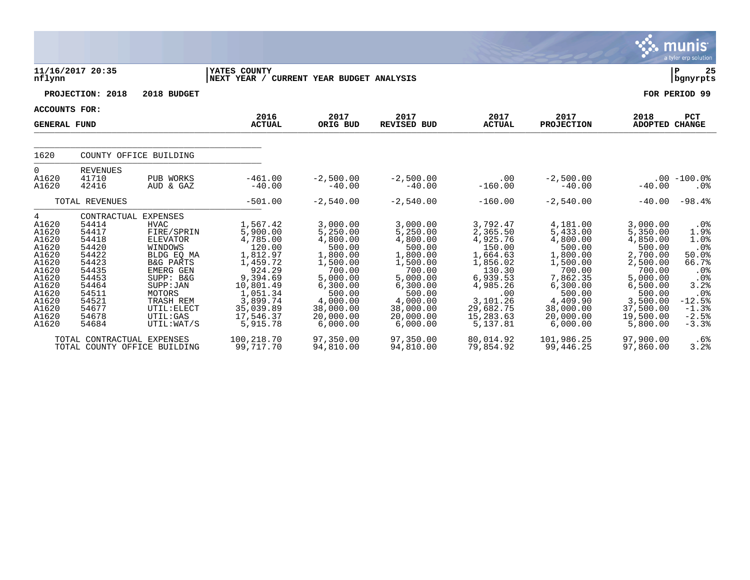|                                                                                                                                 |                                                                                                                                                    |                                                                                                                                                                                                        |                                                                                                                                                                     |                                                                                                                                                                  |                                                                                                                                                                  |                                                                                                                                                               |                                                                                                                                                                  |                                                                                                                                                                  | <b>munis</b><br>a tyler erp solution                                                                                      |
|---------------------------------------------------------------------------------------------------------------------------------|----------------------------------------------------------------------------------------------------------------------------------------------------|--------------------------------------------------------------------------------------------------------------------------------------------------------------------------------------------------------|---------------------------------------------------------------------------------------------------------------------------------------------------------------------|------------------------------------------------------------------------------------------------------------------------------------------------------------------|------------------------------------------------------------------------------------------------------------------------------------------------------------------|---------------------------------------------------------------------------------------------------------------------------------------------------------------|------------------------------------------------------------------------------------------------------------------------------------------------------------------|------------------------------------------------------------------------------------------------------------------------------------------------------------------|---------------------------------------------------------------------------------------------------------------------------|
| nflynn                                                                                                                          | 11/16/2017 20:35                                                                                                                                   |                                                                                                                                                                                                        | YATES COUNTY<br>NEXT YEAR / CURRENT YEAR BUDGET ANALYSIS                                                                                                            |                                                                                                                                                                  |                                                                                                                                                                  |                                                                                                                                                               |                                                                                                                                                                  |                                                                                                                                                                  | P<br>25<br>bgnyrpts                                                                                                       |
|                                                                                                                                 | PROJECTION: 2018                                                                                                                                   | 2018 BUDGET                                                                                                                                                                                            |                                                                                                                                                                     |                                                                                                                                                                  |                                                                                                                                                                  |                                                                                                                                                               |                                                                                                                                                                  |                                                                                                                                                                  | FOR PERIOD 99                                                                                                             |
| <b>ACCOUNTS FOR:</b>                                                                                                            |                                                                                                                                                    |                                                                                                                                                                                                        |                                                                                                                                                                     |                                                                                                                                                                  |                                                                                                                                                                  |                                                                                                                                                               |                                                                                                                                                                  |                                                                                                                                                                  |                                                                                                                           |
| <b>GENERAL FUND</b>                                                                                                             |                                                                                                                                                    |                                                                                                                                                                                                        | 2016<br><b>ACTUAL</b>                                                                                                                                               | 2017<br>ORIG BUD                                                                                                                                                 | 2017<br><b>REVISED BUD</b>                                                                                                                                       | 2017<br><b>ACTUAL</b>                                                                                                                                         | 2017<br><b>PROJECTION</b>                                                                                                                                        | 2018<br>ADOPTED CHANGE                                                                                                                                           | <b>PCT</b>                                                                                                                |
| 1620                                                                                                                            |                                                                                                                                                    | COUNTY OFFICE BUILDING                                                                                                                                                                                 |                                                                                                                                                                     |                                                                                                                                                                  |                                                                                                                                                                  |                                                                                                                                                               |                                                                                                                                                                  |                                                                                                                                                                  |                                                                                                                           |
| $\Omega$<br>A1620<br>A1620                                                                                                      | <b>REVENUES</b><br>41710<br>42416                                                                                                                  | PUB WORKS<br>AUD & GAZ                                                                                                                                                                                 | $-461.00$<br>$-40.00$                                                                                                                                               | $-2,500.00$<br>$-40.00$                                                                                                                                          | $-2,500.00$<br>$-40.00$                                                                                                                                          | .00<br>$-160.00$                                                                                                                                              | $-2,500.00$<br>$-40.00$                                                                                                                                          | $-40.00$                                                                                                                                                         | $.00 - 100.0%$<br>$.0\%$                                                                                                  |
|                                                                                                                                 | TOTAL REVENUES                                                                                                                                     |                                                                                                                                                                                                        | $-501.00$                                                                                                                                                           | $-2,540.00$                                                                                                                                                      | $-2,540.00$                                                                                                                                                      | $-160.00$                                                                                                                                                     | $-2,540.00$                                                                                                                                                      | $-40.00$                                                                                                                                                         | $-98.4%$                                                                                                                  |
| 4<br>A1620<br>A1620<br>A1620<br>A1620<br>A1620<br>A1620<br>A1620<br>A1620<br>A1620<br>A1620<br>A1620<br>A1620<br>A1620<br>A1620 | CONTRACTUAL EXPENSES<br>54414<br>54417<br>54418<br>54420<br>54422<br>54423<br>54435<br>54453<br>54464<br>54511<br>54521<br>54677<br>54678<br>54684 | <b>HVAC</b><br>FIRE/SPRIN<br><b>ELEVATOR</b><br>WINDOWS<br>BLDG EO MA<br><b>B&amp;G PARTS</b><br>EMERG GEN<br>SUPP: B&G<br>SUPP: JAN<br>MOTORS<br>TRASH REM<br>UTIL: ELECT<br>UTIL: GAS<br>UTIL: WAT/S | 1,567.42<br>5,900.00<br>4,785.00<br>120.00<br>1,812.97<br>1,459.72<br>924.29<br>9,394.69<br>10,801.49<br>1,051.34<br>3,899.74<br>35,039.89<br>17,546.37<br>5,915.78 | 3,000.00<br>5,250.00<br>4,800.00<br>500.00<br>1,800.00<br>1,500.00<br>700.00<br>5,000.00<br>6,300.00<br>500.00<br>4,000.00<br>38,000.00<br>20,000.00<br>6,000.00 | 3,000.00<br>5,250.00<br>4,800.00<br>500.00<br>1,800.00<br>1,500.00<br>700.00<br>5,000.00<br>6,300.00<br>500.00<br>4,000.00<br>38,000.00<br>20,000.00<br>6,000.00 | 3,792.47<br>2,365.50<br>4,925.76<br>150.00<br>1,664.63<br>1,856.02<br>130.30<br>6,939.53<br>4,985.26<br>.00<br>3,101.26<br>29,682.75<br>15,283.63<br>5,137.81 | 4,181.00<br>5,433.00<br>4,800.00<br>500.00<br>1,800.00<br>1,500.00<br>700.00<br>7,862.35<br>6,300.00<br>500.00<br>4,409.90<br>38,000.00<br>20,000.00<br>6,000.00 | 3,000.00<br>5,350.00<br>4,850.00<br>500.00<br>2,700.00<br>2,500.00<br>700.00<br>5,000.00<br>6,500.00<br>500.00<br>3,500.00<br>37,500.00<br>19,500.00<br>5,800.00 | $.0\%$<br>1.9%<br>1.0%<br>.0%<br>50.0%<br>66.7%<br>.0%<br>.0%<br>3.2%<br>.0%<br>$-12.5%$<br>$-1.3%$<br>$-2.5%$<br>$-3.3%$ |
|                                                                                                                                 | TOTAL CONTRACTUAL EXPENSES<br>TOTAL COUNTY OFFICE BUILDING                                                                                         |                                                                                                                                                                                                        | 100,218.70<br>99,717.70                                                                                                                                             | 97,350.00<br>94,810.00                                                                                                                                           | 97,350.00<br>94,810.00                                                                                                                                           | 80,014.92<br>79,854.92                                                                                                                                        | 101,986.25<br>99,446.25                                                                                                                                          | 97,900.00<br>97,860.00                                                                                                                                           | .6%<br>3.2%                                                                                                               |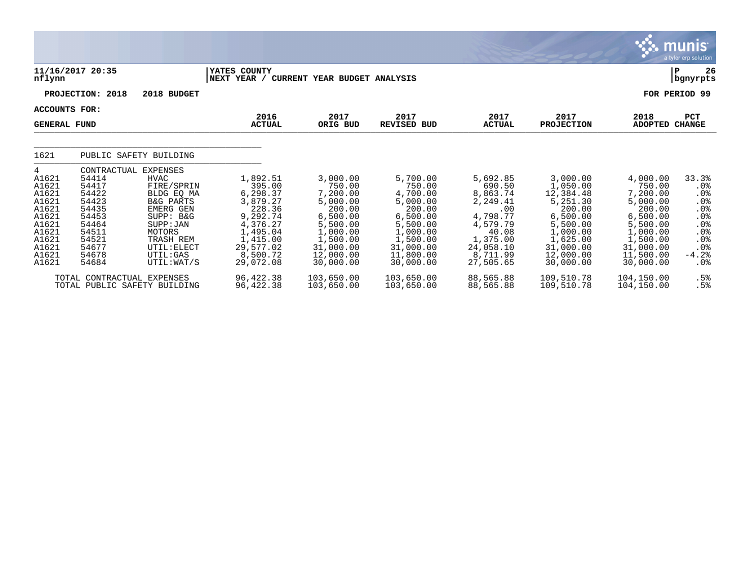|                                                                                                               |                                                                                                                         |                                                                                                                                                                                                    |                                                                                                                                            |                                                                                                                                             |                                                                                                                                             |                                                                                                                                      |                                                                                                                                                |                                                                                                                                             | <b>munis</b><br>a tyler erp solution                                                                              |
|---------------------------------------------------------------------------------------------------------------|-------------------------------------------------------------------------------------------------------------------------|----------------------------------------------------------------------------------------------------------------------------------------------------------------------------------------------------|--------------------------------------------------------------------------------------------------------------------------------------------|---------------------------------------------------------------------------------------------------------------------------------------------|---------------------------------------------------------------------------------------------------------------------------------------------|--------------------------------------------------------------------------------------------------------------------------------------|------------------------------------------------------------------------------------------------------------------------------------------------|---------------------------------------------------------------------------------------------------------------------------------------------|-------------------------------------------------------------------------------------------------------------------|
| nflynn                                                                                                        | 11/16/2017 20:35                                                                                                        |                                                                                                                                                                                                    | YATES COUNTY<br>NEXT YEAR /                                                                                                                | CURRENT YEAR BUDGET ANALYSIS                                                                                                                |                                                                                                                                             |                                                                                                                                      |                                                                                                                                                |                                                                                                                                             | 26<br>ΙP<br>  bgnyrpts                                                                                            |
|                                                                                                               | PROJECTION: 2018                                                                                                        | 2018 BUDGET                                                                                                                                                                                        |                                                                                                                                            |                                                                                                                                             |                                                                                                                                             |                                                                                                                                      |                                                                                                                                                |                                                                                                                                             | FOR PERIOD 99                                                                                                     |
| <b>ACCOUNTS FOR:</b><br><b>GENERAL FUND</b>                                                                   |                                                                                                                         |                                                                                                                                                                                                    | 2016<br><b>ACTUAL</b>                                                                                                                      | 2017<br>ORIG BUD                                                                                                                            | 2017<br><b>REVISED BUD</b>                                                                                                                  | 2017<br><b>ACTUAL</b>                                                                                                                | 2017<br><b>PROJECTION</b>                                                                                                                      | 2018<br><b>ADOPTED</b>                                                                                                                      | <b>PCT</b><br><b>CHANGE</b>                                                                                       |
| 1621                                                                                                          |                                                                                                                         | PUBLIC SAFETY BUILDING                                                                                                                                                                             |                                                                                                                                            |                                                                                                                                             |                                                                                                                                             |                                                                                                                                      |                                                                                                                                                |                                                                                                                                             |                                                                                                                   |
| 4<br>A1621<br>A1621<br>A1621<br>A1621<br>A1621<br>A1621<br>A1621<br>A1621<br>A1621<br>A1621<br>A1621<br>A1621 | CONTRACTUAL<br>54414<br>54417<br>54422<br>54423<br>54435<br>54453<br>54464<br>54511<br>54521<br>54677<br>54678<br>54684 | <b>EXPENSES</b><br><b>HVAC</b><br>FIRE/SPRIN<br>BLDG EO MA<br><b>B&amp;G PARTS</b><br><b>EMERG GEN</b><br>SUPP: B&G<br>SUPP: JAN<br>MOTORS<br>TRASH REM<br>UTIL: ELECT<br>UTIL: GAS<br>UTIL: WAT/S | 1,892.51<br>395.00<br>6,298.37<br>3,879.27<br>228.36<br>9,292.74<br>4,376.27<br>1,495.04<br>1,415.00<br>29,577.02<br>8,500.72<br>29,072.08 | 3,000.00<br>750.00<br>7,200.00<br>5,000.00<br>200.00<br>6,500.00<br>5,500.00<br>1,000.00<br>1,500.00<br>31,000.00<br>12,000.00<br>30,000.00 | 5,700.00<br>750.00<br>4,700.00<br>5,000.00<br>200.00<br>6,500.00<br>5,500.00<br>1,000.00<br>1,500.00<br>31,000.00<br>11,800.00<br>30,000.00 | 5,692.85<br>690.50<br>8,863.74<br>2,249.41<br>.00<br>4,798.77<br>4,579.79<br>40.08<br>1,375.00<br>24,058.10<br>8,711.99<br>27,505.65 | 3,000.00<br>1,050.00<br>12,384.48<br>5,251.30<br>200.00<br>6,500.00<br>5,500.00<br>1,000.00<br>1,625.00<br>31,000.00<br>12,000.00<br>30,000.00 | 4,000.00<br>750.00<br>7,200.00<br>5,000.00<br>200.00<br>6,500.00<br>5,500.00<br>1,000.00<br>1,500.00<br>31,000.00<br>11,500.00<br>30,000.00 | 33.3%<br>$.0\%$<br>$.0\%$<br>$.0\%$<br>$.0\%$<br>.0%<br>.0%<br>.0%<br>$.0\%$<br>.0%<br>$-4.2%$<br>.0 <sub>8</sub> |
|                                                                                                               | TOTAL CONTRACTUAL EXPENSES<br>TOTAL PUBLIC SAFETY BUILDING                                                              |                                                                                                                                                                                                    | 96, 422.38<br>96,422.38                                                                                                                    | 103,650.00<br>103,650.00                                                                                                                    | 103,650.00<br>103,650.00                                                                                                                    | 88,565.88<br>88,565.88                                                                                                               | 109,510.78<br>109,510.78                                                                                                                       | 104,150.00<br>104,150.00                                                                                                                    | .5%<br>.5%                                                                                                        |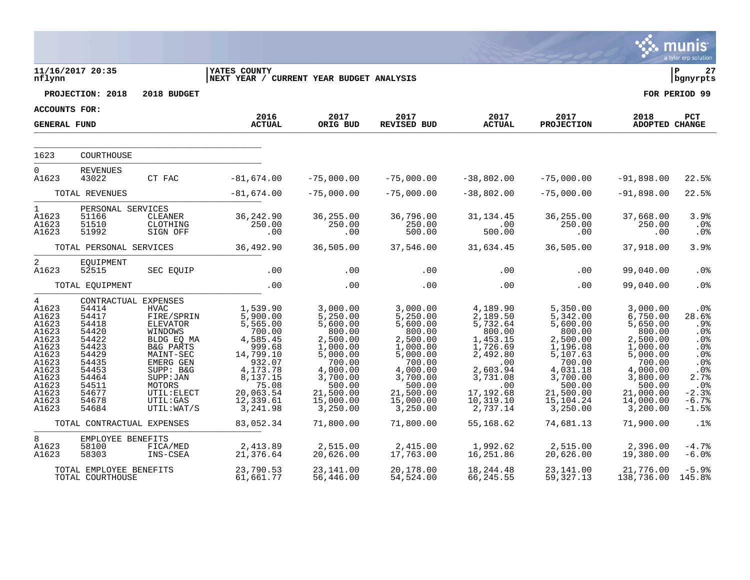|                                                                                                                                               |                                                                                                                            |                                                                                                                                                                                                                                |                                                                                                                                                                |                                                                                                                                                                  |                                                                                                                                                                  |                                                                                                                                                             |                                                                                                                                                                   |                                                                                                                                                                  | munis<br>a tyler erp solution                                                                                                |
|-----------------------------------------------------------------------------------------------------------------------------------------------|----------------------------------------------------------------------------------------------------------------------------|--------------------------------------------------------------------------------------------------------------------------------------------------------------------------------------------------------------------------------|----------------------------------------------------------------------------------------------------------------------------------------------------------------|------------------------------------------------------------------------------------------------------------------------------------------------------------------|------------------------------------------------------------------------------------------------------------------------------------------------------------------|-------------------------------------------------------------------------------------------------------------------------------------------------------------|-------------------------------------------------------------------------------------------------------------------------------------------------------------------|------------------------------------------------------------------------------------------------------------------------------------------------------------------|------------------------------------------------------------------------------------------------------------------------------|
| nflynn                                                                                                                                        | 11/16/2017 20:35                                                                                                           |                                                                                                                                                                                                                                | <b>YATES COUNTY</b><br>NEXT YEAR / CURRENT YEAR BUDGET ANALYSIS                                                                                                |                                                                                                                                                                  |                                                                                                                                                                  |                                                                                                                                                             |                                                                                                                                                                   |                                                                                                                                                                  | ΙP<br>27<br>  bgnyrpts                                                                                                       |
|                                                                                                                                               | PROJECTION: 2018                                                                                                           | 2018 BUDGET                                                                                                                                                                                                                    |                                                                                                                                                                |                                                                                                                                                                  |                                                                                                                                                                  |                                                                                                                                                             |                                                                                                                                                                   |                                                                                                                                                                  | FOR PERIOD 99                                                                                                                |
| ACCOUNTS FOR:                                                                                                                                 |                                                                                                                            |                                                                                                                                                                                                                                | 2016                                                                                                                                                           | 2017                                                                                                                                                             | 2017                                                                                                                                                             | 2017                                                                                                                                                        | 2017                                                                                                                                                              | 2018                                                                                                                                                             | PCT                                                                                                                          |
| <b>GENERAL FUND</b>                                                                                                                           |                                                                                                                            |                                                                                                                                                                                                                                | <b>ACTUAL</b>                                                                                                                                                  | ORIG BUD                                                                                                                                                         | <b>REVISED BUD</b>                                                                                                                                               | <b>ACTUAL</b>                                                                                                                                               | <b>PROJECTION</b>                                                                                                                                                 | <b>ADOPTED CHANGE</b>                                                                                                                                            |                                                                                                                              |
| 1623                                                                                                                                          | COURTHOUSE                                                                                                                 |                                                                                                                                                                                                                                |                                                                                                                                                                |                                                                                                                                                                  |                                                                                                                                                                  |                                                                                                                                                             |                                                                                                                                                                   |                                                                                                                                                                  |                                                                                                                              |
|                                                                                                                                               |                                                                                                                            |                                                                                                                                                                                                                                |                                                                                                                                                                |                                                                                                                                                                  |                                                                                                                                                                  |                                                                                                                                                             |                                                                                                                                                                   |                                                                                                                                                                  |                                                                                                                              |
| $\overline{0}$<br>A1623                                                                                                                       | <b>REVENUES</b><br>43022                                                                                                   | CT FAC                                                                                                                                                                                                                         | $-81,674.00$                                                                                                                                                   | $-75,000.00$                                                                                                                                                     | $-75,000.00$                                                                                                                                                     | $-38,802.00$                                                                                                                                                | $-75,000.00$                                                                                                                                                      | $-91,898.00$                                                                                                                                                     | 22.5%                                                                                                                        |
| TOTAL REVENUES                                                                                                                                |                                                                                                                            | $-81,674.00$                                                                                                                                                                                                                   | $-75,000.00$                                                                                                                                                   | $-75,000.00$                                                                                                                                                     | $-38,802.00$                                                                                                                                                     | $-75,000.00$                                                                                                                                                | $-91,898.00$                                                                                                                                                      | 22.5%                                                                                                                                                            |                                                                                                                              |
| $\mathbf 1$<br>A1623<br>A1623<br>A1623                                                                                                        | PERSONAL SERVICES<br>51166<br>51510<br>51992                                                                               | CLEANER<br>CLOTHING<br>SIGN OFF                                                                                                                                                                                                | 36,242.90<br>250.00<br>.00                                                                                                                                     | 36,255.00<br>250.00<br>.00                                                                                                                                       | 36,796.00<br>250.00<br>500.00                                                                                                                                    | 31,134.45<br>.00<br>500.00                                                                                                                                  | 36,255.00<br>250.00<br>.00                                                                                                                                        | 37,668.00<br>250.00<br>.00                                                                                                                                       | 3.9%<br>.0%<br>.0 <sub>8</sub>                                                                                               |
| TOTAL PERSONAL SERVICES                                                                                                                       |                                                                                                                            | 36,492.90                                                                                                                                                                                                                      | 36,505.00                                                                                                                                                      | 37,546.00                                                                                                                                                        | 31,634.45                                                                                                                                                        | 36,505.00                                                                                                                                                   | 37,918.00                                                                                                                                                         | 3.9%                                                                                                                                                             |                                                                                                                              |
| 2<br>A1623                                                                                                                                    | EQUIPMENT<br>52515                                                                                                         | SEC EQUIP                                                                                                                                                                                                                      | .00                                                                                                                                                            | .00                                                                                                                                                              | .00                                                                                                                                                              | .00                                                                                                                                                         | .00                                                                                                                                                               | 99,040.00                                                                                                                                                        | . 0%                                                                                                                         |
|                                                                                                                                               | TOTAL EQUIPMENT                                                                                                            |                                                                                                                                                                                                                                | .00                                                                                                                                                            | .00                                                                                                                                                              | .00                                                                                                                                                              | .00                                                                                                                                                         | .00                                                                                                                                                               | 99,040.00                                                                                                                                                        | .0%                                                                                                                          |
| $4\overline{ }$<br>A1623<br>A1623<br>A1623<br>A1623<br>A1623<br>A1623<br>A1623<br>A1623<br>A1623<br>A1623<br>A1623<br>A1623<br>A1623<br>A1623 | 54414<br>54417<br>54418<br>54420<br>54422<br>54423<br>54429<br>54435<br>54453<br>54464<br>54511<br>54677<br>54678<br>54684 | CONTRACTUAL EXPENSES<br><b>HVAC</b><br>FIRE/SPRIN<br><b>ELEVATOR</b><br>WINDOWS<br>BLDG EQ MA<br><b>B&amp;G PARTS</b><br>MAINT-SEC<br>EMERG GEN<br>SUPP: B&G<br>SUPP : JAN<br>MOTORS<br>UTIL: ELECT<br>UTIL:GAS<br>UTIL: WAT/S | 1,539.90<br>5,900.00<br>5,565.00<br>700.00<br>4,585.45<br>999.68<br>14,799.10<br>932.07<br>4,173.78<br>8,137.15<br>75.08<br>20,063.54<br>12,339.61<br>3,241.98 | 3,000.00<br>5,250.00<br>5,600.00<br>800.00<br>2,500.00<br>1,000.00<br>5,000.00<br>700.00<br>4,000.00<br>3,700.00<br>500.00<br>21,500.00<br>15,000.00<br>3,250.00 | 3,000.00<br>5,250.00<br>5,600.00<br>800.00<br>2,500.00<br>1,000.00<br>5,000.00<br>700.00<br>4,000.00<br>3,700.00<br>500.00<br>21,500.00<br>15,000.00<br>3,250.00 | 4,189.90<br>2,189.50<br>5,732.64<br>800.00<br>1,453.15<br>1,726.69<br>2,492.80<br>.00<br>2,603.94<br>3,731.08<br>.00<br>17,192.68<br>10, 319.10<br>2,737.14 | 5,350.00<br>5,342.00<br>5,600.00<br>800.00<br>2,500.00<br>1,196.08<br>5,107.63<br>700.00<br>4,031.18<br>3,700.00<br>500.00<br>21,500.00<br>15, 104.24<br>3,250.00 | 3,000.00<br>6,750.00<br>5,650.00<br>800.00<br>2,500.00<br>1,000.00<br>5,000.00<br>700.00<br>4,000.00<br>3,800.00<br>500.00<br>21,000.00<br>14,000.00<br>3,200.00 | .0%<br>28.6%<br>.9%<br>$.0\%$<br>.0 <sub>8</sub><br>.0%<br>.0%<br>.0%<br>.0%<br>2.7%<br>.0%<br>$-2.3%$<br>$-6.7%$<br>$-1.5%$ |
|                                                                                                                                               | TOTAL CONTRACTUAL EXPENSES                                                                                                 |                                                                                                                                                                                                                                | 83,052.34                                                                                                                                                      | 71,800.00                                                                                                                                                        | 71,800.00                                                                                                                                                        | 55,168.62                                                                                                                                                   | 74,681.13                                                                                                                                                         | 71,900.00                                                                                                                                                        | .1%                                                                                                                          |
| 8<br>A1623<br>A1623                                                                                                                           | EMPLOYEE BENEFITS<br>58100<br>58303                                                                                        | FICA/MED<br>INS-CSEA                                                                                                                                                                                                           | 2,413.89<br>21,376.64                                                                                                                                          | 2,515.00<br>20,626.00                                                                                                                                            | 2,415.00<br>17,763.00                                                                                                                                            | 1,992.62<br>16,251.86                                                                                                                                       | 2,515.00<br>20,626.00                                                                                                                                             | 2,396.00<br>19,380.00                                                                                                                                            | $-4.7%$<br>$-6.0%$                                                                                                           |
|                                                                                                                                               | TOTAL EMPLOYEE BENEFITS<br>TOTAL COURTHOUSE                                                                                |                                                                                                                                                                                                                                | 23,790.53<br>61,661.77                                                                                                                                         | 23,141.00<br>56,446.00                                                                                                                                           | 20,178.00<br>54,524.00                                                                                                                                           | 18,244.48<br>66,245.55                                                                                                                                      | 23,141.00<br>59, 327. 13                                                                                                                                          | 21,776.00<br>138,736.00                                                                                                                                          | $-5.9%$<br>145.8%                                                                                                            |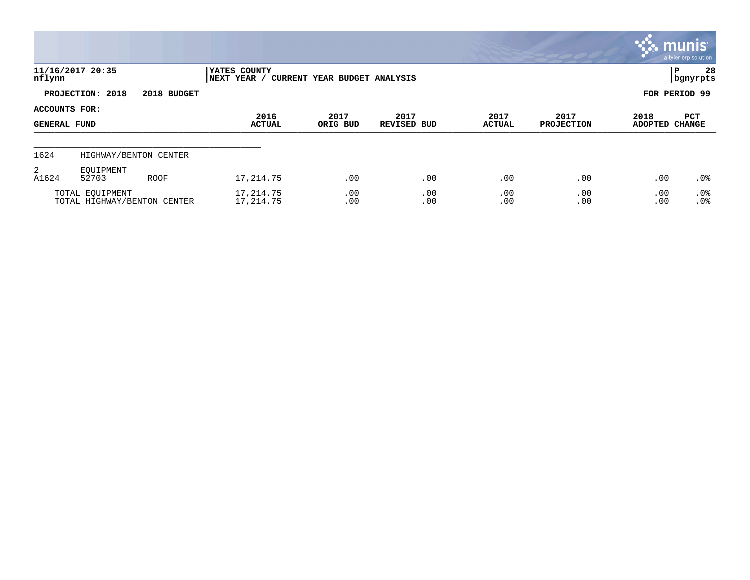|                                             |                                                |             |                             |                              |                            |                       |                           |                        | munis <sup>®</sup><br>a tyler erp solution |
|---------------------------------------------|------------------------------------------------|-------------|-----------------------------|------------------------------|----------------------------|-----------------------|---------------------------|------------------------|--------------------------------------------|
| nflynn                                      | 11/16/2017 20:35                               |             | YATES COUNTY<br>NEXT YEAR / | CURRENT YEAR BUDGET ANALYSIS |                            |                       |                           |                        | 28<br>lР<br>  bgnyrpts                     |
|                                             | PROJECTION: 2018                               | 2018 BUDGET |                             |                              |                            |                       |                           |                        | FOR PERIOD 99                              |
| <b>ACCOUNTS FOR:</b><br><b>GENERAL FUND</b> |                                                |             | 2016<br><b>ACTUAL</b>       | 2017<br>ORIG BUD             | 2017<br><b>REVISED BUD</b> | 2017<br><b>ACTUAL</b> | 2017<br><b>PROJECTION</b> | 2018<br><b>ADOPTED</b> | PCT<br><b>CHANGE</b>                       |
| 1624                                        | HIGHWAY/BENTON CENTER                          |             |                             |                              |                            |                       |                           |                        |                                            |
| 2<br>A1624                                  | EOUIPMENT<br>52703                             | <b>ROOF</b> | 17, 214.75                  | .00                          | .00                        | .00                   | .00                       | .00                    | $.0\%$                                     |
|                                             | TOTAL EQUIPMENT<br>TOTAL HIGHWAY/BENTON CENTER |             | 17,214.75<br>17, 214.75     | .00<br>.00                   | .00<br>.00                 | .00<br>.00            | .00<br>.00                | .00<br>.00             | $.0\%$<br>.0%                              |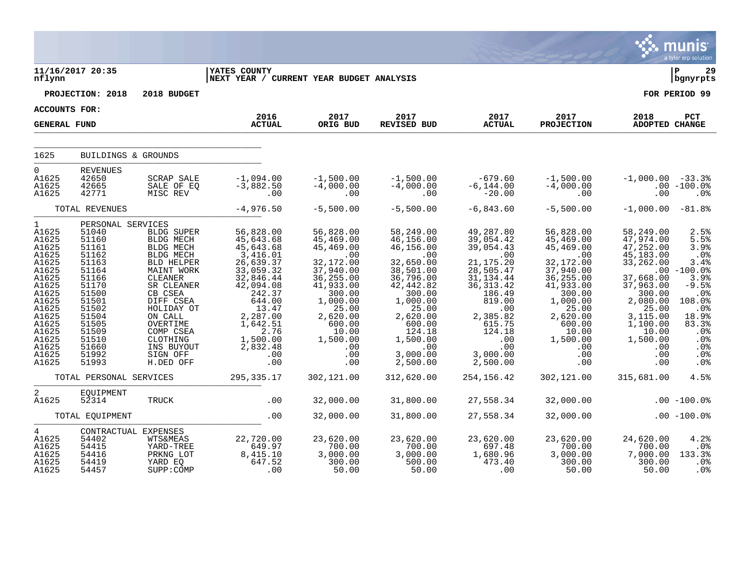|                                                                                                                                                                                          |                                                                                                                                                                                     |                                                                                                                                                                                                                                            |                                                                                                                                                                                                        |                                                                                                                                                                                                       |                                                                                                                                                                                                                |                                                                                                                                                                                                              |                                                                                                                                                                                                     |                                                                                                                                                                                          | munis <sup>®</sup><br>a tyler erp solution                                                                                                           |
|------------------------------------------------------------------------------------------------------------------------------------------------------------------------------------------|-------------------------------------------------------------------------------------------------------------------------------------------------------------------------------------|--------------------------------------------------------------------------------------------------------------------------------------------------------------------------------------------------------------------------------------------|--------------------------------------------------------------------------------------------------------------------------------------------------------------------------------------------------------|-------------------------------------------------------------------------------------------------------------------------------------------------------------------------------------------------------|----------------------------------------------------------------------------------------------------------------------------------------------------------------------------------------------------------------|--------------------------------------------------------------------------------------------------------------------------------------------------------------------------------------------------------------|-----------------------------------------------------------------------------------------------------------------------------------------------------------------------------------------------------|------------------------------------------------------------------------------------------------------------------------------------------------------------------------------------------|------------------------------------------------------------------------------------------------------------------------------------------------------|
| nflynn                                                                                                                                                                                   | 11/16/2017 20:35                                                                                                                                                                    |                                                                                                                                                                                                                                            | <b>IYATES COUNTY</b><br>NEXT YEAR / CURRENT YEAR BUDGET ANALYSIS                                                                                                                                       |                                                                                                                                                                                                       |                                                                                                                                                                                                                |                                                                                                                                                                                                              |                                                                                                                                                                                                     |                                                                                                                                                                                          | Þ<br>29<br>bgnyrpts                                                                                                                                  |
|                                                                                                                                                                                          | PROJECTION: 2018                                                                                                                                                                    | 2018 BUDGET                                                                                                                                                                                                                                |                                                                                                                                                                                                        |                                                                                                                                                                                                       |                                                                                                                                                                                                                |                                                                                                                                                                                                              |                                                                                                                                                                                                     |                                                                                                                                                                                          | FOR PERIOD 99                                                                                                                                        |
| ACCOUNTS FOR:                                                                                                                                                                            |                                                                                                                                                                                     |                                                                                                                                                                                                                                            |                                                                                                                                                                                                        |                                                                                                                                                                                                       |                                                                                                                                                                                                                |                                                                                                                                                                                                              |                                                                                                                                                                                                     |                                                                                                                                                                                          |                                                                                                                                                      |
| <b>GENERAL FUND</b>                                                                                                                                                                      |                                                                                                                                                                                     |                                                                                                                                                                                                                                            | 2016<br><b>ACTUAL</b>                                                                                                                                                                                  | 2017<br>ORIG BUD                                                                                                                                                                                      | 2017<br>REVISED BUD                                                                                                                                                                                            | 2017<br><b>ACTUAL</b>                                                                                                                                                                                        | 2017<br><b>PROJECTION</b>                                                                                                                                                                           | 2018<br><b>ADOPTED CHANGE</b>                                                                                                                                                            | PCT                                                                                                                                                  |
| 1625                                                                                                                                                                                     | BUILDINGS & GROUNDS                                                                                                                                                                 |                                                                                                                                                                                                                                            |                                                                                                                                                                                                        |                                                                                                                                                                                                       |                                                                                                                                                                                                                |                                                                                                                                                                                                              |                                                                                                                                                                                                     |                                                                                                                                                                                          |                                                                                                                                                      |
| $\Omega$<br>A1625<br>A1625<br>A1625                                                                                                                                                      | <b>REVENUES</b><br>42650<br>42665<br>42771                                                                                                                                          | SCRAP SALE<br>SALE OF EQ<br>MISC REV                                                                                                                                                                                                       | $-1,094.00$<br>$-3,882.50$<br>$\overline{00}$                                                                                                                                                          | $-1,500.00$<br>$-4,000.00$<br>.00                                                                                                                                                                     | $-1,500.00$<br>$-4,000.00$<br>.00                                                                                                                                                                              | -679.60<br>$-6, 144.00$<br>$-20.00$                                                                                                                                                                          | $-1,500.00$<br>$-4,000.00$<br>.00                                                                                                                                                                   | $-1,000.00 -33.3$<br>.00                                                                                                                                                                 | $.00 - 100.0%$<br>.0 <sub>8</sub>                                                                                                                    |
|                                                                                                                                                                                          | TOTAL REVENUES                                                                                                                                                                      |                                                                                                                                                                                                                                            | $-4,976.50$                                                                                                                                                                                            | $-5,500.00$                                                                                                                                                                                           | $-5,500.00$                                                                                                                                                                                                    | $-6,843.60$                                                                                                                                                                                                  | $-5,500.00$                                                                                                                                                                                         | $-1,000.00$                                                                                                                                                                              | $-81.8%$                                                                                                                                             |
| $1 \quad \blacksquare$<br>A1625<br>A1625<br>A1625<br>A1625<br>A1625<br>A1625<br>A1625<br>A1625<br>A1625<br>A1625<br>A1625<br>A1625<br>A1625<br>A1625<br>A1625<br>A1625<br>A1625<br>A1625 | PERSONAL SERVICES<br>51040<br>51160<br>51161<br>51162<br>51163<br>51164<br>51166<br>51170<br>51500<br>51501<br>51502<br>51504<br>51505<br>51509<br>51510<br>51660<br>51992<br>51993 | BLDG SUPER<br>BLDG MECH<br><b>BLDG MECH</b><br>BLDG MECH<br>BLD HELPER<br>MAINT WORK<br>CLEANER<br>SR CLEANER<br>CB CSEA<br>DIFF CSEA<br>HOLIDAY OT<br>ON CALL<br>OVERTIME<br>COMP CSEA<br>CLOTHING<br>INS BUYOUT<br>SIGN OFF<br>H.DED OFF | 56,828.00<br>45,643.68<br>45,643.68<br>3,416.01<br>26,639.37<br>33,059.32<br>32,846.44<br>42,094.08<br>242.37<br>644.00<br>13.47<br>2,287.00<br>1,642.51<br>2.76<br>1,500.00<br>2,832.48<br>.00<br>.00 | 56,828.00<br>45,469.00<br>45,469.00<br>$\ldots$ 00<br>32,172.00<br>37,940.00<br>36,255.00<br>41,933.00<br>300.00<br>1,000.00<br>25.00<br>2,620.00<br>600.00<br>10.00<br>1,500.00<br>.00<br>.00<br>.00 | 58,249.00<br>46,156.00<br>46,156.00<br>$\ldots$<br>32,650.00<br>38,501.00<br>36,796.00<br>42, 442.82<br>300.00<br>1,000.00<br>25.00<br>2,620.00<br>600.00<br>124.18<br>1,500.00<br>.00<br>3,000.00<br>2,500.00 | 49,287.80<br>39,054.42<br>39,054.43<br>$\sim 00$<br>21, 175.20<br>28,505.47<br>$31, 134.44$<br>$36, 313.42$<br>186.49<br>819.00<br>.00<br>2,385.82<br>615.75<br>124.18<br>.00<br>.00<br>3,000.00<br>2,500.00 | 56,828.00<br>45,469.00<br>45,469.00<br>$.00 \,$<br>32,172.00<br>37,940.00<br>36, 255.00<br>41,933.00<br>300.00<br>1,000.00<br>25.00<br>2,620.00<br>600.00<br>10.00<br>1,500.00<br>.00<br>.00<br>.00 | 58,249.00<br>47,974.00<br>47,252.00<br>45,183.00<br>33,262.00<br>37,668.00<br>37,963.00<br>300.00<br>2,080.00<br>25.00<br>3,115.00<br>1,100.00<br>10.00<br>1,500.00<br>.00<br>.00<br>.00 | 2.5%<br>5.5%<br>3.9%<br>.0%<br>3.4%<br>$.00 - 100.0$<br>3.9%<br>$-9.5%$<br>.0%<br>108.0%<br>.0%<br>18.9%<br>83.3%<br>.0%<br>.0%<br>.0%<br>.0%<br>.0% |
|                                                                                                                                                                                          | TOTAL PERSONAL SERVICES                                                                                                                                                             |                                                                                                                                                                                                                                            | 295, 335.17                                                                                                                                                                                            | 302,121.00                                                                                                                                                                                            | 312,620.00                                                                                                                                                                                                     | 254,156.42                                                                                                                                                                                                   | 302,121.00                                                                                                                                                                                          | 315,681.00                                                                                                                                                                               | 4.5%                                                                                                                                                 |
| 2<br>A1625                                                                                                                                                                               | EOUIPMENT<br>52314                                                                                                                                                                  | TRUCK                                                                                                                                                                                                                                      | .00                                                                                                                                                                                                    | 32,000.00                                                                                                                                                                                             | 31,800.00                                                                                                                                                                                                      | 27,558.34                                                                                                                                                                                                    | 32,000.00                                                                                                                                                                                           |                                                                                                                                                                                          | $.00 - 100.08$                                                                                                                                       |
|                                                                                                                                                                                          | TOTAL EQUIPMENT                                                                                                                                                                     |                                                                                                                                                                                                                                            | .00                                                                                                                                                                                                    | 32,000.00                                                                                                                                                                                             | 31,800.00                                                                                                                                                                                                      | 27,558.34                                                                                                                                                                                                    | 32,000.00                                                                                                                                                                                           |                                                                                                                                                                                          | $.00 - 100.08$                                                                                                                                       |
| $\overline{4}$<br>A1625<br>A1625<br>A1625<br>A1625<br>A1625                                                                                                                              | 54402<br>54415<br>54416<br>54419<br>54457                                                                                                                                           | CONTRACTUAL EXPENSES<br><b>WTS&amp;MEAS</b><br>YARD-TREE<br>PRKNG LOT<br>YARD EQ<br>SUPP: COMP                                                                                                                                             | 22,720.00<br>$649.97$<br>8,415.10<br>647.52<br>$\sim$ 00                                                                                                                                               | 23,620.00<br>700.00<br>3,000.00<br>300.00<br>50.00                                                                                                                                                    | 23,620.00<br>700.00<br>3,000.00<br>500.00<br>50.00                                                                                                                                                             | 23,620.00<br>$697.48$<br>1,680.96<br>473.40<br>$\overline{00}$                                                                                                                                               | 23,620.00<br>700.00<br>00.00 /<br>3,000.00<br>300.00<br>50.00                                                                                                                                       | 24,620.00<br>700.00<br>7,000.00<br>300.00<br>50.00                                                                                                                                       | 4.2%<br>$.0\%$<br>133.3%<br>.0 <sub>8</sub><br>.0%                                                                                                   |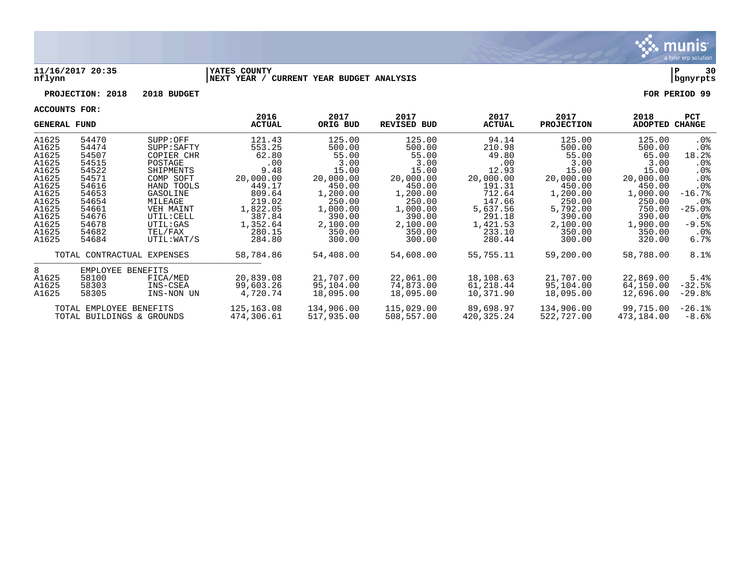

#### **11/16/2017 20:35 |YATES COUNTY |P 30 nflynn |NEXT YEAR / CURRENT YEAR BUDGET ANALYSIS |bgnyrpts**

# **PROJECTION: 2018 2018 BUDGET FOR PERIOD 99**

|                | <b>GENERAL FUND</b>       |                            | 2016<br>ACTUAL  | 2017<br>ORIG BUD | 2017<br><b>REVISED BUD</b> | 2017<br><b>ACTUAL</b> | 2017<br><b>PROJECTION</b> | 2018<br>ADOPTED | <b>PCT</b><br>CHANGE |
|----------------|---------------------------|----------------------------|-----------------|------------------|----------------------------|-----------------------|---------------------------|-----------------|----------------------|
| A1625          | 54470                     | SUPP:OFF                   | 121.43          | 125.00           | 125.00                     | 94.14                 | 125.00                    | 125.00          | . 0%                 |
| A1625<br>A1625 | 54474<br>54507            | SUPP : SAPTY<br>COPIER CHR | 553.25<br>62.80 | 500.00<br>55.00  | 500.00<br>55.00            | 210.98<br>49.80       | 500.00<br>55.00           | 500.00<br>65.00 | . 0%<br>18.2%        |
| A1625          | 54515                     | POSTAGE                    | .00             | 3.00             | 3.00                       | .00                   | 3.00                      | 3.00            | $.0\%$               |
| A1625          | 54522                     | SHIPMENTS                  | 9.48            | 15.00            | 15.00                      | 12.93                 | 15.00                     | 15.00           | $.0\%$               |
| A1625          | 54571                     | COMP SOFT                  | 20,000.00       | 20,000.00        | 20,000.00                  | 20,000.00             | 20,000.00                 | 20,000.00       | $.0\%$               |
| A1625          | 54616                     | HAND TOOLS                 | 449.17          | 450.00           | 450.00                     | 191.31                | 450.00                    | 450.00          | .0 <sub>8</sub>      |
| A1625          | 54653                     | GASOLINE                   | 809.64          | 1,200.00         | 1,200.00                   | 712.64                | 1,200.00                  | 1,000.00        | $-16.7%$             |
| A1625          | 54654                     | MILEAGE                    | 219.02          | 250.00           | 250.00                     | 147.66                | 250.00                    | 250.00          | $.0\%$               |
| A1625          | 54661                     | VEH MAINT                  | 1,822.05        | 1,000.00         | 1,000.00                   | 5,637.56              | 5,792.00                  | 750.00          | $-25.0$ $8$          |
| A1625          | 54676                     | UTIL: CELL                 | 387.84          | 390.00           | 390.00                     | 291.18                | 390.00                    | 390.00          | $.0\%$               |
| A1625          | 54678                     | UTIL:GAS                   | 1,352.64        | 2,100.00         | 2,100.00                   | 1,421.53              | 2,100.00                  | 1,900.00        | $-9.5%$              |
| A1625          | 54682                     | TEL/FAX                    | 280.15          | 350.00           | 350.00                     | 233.10                | 350.00                    | 350.00          | . 0%                 |
| A1625          | 54684                     | UTIL:WAT/S                 | 284.80          | 300.00           | 300.00                     | 280.44                | 300.00                    | 320.00          | $6.7\%$              |
|                |                           | TOTAL CONTRACTUAL EXPENSES | 58,784.86       | 54,408.00        | 54,608.00                  | 55,755.11             | 59,200.00                 | 58,788.00       | 8.1%                 |
| 8              | EMPLOYEE BENEFITS         |                            |                 |                  |                            |                       |                           |                 |                      |
| A1625          | 58100                     | FICA/MED                   | 20,839.08       | 21,707.00        | 22,061.00                  | 18,108.63             | 21,707.00                 | 22,869.00       | 5.4%                 |
| A1625          | 58303                     | INS-CSEA                   | 99,603.26       | 95,104.00        | 74,873.00                  | 61,218.44             | 95,104.00                 | 64,150.00       | $-32.5%$             |
| A1625          | 58305                     | INS-NON UN                 | 4,720.74        | 18,095.00        | 18,095.00                  | 10,371.90             | 18,095.00                 | 12,696.00       | $-29.8%$             |
|                | TOTAL EMPLOYEE BENEFITS   |                            | 125, 163.08     | 134,906.00       | 115,029.00                 | 89,698.97             | 134,906.00                | 99,715.00       | $-26.1%$             |
|                | TOTAL BUILDINGS & GROUNDS |                            | 474,306.61      | 517,935.00       | 508,557.00                 | 420,325.24            | 522,727.00                | 473,184.00      | $-8.6%$              |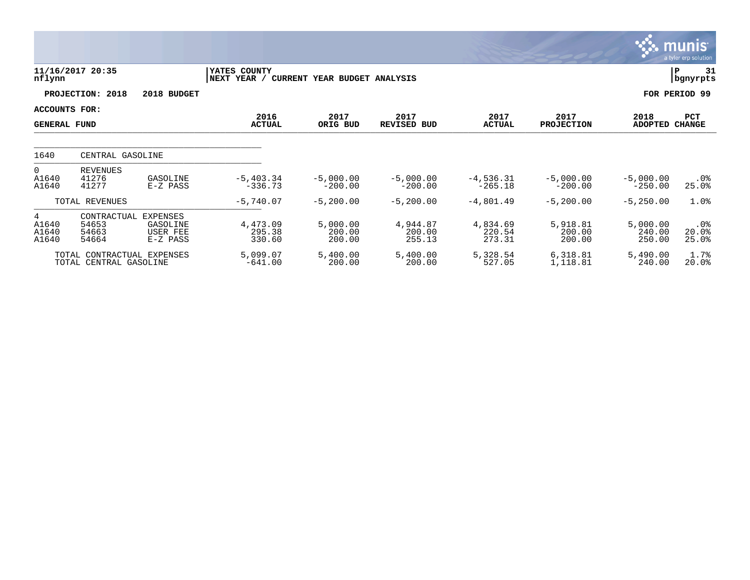|                                             |                                                      |                                                            |                                                             |                              |                              |                              |                              |                              | munis <sup>®</sup><br>a tyler erp solution |
|---------------------------------------------|------------------------------------------------------|------------------------------------------------------------|-------------------------------------------------------------|------------------------------|------------------------------|------------------------------|------------------------------|------------------------------|--------------------------------------------|
| nflynn                                      | 11/16/2017 20:35                                     |                                                            | YATES COUNTY<br>NEXT YEAR /<br>CURRENT YEAR BUDGET ANALYSIS | 31<br>ΙP<br>bgnyrpts         |                              |                              |                              |                              |                                            |
|                                             | PROJECTION: 2018                                     | 2018 BUDGET                                                |                                                             |                              |                              |                              |                              |                              | FOR PERIOD 99                              |
| <b>ACCOUNTS FOR:</b><br><b>GENERAL FUND</b> |                                                      |                                                            | 2016<br><b>ACTUAL</b>                                       | 2017<br>ORIG BUD             | 2017<br><b>REVISED BUD</b>   | 2017<br><b>ACTUAL</b>        | 2017<br><b>PROJECTION</b>    | 2018<br>ADOPTED CHANGE       | PCT                                        |
| 1640                                        | CENTRAL GASOLINE                                     |                                                            |                                                             |                              |                              |                              |                              |                              |                                            |
| $\overline{0}$<br>A1640<br>A1640            | <b>REVENUES</b><br>41276<br>41277                    | GASOLINE<br>E-Z PASS                                       | $-5,403.34$<br>$-336.73$                                    | $-5,000.00$<br>$-200.00$     | $-5,000.00$<br>$-200.00$     | $-4,536.31$<br>$-265.18$     | $-5,000.00$<br>$-200.00$     | $-5,000.00$<br>$-250.00$     | .0%<br>25.0%                               |
|                                             | TOTAL REVENUES                                       |                                                            | $-5,740.07$                                                 | $-5, 200.00$                 | $-5, 200.00$                 | $-4,801.49$                  | $-5, 200.00$                 | $-5,250.00$                  | 1.0%                                       |
| 4<br>A1640<br>A1640<br>A1640                | CONTRACTUAL<br>54653<br>54663<br>54664               | <b>EXPENSES</b><br>GASOLINE<br><b>USER FEE</b><br>E-Z PASS | 4,473.09<br>295.38<br>330.60                                | 5,000.00<br>200.00<br>200.00 | 4,944.87<br>200.00<br>255.13 | 4,834.69<br>220.54<br>273.31 | 5,918.81<br>200.00<br>200.00 | 5,000.00<br>240.00<br>250.00 | $.0\%$<br>20.0%<br>25.0%                   |
|                                             | TOTAL CONTRACTUAL EXPENSES<br>TOTAL CENTRAL GASOLINE |                                                            | 5,099.07<br>$-641.00$                                       | 5,400.00<br>200.00           | 5,400.00<br>200.00           | 5,328.54<br>527.05           | 6,318.81<br>1,118.81         | 5,490.00<br>240.00           | 1.7%<br>20.0%                              |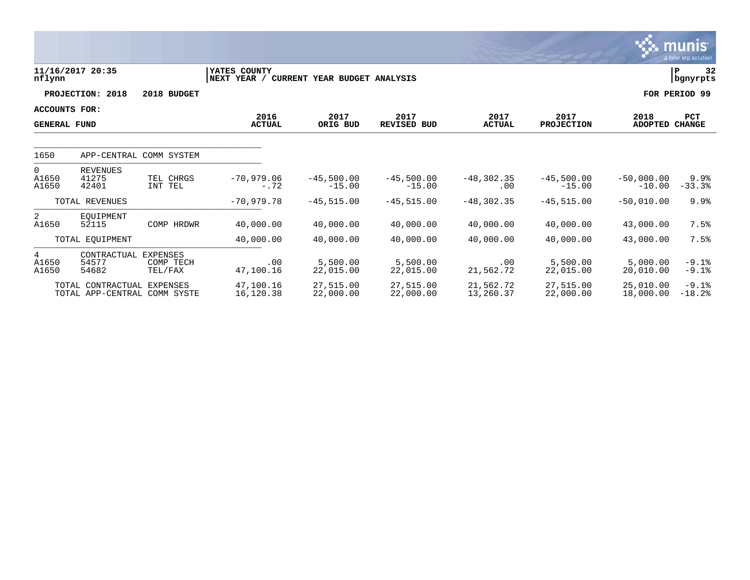|                                      |                                                   |                                  |                                                             |                          |                            |                        |                           |                               | <u>munis</u><br>a tyler erp solution |
|--------------------------------------|---------------------------------------------------|----------------------------------|-------------------------------------------------------------|--------------------------|----------------------------|------------------------|---------------------------|-------------------------------|--------------------------------------|
| nflynn                               | 11/16/2017 20:35                                  |                                  | YATES COUNTY<br>NEXT YEAR /<br>CURRENT YEAR BUDGET ANALYSIS |                          |                            |                        |                           |                               | 32<br>ΙP<br>  bgnyrpts               |
|                                      | PROJECTION: 2018                                  | 2018 BUDGET                      |                                                             |                          |                            |                        |                           |                               | FOR PERIOD 99                        |
| ACCOUNTS FOR:<br><b>GENERAL FUND</b> |                                                   |                                  | 2016<br><b>ACTUAL</b>                                       | 2017<br>ORIG BUD         | 2017<br><b>REVISED BUD</b> | 2017<br><b>ACTUAL</b>  | 2017<br><b>PROJECTION</b> | 2018<br><b>ADOPTED CHANGE</b> | <b>PCT</b>                           |
| 1650                                 | APP-CENTRAL COMM SYSTEM                           |                                  |                                                             |                          |                            |                        |                           |                               |                                      |
| $\overline{0}$<br>A1650<br>A1650     | <b>REVENUES</b><br>41275<br>42401                 | TEL CHRGS<br>INT TEL             | $-70,979.06$<br>$-.72$                                      | $-45,500.00$<br>$-15.00$ | $-45,500.00$<br>$-15.00$   | $-48, 302.35$<br>.00   | $-45,500.00$<br>$-15.00$  | $-50.000.00$<br>$-10.00$      | 9.9%<br>$-33.3%$                     |
|                                      | TOTAL REVENUES                                    |                                  | $-70,979.78$                                                | $-45, 515, 00$           | $-45, 515, 00$             | $-48, 302, 35$         | $-45, 515.00$             | $-50,010.00$                  | 9.9%                                 |
| 2<br>A1650                           | EOUIPMENT<br>52115                                | COMP HRDWR                       | 40,000.00                                                   | 40,000.00                | 40,000.00                  | 40,000.00              | 40,000.00                 | 43,000.00                     | 7.5%                                 |
|                                      | TOTAL EQUIPMENT                                   |                                  | 40,000.00                                                   | 40,000.00                | 40,000.00                  | 40,000.00              | 40,000.00                 | 43,000.00                     | 7.5%                                 |
| 4<br>A1650<br>A1650                  | CONTRACTUAL<br>54577<br>54682                     | EXPENSES<br>COMP TECH<br>TEL/FAX | .00<br>47,100.16                                            | 5,500.00<br>22,015.00    | 5,500.00<br>22,015.00      | .00<br>21,562.72       | 5,500.00<br>22,015.00     | 5,000.00<br>20,010.00         | $-9.1%$<br>$-9.1%$                   |
|                                      | TOTAL CONTRACTUAL<br>TOTAL APP-CENTRAL COMM SYSTE | EXPENSES                         | 47,100.16<br>16,120.38                                      | 27,515.00<br>22,000.00   | 27,515.00<br>22,000.00     | 21,562.72<br>13,260.37 | 27,515.00<br>22,000.00    | 25,010.00<br>18,000.00        | $-9.1%$<br>$-18.2$                   |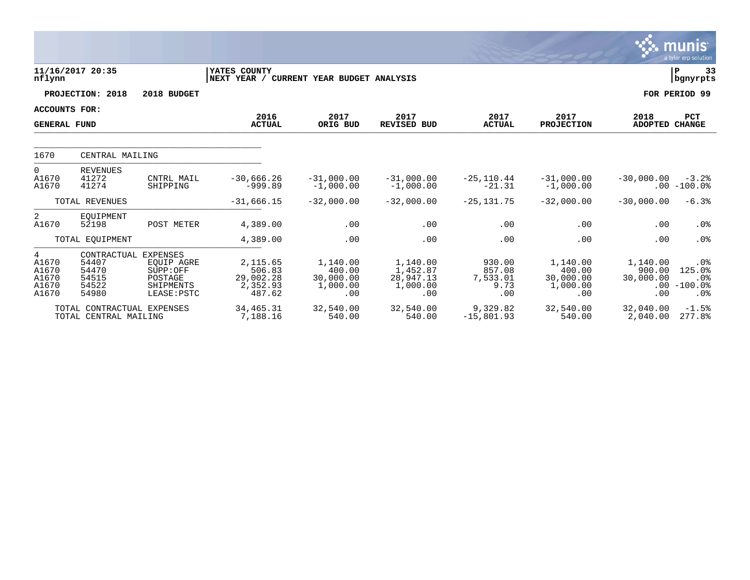|                                                |                                                          |                                                                                  |                                                       |                                                    |                                                      |                                             |                                                    |                                               | <b>munis</b><br>a tyler erp solution                  |
|------------------------------------------------|----------------------------------------------------------|----------------------------------------------------------------------------------|-------------------------------------------------------|----------------------------------------------------|------------------------------------------------------|---------------------------------------------|----------------------------------------------------|-----------------------------------------------|-------------------------------------------------------|
| nflynn                                         | 11/16/2017 20:35                                         |                                                                                  | YATES COUNTY<br>NEXT YEAR /                           | CURRENT YEAR BUDGET ANALYSIS                       |                                                      |                                             |                                                    |                                               | l P<br>33<br>  bgnyrpts                               |
|                                                | PROJECTION: 2018                                         | 2018 BUDGET                                                                      |                                                       |                                                    |                                                      |                                             |                                                    |                                               | FOR PERIOD 99                                         |
| <b>ACCOUNTS FOR:</b><br><b>GENERAL FUND</b>    |                                                          |                                                                                  | 2016<br><b>ACTUAL</b>                                 | 2017<br>ORIG BUD                                   | 2017<br><b>REVISED BUD</b>                           | 2017<br><b>ACTUAL</b>                       | 2017<br><b>PROJECTION</b>                          | 2018<br><b>ADOPTED CHANGE</b>                 | PCT                                                   |
| 1670                                           | CENTRAL MAILING                                          |                                                                                  |                                                       |                                                    |                                                      |                                             |                                                    |                                               |                                                       |
| 0<br>A1670<br>A1670                            | <b>REVENUES</b><br>41272<br>41274                        | CNTRL MAIL<br>SHIPPING                                                           | $-30,666.26$<br>$-999.89$                             | $-31,000.00$<br>$-1,000.00$                        | $-31,000.00$<br>$-1,000.00$                          | $-25, 110.44$<br>$-21.31$                   | $-31,000.00$<br>$-1,000.00$                        | $-30,000.00$                                  | $-3.2%$<br>$.00 - 100.0$                              |
|                                                | TOTAL REVENUES                                           |                                                                                  | $-31,666.15$                                          | $-32,000.00$                                       | $-32,000.00$                                         | $-25, 131.75$                               | $-32,000.00$                                       | $-30,000,00$                                  | $-6.3%$                                               |
| 2<br>A1670                                     | EQUIPMENT<br>52198                                       | POST METER                                                                       | 4,389.00                                              | .00                                                | .00                                                  | .00                                         | .00                                                | .00                                           | .0%                                                   |
|                                                | TOTAL EQUIPMENT                                          |                                                                                  | 4,389.00                                              | .00                                                | .00                                                  | .00                                         | .00                                                | .00                                           | .0%                                                   |
| 4<br>A1670<br>A1670<br>A1670<br>A1670<br>A1670 | CONTRACTUAL<br>54407<br>54470<br>54515<br>54522<br>54980 | <b>EXPENSES</b><br>EOUIP AGRE<br>SUPP:OFF<br>POSTAGE<br>SHIPMENTS<br>LEASE: PSTC | 2,115.65<br>506.83<br>29,002.28<br>2,352.93<br>487.62 | 1,140.00<br>400.00<br>30,000.00<br>1,000.00<br>.00 | 1,140.00<br>1,452.87<br>28,947.13<br>1,000.00<br>.00 | 930.00<br>857.08<br>7,533.01<br>9.73<br>.00 | 1,140.00<br>400.00<br>30,000.00<br>1,000.00<br>.00 | 1,140.00<br>900.00<br>30,000.00<br>.00<br>.00 | .0%<br>125.0%<br>.0 <sub>8</sub><br>$-100.0$ %<br>.0% |
|                                                | TOTAL CONTRACTUAL EXPENSES<br>TOTAL CENTRAL MAILING      |                                                                                  | 34, 465. 31<br>7,188.16                               | 32,540.00<br>540.00                                | 32,540.00<br>540.00                                  | 9,329.82<br>$-15,801.93$                    | 32,540.00<br>540.00                                | 32,040.00<br>2,040.00                         | $-1.5%$<br>277.8%                                     |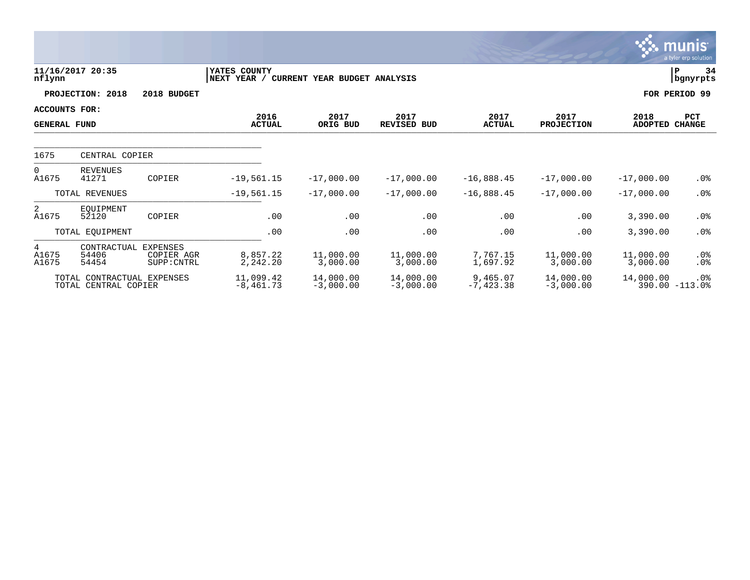|                                             |                                                    |                                              |                             |                              |                            |                         |                           |                        | <b>munis</b><br>a tyler erp solution |
|---------------------------------------------|----------------------------------------------------|----------------------------------------------|-----------------------------|------------------------------|----------------------------|-------------------------|---------------------------|------------------------|--------------------------------------|
| nflynn                                      | 11/16/2017 20:35                                   |                                              | YATES COUNTY<br>NEXT YEAR / | CURRENT YEAR BUDGET ANALYSIS |                            |                         |                           |                        | 34<br>ΙP<br>bgnyrpts                 |
|                                             | PROJECTION: 2018                                   | 2018 BUDGET                                  |                             |                              |                            |                         |                           |                        | FOR PERIOD 99                        |
| <b>ACCOUNTS FOR:</b><br><b>GENERAL FUND</b> |                                                    |                                              | 2016<br><b>ACTUAL</b>       | 2017<br>ORIG BUD             | 2017<br><b>REVISED BUD</b> | 2017<br><b>ACTUAL</b>   | 2017<br><b>PROJECTION</b> | 2018<br><b>ADOPTED</b> | <b>PCT</b><br><b>CHANGE</b>          |
| 1675                                        | CENTRAL COPIER                                     |                                              |                             |                              |                            |                         |                           |                        |                                      |
| $\Omega$<br>A1675                           | <b>REVENUES</b><br>41271                           | COPIER                                       | $-19,561.15$                | $-17,000.00$                 | $-17,000.00$               | $-16,888.45$            | $-17,000.00$              | $-17,000.00$           | $.0\%$                               |
|                                             | TOTAL REVENUES                                     |                                              | $-19,561.15$                | $-17,000.00$                 | $-17,000.00$               | $-16,888.45$            | $-17,000.00$              | $-17,000.00$           | .0%                                  |
| 2<br>A1675                                  | EOUIPMENT<br>52120                                 | COPIER                                       | .00                         | .00                          | .00                        | .00                     | .00                       | 3,390.00               | $.0\%$                               |
|                                             | TOTAL EQUIPMENT                                    |                                              | .00                         | .00                          | .00                        | .00                     | .00                       | 3,390.00               | $.0\%$                               |
| 4<br>A1675<br>A1675                         | CONTRACTUAL<br>54406<br>54454                      | <b>EXPENSES</b><br>COPIER AGR<br>SUPP: CNTRL | 8,857.22<br>2,242.20        | 11,000.00<br>3,000.00        | 11,000.00<br>3,000.00      | 7,767.15<br>1,697.92    | 11,000.00<br>3,000.00     | 11,000.00<br>3,000.00  | $.0\%$<br>$.0\%$                     |
|                                             | TOTAL CONTRACTUAL EXPENSES<br>TOTAL CENTRAL COPIER |                                              | 11,099.42<br>$-8,461.73$    | 14,000.00<br>$-3,000.00$     | 14,000.00<br>$-3,000.00$   | 9,465.07<br>$-7,423.38$ | 14,000.00<br>$-3,000.00$  | 14,000.00              | .0%<br>390.00 -113.0%                |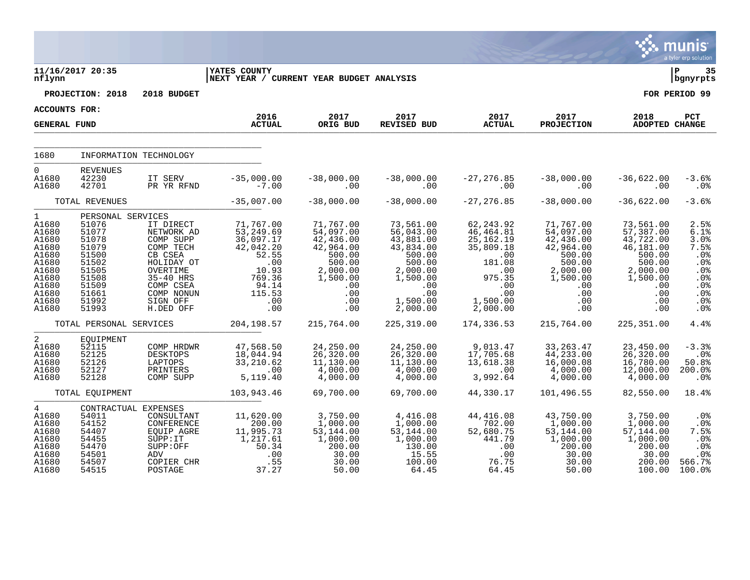|                                                                                                                          |                                                                                                                               |                                                                                                                                                         |                                                                                                                       |                                                                                                                          |                                                                                                                                    |                                                                                                                                                     |                                                                                                                          |                                                                                                                          | munis<br>a tyler erp solution                                                        |
|--------------------------------------------------------------------------------------------------------------------------|-------------------------------------------------------------------------------------------------------------------------------|---------------------------------------------------------------------------------------------------------------------------------------------------------|-----------------------------------------------------------------------------------------------------------------------|--------------------------------------------------------------------------------------------------------------------------|------------------------------------------------------------------------------------------------------------------------------------|-----------------------------------------------------------------------------------------------------------------------------------------------------|--------------------------------------------------------------------------------------------------------------------------|--------------------------------------------------------------------------------------------------------------------------|--------------------------------------------------------------------------------------|
| nflynn                                                                                                                   | 11/16/2017 20:35                                                                                                              |                                                                                                                                                         | <b>IYATES COUNTY</b><br>NEXT YEAR / CURRENT YEAR BUDGET ANALYSIS                                                      |                                                                                                                          |                                                                                                                                    |                                                                                                                                                     |                                                                                                                          |                                                                                                                          | ∣ P<br>35<br>bgnyrpts                                                                |
|                                                                                                                          | PROJECTION: 2018                                                                                                              | 2018 BUDGET                                                                                                                                             |                                                                                                                       |                                                                                                                          |                                                                                                                                    |                                                                                                                                                     |                                                                                                                          |                                                                                                                          | FOR PERIOD 99                                                                        |
| ACCOUNTS FOR:                                                                                                            |                                                                                                                               |                                                                                                                                                         | 2016                                                                                                                  | 2017                                                                                                                     | 2017                                                                                                                               | 2017                                                                                                                                                | 2017                                                                                                                     | 2018                                                                                                                     | PCT                                                                                  |
| <b>GENERAL FUND</b>                                                                                                      |                                                                                                                               |                                                                                                                                                         | <b>ACTUAL</b>                                                                                                         | ORIG BUD                                                                                                                 | REVISED BUD                                                                                                                        | <b>ACTUAL</b>                                                                                                                                       | <b>PROJECTION</b>                                                                                                        | ADOPTED CHANGE                                                                                                           |                                                                                      |
| 1680                                                                                                                     |                                                                                                                               | INFORMATION TECHNOLOGY                                                                                                                                  |                                                                                                                       |                                                                                                                          |                                                                                                                                    |                                                                                                                                                     |                                                                                                                          |                                                                                                                          |                                                                                      |
| $\Omega$<br>A1680<br>A1680                                                                                               | <b>REVENUES</b><br>42230<br>42701                                                                                             | IT SERV<br>PR YR RFND                                                                                                                                   | $-35,000.00$<br>$-7.00$                                                                                               | $-38,000.00$<br>.00                                                                                                      | $-38,000.00$<br>.00                                                                                                                | $-27, 276.85$<br>.00                                                                                                                                | $-38,000.00$<br>.00                                                                                                      | $-36,622.00$<br>.00                                                                                                      | $-3.6%$<br>.0 <sub>8</sub>                                                           |
|                                                                                                                          | TOTAL REVENUES                                                                                                                |                                                                                                                                                         | $-35,007.00$                                                                                                          | $-38,000.00$                                                                                                             | $-38,000.00$                                                                                                                       | $-27, 276.85$                                                                                                                                       | $-38,000.00$                                                                                                             | $-36,622.00$                                                                                                             | $-3.6%$                                                                              |
| $\mathbf{1}$<br>A1680<br>A1680<br>A1680<br>A1680<br>A1680<br>A1680<br>A1680<br>A1680<br>A1680<br>A1680<br>A1680<br>A1680 | PERSONAL SERVICES<br>51076<br>51077<br>51078<br>51079<br>51500<br>51502<br>51505<br>51508<br>51509<br>51661<br>51992<br>51993 | IT DIRECT<br>NETWORK AD<br>COMP SUPP<br>COMP TECH<br>CB CSEA<br>HOLIDAY OT<br>OVERTIME<br>35-40 HRS<br>COMP CSEA<br>COMP NONUN<br>SIGN OFF<br>H.DED OFF | 71,767.00<br>53, 249.69<br>36,097.17<br>42,042.20<br>52.55<br>.00<br>10.93<br>769.36<br>94.14<br>115.53<br>.00<br>.00 | 71,767.00<br>54,097.00<br>42,436.00<br>42,964.00<br>500.00<br>500.00<br>2,000.00<br>1,500.00<br>.00<br>.00<br>.00<br>.00 | 73,561.00<br>56,043.00<br>43,881.00<br>43,834.00<br>500.00<br>500.00<br>2,000.00<br>1,500.00<br>.00<br>.00<br>1,500.00<br>2,000.00 | 62, 243.92<br>46, 464.81<br>25,162.19<br>35,809.18<br>.00<br>181.08<br>$\overline{\phantom{0}}$ .00<br>975.35<br>.00<br>.00<br>1,500.00<br>2,000.00 | 71,767.00<br>54,097.00<br>42,436.00<br>42,964.00<br>500.00<br>500.00<br>2,000.00<br>1,500.00<br>.00<br>.00<br>.00<br>.00 | 73,561.00<br>57,387.00<br>43,722.00<br>46,181.00<br>500.00<br>500.00<br>2,000.00<br>1,500.00<br>.00<br>.00<br>.00<br>.00 | 2.5%<br>6.1%<br>3.0%<br>7.5%<br>.0%<br>.0%<br>.0%<br>.0%<br>.0%<br>.0%<br>.0%<br>.0% |
|                                                                                                                          | TOTAL PERSONAL SERVICES                                                                                                       |                                                                                                                                                         | 204, 198.57                                                                                                           | 215,764.00                                                                                                               | 225, 319.00                                                                                                                        | 174,336.53                                                                                                                                          | 215,764.00                                                                                                               | 225, 351.00                                                                                                              | 4.4%                                                                                 |
| 2<br>A1680<br>A1680<br>A1680<br>A1680<br>A1680                                                                           | EQUIPMENT<br>52115<br>52125<br>52126<br>52127<br>52128                                                                        | COMP HRDWR<br>DESKTOPS<br>LAPTOPS<br>PRINTERS<br>COMP SUPP                                                                                              | 47,568.50<br>18,044.94<br>33,210.62<br>.00<br>5,119.40                                                                | 24,250.00<br>26,320.00<br>11,130.00<br>4,000.00<br>4,000.00                                                              | 24,250.00<br>26,320.00<br>11,130.00<br>4,000.00<br>4,000.00                                                                        | 9,013.47<br>17,705.68<br>13,618.38<br>.00<br>3,992.64                                                                                               | 33, 263. 47<br>44,233.00<br>16,000.08<br>4,000.00<br>4,000.00                                                            | 23,450.00<br>26, 320.00<br>16,780.00<br>12,000.00<br>4,000.00                                                            | $-3.3%$<br>$.0\%$<br>50.8%<br>200.0%<br>$.0\%$                                       |
|                                                                                                                          | TOTAL EQUIPMENT                                                                                                               |                                                                                                                                                         | 103,943.46                                                                                                            | 69,700.00                                                                                                                | 69,700.00                                                                                                                          | 44,330.17                                                                                                                                           | 101,496.55                                                                                                               | 82,550.00                                                                                                                | 18.4%                                                                                |
| $4\overline{ }$<br>A1680<br>A1680<br>A1680<br>A1680<br>A1680<br>A1680<br>A1680<br>A1680                                  | 54011<br>54152<br>54407<br>54455<br>54470<br>54501<br>54507<br>54515                                                          | CONTRACTUAL EXPENSES<br>CONSULTANT<br>CONFERENCE<br>EQUIP AGRE<br>SUPP: IT<br>SUPP:OFF<br>ADV<br>COPIER CHR<br>POSTAGE                                  | 11,620.00<br>200.00<br>11,995.73<br>1,217.61<br>50.34<br>.00<br>.55<br>37.27                                          | 3,750.00<br>1,000.00<br>53,144.00<br>1,000.00<br>200.00<br>30.00<br>30.00<br>50.00                                       | 4,416.08<br>1,000.00<br>53, 144.00<br>1,000.00<br>130.00<br>15.55<br>100.00<br>64.45                                               | 44, 416.08<br>702.00<br>52,680.75<br>441.79<br>.00<br>.00<br>76.75<br>64.45                                                                         | 43,750.00<br>1,000.00<br>53, 144.00<br>1,000.00<br>200.00<br>30.00<br>30.00<br>50.00                                     | 3,750.00<br>1,000.00<br>57,144.00<br>1,000.00<br>200.00<br>30.00<br>200.00<br>100.00                                     | .0%<br>.0%<br>7.5%<br>.0%<br>.0%<br>$.0\%$<br>566.7%<br>100.0%                       |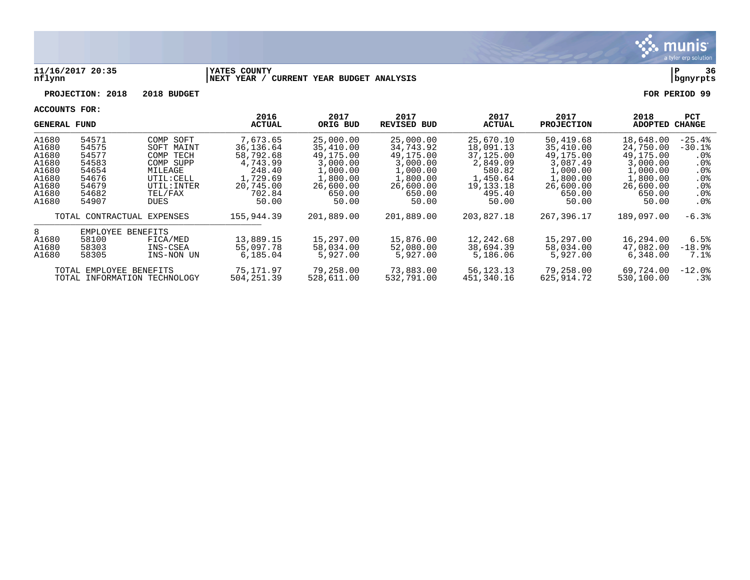

#### **11/16/2017 20:35 |YATES COUNTY |P 36 nflynn |NEXT YEAR / CURRENT YEAR BUDGET ANALYSIS |bgnyrpts**

**PROJECTION: 2018 2018 BUDGET FOR PERIOD 99**

| GENERAL FUND |                         |                              | 2016<br><b>ACTUAL</b> | 2017<br>ORIG BUD | 2017<br>REVISED BUD | 2017<br><b>ACTUAL</b> | 2017<br><b>PROJECTION</b> | 2018<br><b>ADOPTED</b> | <b>PCT</b><br><b>CHANGE</b> |
|--------------|-------------------------|------------------------------|-----------------------|------------------|---------------------|-----------------------|---------------------------|------------------------|-----------------------------|
| A1680        | 54571                   | COMP SOFT                    | 7,673.65              | 25,000.00        | 25,000.00           | 25,670.10             | 50,419.68                 | 18,648.00              | $-25.4%$                    |
| A1680        | 54575                   | SOFT MAINT                   | 36,136.64             | 35,410.00        | 34,743.92           | 18,091.13             | 35,410.00                 | 24,750.00              | $-30.1%$                    |
| A1680        | 54577                   | COMP<br>TECH                 | 58,792.68             | 49,175.00        | 49,175.00           | 37,125,00             | 49,175.00                 | 49,175.00              | .0%                         |
| A1680        | 54583                   | COMP SUPP                    | 4,743.99              | 3,000.00         | 3,000.00            | 2,849.09              | 3,087.49                  | 3,000.00               | .0 <sub>8</sub>             |
| A1680        | 54654                   | MILEAGE                      | 248.40                | 1,000.00         | 1,000.00            | 580.82                | 1,000.00                  | 1,000.00               | .0 <sub>8</sub>             |
| A1680        | 54676                   | UTIL: CELL                   | 1,729.69              | 1,800.00         | 1,800.00            | 1,450.64              | 1,800.00                  | 1,800.00               | $.0\%$                      |
| A1680        | 54679                   | UTIL: INTER                  | 20,745.00             | 26,600.00        | 26,600.00           | 19,133.18             | 26,600.00                 | 26,600.00              | . 0%                        |
| A1680        | 54682                   | TEL/FAX                      | 702.84                | 650.00           | 650.00              | 495.40                | 650.00                    | 650.00                 | . 0%                        |
| A1680        | 54907                   | DUES                         | 50.00                 | 50.00            | 50.00               | 50.00                 | 50.00                     | 50.00                  | .0%                         |
|              |                         | TOTAL CONTRACTUAL EXPENSES   | 155,944.39            | 201,889.00       | 201,889.00          | 203,827.18            | 267,396.17                | 189,097.00             | $-6.3%$                     |
| 8            | EMPLOYEE                | <b>BENEFITS</b>              |                       |                  |                     |                       |                           |                        |                             |
| A1680        | 58100                   | FICA/MED                     | 13,889.15             | 15,297.00        | 15,876.00           | 12,242.68             | 15,297.00                 | 16,294.00              | 6.5%                        |
| A1680        | 58303                   | INS-CSEA                     | 55,097.78             | 58,034.00        | 52,080.00           | 38,694.39             | 58,034.00                 | 47,082.00              | $-18.9%$                    |
| A1680        | 58305                   | INS-NON UN                   | 6,185.04              | 5,927.00         | 5,927.00            | 5,186.06              | 5,927.00                  | 6,348.00               | 7.1%                        |
|              | TOTAL EMPLOYEE BENEFITS |                              | 75,171.97             | 79,258.00        | 73,883.00           | 56,123.13             | 79,258.00                 | 69,724.00              | $-12.0$ °                   |
|              |                         | TOTAL INFORMATION TECHNOLOGY | 504, 251.39           | 528,611.00       | 532,791.00          | 451,340.16            | 625,914.72                | 530,100.00             | $.3\%$                      |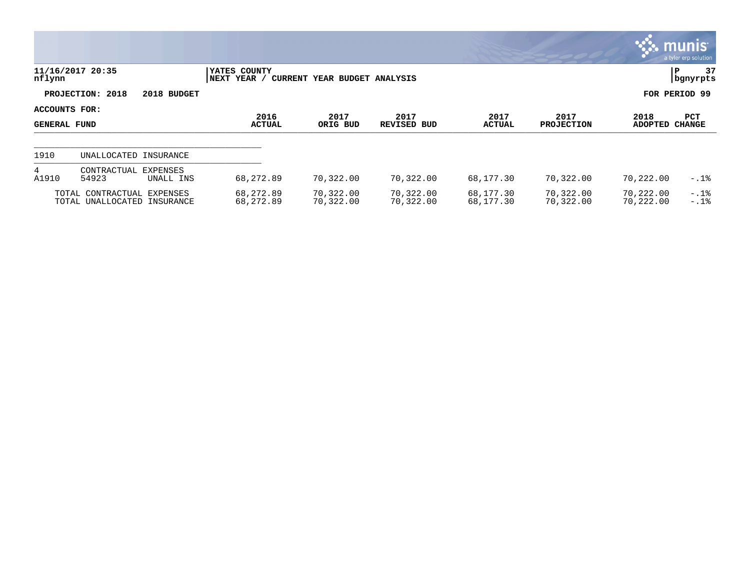|                                      |                                                           |             |                             |                              |                            |                        |                           |                        | <b>munis</b><br>a tyler erp solution |
|--------------------------------------|-----------------------------------------------------------|-------------|-----------------------------|------------------------------|----------------------------|------------------------|---------------------------|------------------------|--------------------------------------|
| nflynn                               | 11/16/2017 20:35                                          |             | YATES COUNTY<br>NEXT YEAR / | CURRENT YEAR BUDGET ANALYSIS |                            |                        |                           |                        | 37<br>P<br>  bgnyrpts                |
|                                      | PROJECTION: 2018                                          | 2018 BUDGET |                             |                              |                            |                        |                           |                        | FOR PERIOD 99                        |
| ACCOUNTS FOR:<br><b>GENERAL FUND</b> |                                                           |             | 2016<br><b>ACTUAL</b>       | 2017<br>ORIG BUD             | 2017<br><b>REVISED BUD</b> | 2017<br><b>ACTUAL</b>  | 2017<br><b>PROJECTION</b> | 2018<br><b>ADOPTED</b> | <b>PCT</b><br><b>CHANGE</b>          |
| 1910                                 | UNALLOCATED INSURANCE                                     |             |                             |                              |                            |                        |                           |                        |                                      |
| 4<br>A1910                           | CONTRACTUAL<br>EXPENSES<br>54923                          | UNALL INS   | 68,272.89                   | 70,322.00                    | 70,322.00                  | 68,177.30              | 70,322.00                 | 70,222.00              | $-.1$ $%$                            |
|                                      | TOTAL CONTRACTUAL EXPENSES<br>TOTAL UNALLOCATED INSURANCE |             | 68,272.89<br>68,272.89      | 70,322.00<br>70,322.00       | 70,322.00<br>70,322.00     | 68,177.30<br>68,177.30 | 70,322.00<br>70,322.00    | 70,222.00<br>70,222.00 | $-.1%$<br>$-.1$ %                    |

 $\bullet$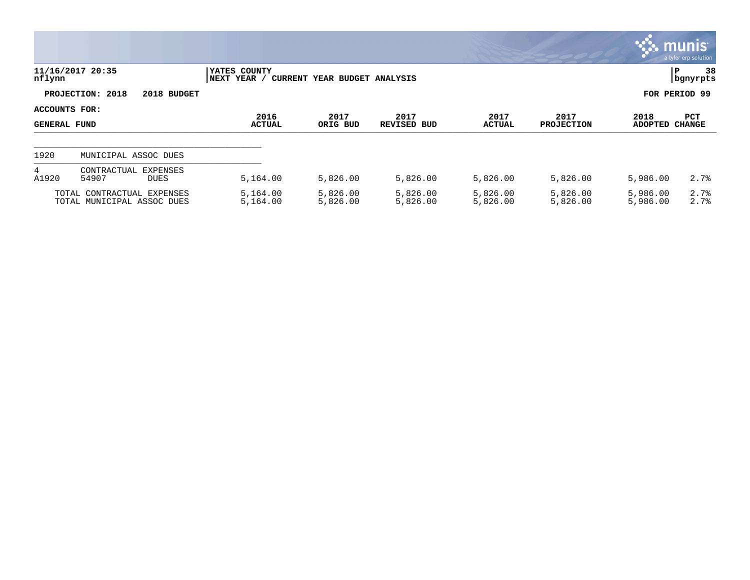|                                      |                                                          |                             |                              |                            |                       |                           |                      | , munis <sup>.</sup><br>a tyler erp solution |
|--------------------------------------|----------------------------------------------------------|-----------------------------|------------------------------|----------------------------|-----------------------|---------------------------|----------------------|----------------------------------------------|
| nflynn                               | 11/16/2017 20:35                                         | YATES COUNTY<br>NEXT YEAR / | CURRENT YEAR BUDGET ANALYSIS |                            |                       |                           |                      | 38<br>lР<br>  bgnyrpts                       |
|                                      | PROJECTION: 2018<br>2018 BUDGET                          |                             |                              |                            |                       |                           |                      | FOR PERIOD 99                                |
| ACCOUNTS FOR:<br><b>GENERAL FUND</b> |                                                          | 2016<br><b>ACTUAL</b>       | 2017<br>ORIG BUD             | 2017<br><b>REVISED BUD</b> | 2017<br><b>ACTUAL</b> | 2017<br><b>PROJECTION</b> | 2018<br>ADOPTED      | <b>PCT</b><br>CHANGE                         |
| 1920                                 | MUNICIPAL ASSOC DUES                                     |                             |                              |                            |                       |                           |                      |                                              |
| 4<br>A1920                           | EXPENSES<br>CONTRACTUAL<br>54907<br><b>DUES</b>          | 5,164.00                    | 5,826.00                     | 5,826.00                   | 5,826.00              | 5,826.00                  | 5,986.00             | 2.7%                                         |
|                                      | TOTAL CONTRACTUAL EXPENSES<br>TOTAL MUNICIPAL ASSOC DUES | 5,164.00<br>5,164.00        | 5,826.00<br>5,826.00         | 5,826.00<br>5,826.00       | 5,826.00<br>5,826.00  | 5,826.00<br>5,826.00      | 5,986.00<br>5,986.00 | 2.7%<br>2.7%                                 |

 $\bullet$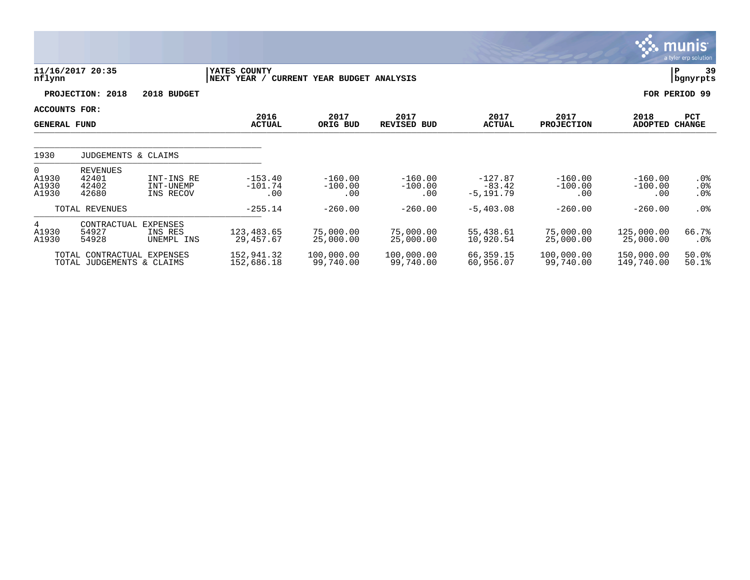|                                             |                                                         |                                          |                                     |                               |                               |                                       |                               |                                    | $\overline{\mathsf{m} \mathsf{u}}$ nıs<br>a tyler erp solution |
|---------------------------------------------|---------------------------------------------------------|------------------------------------------|-------------------------------------|-------------------------------|-------------------------------|---------------------------------------|-------------------------------|------------------------------------|----------------------------------------------------------------|
| nflynn                                      | 11/16/2017 20:35                                        |                                          | <b>IYATES COUNTY</b><br>NEXT YEAR / | CURRENT YEAR BUDGET ANALYSIS  |                               |                                       |                               |                                    | 39<br>ΙP<br>  bgnyrpts                                         |
|                                             | PROJECTION: 2018                                        | 2018 BUDGET                              |                                     |                               |                               |                                       |                               |                                    | FOR PERIOD 99                                                  |
| <b>ACCOUNTS FOR:</b><br><b>GENERAL FUND</b> |                                                         |                                          | 2016<br><b>ACTUAL</b>               | 2017<br>ORIG BUD              | 2017<br><b>REVISED BUD</b>    | 2017<br><b>ACTUAL</b>                 | 2017<br><b>PROJECTION</b>     | 2018<br><b>ADOPTED</b>             | PCT<br><b>CHANGE</b>                                           |
| 1930                                        | JUDGEMENTS & CLAIMS                                     |                                          |                                     |                               |                               |                                       |                               |                                    |                                                                |
| $\overline{0}$<br>A1930<br>A1930<br>A1930   | <b>REVENUES</b><br>42401<br>42402<br>42680              | INT-INS RE<br>INT-UNEMP<br>INS RECOV     | $-153.40$<br>$-101.74$<br>.00       | $-160.00$<br>$-100.00$<br>.00 | $-160.00$<br>$-100.00$<br>.00 | $-127.87$<br>$-83.42$<br>$-5, 191.79$ | $-160.00$<br>$-100.00$<br>.00 | $-160.00$<br>$-100.00$<br>$.00 \,$ | $.0\%$<br>.0%<br>.0%                                           |
|                                             | TOTAL REVENUES                                          |                                          | $-255.14$                           | $-260.00$                     | $-260.00$                     | $-5,403.08$                           | $-260.00$                     | $-260.00$                          | .0 <sub>8</sub>                                                |
| 4<br>A1930<br>A1930                         | CONTRACTUAL<br>54927<br>54928                           | <b>EXPENSES</b><br>INS RES<br>UNEMPL INS | 123, 483.65<br>29,457.67            | 75,000.00<br>25,000.00        | 75,000.00<br>25,000.00        | 55,438.61<br>10,920.54                | 75,000.00<br>25,000.00        | 125,000.00<br>25,000.00            | 66.7%<br>$.0\%$                                                |
|                                             | TOTAL CONTRACTUAL EXPENSES<br>TOTAL JUDGEMENTS & CLAIMS |                                          | 152,941.32<br>152,686.18            | 100,000.00<br>99,740.00       | 100,000.00<br>99,740.00       | 66,359.15<br>60,956.07                | 100,000.00<br>99,740.00       | 150,000.00<br>149,740.00           | 50.0%<br>$50.1$ $%$                                            |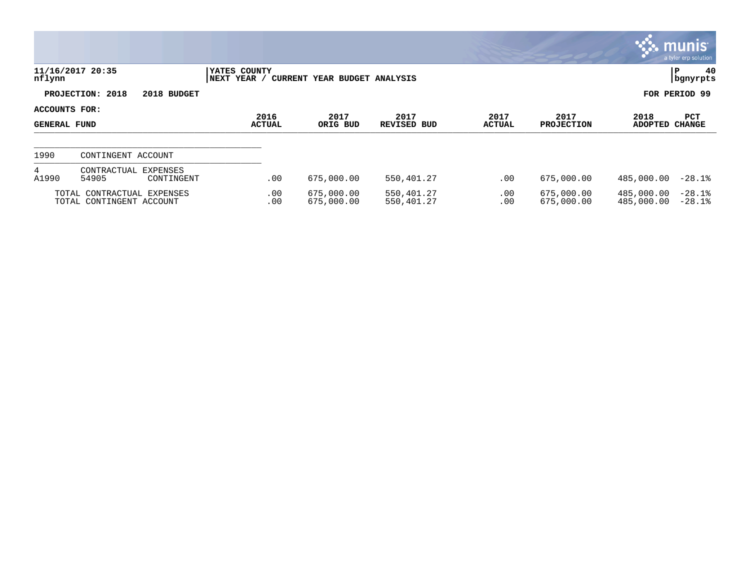|                                      |                                                        |                             |                              |                            |                 |                           |                          | $\mathbb{C}$ munis $\mathbb{C}^{\mathbb{N}}$<br>a tyler erp solution |
|--------------------------------------|--------------------------------------------------------|-----------------------------|------------------------------|----------------------------|-----------------|---------------------------|--------------------------|----------------------------------------------------------------------|
| nflynn                               | 11/16/2017 20:35                                       | YATES COUNTY<br>NEXT YEAR / | CURRENT YEAR BUDGET ANALYSIS |                            |                 |                           |                          | 40<br>P<br>  bgnyrpts                                                |
|                                      | PROJECTION: 2018<br>2018 BUDGET                        |                             |                              |                            |                 |                           |                          | FOR PERIOD 99                                                        |
| ACCOUNTS FOR:<br><b>GENERAL FUND</b> |                                                        | 2016<br><b>ACTUAL</b>       | 2017<br>ORIG BUD             | 2017<br><b>REVISED BUD</b> | 2017<br>ACTUAL  | 2017<br><b>PROJECTION</b> | 2018<br><b>ADOPTED</b>   | PCT<br><b>CHANGE</b>                                                 |
| 1990                                 | CONTINGENT ACCOUNT                                     |                             |                              |                            |                 |                           |                          |                                                                      |
| 4<br>A1990                           | CONTRACTUAL EXPENSES<br>54905<br>CONTINGENT            | .00                         | 675,000.00                   | 550,401.27                 | $.00 \,$        | 675,000.00                | 485,000.00               | $-28.1%$                                                             |
|                                      | TOTAL CONTRACTUAL EXPENSES<br>TOTAL CONTINGENT ACCOUNT | .00<br>.00                  | 675,000.00<br>675,000.00     | 550,401.27<br>550,401.27   | $.00 \,$<br>.00 | 675,000.00<br>675,000.00  | 485,000.00<br>485,000.00 | $-28.1%$<br>$-28.1%$                                                 |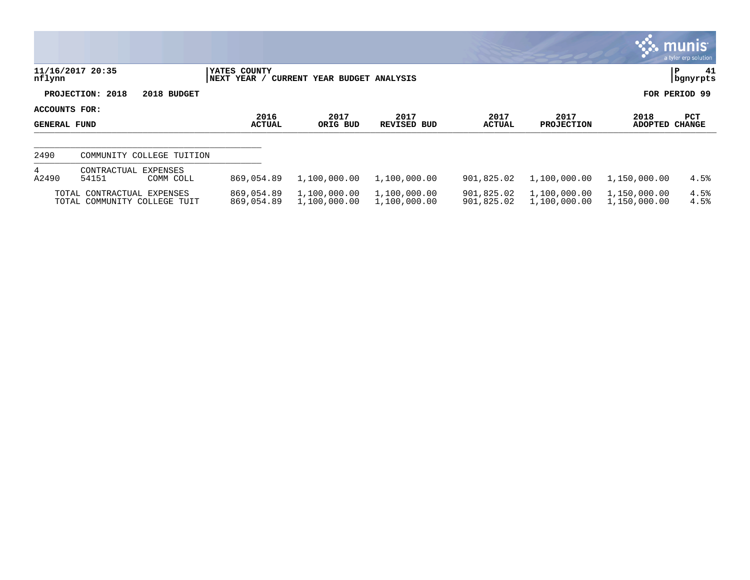|                               |                                                            |                              |                              |                              |                          |                              |                              | $\mathbb{C}$ munis<br>a tyler erp solution |
|-------------------------------|------------------------------------------------------------|------------------------------|------------------------------|------------------------------|--------------------------|------------------------------|------------------------------|--------------------------------------------|
| nflynn                        | 11/16/2017 20:35                                           | YATES COUNTY<br> NEXT YEAR / | CURRENT YEAR BUDGET ANALYSIS |                              |                          |                              |                              | 41<br> P<br>  bgnyrpts                     |
|                               | PROJECTION: 2018<br>2018 BUDGET                            |                              |                              |                              |                          |                              |                              | FOR PERIOD 99                              |
| ACCOUNTS FOR:<br>GENERAL FUND |                                                            | 2016<br><b>ACTUAL</b>        | 2017<br>ORIG BUD             | 2017<br>REVISED BUD          | 2017<br><b>ACTUAL</b>    | 2017<br><b>PROJECTION</b>    | 2018<br><b>ADOPTED</b>       | PCT<br><b>CHANGE</b>                       |
| 2490                          | COMMUNITY COLLEGE TUITION                                  |                              |                              |                              |                          |                              |                              |                                            |
| $4\overline{ }$<br>A2490      | CONTRACTUAL<br><b>EXPENSES</b><br>54151<br>COMM COLL       | 869,054.89                   | 1,100,000.00                 | 1,100,000.00                 | 901,825.02               | 1,100,000.00                 | 1,150,000.00                 | 4.5%                                       |
|                               | TOTAL CONTRACTUAL EXPENSES<br>TOTAL COMMUNITY COLLEGE TUIT | 869,054.89<br>869,054.89     | 1,100,000.00<br>1,100,000.00 | 1,100,000.00<br>1,100,000.00 | 901,825.02<br>901,825.02 | 1,100,000.00<br>1,100,000.00 | 1,150,000.00<br>1,150,000.00 | 4.5%<br>4.5%                               |

**COL**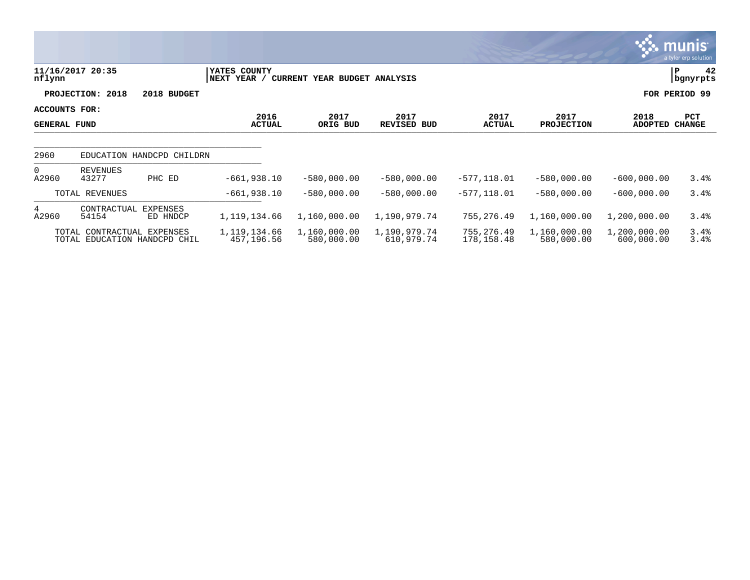|                                      |                                                            |                             |                              |                            |                          |                            |                            | munis'<br>a tyler erp solution |
|--------------------------------------|------------------------------------------------------------|-----------------------------|------------------------------|----------------------------|--------------------------|----------------------------|----------------------------|--------------------------------|
| nflynn                               | 11/16/2017 20:35                                           | YATES COUNTY<br>NEXT YEAR / | CURRENT YEAR BUDGET ANALYSIS |                            |                          |                            |                            | 42<br>P<br>bgnyrpts            |
|                                      | PROJECTION: 2018                                           | 2018 BUDGET                 |                              |                            |                          |                            |                            | FOR PERIOD 99                  |
| ACCOUNTS FOR:<br><b>GENERAL FUND</b> |                                                            | 2016<br><b>ACTUAL</b>       | 2017<br>ORIG BUD             | 2017<br><b>REVISED BUD</b> | 2017<br><b>ACTUAL</b>    | 2017<br><b>PROJECTION</b>  | 2018<br><b>ADOPTED</b>     | PCT<br><b>CHANGE</b>           |
| 2960                                 | EDUCATION HANDCPD CHILDRN                                  |                             |                              |                            |                          |                            |                            |                                |
| $\Omega$<br>A2960                    | REVENUES<br>43277<br>PHC ED                                | $-661,938.10$               | $-580,000.00$                | $-580,000.00$              | $-577, 118.01$           | $-580,000.00$              | $-600,000.00$              | 3.4%                           |
|                                      | TOTAL REVENUES                                             | $-661,938.10$               | $-580,000.00$                | $-580,000.00$              | $-577,118.01$            | $-580,000.00$              | $-600,000.00$              | 3.4%                           |
| 4<br>A2960                           | CONTRACTUAL<br>EXPENSES<br>54154                           | 1, 119, 134.66<br>ED HNDCP  | 1,160,000.00                 | 1,190,979.74               | 755,276.49               | 1,160,000.00               | 1,200,000.00               | 3.4%                           |
|                                      | TOTAL CONTRACTUAL EXPENSES<br>TOTAL EDUCATION HANDCPD CHIL | 1,119,134.66<br>457,196.56  | 1,160,000.00<br>580,000.00   | 1,190,979.74<br>610,979.74 | 755,276.49<br>178,158.48 | 1,160,000.00<br>580,000.00 | 1,200,000.00<br>600,000.00 | 3.4%<br>3.4%                   |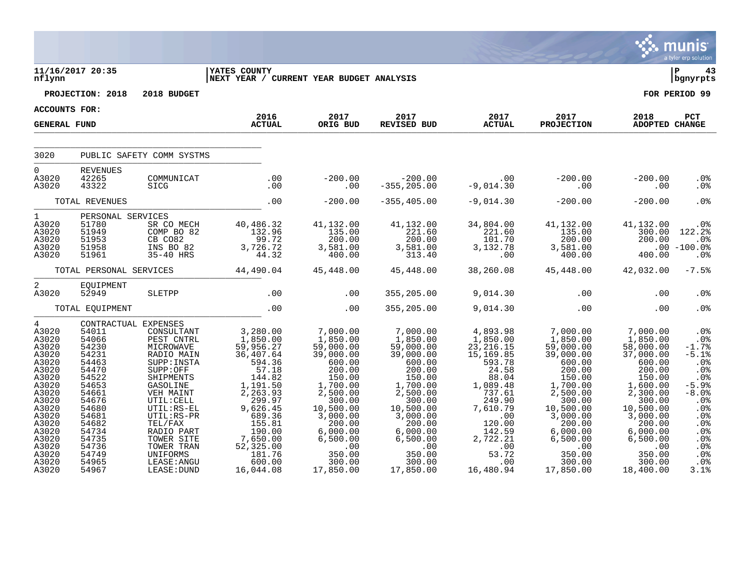|                                                                                                                                                            |                                                                                                                                                                               |                                                                                                                                                                                                                                 |                                                                                                                                                                                            |                                                                                                                                                                                                   |                                                                                                                                                                                            |                                                                                                                                                                                |                                                                                                                                                                                                 |                                                                                                                                                                                            | a tyler erp solution                                                                                                                                        |
|------------------------------------------------------------------------------------------------------------------------------------------------------------|-------------------------------------------------------------------------------------------------------------------------------------------------------------------------------|---------------------------------------------------------------------------------------------------------------------------------------------------------------------------------------------------------------------------------|--------------------------------------------------------------------------------------------------------------------------------------------------------------------------------------------|---------------------------------------------------------------------------------------------------------------------------------------------------------------------------------------------------|--------------------------------------------------------------------------------------------------------------------------------------------------------------------------------------------|--------------------------------------------------------------------------------------------------------------------------------------------------------------------------------|-------------------------------------------------------------------------------------------------------------------------------------------------------------------------------------------------|--------------------------------------------------------------------------------------------------------------------------------------------------------------------------------------------|-------------------------------------------------------------------------------------------------------------------------------------------------------------|
| nflynn                                                                                                                                                     | 11/16/2017 20:35                                                                                                                                                              |                                                                                                                                                                                                                                 | <b> YATES COUNTY</b><br> NEXT YEAR / CURRENT YEAR BUDGET ANALYSIS                                                                                                                          |                                                                                                                                                                                                   |                                                                                                                                                                                            |                                                                                                                                                                                |                                                                                                                                                                                                 |                                                                                                                                                                                            | l P<br>43<br>  bgnyrpts                                                                                                                                     |
|                                                                                                                                                            | PROJECTION: 2018                                                                                                                                                              | 2018 BUDGET                                                                                                                                                                                                                     |                                                                                                                                                                                            |                                                                                                                                                                                                   |                                                                                                                                                                                            |                                                                                                                                                                                |                                                                                                                                                                                                 |                                                                                                                                                                                            | FOR PERIOD 99                                                                                                                                               |
| <b>ACCOUNTS FOR:</b>                                                                                                                                       |                                                                                                                                                                               |                                                                                                                                                                                                                                 |                                                                                                                                                                                            |                                                                                                                                                                                                   |                                                                                                                                                                                            |                                                                                                                                                                                |                                                                                                                                                                                                 |                                                                                                                                                                                            |                                                                                                                                                             |
| <b>GENERAL FUND</b>                                                                                                                                        |                                                                                                                                                                               |                                                                                                                                                                                                                                 | 2016<br><b>ACTUAL</b>                                                                                                                                                                      | 2017<br>ORIG BUD                                                                                                                                                                                  | 2017<br><b>REVISED BUD</b>                                                                                                                                                                 | 2017<br><b>ACTUAL</b>                                                                                                                                                          | 2017<br><b>PROJECTION</b>                                                                                                                                                                       | 2018<br>ADOPTED CHANGE                                                                                                                                                                     | <b>PCT</b>                                                                                                                                                  |
| 3020                                                                                                                                                       |                                                                                                                                                                               | PUBLIC SAFETY COMM SYSTMS                                                                                                                                                                                                       |                                                                                                                                                                                            |                                                                                                                                                                                                   |                                                                                                                                                                                            |                                                                                                                                                                                |                                                                                                                                                                                                 |                                                                                                                                                                                            |                                                                                                                                                             |
| $\Omega$<br>A3020<br>A3020                                                                                                                                 | <b>REVENUES</b><br>42265<br>43322                                                                                                                                             | COMMUNICAT<br>SICG                                                                                                                                                                                                              | .00<br>.00                                                                                                                                                                                 | $-200.00$<br>.00                                                                                                                                                                                  | $-200.00$<br>$-355, 205.00$                                                                                                                                                                | .00<br>$-9,014.30$                                                                                                                                                             | $-200.00$<br>.00                                                                                                                                                                                | $-200.00$<br>.00                                                                                                                                                                           | .0 <sub>8</sub><br>.0%                                                                                                                                      |
|                                                                                                                                                            | TOTAL REVENUES                                                                                                                                                                |                                                                                                                                                                                                                                 | .00                                                                                                                                                                                        | $-200.00$                                                                                                                                                                                         | $-355, 405.00$                                                                                                                                                                             | $-9,014.30$                                                                                                                                                                    | $-200.00$                                                                                                                                                                                       | $-200.00$                                                                                                                                                                                  | .0%                                                                                                                                                         |
| $\mathbf{1}$<br>A3020<br>A3020<br>A3020<br>A3020<br>A3020                                                                                                  | PERSONAL SERVICES<br>51780<br>51949<br>51953<br>51958<br>51961                                                                                                                | SR CO MECH<br>COMP BO 82<br>CB CO82<br>INS BO 82<br>35-40 HRS                                                                                                                                                                   | 40,486.32<br>132.96<br>99.72<br>3,726.72<br>44.32                                                                                                                                          | 41,132.00<br>135.00<br>200.00<br>3,581.00<br>400.00                                                                                                                                               | 41,132.00<br>221.60<br>200.00<br>3,581.00<br>313.40                                                                                                                                        | 34,804.00<br>221.60<br>101.70<br>3,132.78<br>.00                                                                                                                               | 41,132.00<br>135.00<br>200.00<br>3,581.00<br>400.00                                                                                                                                             | 41,132.00<br>300.00<br>200.00<br>400.00                                                                                                                                                    | .0%<br>122.2%<br>.0%<br>$.00 - 100.0$<br>.0 <sub>8</sub>                                                                                                    |
|                                                                                                                                                            | TOTAL PERSONAL SERVICES                                                                                                                                                       |                                                                                                                                                                                                                                 | 44,490.04                                                                                                                                                                                  | 45,448.00                                                                                                                                                                                         | 45,448.00                                                                                                                                                                                  | 38,260.08                                                                                                                                                                      | 45,448.00                                                                                                                                                                                       | 42,032.00                                                                                                                                                                                  | $-7.5%$                                                                                                                                                     |
| 2<br>A3020                                                                                                                                                 | EQUIPMENT<br>52949                                                                                                                                                            | SLETPP                                                                                                                                                                                                                          | .00                                                                                                                                                                                        | .00                                                                                                                                                                                               | 355,205.00                                                                                                                                                                                 | 9,014.30                                                                                                                                                                       | .00                                                                                                                                                                                             | .00                                                                                                                                                                                        | .0%                                                                                                                                                         |
|                                                                                                                                                            | TOTAL EQUIPMENT                                                                                                                                                               |                                                                                                                                                                                                                                 | .00                                                                                                                                                                                        | .00                                                                                                                                                                                               | 355,205.00                                                                                                                                                                                 | 9,014.30                                                                                                                                                                       | .00                                                                                                                                                                                             | .00                                                                                                                                                                                        | .0%                                                                                                                                                         |
| 4<br>A3020<br>A3020<br>A3020<br>A3020<br>A3020<br>A3020<br>A3020<br>A3020<br>A3020<br>A3020<br>A3020<br>A3020<br>A3020<br>A3020<br>A3020<br>A3020<br>A3020 | CONTRACTUAL EXPENSES<br>54011<br>54066<br>54230<br>54231<br>54463<br>54470<br>54522<br>54653<br>54661<br>54676<br>54680<br>54681<br>54682<br>54734<br>54735<br>54736<br>54749 | CONSULTANT<br>PEST CNTRL<br>MICROWAVE<br>RADIO MAIN<br>SUPP: INSTA<br>SUPP:OFF<br>SHIPMENTS<br>GASOLINE<br>VEH MAINT<br>UTIL: CELL<br>UTIL:RS-EL<br>UTIL:RS-PR<br>TEL/FAX<br>RADIO PART<br>TOWER SITE<br>TOWER TRAN<br>UNIFORMS | 3,280.00<br>1,850.00<br>59,956.27<br>36,407.64<br>594.36<br>57.18<br>144.82<br>1,191.50<br>2,263.93<br>299.97<br>9,626.45<br>689.36<br>155.81<br>190.00<br>7,650.00<br>52,325.00<br>181.76 | 7,000.00<br>1,850.00<br>59,000.00<br>39,000.00<br>600.00<br>200.00<br>150.00<br>1,700.00<br>2,500.00<br>300.00<br>10,500.00<br>3,000.00<br>200.00<br>6,000.00<br>6,500.00<br>$\cdot$ 00<br>350.00 | 7,000.00<br>1,850.00<br>59,000.00<br>39,000.00<br>600.00<br>200.00<br>150.00<br>1,700.00<br>2,500.00<br>300.00<br>10,500.00<br>3,000.00<br>200.00<br>6,000.00<br>6,500.00<br>.00<br>350.00 | 4,893.98<br>1,850.00<br>23, 216.15<br>15,169.85<br>593.78<br>24.58<br>88.04<br>1,089.48<br>737.61<br>249.90<br>7,610.79<br>.00<br>120.00<br>142.59<br>2,722.21<br>.00<br>53.72 | 7,000.00<br>1,850.00<br>59,000.00<br>39,000.00<br>600.00<br>200.00<br>150.00<br>1,700.00<br>2,500.00<br>300.00<br>10,500.00<br>3,000.00<br>200.00<br>6,000.00<br>6,500.00<br>$.00 \,$<br>350.00 | 7,000.00<br>1,850.00<br>58,000.00<br>37,000.00<br>600.00<br>200.00<br>150.00<br>1,600.00<br>2,300.00<br>300.00<br>10,500.00<br>3,000.00<br>200.00<br>6,000.00<br>6,500.00<br>.00<br>350.00 | .0 <sub>8</sub><br>.0 <sub>8</sub><br>$-1.7%$<br>$-5.1%$<br>.0%<br>.0%<br>.0%<br>$-5.9%$<br>$-8.0%$<br>.0%<br>.0%<br>.0%<br>.0%<br>.0%<br>.0%<br>.0%<br>.0% |
| A3020<br>A3020                                                                                                                                             | 54965<br>54967                                                                                                                                                                | LEASE: ANGU<br>LEASE: DUND                                                                                                                                                                                                      | 600.00<br>16,044.08                                                                                                                                                                        | 300.00<br>17,850.00                                                                                                                                                                               | 300.00<br>17,850.00                                                                                                                                                                        | .00<br>16,480.94                                                                                                                                                               | 300.00<br>17,850.00                                                                                                                                                                             | 300.00<br>18,400.00                                                                                                                                                                        | .0%<br>3.1%                                                                                                                                                 |

 $\ddot{\mathbf{u}}$  munis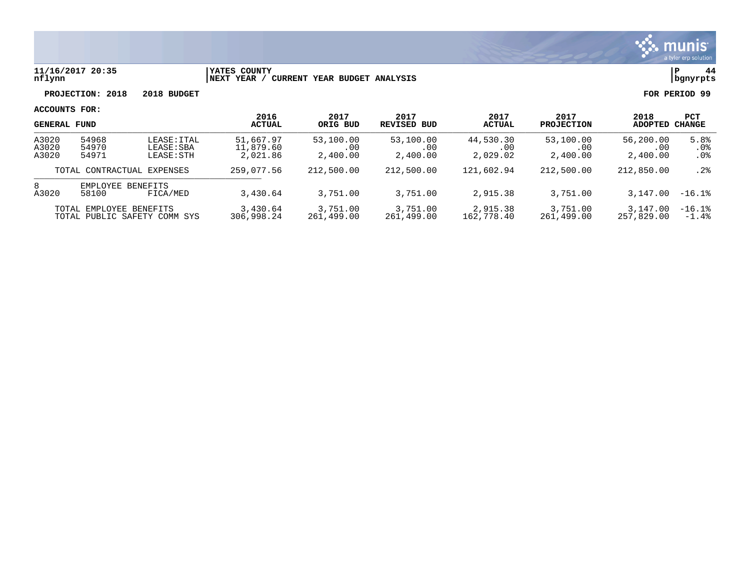

#### **11/16/2017 20:35 |YATES COUNTY |P 44 nflynn |NEXT YEAR / CURRENT YEAR BUDGET ANALYSIS |bgnyrpts**

**PROJECTION: 2018 2018 BUDGET FOR PERIOD 99**

| <b>GENERAL FUND</b>     |                         | 2016<br><b>ACTUAL</b>                  | 2017<br>ORIG BUD                   | 2017<br>REVISED BUD          | 2017<br><b>ACTUAL</b>        | 2017<br><b>PROJECTION</b>     | 2018<br><b>ADOPTED</b>       | PCT<br>CHANGE                |                       |
|-------------------------|-------------------------|----------------------------------------|------------------------------------|------------------------------|------------------------------|-------------------------------|------------------------------|------------------------------|-----------------------|
| A3020<br>A3020<br>A3020 | 54968<br>54970<br>54971 | LEASE: ITAL<br>LEASE: SBA<br>LEASE:STH | 51,667.97<br>11,879.60<br>2,021.86 | 53,100.00<br>.00<br>2,400.00 | 53,100.00<br>.00<br>2,400.00 | 44,530.30<br>.00.<br>2,029.02 | 53,100.00<br>.00<br>2,400.00 | 56,200.00<br>.00<br>2,400.00 | 5.8%<br>.0%<br>$.0\%$ |
|                         |                         | TOTAL CONTRACTUAL EXPENSES             | 259,077.56                         | 212,500.00                   | 212,500.00                   | 121,602.94                    | 212,500.00                   | 212,850.00                   | .2%                   |
| 8<br>A3020              | 58100                   | EMPLOYEE BENEFITS<br>FICA/MED          | 3,430.64                           | 3,751.00                     | 3,751.00                     | 2,915.38                      | 3,751.00                     | 3,147.00                     | $-16.1%$              |
|                         | TOTAL EMPLOYEE BENEFITS | TOTAL PUBLIC SAFETY COMM SYS           | 3,430.64<br>306,998.24             | 3,751.00<br>261,499.00       | 3,751.00<br>261,499.00       | 2,915.38<br>162,778.40        | 3,751.00<br>261,499.00       | 3,147.00<br>257,829,00       | $-16.1%$<br>$-1.4%$   |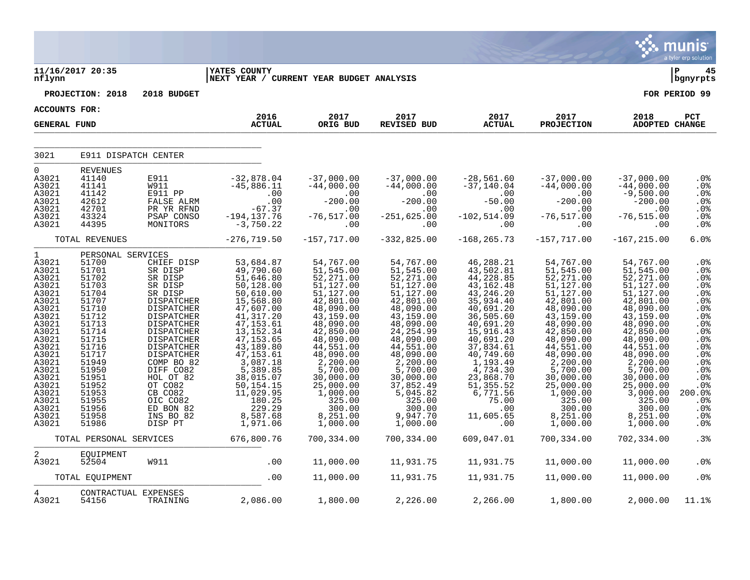|                                                                                                                                                                                                                   |                                                                                                                                                                                                                         |                                                                                                                                                                                                                                                                                                     |                                                                                                                                                                                                                                                                                         |                                                                                                                                                                                                                                                                                 |                                                                                                                                                                                                                                                                                   |                                                                                                                                                                                                                                                                            |                                                                                                                                                                                                                                                                                 |                                                                                                                                                                                                                                                                                  | munis<br>a tyler erp solution                                                                                                                                                                                |
|-------------------------------------------------------------------------------------------------------------------------------------------------------------------------------------------------------------------|-------------------------------------------------------------------------------------------------------------------------------------------------------------------------------------------------------------------------|-----------------------------------------------------------------------------------------------------------------------------------------------------------------------------------------------------------------------------------------------------------------------------------------------------|-----------------------------------------------------------------------------------------------------------------------------------------------------------------------------------------------------------------------------------------------------------------------------------------|---------------------------------------------------------------------------------------------------------------------------------------------------------------------------------------------------------------------------------------------------------------------------------|-----------------------------------------------------------------------------------------------------------------------------------------------------------------------------------------------------------------------------------------------------------------------------------|----------------------------------------------------------------------------------------------------------------------------------------------------------------------------------------------------------------------------------------------------------------------------|---------------------------------------------------------------------------------------------------------------------------------------------------------------------------------------------------------------------------------------------------------------------------------|----------------------------------------------------------------------------------------------------------------------------------------------------------------------------------------------------------------------------------------------------------------------------------|--------------------------------------------------------------------------------------------------------------------------------------------------------------------------------------------------------------|
| nflynn                                                                                                                                                                                                            | 11/16/2017 20:35                                                                                                                                                                                                        |                                                                                                                                                                                                                                                                                                     | <b>YATES COUNTY</b><br> NEXT YEAR / CURRENT YEAR BUDGET ANALYSIS                                                                                                                                                                                                                        |                                                                                                                                                                                                                                                                                 |                                                                                                                                                                                                                                                                                   |                                                                                                                                                                                                                                                                            |                                                                                                                                                                                                                                                                                 |                                                                                                                                                                                                                                                                                  | ∣P<br>45<br>bgnyrpts                                                                                                                                                                                         |
|                                                                                                                                                                                                                   | PROJECTION: 2018                                                                                                                                                                                                        | 2018 BUDGET                                                                                                                                                                                                                                                                                         |                                                                                                                                                                                                                                                                                         |                                                                                                                                                                                                                                                                                 |                                                                                                                                                                                                                                                                                   |                                                                                                                                                                                                                                                                            |                                                                                                                                                                                                                                                                                 |                                                                                                                                                                                                                                                                                  | FOR PERIOD 99                                                                                                                                                                                                |
| <b>ACCOUNTS FOR:</b>                                                                                                                                                                                              |                                                                                                                                                                                                                         |                                                                                                                                                                                                                                                                                                     |                                                                                                                                                                                                                                                                                         |                                                                                                                                                                                                                                                                                 |                                                                                                                                                                                                                                                                                   |                                                                                                                                                                                                                                                                            |                                                                                                                                                                                                                                                                                 |                                                                                                                                                                                                                                                                                  |                                                                                                                                                                                                              |
| <b>GENERAL FUND</b>                                                                                                                                                                                               |                                                                                                                                                                                                                         |                                                                                                                                                                                                                                                                                                     | 2016<br><b>ACTUAL</b>                                                                                                                                                                                                                                                                   | 2017<br>ORIG BUD                                                                                                                                                                                                                                                                | 2017<br><b>REVISED BUD</b>                                                                                                                                                                                                                                                        | 2017<br><b>ACTUAL</b>                                                                                                                                                                                                                                                      | 2017<br><b>PROJECTION</b>                                                                                                                                                                                                                                                       | 2018<br>ADOPTED CHANGE                                                                                                                                                                                                                                                           | PCT                                                                                                                                                                                                          |
| 3021                                                                                                                                                                                                              | E911 DISPATCH CENTER                                                                                                                                                                                                    |                                                                                                                                                                                                                                                                                                     |                                                                                                                                                                                                                                                                                         |                                                                                                                                                                                                                                                                                 |                                                                                                                                                                                                                                                                                   |                                                                                                                                                                                                                                                                            |                                                                                                                                                                                                                                                                                 |                                                                                                                                                                                                                                                                                  |                                                                                                                                                                                                              |
| $\overline{0}$<br>A3021<br>A3021<br>A3021<br>A3021<br>A3021<br>A3021<br>A3021                                                                                                                                     | <b>REVENUES</b><br>41140<br>41141<br>41142<br>42612<br>42701<br>43324<br>44395                                                                                                                                          | E911<br>W911<br>E911 PP<br>FALSE ALRM<br>PR YR RFND<br>PSAP CONSO<br>MONITORS                                                                                                                                                                                                                       | $-32,878.04$<br>$-45,886.11$<br>.00<br>.00<br>$-67.37$<br>$-194, 137.76$<br>$-3,750.22$                                                                                                                                                                                                 | $-37,000.00$<br>$-44,000.00$<br>.00<br>$-200.00$<br>.00<br>$-76, 517.00$<br>.00                                                                                                                                                                                                 | $-37,000.00$<br>$-44,000.00$<br>.00<br>$-200.00$<br>.00<br>$-251,625.00$<br>.00                                                                                                                                                                                                   | $-28,561.60$<br>$-37,140.04$<br>.00<br>$-50.00$<br>.00<br>$-102, 514.09$<br>.00                                                                                                                                                                                            | $-37,000.00$<br>$-44,000.00$<br>.00<br>$-200.00$<br>.00<br>$-76, 517.00$<br>.00                                                                                                                                                                                                 | $-37,000.00$<br>$-44,000.00$<br>$-9,500.00$<br>$-200.00$<br>.00<br>$-76, 515.00$<br>.00                                                                                                                                                                                          | .0 <sub>8</sub><br>.0%<br>.0%<br>.0%<br>.0%<br>.0%<br>.0%                                                                                                                                                    |
|                                                                                                                                                                                                                   | TOTAL REVENUES                                                                                                                                                                                                          |                                                                                                                                                                                                                                                                                                     | $-276, 719.50$                                                                                                                                                                                                                                                                          | $-157, 717.00$                                                                                                                                                                                                                                                                  | $-332,825.00$                                                                                                                                                                                                                                                                     | $-168, 265.73$                                                                                                                                                                                                                                                             | $-157, 717.00$                                                                                                                                                                                                                                                                  | $-167, 215.00$                                                                                                                                                                                                                                                                   | 6.0%                                                                                                                                                                                                         |
| $\mathbf 1$<br>A3021<br>A3021<br>A3021<br>A3021<br>A3021<br>A3021<br>A3021<br>A3021<br>A3021<br>A3021<br>A3021<br>A3021<br>A3021<br>A3021<br>A3021<br>A3021<br>A3021<br>A3021<br>A3021<br>A3021<br>A3021<br>A3021 | PERSONAL SERVICES<br>51700<br>51701<br>51702<br>51703<br>51704<br>51707<br>51710<br>51712<br>51713<br>51714<br>51715<br>51716<br>51717<br>51949<br>51950<br>51951<br>51952<br>51953<br>51955<br>51956<br>51958<br>51986 | CHIEF DISP<br>SR DISP<br>SR DISP<br>SR DISP<br>SR DISP<br>DISPATCHER<br>DISPATCHER<br>DISPATCHER<br>DISPATCHER<br><b>DISPATCHER</b><br>DISPATCHER<br>DISPATCHER<br><b>DISPATCHER</b><br>COMP BO 82<br>DIFF CO82<br>HOL OT 82<br>OT CO82<br>CB CO82<br>OIC CO82<br>ED BON 82<br>INS BO 82<br>DISP PT | 53,684.87<br>49,790.60<br>51,646.80<br>50,128.00<br>50,610.00<br>15,568.80<br>47,607.00<br>41, 317.20<br>47, 153.61<br>13, 152.34<br>47, 153.65<br>43,189.80<br>47, 153.61<br>3,087.18<br>5,389.85<br>38,015.07<br>50, 154. 15<br>11,029.95<br>180.25<br>229.29<br>8,587.68<br>1,971.06 | 54,767.00<br>51,545.00<br>52,271.00<br>51,127.00<br>51,127.00<br>42,801.00<br>48,090.00<br>43,159.00<br>48,090.00<br>42,850.00<br>48,090.00<br>44,551.00<br>48,090.00<br>2,200.00<br>5,700.00<br>30,000.00<br>25,000.00<br>1,000.00<br>325.00<br>300.00<br>8,251.00<br>1,000.00 | 54,767.00<br>51,545.00<br>52,271.00<br>51,127.00<br>51, 127.00<br>42,801.00<br>48,090.00<br>43,159.00<br>48,090.00<br>24, 254.99<br>48,090.00<br>44,551.00<br>48,090.00<br>2,200.00<br>5,700.00<br>30,000.00<br>37,852.49<br>5,045.82<br>325.00<br>300.00<br>9,947.70<br>1,000.00 | 46,288.21<br>43,502.81<br>44,228.85<br>43, 162. 48<br>43,246.20<br>35,934.40<br>40,691.20<br>36,505.60<br>40,691.20<br>15,916.43<br>40,691.20<br>37,834.61<br>40,749.60<br>1,193.49<br>4,734.30<br>23,868.70<br>51, 355.52<br>6,771.56<br>75.00<br>.00<br>11,605.65<br>.00 | 54,767.00<br>51,545.00<br>52,271.00<br>51,127.00<br>51,127.00<br>42,801.00<br>48,090.00<br>43,159.00<br>48,090.00<br>42,850.00<br>48,090.00<br>44,551.00<br>48,090.00<br>2,200.00<br>5,700.00<br>30,000.00<br>25,000.00<br>1,000.00<br>325.00<br>300.00<br>8,251.00<br>1,000.00 | 54,767.00<br>51,545.00<br>52,271.00<br>51,127.00<br>51, 127.00<br>42,801.00<br>48,090.00<br>43,159.00<br>48,090.00<br>42,850.00<br>48,090.00<br>44,551.00<br>48,090.00<br>2,200.00<br>5,700.00<br>30,000.00<br>25,000.00<br>3,000.00<br>325.00<br>300.00<br>8,251.00<br>1,000.00 | .0%<br>.0%<br>.0%<br>.0%<br>.0%<br>.0%<br>.0%<br>.0%<br>.0 <sub>8</sub><br>. $08$<br>.0%<br>.0 <sub>8</sub><br>.0%<br>.0%<br>.0%<br>.0%<br>.0%<br>200.0%<br>.0%<br>.0 <sub>8</sub><br>.0%<br>.0 <sub>8</sub> |
|                                                                                                                                                                                                                   | TOTAL PERSONAL SERVICES                                                                                                                                                                                                 |                                                                                                                                                                                                                                                                                                     | 676,800.76                                                                                                                                                                                                                                                                              | 700,334.00                                                                                                                                                                                                                                                                      | 700,334.00                                                                                                                                                                                                                                                                        | 609,047.01                                                                                                                                                                                                                                                                 | 700,334.00                                                                                                                                                                                                                                                                      | 702,334.00                                                                                                                                                                                                                                                                       | .3%                                                                                                                                                                                                          |
| $\overline{a}$<br>A3021                                                                                                                                                                                           | EQUIPMENT<br>52504                                                                                                                                                                                                      | W911                                                                                                                                                                                                                                                                                                | .00                                                                                                                                                                                                                                                                                     | 11,000.00                                                                                                                                                                                                                                                                       | 11,931.75                                                                                                                                                                                                                                                                         | 11,931.75                                                                                                                                                                                                                                                                  | 11,000.00                                                                                                                                                                                                                                                                       | 11,000.00                                                                                                                                                                                                                                                                        | .0%                                                                                                                                                                                                          |
|                                                                                                                                                                                                                   | TOTAL EQUIPMENT                                                                                                                                                                                                         |                                                                                                                                                                                                                                                                                                     | .00                                                                                                                                                                                                                                                                                     | 11,000.00                                                                                                                                                                                                                                                                       | 11,931.75                                                                                                                                                                                                                                                                         | 11,931.75                                                                                                                                                                                                                                                                  | 11,000.00                                                                                                                                                                                                                                                                       | 11,000.00                                                                                                                                                                                                                                                                        | .0%                                                                                                                                                                                                          |
| 4<br>A3021                                                                                                                                                                                                        | CONTRACTUAL EXPENSES<br>54156                                                                                                                                                                                           | TRAINING                                                                                                                                                                                                                                                                                            | 2,086.00                                                                                                                                                                                                                                                                                | 1,800.00                                                                                                                                                                                                                                                                        | 2,226.00                                                                                                                                                                                                                                                                          | 2,266.00                                                                                                                                                                                                                                                                   | 1,800.00                                                                                                                                                                                                                                                                        | 2,000.00                                                                                                                                                                                                                                                                         | 11.1%                                                                                                                                                                                                        |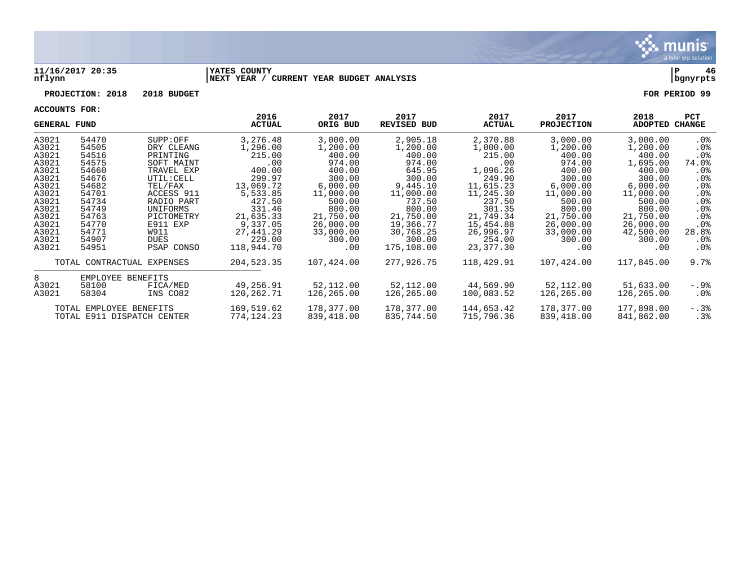

#### **11/16/2017 20:35 |YATES COUNTY |P 46 nflynn |NEXT YEAR / CURRENT YEAR BUDGET ANALYSIS |bgnyrpts**

# **PROJECTION: 2018 2018 BUDGET FOR PERIOD 99**

| <b>GENERAL FUND</b> |                            |                        | 2016<br>ACTUAL     | 2017<br>ORIG BUD   | 2017<br><b>REVISED BUD</b> | 2017<br><b>ACTUAL</b> | 2017<br><b>PROJECTION</b> | 2018<br>ADOPTED    | <b>PCT</b><br>CHANGE      |
|---------------------|----------------------------|------------------------|--------------------|--------------------|----------------------------|-----------------------|---------------------------|--------------------|---------------------------|
| A3021               | 54470                      | SUPP:OFF               | 3,276.48           | 3,000.00           | 2,905.18                   | 2,370.88              | 3,000.00                  | 3,000.00           | .0%                       |
| A3021<br>A3021      | 54505<br>54516             | DRY CLEANG<br>PRINTING | 1,296.00<br>215.00 | 1,200.00<br>400.00 | 1,200.00<br>400.00         | 1,000.00<br>215.00    | 1,200.00<br>400.00        | 1,200.00<br>400.00 | $.0\%$<br>.0 <sub>8</sub> |
| A3021               | 54575                      | SOFT MAINT             | $.00 \,$           | 974.00             | 974.00                     | $.00 \,$              | 974.00                    | 1,695.00           | 74.0%                     |
| A3021               | 54660                      | TRAVEL EXP             | 400.00             | 400.00             | 645.95                     | 1,096.26              | 400.00                    | 400.00             | . 0%                      |
| A3021               | 54676                      | UTIL: CELL             | 299.97             | 300.00             | 300.00                     | 249.90                | 300.00                    | 300.00             | .0%                       |
| A3021               | 54682                      | TEL/FAX                | 13,069.72          | 6,000.00           | 9,445.10                   | 11,615.23             | 6,000.00                  | 6,000.00           | .0%                       |
| A3021               | 54701                      | ACCESS 911             | 5,533.85           | 11,000.00          | 11,000.00                  | 11,245.30             | 11,000.00                 | 11,000.00          | $.0\%$                    |
| A3021               | 54734                      | RADIO PART             | 427.50             | 500.00             | 737.50                     | 237.50                | 500.00                    | 500.00             | .0%                       |
| A3021               | 54749                      | UNIFORMS               | 331.46             | 800.00             | 800.00                     | 301.35                | 800.00                    | 800.00             | .0%                       |
| A3021               | 54763                      | PICTOMETRY             | 21,635.33          | 21,750.00          | 21,750.00                  | 21,749.34             | 21,750.00                 | 21,750.00          | $.0\%$                    |
| A3021               | 54770                      | E911 EXP               | 9,337.05           | 26,000.00          | 19,366.77                  | 15,454.88             | 26,000.00                 | 26,000.00          | $.0\%$                    |
| A3021               | 54771                      | W911                   | 27,441.29          | 33,000.00          | 30,768.25                  | 26,996.97             | 33,000.00                 | 42,500.00          | 28.8%                     |
| A3021               | 54907                      | <b>DUES</b>            | 229.00             | 300.00             | 300.00                     | 254.00                | 300.00                    | 300.00             | . 0%                      |
| A3021               | 54951                      | PSAP CONSO             | 118,944.70         | .00                | 175,108.00                 | 23,377.30             | $.00 \,$                  | .00                | . 0%                      |
|                     | TOTAL CONTRACTUAL EXPENSES |                        | 204,523.35         | 107,424.00         | 277,926.75                 | 118,429.91            | 107,424.00                | 117,845.00         | 9.7%                      |
| 8                   | EMPLOYEE BENEFITS          |                        |                    |                    |                            |                       |                           |                    |                           |
| A3021               | 58100                      | FICA/MED               | 49,256.91          | 52,112.00          | 52,112.00                  | 44,569.90             | 52,112.00                 | 51,633.00          | -.9%                      |
| A3021               | 58304                      | INS CO82               | 120,262.71         | 126,265.00         | 126,265.00                 | 100,083.52            | 126,265.00                | 126,265.00         | .0%                       |
|                     | TOTAL EMPLOYEE BENEFITS    |                        | 169,519.62         | 178,377.00         | 178,377.00                 | 144,653.42            | 178,377.00                | 177,898.00         | $-.3$ $%$                 |
|                     | TOTAL E911 DISPATCH CENTER |                        | 774,124.23         | 839,418.00         | 835,744.50                 | 715,796.36            | 839,418.00                | 841,862.00         | .3%                       |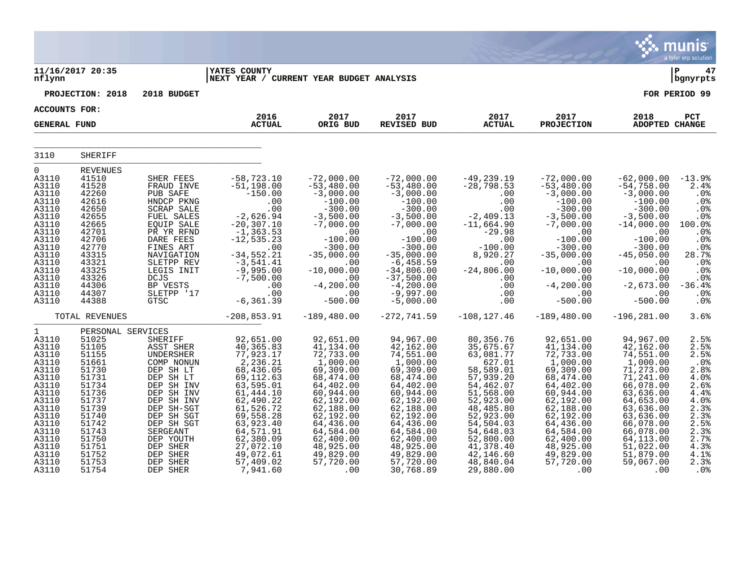|                                                                                                                                                                                |                                                                                                                                                                                     |                                                                                                                                                                                                                                              |                                                                                                                                                                                                                                         |                                                                                                                                                                                                                                 |                                                                                                                                                                                                                                                    |                                                                                                                                                                                                                                     |                                                                                                                                                                                                                                  |                                                                                                                                                                                                                                 | $\sim$ illullis<br>a tyler erp solution                                                                                                                                 |
|--------------------------------------------------------------------------------------------------------------------------------------------------------------------------------|-------------------------------------------------------------------------------------------------------------------------------------------------------------------------------------|----------------------------------------------------------------------------------------------------------------------------------------------------------------------------------------------------------------------------------------------|-----------------------------------------------------------------------------------------------------------------------------------------------------------------------------------------------------------------------------------------|---------------------------------------------------------------------------------------------------------------------------------------------------------------------------------------------------------------------------------|----------------------------------------------------------------------------------------------------------------------------------------------------------------------------------------------------------------------------------------------------|-------------------------------------------------------------------------------------------------------------------------------------------------------------------------------------------------------------------------------------|----------------------------------------------------------------------------------------------------------------------------------------------------------------------------------------------------------------------------------|---------------------------------------------------------------------------------------------------------------------------------------------------------------------------------------------------------------------------------|-------------------------------------------------------------------------------------------------------------------------------------------------------------------------|
| nflynn                                                                                                                                                                         | 11/16/2017 20:35                                                                                                                                                                    |                                                                                                                                                                                                                                              | <b>YATES COUNTY</b><br>NEXT YEAR / CURRENT YEAR BUDGET ANALYSIS                                                                                                                                                                         |                                                                                                                                                                                                                                 |                                                                                                                                                                                                                                                    |                                                                                                                                                                                                                                     |                                                                                                                                                                                                                                  |                                                                                                                                                                                                                                 | l P<br>47<br>  bgnyrpts                                                                                                                                                 |
|                                                                                                                                                                                | PROJECTION: 2018                                                                                                                                                                    | 2018 BUDGET                                                                                                                                                                                                                                  |                                                                                                                                                                                                                                         |                                                                                                                                                                                                                                 |                                                                                                                                                                                                                                                    |                                                                                                                                                                                                                                     |                                                                                                                                                                                                                                  |                                                                                                                                                                                                                                 | FOR PERIOD 99                                                                                                                                                           |
| ACCOUNTS FOR:                                                                                                                                                                  |                                                                                                                                                                                     |                                                                                                                                                                                                                                              | 2016                                                                                                                                                                                                                                    | 2017                                                                                                                                                                                                                            | 2017                                                                                                                                                                                                                                               | 2017                                                                                                                                                                                                                                | 2017                                                                                                                                                                                                                             | 2018                                                                                                                                                                                                                            | PCT                                                                                                                                                                     |
| <b>GENERAL FUND</b>                                                                                                                                                            |                                                                                                                                                                                     |                                                                                                                                                                                                                                              | <b>ACTUAL</b>                                                                                                                                                                                                                           | ORIG BUD                                                                                                                                                                                                                        | <b>REVISED BUD</b>                                                                                                                                                                                                                                 | <b>ACTUAL</b>                                                                                                                                                                                                                       | <b>PROJECTION</b>                                                                                                                                                                                                                | <b>ADOPTED CHANGE</b>                                                                                                                                                                                                           |                                                                                                                                                                         |
| 3110                                                                                                                                                                           | <b>SHERIFF</b>                                                                                                                                                                      |                                                                                                                                                                                                                                              |                                                                                                                                                                                                                                         |                                                                                                                                                                                                                                 |                                                                                                                                                                                                                                                    |                                                                                                                                                                                                                                     |                                                                                                                                                                                                                                  |                                                                                                                                                                                                                                 |                                                                                                                                                                         |
| $\mathsf{O}$<br>A3110<br>A3110<br>A3110<br>A3110<br>A3110<br>A3110<br>A3110<br>A3110<br>A3110<br>A3110<br>A3110<br>A3110<br>A3110<br>A3110<br>A3110<br>A3110<br>A3110          | <b>REVENUES</b><br>41510<br>41528<br>42260<br>42616<br>42650<br>42655<br>42665<br>42701<br>42706<br>42770<br>43315<br>43321<br>43325<br>43326<br>44306<br>44307<br>44388            | SHER FEES<br>FRAUD INVE<br>PUB SAFE<br>HNDCP PKNG<br><b>SCRAP SALE</b><br>FUEL SALES<br>EQUIP SALE<br>PR YR RFND<br>DARE FEES<br>FINES ART<br>NAVIGATION<br>SLETPP REV<br>LEGIS INIT<br><b>DCJS</b><br>BP VESTS<br>SLETPP '17<br><b>GTSC</b> | $-58,723.10$<br>$-51,198.00$<br>$-150.00$<br>.00<br>.00<br>$-2,626.94$<br>$-20, 307.10$<br>$-1, 363.53$<br>$-12,535.23$<br>.00<br>$-34, 552.21$<br>$-3,541.41$<br>$-9,995.00$<br>$-7,500.00$<br>.00<br>.00<br>$-6, 361.39$              | $-72,000.00$<br>$-53,480.00$<br>$-3,000.00$<br>$-100.00$<br>$-300.00$<br>$-3,500.00$<br>$-7,000.00$<br>.00<br>$-100.00$<br>$-300.00$<br>$-35,000.00$<br>.00<br>$-10,000.00$<br>.00<br>$-4, 200.00$<br>.00<br>$-500.00$          | $-72,000.00$<br>$-53,480.00$<br>$-3,000.00$<br>$-100.00$<br>$-300.00$<br>$-3,500.00$<br>$-7,000.00$<br>.00<br>$-100.00$<br>$-300.00$<br>$-35,000.00$<br>$-6, 458.59$<br>$-34,806.00$<br>$-37,500.00$<br>$-4, 200.00$<br>$-9,997.00$<br>$-5,000.00$ | $-49, 239.19$<br>$-28,798.53$<br>.00<br>.00<br>.00<br>$-2,409.13$<br>$-11,664.90$<br>$-29.98$<br>.00<br>$-100.00$<br>8,920.27<br>.00<br>$-24,806.00$<br>.00<br>.00<br>.00<br>.00                                                    | $-72,000.00$<br>$-53,480.00$<br>$-3,000.00$<br>$-100.00$<br>$-300.00$<br>$-3,500.00$<br>$-7,000.00$<br>.00<br>$-100.00$<br>$-300.00$<br>$-35,000.00$<br>$.00 \,$<br>$-10,000.00$<br>.00<br>$-4, 200.00$<br>.00<br>$-500.00$      | $-62,000.00$<br>$-54,758.00$<br>$-3,000.00$<br>$-100.00$<br>$-300.00$<br>$-3,500.00$<br>$-14,000.00$<br>.00<br>$-100.00$<br>$-300.00$<br>$-45,050.00$<br>.00<br>$-10,000.00$<br>.00<br>$-2,673.00$<br>.00<br>$-500.00$          | $-13.9%$<br>2.4%<br>.0%<br>.0 <sub>8</sub><br>.0%<br>.0%<br>100.0%<br>.0%<br>.0 <sub>8</sub><br>.0%<br>28.7%<br>.0%<br>.0%<br>.0%<br>$-36.4%$<br>.0 <sub>8</sub><br>.0% |
|                                                                                                                                                                                | TOTAL REVENUES                                                                                                                                                                      |                                                                                                                                                                                                                                              | $-208, 853.91$                                                                                                                                                                                                                          | $-189,480.00$                                                                                                                                                                                                                   | $-272, 741.59$                                                                                                                                                                                                                                     | $-108, 127.46$                                                                                                                                                                                                                      | $-189,480.00$                                                                                                                                                                                                                    | $-196, 281.00$                                                                                                                                                                                                                  | 3.6%                                                                                                                                                                    |
| $\mathbf{1}$<br>A3110<br>A3110<br>A3110<br>A3110<br>A3110<br>A3110<br>A3110<br>A3110<br>A3110<br>A3110<br>A3110<br>A3110<br>A3110<br>A3110<br>A3110<br>A3110<br>A3110<br>A3110 | PERSONAL SERVICES<br>51025<br>51105<br>51155<br>51661<br>51730<br>51731<br>51734<br>51736<br>51737<br>51739<br>51740<br>51742<br>51743<br>51750<br>51751<br>51752<br>51753<br>51754 | SHERIFF<br>ASST SHER<br>UNDERSHER<br>COMP NONUN<br>DEP SH LT<br>DEP SH LT<br>DEP SH INV<br>DEP SH INV<br>DEP SH INV<br>DEP SH-SGT<br>DEP SH SGT<br>DEP SH SGT<br>SERGEANT<br>DEP YOUTH<br>DEP SHER<br>DEP SHER<br>DEP SHER<br>DEP SHER       | 92,651.00<br>40, 365.83<br>77,923.17<br>2,236.21<br>68,436.05<br>69, 112.63<br>63,595.01<br>61, 444.10<br>62,490.22<br>61,526.72<br>69,558.28<br>63,923.40<br>64,571.91<br>62,380.09<br>27,072.10<br>49,072.61<br>57,409.02<br>7,941.60 | 92,651.00<br>41,134.00<br>72,733.00<br>1,000.00<br>69,309.00<br>68,474.00<br>64,402.00<br>60,944.00<br>62,192.00<br>62,188.00<br>62,192.00<br>64,436.00<br>64,584.00<br>62,400.00<br>48,925.00<br>49,829.00<br>57,720.00<br>.00 | 94,967.00<br>42,162.00<br>74,551.00<br>1,000.00<br>69,309.00<br>68,474.00<br>64,402.00<br>60,944.00<br>62,192.00<br>62,188.00<br>62,192.00<br>64,436.00<br>64,584.00<br>62,400.00<br>48,925.00<br>49,829.00<br>57,720.00<br>30,768.89              | 80,356.76<br>35,675.67<br>63,081.77<br>627.01<br>58,589.01<br>57,939.20<br>54,462.07<br>51,568.00<br>52,923.00<br>48,485.80<br>52,923.00<br>54,504.03<br>54,648.03<br>52,800.00<br>41,378.40<br>42,146.60<br>48,840.04<br>29,880.00 | 92,651.00<br>41, 134.00<br>72,733.00<br>1,000.00<br>69,309.00<br>68,474.00<br>64,402.00<br>60,944.00<br>62,192.00<br>62,188.00<br>62,192.00<br>64,436.00<br>64,584.00<br>62,400.00<br>48,925.00<br>49,829.00<br>57,720.00<br>.00 | 94,967.00<br>42,162.00<br>74,551.00<br>1,000.00<br>71,273.00<br>71,241.00<br>66,078.00<br>63,636.00<br>64,653.00<br>63,636.00<br>63,636.00<br>66,078.00<br>66,078.00<br>64,113.00<br>51,022.00<br>51,879.00<br>59,067.00<br>.00 | 2.5%<br>2.5%<br>2.5%<br>.0%<br>2.8%<br>4.0%<br>2.6%<br>$4.4%$<br>$4.0%$<br>2.3%<br>$2.3%$<br>$2.5%$<br>2.3%<br>2.7%<br>$4.3%$<br>$4.1%$<br>2.3%<br>.0%                  |

 $\mathcal{L}$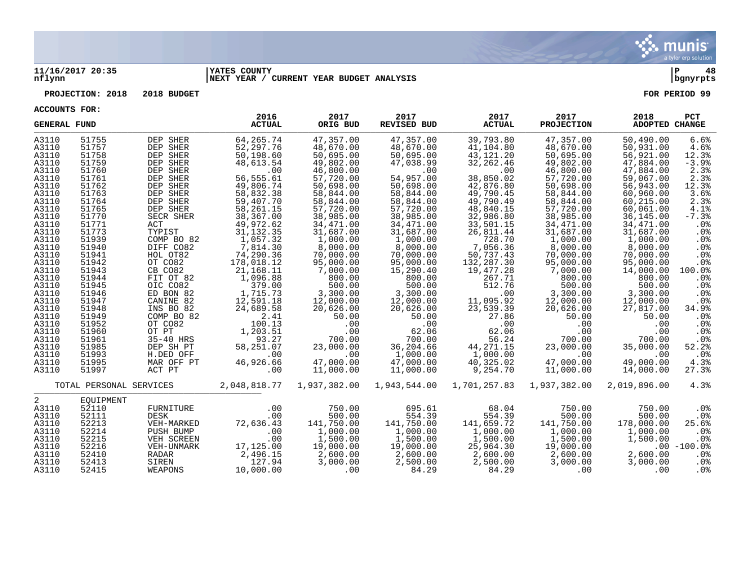

#### **11/16/2017 20:35 |YATES COUNTY |P 48 nflynn |NEXT YEAR / CURRENT YEAR BUDGET ANALYSIS |bgnyrpts**

# **PROJECTION: 2018 2018 BUDGET FOR PERIOD 99**

| <b>GENERAL FUND</b>                                                                                                                                                                                                                    |                                                                                                                                                                                                                                        |                                                                                                                                                                                                                                                                                                                   | 2016<br><b>ACTUAL</b>                                                                                                                                                                                                                                                                                                        | 2017<br>ORIG BUD                                                                                                                                                                                                                                                                                                     | 2017<br><b>REVISED BUD</b>                                                                                                                                                                                                                                                                                        | 2017<br><b>ACTUAL</b>                                                                                                                                                                                                                                                                                         | 2017<br><b>PROJECTION</b>                                                                                                                                                                                                                                                                                            | 2018<br><b>ADOPTED CHANGE</b>                                                                                                                                                                                                                                                                                         | <b>PCT</b>                                                                                                                                                                                                                         |
|----------------------------------------------------------------------------------------------------------------------------------------------------------------------------------------------------------------------------------------|----------------------------------------------------------------------------------------------------------------------------------------------------------------------------------------------------------------------------------------|-------------------------------------------------------------------------------------------------------------------------------------------------------------------------------------------------------------------------------------------------------------------------------------------------------------------|------------------------------------------------------------------------------------------------------------------------------------------------------------------------------------------------------------------------------------------------------------------------------------------------------------------------------|----------------------------------------------------------------------------------------------------------------------------------------------------------------------------------------------------------------------------------------------------------------------------------------------------------------------|-------------------------------------------------------------------------------------------------------------------------------------------------------------------------------------------------------------------------------------------------------------------------------------------------------------------|---------------------------------------------------------------------------------------------------------------------------------------------------------------------------------------------------------------------------------------------------------------------------------------------------------------|----------------------------------------------------------------------------------------------------------------------------------------------------------------------------------------------------------------------------------------------------------------------------------------------------------------------|-----------------------------------------------------------------------------------------------------------------------------------------------------------------------------------------------------------------------------------------------------------------------------------------------------------------------|------------------------------------------------------------------------------------------------------------------------------------------------------------------------------------------------------------------------------------|
| A3110<br>A3110<br>A3110<br>A3110<br>A3110<br>A3110<br>A3110<br>A3110<br>A3110<br>A3110<br>A3110<br>A3110<br>A3110<br>A3110<br>A3110<br>A3110<br>A3110<br>A3110<br>A3110<br>A3110<br>A3110<br>A3110<br>A3110<br>A3110<br>A3110<br>A3110 | 51755<br>51757<br>51758<br>51759<br>51760<br>51761<br>51762<br>51763<br>51764<br>51765<br>51770<br>51771<br>51773<br>51939<br>51940<br>51941<br>51942<br>51943<br>51944<br>51945<br>51946<br>51947<br>51948<br>51949<br>51952<br>51960 | DEP SHER<br>DEP SHER<br>DEP SHER<br>DEP SHER<br>DEP SHER<br>DEP SHER<br>DEP SHER<br>DEP SHER<br>DEP SHER<br>DEP SHER<br>SECR SHER<br>ACT<br>TYPIST<br>COMP BO 82<br>DIFF CO82<br>HOL OT82<br>OT CO82<br>CB CO82<br>FIT OT 82<br>OIC CO82<br>ED BON 82<br>CANINE 82<br>INS BO 82<br>COMP BO 82<br>OT CO82<br>OT PT | 64,265.74<br>52, 297. 76<br>50,198.60<br>48,613.54<br>.00<br>56,555.61<br>49,806.74<br>58,832.38<br>59,407.70<br>58,261.15<br>38,367.00<br>49,972.62<br>31, 132.35<br>1,057.32<br>7,814.30<br>74,290.36<br>178,018.12<br>21,168.11<br>1,096.88<br>379.00<br>1,715.73<br>12,591.18<br>24,689.58<br>2.41<br>100.13<br>1,203.51 | 47,357.00<br>48,670.00<br>50,695.00<br>49,802.00<br>46,800.00<br>57,720.00<br>50,698.00<br>58,844.00<br>58,844.00<br>57,720.00<br>38,985.00<br>34,471.00<br>31,687.00<br>1,000.00<br>8,000.00<br>70,000.00<br>95,000.00<br>7,000.00<br>800.00<br>500.00<br>3,300.00<br>12,000.00<br>20,626.00<br>50.00<br>.00<br>.00 | 47,357.00<br>48,670.00<br>50,695.00<br>47,038.99<br>.00<br>54,957.00<br>50,698.00<br>58,844.00<br>58,844.00<br>57,720.00<br>38,985.00<br>34,471.00<br>31,687.00<br>1,000.00<br>8,000.00<br>70,000.00<br>95,000.00<br>15,290.40<br>800.00<br>500.00<br>3,300.00<br>12,000.00<br>20,626.00<br>50.00<br>.00<br>62.06 | 39,793.80<br>41,104.80<br>43, 121. 20<br>32,262.46<br>.00<br>38,850.02<br>42,876.80<br>49,790.45<br>49,790.49<br>48,840.15<br>32,986.80<br>33,501.15<br>26,811.44<br>728.70<br>7,056.36<br>50,737.43<br>132,287.30<br>19,477.28<br>267.71<br>512.76<br>.00<br>11,095.92<br>23,539.39<br>27.86<br>.00<br>62.06 | 47,357.00<br>48,670.00<br>50,695.00<br>49,802.00<br>46,800.00<br>57,720.00<br>50,698.00<br>58,844.00<br>58,844.00<br>57,720.00<br>38,985.00<br>34,471.00<br>31,687.00<br>1,000.00<br>8,000.00<br>70,000.00<br>95,000.00<br>7,000.00<br>800.00<br>500.00<br>3,300.00<br>12,000.00<br>20,626.00<br>50.00<br>.00<br>.00 | 50,490.00<br>50,931.00<br>56,921.00<br>47,884.00<br>47,884.00<br>59,067.00<br>56,943.00<br>60,960.00<br>60,215.00<br>60,061.00<br>36,145.00<br>34,471.00<br>31,687.00<br>1,000.00<br>8,000.00<br>70,000.00<br>95,000.00<br>14,000.00<br>800.00<br>500.00<br>3,300.00<br>12,000.00<br>27,817.00<br>50.00<br>.00<br>.00 | 6.6%<br>4.6%<br>12.3%<br>$-3.9%$<br>2.3%<br>2.3%<br>12.3%<br>3.6%<br>2.3%<br>4.1%<br>$-7.3%$<br>.0%<br>.0%<br>.0%<br>$.0\%$<br>.0%<br>.0%<br>100.0%<br>.0 <sub>8</sub><br>.0%<br>.0%<br>$.0\%$<br>34.9%<br>.0%<br>$.0\%$<br>$.0\%$ |
| A3110<br>A3110<br>A3110<br>A3110<br>A3110                                                                                                                                                                                              | 51961<br>51985<br>51993<br>51995<br>51997                                                                                                                                                                                              | 35-40 HRS<br>DEP SH PT<br>H.DED OFF<br>MAR OFF PT<br>ACT PT                                                                                                                                                                                                                                                       | 93.27<br>58,251.07<br>.00<br>46,926.66<br>.00                                                                                                                                                                                                                                                                                | 700.00<br>23,000.00<br>.00<br>47,000.00<br>11,000.00                                                                                                                                                                                                                                                                 | 700.00<br>36,204.66<br>1,000.00<br>47,000.00<br>11,000.00                                                                                                                                                                                                                                                         | 56.24<br>44, 271. 15<br>1,000.00<br>40,325.02<br>9,254.70                                                                                                                                                                                                                                                     | 700.00<br>23,000.00<br>.00<br>47,000.00<br>11,000.00                                                                                                                                                                                                                                                                 | 700.00<br>35,000.00<br>.00<br>49,000.00<br>14,000.00                                                                                                                                                                                                                                                                  | $.0\%$<br>52.2%<br>$.0\%$<br>4.3%<br>27.3%                                                                                                                                                                                         |
|                                                                                                                                                                                                                                        | TOTAL PERSONAL SERVICES                                                                                                                                                                                                                |                                                                                                                                                                                                                                                                                                                   | 2,048,818.77                                                                                                                                                                                                                                                                                                                 |                                                                                                                                                                                                                                                                                                                      | 1,937,382.00 1,943,544.00                                                                                                                                                                                                                                                                                         | 1,701,257.83                                                                                                                                                                                                                                                                                                  | 1,937,382.00                                                                                                                                                                                                                                                                                                         | 2,019,896.00                                                                                                                                                                                                                                                                                                          | 4.3%                                                                                                                                                                                                                               |
| 2<br>A3110<br>A3110<br>A3110<br>A3110<br>A3110<br>A3110<br>A3110<br>A3110<br>A3110                                                                                                                                                     | EOUIPMENT<br>52110<br>52111<br>52213<br>52214<br>52215<br>52216<br>52410<br>52413<br>52415                                                                                                                                             | FURNITURE<br>DESK<br>VEH-MARKED<br>PUSH BUMP<br>VEH SCREEN<br>VEH-UNMARK<br>RADAR<br>SIREN<br>WEAPONS                                                                                                                                                                                                             | .00<br>.00<br>72,636.43<br>.00<br>.00<br>17,125.00<br>2,496.15<br>127.94<br>10,000.00                                                                                                                                                                                                                                        | 750.00<br>500.00<br>141,750.00<br>1,000.00<br>1,500.00<br>19,000.00<br>2,600.00<br>3,000.00<br>.00                                                                                                                                                                                                                   | 695.61<br>554.39<br>141,750.00<br>1,000.00<br>1,500.00<br>19,000.00<br>2,600.00<br>2,500.00<br>84.29                                                                                                                                                                                                              | 68.04<br>554.39<br>141,659.72<br>1,000.00<br>1,500.00<br>25,964.30<br>2,600.00<br>2,500.00<br>84.29                                                                                                                                                                                                           | 750.00<br>500.00<br>141,750.00<br>1,000.00<br>1,500.00<br>19,000.00<br>2,600.00<br>3,000.00<br>.00                                                                                                                                                                                                                   | 750.00<br>500.00<br>178,000.00<br>1,000.00<br>1,500.00<br>2,600.00<br>3,000.00<br>.00                                                                                                                                                                                                                                 | .0%<br>$.0\%$<br>25.6%<br>$.0\%$<br>$.0\%$<br>$.00 - 100.0$<br>$.0\%$<br>.0%<br>.0%                                                                                                                                                |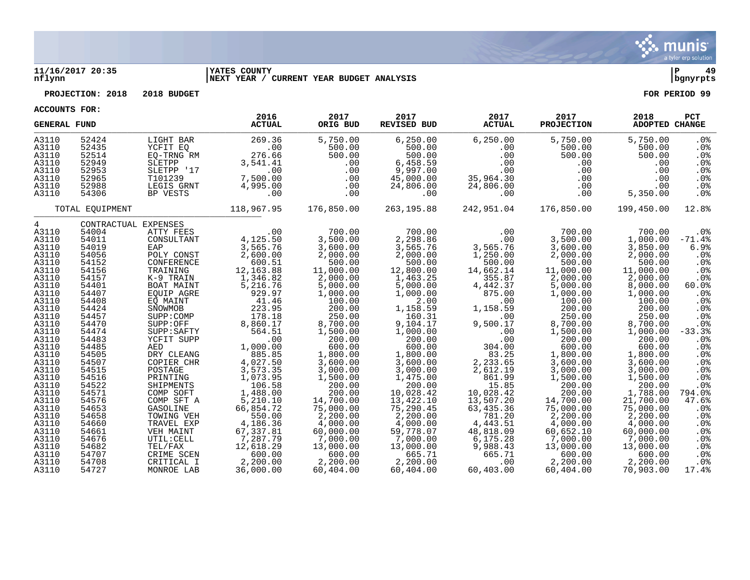

#### **11/16/2017 20:35 |YATES COUNTY |P 49 nflynn |NEXT YEAR / CURRENT YEAR BUDGET ANALYSIS |bgnyrpts**

**PROJECTION: 2018 2018 BUDGET FOR PERIOD 99**

| <b>GENERAL FUND</b> |                      |                          | 2016<br><b>ACTUAL</b> | 2017<br>ORIG BUD      | 2017<br><b>REVISED BUD</b> | 2017<br><b>ACTUAL</b> | 2017<br><b>PROJECTION</b> | 2018<br>ADOPTED CHANGE | <b>PCT</b>               |
|---------------------|----------------------|--------------------------|-----------------------|-----------------------|----------------------------|-----------------------|---------------------------|------------------------|--------------------------|
| A3110               | 52424                | LIGHT BAR                | 269.36                | 5,750.00              | 6, 250.00                  | 6, 250.00             | 5,750.00                  | 5,750.00               | .0%                      |
| A3110               | 52435                | YCFIT EO                 | .00                   | 500.00                | 500.00                     | .00                   | 500.00                    | 500.00                 | .0 <sub>8</sub>          |
| A3110               | 52514                | EO-TRNG RM               | 276.66                | 500.00                | 500.00                     | .00                   | 500.00                    | 500.00                 | .0 <sub>8</sub>          |
| A3110               | 52949                | SLETPP                   | 3,541.41              | .00                   | 6,458.59                   | .00                   | .00                       | .00                    | .0%                      |
| A3110               | 52953                | SLETPP '17               | .00                   | .00                   | 9,997.00                   | .00                   | .00                       | .00                    | .0 <sub>8</sub>          |
| A3110               | 52965                | T101239                  | 7,500.00              | .00                   | 45,000.00                  | 35,964.30             | .00                       | .00                    | .0%                      |
| A3110               | 52988                | LEGIS GRNT               | 4,995.00              | .00                   | 24,806.00                  | 24,806.00             | $.00 \ \rm$               | .00                    | .0 <sub>8</sub>          |
| A3110               | 54306                | BP VESTS                 | .00                   | .00                   | .00                        | .00                   | .00                       | 5,350.00               | .0%                      |
|                     | TOTAL EOUIPMENT      |                          | 118,967.95            | 176,850.00            | 263,195.88                 | 242,951.04            | 176,850.00                | 199,450.00             | 12.8%                    |
| $\overline{4}$      | CONTRACTUAL EXPENSES |                          |                       |                       |                            |                       |                           |                        |                          |
| A3110               | 54004                | ATTY FEES                | .00                   | 700.00                | 700.00                     | .00                   | 700.00                    | 700.00                 | $.0\%$                   |
| A3110               | 54011                | CONSULTANT               | 4,125.50              | 3,500.00              | 2,298.86                   | .00                   | 3,500.00                  | 1,000.00               | $-71.4%$                 |
| A3110               | 54019                | EAP                      | 3,565.76              | 3,600.00              | 3,565.76                   | 3,565.76              | 3,600.00                  | 3,850.00               | 6.9%                     |
| A3110               | 54056                | POLY CONST               | 2,600.00              | 2,000.00              | 2,000.00                   | 1,250.00              | 2,000.00                  | 2,000.00               | .0%                      |
| A3110               | 54152                | CONFERENCE               | 600.51                | 500.00                | 500.00                     | 500.00                | 500.00                    | 500.00                 | .0%                      |
| A3110               | 54156<br>54157       | TRAINING<br>K-9 TRAIN    | 12,163.88<br>1,346.82 | 11,000.00             | 12,800.00<br>1,463.25      | 14,662.14<br>355.87   | 11,000.00                 | 11,000.00              | .0%                      |
| A3110<br>A3110      | 54401                | BOAT MAINT               | 5,216.76              | 2,000.00<br>5,000.00  | 5,000.00                   | 4,442.37              | 2,000.00<br>5,000.00      | 2,000.00<br>8,000.00   | .0%<br>$60.0$ $^{\circ}$ |
| A3110               | 54407                | EOUIP AGRE               | 929.97                | 1,000.00              | 1,000.00                   | 875.00                | 1,000.00                  | 1,000.00               | .0%                      |
| A3110               | 54408                | EO MAINT                 | 41.46                 | 100.00                | 2.00                       | .00                   | 100.00                    | 100.00                 | .0 <sub>8</sub>          |
| A3110               | 54424                | SNOWMOB                  | 223.95                | 200.00                | 1,158.59                   | 1,158.59              | 200.00                    | 200.00                 | .0%                      |
| A3110               | 54457                | SUPP: COMP               | 178.18                | 250.00                | 160.31                     | .00                   | 250.00                    | 250.00                 | .0%                      |
| A3110               | 54470                | SUPP:OFF                 | 8,860.17              | 8,700.00              | 9,104.17                   | 9,500.17              | 8,700.00                  | 8,700.00               | .0%                      |
| A3110               | 54474                | SUPP: SAFTY              | 564.51                | 1,500.00              | 1,000.00                   | .00                   | 1,500.00                  | 1,000.00               | $-33.3%$                 |
| A3110               | 54483                | YCFIT SUPP               | .00                   | 200.00                | 200.00                     | .00                   | 200.00                    | 200.00                 | .0%                      |
| A3110               | 54485                | AED                      | 1,000.00              | 600.00                | 600.00                     | 304.00                | 600.00                    | 600.00                 | .0%                      |
| A3110               | 54505                | DRY CLEANG               | 885.85                | 1,800.00              | 1,800.00                   | 83.25                 | 1,800.00                  | 1,800.00               | .0 <sub>8</sub>          |
| A3110               | 54507                | COPIER CHR               | 4,027.50              | 3,600.00              | 3,600.00                   | 2,233.65              | 3,600.00                  | 3,600.00               | .0%                      |
| A3110               | 54515                | POSTAGE                  | 3,573.35              | 3,000.00              | 3,000.00                   | 2,612.19              | 3,000.00                  | 3,000.00               | $.0\%$                   |
| A3110               | 54516                | PRINTING                 | 1,073.95              | 1,500.00              | 1,475.00                   | 861.99                | 1,500.00                  | 1,500.00               | .0 <sub>8</sub>          |
| A3110               | 54522                | SHIPMENTS                | 106.58                | 200.00                | 200.00                     | 15.85                 | 200.00                    | 200.00                 | .0%                      |
| A3110               | 54571                | COMP SOFT                | 1,488.00              | 200.00                | 10,028.42                  | 10,028.42             | 200.00                    | 1,788.00               | 794.0%                   |
| A3110               | 54576                | COMP SFT A               | 5,210.10              | 14,700.00             | 13,422.10                  | 13,507.20             | 14,700.00                 | 21,700.00              | 47.6%                    |
| A3110               | 54653                | GASOLINE                 | 66,854.72             | 75,000.00             | 75,290.45                  | 63,435.36             | 75,000.00                 | 75,000.00              | .0 <sub>8</sub>          |
| A3110               | 54658                | TOWING VEH               | 550.00                | 2,200.00              | 2,200.00                   | 781.20                | 2,200.00                  | 2,200.00               | .0 <sub>8</sub>          |
| A3110               | 54660                | TRAVEL EXP               | 4,186.36              | 4,000.00              | 4,000.00                   | 4,443.51              | 4,000.00                  | 4,000.00               | .0%                      |
| A3110               | 54661                | VEH MAINT                | 67, 337.81            | 60,000.00             | 59,778.07                  | 48,818.09             | 60,652.10                 | 60,000.00              | .0 <sub>8</sub>          |
| A3110               | 54676                | UTIL: CELL               | 7,287.79              | 7,000.00              | 7,000.00                   | 6,175.28              | 7,000.00                  | 7,000.00               | .0%                      |
| A3110               | 54682                | TEL/FAX                  | 12,618.29             | 13,000.00             | 13,000.00                  | 9,988.43              | 13,000.00                 | 13,000.00              | .0%                      |
| A3110               | 54707                | CRIME SCEN<br>CRITICAL I | 600.00                | 600.00                | 665.71                     | 665.71                | 600.00                    | 600.00                 | $.0\%$                   |
| A3110<br>A3110      | 54708<br>54727       | MONROE LAB               | 2,200.00<br>36,000.00 | 2,200.00<br>60,404.00 | 2,200.00<br>60,404.00      | .00<br>60,403.00      | 2,200.00<br>60,404.00     | 2,200.00<br>70,903.00  | .0%<br>17.4%             |
|                     |                      |                          |                       |                       |                            |                       |                           |                        |                          |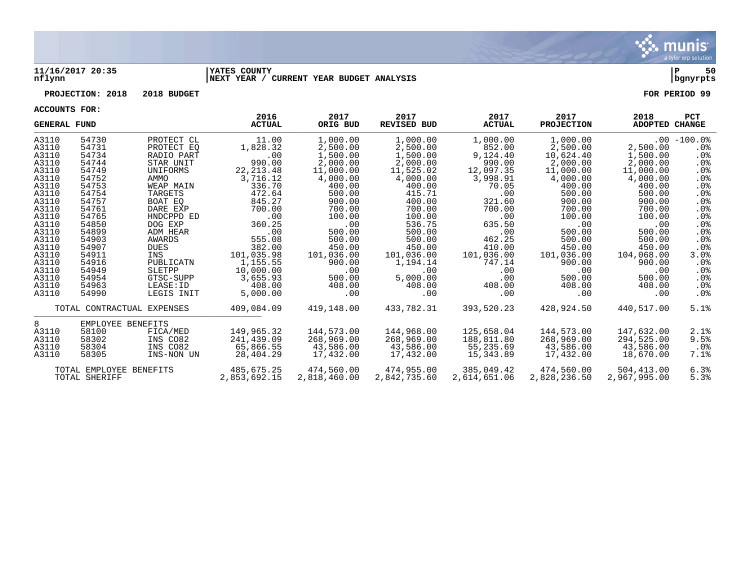

#### **11/16/2017 20:35 |YATES COUNTY |P 50 nflynn |NEXT YEAR / CURRENT YEAR BUDGET ANALYSIS |bgnyrpts**

# **PROJECTION: 2018 2018 BUDGET FOR PERIOD 99**

| <b>GENERAL FUND</b> |                            |               | 2016<br><b>ACTUAL</b> | 2017<br>ORIG BUD | 2017<br><b>REVISED BUD</b> | 2017<br><b>ACTUAL</b> | 2017<br><b>PROJECTION</b> | 2018<br>ADOPTED CHANGE | <b>PCT</b>      |
|---------------------|----------------------------|---------------|-----------------------|------------------|----------------------------|-----------------------|---------------------------|------------------------|-----------------|
| A3110               | 54730                      | PROTECT CL    | 11.00                 | 1,000.00         | 1,000.00                   | 1,000.00              | 1,000.00                  |                        | $.00 - 100.0$   |
| A3110               | 54731                      | PROTECT EO    | 1,828.32              | 2,500.00         | 2,500.00                   | 852.00                | 2,500.00                  | 2,500.00               | $.0\%$          |
| A3110               | 54734                      | RADIO PART    | .00                   | 1,500.00         | 1,500.00                   | 9,124.40              | 10,624.40                 | 1,500.00               | $.0\%$          |
| A3110               | 54744                      | STAR UNIT     | 990.00                | 2,000.00         | 2,000.00                   | 990.00                | 2,000.00                  | 2,000.00               | $.0\%$          |
| A3110               | 54749                      | UNIFORMS      | 22, 213.48            | 11,000.00        | 11,525.02                  | 12,097.35             | 11,000.00                 | 11,000.00              | $.0\%$          |
| A3110               | 54752                      | AMMO          | 3,716.12              | 4,000.00         | 4,000.00                   | 3,998.91              | 4,000.00                  | 4,000.00               | .0 <sub>8</sub> |
| A3110               | 54753                      | WEAP MAIN     | 336.70                | 400.00           | 400.00                     | 70.05                 | 400.00                    | 400.00                 | $.0\%$          |
| A3110               | 54754                      | TARGETS       | 472.64                | 500.00           | 415.71                     | .00                   | 500.00                    | 500.00                 | $.0\%$          |
| A3110               | 54757                      | BOAT EO       | 845.27                | 900.00           | 400.00                     | 321.60                | 900.00                    | 900.00                 | .0 <sub>8</sub> |
| A3110               | 54761                      | DARE EXP      | 700.00                | 700.00           | 700.00                     | 700.00                | 700.00                    | 700.00                 | .0%             |
| A3110               | 54765                      | HNDCPPD ED    | .00                   | 100.00           | 100.00                     | .00                   | 100.00                    | 100.00                 | .0 <sub>8</sub> |
| A3110               | 54850                      | DOG EXP       | 360.25                | .00              | 536.75                     | 635.50                | $.00 \,$                  | .00                    | . 0 %           |
| A3110               | 54899                      | ADM HEAR      | .00                   | 500.00           | 500.00                     | .00                   | 500.00                    | 500.00                 | $.0\%$          |
| A3110               | 54903                      | <b>AWARDS</b> | 555.08                | 500.00           | 500.00                     | 462.25                | 500.00                    | 500.00                 | $.0\%$          |
| A3110               | 54907                      | <b>DUES</b>   | 382.00                | 450.00           | 450.00                     | 410.00                | 450.00                    | 450.00                 | $.0\%$          |
| A3110               | 54911                      | INS           | 101,035.98            | 101,036.00       | 101,036.00                 | 101,036.00            | 101,036.00                | 104,068.00             | $3.0\%$         |
| A3110               | 54916                      | PUBLICATN     | 1,155.55              | 900.00           | 1,194.14                   | 747.14                | 900.00                    | 900.00                 | $.0\%$          |
| A3110               | 54949                      | SLETPP        | 10,000.00             | .00              | .00                        | .00                   | $.00 \,$                  | .00                    | $.0\%$          |
| A3110               | 54954                      | GTSC-SUPP     | 3,655.93              | 500.00           | 5,000.00                   | .00                   | 500.00                    | 500.00                 | .0 <sub>8</sub> |
| A3110               | 54963                      | LEASE: ID     | 408.00                | 408.00           | 408.00                     | 408.00                | 408.00                    | 408.00                 | $.0\%$          |
| A3110               | 54990                      | LEGIS INIT    | 5,000.00              | .00              | .00                        | .00                   | .00                       | .00                    | $.0\%$          |
|                     | TOTAL CONTRACTUAL EXPENSES |               | 409,084.09            | 419,148.00       | 433,782.31                 | 393,520.23            | 428,924.50                | 440,517.00             | 5.1%            |
| 8                   | EMPLOYEE BENEFITS          |               |                       |                  |                            |                       |                           |                        |                 |
| A3110               | 58100                      | FICA/MED      | 149,965.32            | 144,573.00       | 144,968.00                 | 125,658.04            | 144,573.00                | 147,632.00             | 2.1%            |
| A3110               | 58302                      | INS CO82      | 241,439.09            | 268,969.00       | 268,969.00                 | 188,811.80            | 268,969.00                | 294,525.00             | 9.5%            |
| A3110               | 58304                      | INS CO82      | 65,866.55             | 43,586.00        | 43,586.00                  | 55,235.69             | 43,586.00                 | 43,586.00              | $.0\%$          |
| A3110               | 58305                      | INS-NON UN    | 28,404.29             | 17,432.00        | 17,432.00                  | 15,343.89             | 17,432.00                 | 18,670.00              | 7.1%            |
|                     | TOTAL EMPLOYEE BENEFITS    |               | 485,675.25            | 474,560.00       | 474,955.00                 | 385,049.42            | 474,560.00                | 504,413.00             | 6.3%            |
| TOTAL SHERIFF       |                            | 2,853,692.15  | 2,818,460.00          | 2,842,735.60     | 2,614,651.06               | 2,828,236.50          | 2,967,995.00              | 5.3%                   |                 |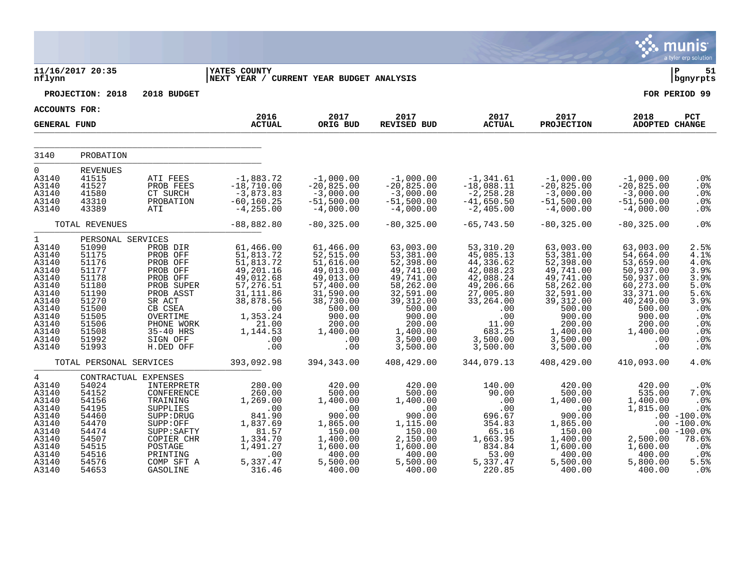|                                                                                                                                           |                                                                                                                                                 |                                                                                                                                                                          |                                                                                                                                                              |                                                                                                                                                              |                                                                                                                                                                         |                                                                                                                                                               |                                                                                                                                                                         |                                                                                                                                                               | a tyler erp solution                                                                                                                        |
|-------------------------------------------------------------------------------------------------------------------------------------------|-------------------------------------------------------------------------------------------------------------------------------------------------|--------------------------------------------------------------------------------------------------------------------------------------------------------------------------|--------------------------------------------------------------------------------------------------------------------------------------------------------------|--------------------------------------------------------------------------------------------------------------------------------------------------------------|-------------------------------------------------------------------------------------------------------------------------------------------------------------------------|---------------------------------------------------------------------------------------------------------------------------------------------------------------|-------------------------------------------------------------------------------------------------------------------------------------------------------------------------|---------------------------------------------------------------------------------------------------------------------------------------------------------------|---------------------------------------------------------------------------------------------------------------------------------------------|
| nflynn                                                                                                                                    | 11/16/2017 20:35                                                                                                                                |                                                                                                                                                                          | <b>IYATES COUNTY</b><br>NEXT YEAR / CURRENT YEAR BUDGET ANALYSIS                                                                                             |                                                                                                                                                              |                                                                                                                                                                         |                                                                                                                                                               |                                                                                                                                                                         |                                                                                                                                                               | Þ<br>51<br>bgnyrpts                                                                                                                         |
|                                                                                                                                           | PROJECTION: 2018                                                                                                                                | 2018 BUDGET                                                                                                                                                              |                                                                                                                                                              |                                                                                                                                                              |                                                                                                                                                                         |                                                                                                                                                               |                                                                                                                                                                         |                                                                                                                                                               | FOR PERIOD 99                                                                                                                               |
| <b>ACCOUNTS FOR:</b>                                                                                                                      |                                                                                                                                                 |                                                                                                                                                                          |                                                                                                                                                              |                                                                                                                                                              |                                                                                                                                                                         |                                                                                                                                                               |                                                                                                                                                                         |                                                                                                                                                               |                                                                                                                                             |
| <b>GENERAL FUND</b>                                                                                                                       |                                                                                                                                                 |                                                                                                                                                                          | 2016<br><b>ACTUAL</b>                                                                                                                                        | 2017<br>ORIG BUD                                                                                                                                             | 2017<br><b>REVISED BUD</b>                                                                                                                                              | 2017<br><b>ACTUAL</b>                                                                                                                                         | 2017<br><b>PROJECTION</b>                                                                                                                                               | 2018<br><b>ADOPTED CHANGE</b>                                                                                                                                 | PCT                                                                                                                                         |
| 3140                                                                                                                                      | PROBATION                                                                                                                                       |                                                                                                                                                                          |                                                                                                                                                              |                                                                                                                                                              |                                                                                                                                                                         |                                                                                                                                                               |                                                                                                                                                                         |                                                                                                                                                               |                                                                                                                                             |
| $\overline{0}$<br>A3140<br>A3140<br>A3140<br>A3140<br>A3140                                                                               | <b>REVENUES</b><br>41515<br>41527<br>41580<br>43310<br>43389                                                                                    | ATI FEES<br>PROB FEES<br>CT SURCH<br>PROBATION<br>ATI                                                                                                                    | $-1,883.72$<br>$-18,710.00$<br>$-3,873.83$<br>$-60, 160.25$<br>$-4, 255.00$                                                                                  | $-1,000.00$<br>$-20,825.00$<br>$-3,000.00$<br>$-51,500.00$<br>$-4,000.00$                                                                                    | $-1,000.00$<br>$-20,825.00$<br>$-3,000.00$<br>$-51,500.00$<br>$-4,000.00$                                                                                               | $-1, 341.61$<br>$-18,088.11$<br>$-2, 258.28$<br>$-41,650.50$<br>$-2,405.00$                                                                                   | $-1,000.00$<br>$-20,825.00$<br>$-3,000.00$<br>$-51,500.00$<br>$-4,000.00$                                                                                               | $-1,000.00$<br>$-20,825.00$<br>$-3,000.00$<br>$-51,500.00$<br>$-4,000.00$                                                                                     | .0%<br>.0%<br>.0%<br>.0%<br>.0%                                                                                                             |
|                                                                                                                                           | TOTAL REVENUES                                                                                                                                  |                                                                                                                                                                          | $-88,882.80$                                                                                                                                                 | $-80, 325.00$                                                                                                                                                | $-80, 325.00$                                                                                                                                                           | $-65,743.50$                                                                                                                                                  | $-80, 325.00$                                                                                                                                                           | $-80, 325.00$                                                                                                                                                 | .0%                                                                                                                                         |
| $\mathbf 1$<br>A3140<br>A3140<br>A3140<br>A3140<br>A3140<br>A3140<br>A3140<br>A3140<br>A3140<br>A3140<br>A3140<br>A3140<br>A3140<br>A3140 | PERSONAL SERVICES<br>51090<br>51175<br>51176<br>51177<br>51178<br>51180<br>51190<br>51270<br>51500<br>51505<br>51506<br>51508<br>51992<br>51993 | PROB DIR<br>PROB OFF<br>PROB OFF<br>PROB OFF<br>PROB OFF<br>PROB SUPER<br>PROB ASST<br>SR ACT<br>CB CSEA<br>OVERTIME<br>PHONE WORK<br>35-40 HRS<br>SIGN OFF<br>H.DED OFF | 61,466.00<br>51,813.72<br>51,813.72<br>49,201.16<br>49,012.68<br>57, 276.51<br>31, 111.86<br>38,878.56<br>.00<br>1,353.24<br>21.00<br>1,144.53<br>.00<br>.00 | 61,466.00<br>52,515.00<br>51,616.00<br>49,013.00<br>49,013.00<br>57,400.00<br>31,590.00<br>38,730.00<br>500.00<br>900.00<br>200.00<br>1,400.00<br>.00<br>.00 | 63,003.00<br>53,381.00<br>52,398.00<br>49,741.00<br>49,741.00<br>58,262.00<br>32,591.00<br>39, 312.00<br>500.00<br>900.00<br>200.00<br>1,400.00<br>3,500.00<br>3,500.00 | 53,310.20<br>45,085.13<br>44,336.62<br>42,088.23<br>42,088.24<br>49,206.66<br>27,005.80<br>33,264.00<br>.00<br>.00<br>11.00<br>683.25<br>3,500.00<br>3,500.00 | 63,003.00<br>53,381.00<br>52,398.00<br>49,741.00<br>49,741.00<br>58,262.00<br>32,591.00<br>39, 312.00<br>500.00<br>900.00<br>200.00<br>1,400.00<br>3,500.00<br>3,500.00 | 63,003.00<br>54,664.00<br>53,659.00<br>50,937.00<br>50,937.00<br>60,273.00<br>33, 371.00<br>40,249.00<br>500.00<br>900.00<br>200.00<br>1,400.00<br>.00<br>.00 | 2.5%<br>4.1%<br>4.0%<br>3.9%<br>3.9%<br>5.0%<br>5.6%<br>3.9%<br>.0%<br>.0%<br>.0%<br>.0%<br>$.0\%$<br>.0%                                   |
|                                                                                                                                           | TOTAL PERSONAL SERVICES                                                                                                                         |                                                                                                                                                                          | 393,092.98                                                                                                                                                   | 394,343.00                                                                                                                                                   | 408,429.00                                                                                                                                                              | 344,079.13                                                                                                                                                    | 408,429.00                                                                                                                                                              | 410,093.00                                                                                                                                                    | 4.0%                                                                                                                                        |
| $\overline{4}$<br>A3140<br>A3140<br>A3140<br>A3140<br>A3140<br>A3140<br>A3140<br>A3140<br>A3140<br>A3140<br>A3140<br>A3140                | CONTRACTUAL EXPENSES<br>54024<br>54152<br>54156<br>54195<br>54460<br>54470<br>54474<br>54507<br>54515<br>54516<br>54576<br>54653                | INTERPRETR<br>CONFERENCE<br>TRAINING<br>SUPPLIES<br>SUPP: DRUG<br>SUPP:OFF<br>SUPP: SAFTY<br>COPIER CHR<br>POSTAGE<br>PRINTING<br>COMP SFT A<br>GASOLINE                 | 280.00<br>260.00<br>1,269.00<br>.00<br>841.90<br>1,837.69<br>81.57<br>1,334.70<br>1,491.27<br>.00<br>5,337.47<br>316.46                                      | 420.00<br>500.00<br>1,400.00<br>.00<br>900.00<br>1,865.00<br>150.00<br>1,400.00<br>1,600.00<br>400.00<br>5,500.00<br>400.00                                  | 420.00<br>500.00<br>1,400.00<br>.00<br>900.00<br>1,115.00<br>150.00<br>2,150.00<br>1,600.00<br>400.00<br>5,500.00<br>400.00                                             | 140.00<br>90.00<br>.00<br>.00<br>696.67<br>354.83<br>65.16<br>1,663.95<br>834.84<br>53.00<br>5,337.47<br>220.85                                               | 420.00<br>500.00<br>1,400.00<br>.00<br>900.00<br>1,865.00<br>150.00<br>1,400.00<br>1,600.00<br>400.00<br>5,500.00<br>400.00                                             | 420.00<br>535.00<br>1,400.00<br>1,815.00<br>.00<br>2,500.00<br>1,600.00<br>400.00<br>5,800.00<br>400.00                                                       | .0 <sub>8</sub><br>7.0%<br>.0%<br>.0%<br>$.00 - 100.08$<br>$.00 - 100.0%$<br>$-100.0%$<br>78.6%<br>.0 <sub>8</sub><br>$.0\%$<br>5.5%<br>.0% |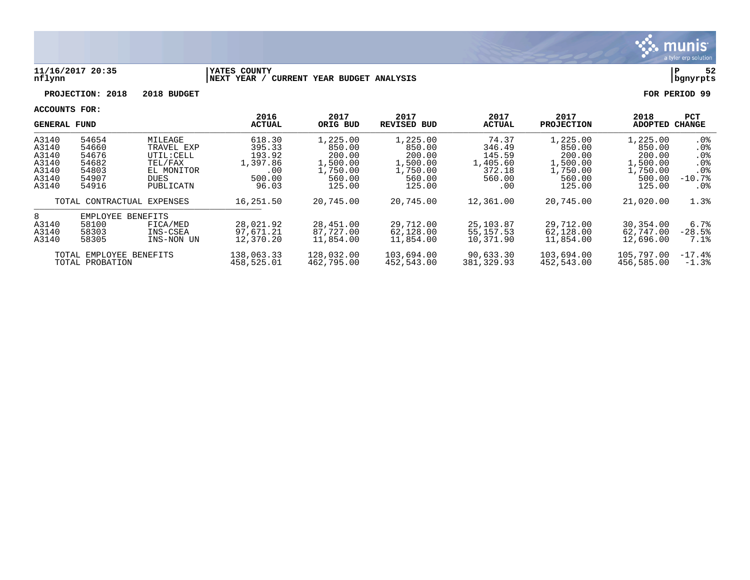

#### **11/16/2017 20:35 |YATES COUNTY |P 52 nflynn |NEXT YEAR / CURRENT YEAR BUDGET ANALYSIS |bgnyrpts**

# **PROJECTION: 2018 2018 BUDGET FOR PERIOD 99**

| <b>GENERAL FUND</b>     |          | 2016                       | 2017       | 2017               | 2017          | 2017              | 2018       | <b>PCT</b> |                 |
|-------------------------|----------|----------------------------|------------|--------------------|---------------|-------------------|------------|------------|-----------------|
|                         |          | <b>ACTUAL</b>              | ORIG BUD   | <b>REVISED BUD</b> | <b>ACTUAL</b> | <b>PROJECTION</b> | ADOPTED    | CHANGE     |                 |
| A3140                   | 54654    | MILEAGE                    | 618.30     | 1,225.00           | 1,225.00      | 74.37             | 1,225.00   | 1,225.00   | $.0\%$          |
| A3140                   | 54660    | TRAVEL EXP                 | 395.33     | 850.00             | 850.00        | 346.49            | 850.00     | 850.00     | $.0\%$          |
| A3140                   | 54676    | UTIL: CELL                 | 193.92     | 200.00             | 200.00        | 145.59            | 200.00     | 200.00     | .0 <sub>8</sub> |
| A3140                   | 54682    | TEL/FAX                    | 1,397.86   | 1,500.00           | 1,500.00      | 1,405.60          | 1,500.00   | 1,500.00   | .0 <sub>8</sub> |
| A3140                   | 54803    | EL MONITOR                 | .00        | 1,750.00           | 1,750.00      | 372.18            | 1,750.00   | 1,750.00   | . 0%            |
| A3140                   | 54907    | DUES                       | 500.00     | 560.00             | 560.00        | 560.00            | 560.00     | 500.00     | $-10.7%$        |
| A3140                   | 54916    | PUBLICATN                  | 96.03      | 125.00             | 125.00        | .00               | 125.00     | 125.00     | . 0%            |
|                         |          | TOTAL CONTRACTUAL EXPENSES | 16,251.50  | 20,745.00          | 20,745.00     | 12,361.00         | 20,745.00  | 21,020.00  | 1.3%            |
| 8                       | EMPLOYEE | BENEFITS                   |            |                    |               |                   |            |            |                 |
| A3140                   | 58100    | FICA/MED                   | 28,021.92  | 28,451.00          | 29,712.00     | 25,103.87         | 29,712.00  | 30,354.00  | 6.7%            |
| A3140                   | 58303    | INS-CSEA                   | 97,671.21  | 87,727.00          | 62,128.00     | 55, 157. 53       | 62,128.00  | 62,747.00  | $-28.5%$        |
| A3140                   | 58305    | INS-NON UN                 | 12,370.20  | 11,854.00          | 11,854.00     | 10,371.90         | 11,854.00  | 12,696.00  | 7.1%            |
| TOTAL EMPLOYEE BENEFITS |          | 138,063.33                 | 128,032.00 | 103,694.00         | 90,633.30     | 103,694.00        | 105,797.00 | $-17.4%$   |                 |
| TOTAL PROBATION         |          | 458,525.01                 | 462,795.00 | 452,543.00         | 381,329.93    | 452,543.00        | 456,585.00 | $-1.3%$    |                 |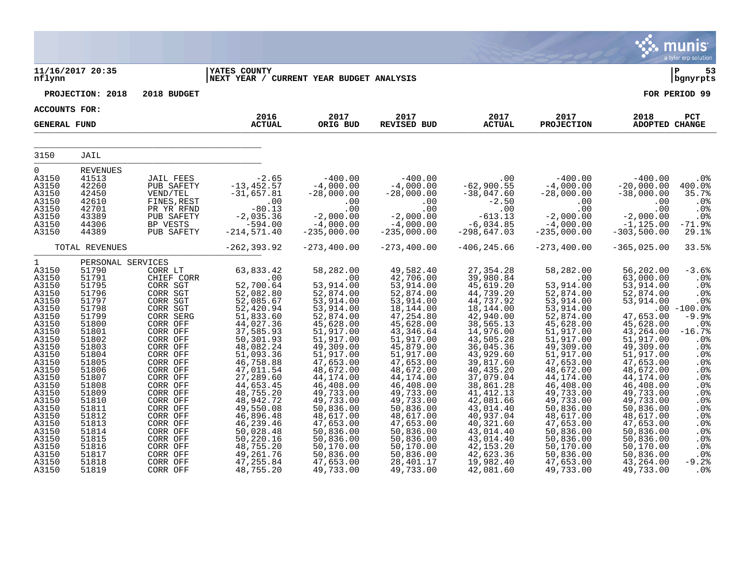|                                                                                                                                                                                                                                                        |                                                                                                                                                                                                                                                             |                                                                                                                                                                                                                                                                                                                        |                                                                                                                                                                                                                                                                                                                                            |                                                                                                                                                                                                                                                                                                                                          |                                                                                                                                                                                                                                                                                                                                                   |                                                                                                                                                                                                                                                                                                                                                      |                                                                                                                                                                                                                                                                                                                                           |                                                                                                                                                                                                                                                                                                                                    | munis<br>a tyler erp solution                                                                                                                                                                                    |
|--------------------------------------------------------------------------------------------------------------------------------------------------------------------------------------------------------------------------------------------------------|-------------------------------------------------------------------------------------------------------------------------------------------------------------------------------------------------------------------------------------------------------------|------------------------------------------------------------------------------------------------------------------------------------------------------------------------------------------------------------------------------------------------------------------------------------------------------------------------|--------------------------------------------------------------------------------------------------------------------------------------------------------------------------------------------------------------------------------------------------------------------------------------------------------------------------------------------|------------------------------------------------------------------------------------------------------------------------------------------------------------------------------------------------------------------------------------------------------------------------------------------------------------------------------------------|---------------------------------------------------------------------------------------------------------------------------------------------------------------------------------------------------------------------------------------------------------------------------------------------------------------------------------------------------|------------------------------------------------------------------------------------------------------------------------------------------------------------------------------------------------------------------------------------------------------------------------------------------------------------------------------------------------------|-------------------------------------------------------------------------------------------------------------------------------------------------------------------------------------------------------------------------------------------------------------------------------------------------------------------------------------------|------------------------------------------------------------------------------------------------------------------------------------------------------------------------------------------------------------------------------------------------------------------------------------------------------------------------------------|------------------------------------------------------------------------------------------------------------------------------------------------------------------------------------------------------------------|
| nflynn                                                                                                                                                                                                                                                 | 11/16/2017 20:35                                                                                                                                                                                                                                            |                                                                                                                                                                                                                                                                                                                        | <b>YATES COUNTY</b><br> NEXT YEAR / CURRENT YEAR BUDGET ANALYSIS                                                                                                                                                                                                                                                                           |                                                                                                                                                                                                                                                                                                                                          |                                                                                                                                                                                                                                                                                                                                                   |                                                                                                                                                                                                                                                                                                                                                      |                                                                                                                                                                                                                                                                                                                                           |                                                                                                                                                                                                                                                                                                                                    | l P<br>53<br>  bgnyrpts                                                                                                                                                                                          |
|                                                                                                                                                                                                                                                        | PROJECTION: 2018                                                                                                                                                                                                                                            | 2018 BUDGET                                                                                                                                                                                                                                                                                                            |                                                                                                                                                                                                                                                                                                                                            |                                                                                                                                                                                                                                                                                                                                          |                                                                                                                                                                                                                                                                                                                                                   |                                                                                                                                                                                                                                                                                                                                                      |                                                                                                                                                                                                                                                                                                                                           |                                                                                                                                                                                                                                                                                                                                    | FOR PERIOD 99                                                                                                                                                                                                    |
| <b>ACCOUNTS FOR:</b>                                                                                                                                                                                                                                   |                                                                                                                                                                                                                                                             |                                                                                                                                                                                                                                                                                                                        |                                                                                                                                                                                                                                                                                                                                            |                                                                                                                                                                                                                                                                                                                                          |                                                                                                                                                                                                                                                                                                                                                   |                                                                                                                                                                                                                                                                                                                                                      |                                                                                                                                                                                                                                                                                                                                           |                                                                                                                                                                                                                                                                                                                                    |                                                                                                                                                                                                                  |
| <b>GENERAL FUND</b>                                                                                                                                                                                                                                    |                                                                                                                                                                                                                                                             |                                                                                                                                                                                                                                                                                                                        | 2016<br><b>ACTUAL</b>                                                                                                                                                                                                                                                                                                                      | 2017<br>ORIG BUD                                                                                                                                                                                                                                                                                                                         | 2017<br>REVISED BUD                                                                                                                                                                                                                                                                                                                               | 2017<br><b>ACTUAL</b>                                                                                                                                                                                                                                                                                                                                | 2017<br><b>PROJECTION</b>                                                                                                                                                                                                                                                                                                                 | 2018<br><b>ADOPTED CHANGE</b>                                                                                                                                                                                                                                                                                                      | PCT                                                                                                                                                                                                              |
| 3150                                                                                                                                                                                                                                                   | JAIL                                                                                                                                                                                                                                                        |                                                                                                                                                                                                                                                                                                                        |                                                                                                                                                                                                                                                                                                                                            |                                                                                                                                                                                                                                                                                                                                          |                                                                                                                                                                                                                                                                                                                                                   |                                                                                                                                                                                                                                                                                                                                                      |                                                                                                                                                                                                                                                                                                                                           |                                                                                                                                                                                                                                                                                                                                    |                                                                                                                                                                                                                  |
| 0<br>A3150<br>A3150<br>A3150<br>A3150<br>A3150<br>A3150<br>A3150<br>A3150                                                                                                                                                                              | <b>REVENUES</b><br>41513<br>42260<br>42450<br>42610<br>42701<br>43389<br>44306<br>44389                                                                                                                                                                     | <b>JAIL FEES</b><br>PUB SAFETY<br>VEND/TEL<br>FINES, REST<br>PR YR RFND<br>PUB SAFETY<br>BP VESTS<br>PUB SAFETY                                                                                                                                                                                                        | $-2.65$<br>$-13, 452.57$<br>$-31,657.81$<br>$\, .\, 00$<br>$-80.13$<br>$-2,035.36$<br>$-594.00$<br>$-214, 571.40$                                                                                                                                                                                                                          | $-400.00$<br>$-4,000.00$<br>$-28,000.00$<br>.00<br>.00<br>$-2,000.00$<br>$-4,000.00$<br>$-235,000.00$                                                                                                                                                                                                                                    | $-400.00$<br>$-4,000.00$<br>$-28,000.00$<br>.00<br>.00<br>$-2,000.00$<br>$-4,000.00$<br>$-235,000.00$                                                                                                                                                                                                                                             | .00<br>$-62,900.55$<br>$-38,047.60$<br>$-2.50$<br>.00<br>$-613.13$<br>$-6,034.85$<br>$-298,647.03$                                                                                                                                                                                                                                                   | $-400.00$<br>$-4,000.00$<br>$-28,000.00$<br>$.00 \,$<br>.00<br>$-2,000.00$<br>$-4,000.00$<br>$-235,000.00$                                                                                                                                                                                                                                | $-400.00$<br>$-20,000.00$<br>$-38,000.00$<br>.00<br>.00<br>$-2,000.00$<br>$-1,125.00$<br>$-303,500.00$                                                                                                                                                                                                                             | .0%<br>$400.0$ <sup>8</sup><br>35.7%<br>.0%<br>$.0\%$<br>.0%<br>$-71.9%$<br>29.1%                                                                                                                                |
|                                                                                                                                                                                                                                                        | TOTAL REVENUES                                                                                                                                                                                                                                              |                                                                                                                                                                                                                                                                                                                        | $-262, 393.92$                                                                                                                                                                                                                                                                                                                             | $-273, 400.00$                                                                                                                                                                                                                                                                                                                           | $-273,400.00$                                                                                                                                                                                                                                                                                                                                     | $-406, 245.66$                                                                                                                                                                                                                                                                                                                                       | $-273, 400.00$                                                                                                                                                                                                                                                                                                                            | $-365,025.00$                                                                                                                                                                                                                                                                                                                      | 33.5%                                                                                                                                                                                                            |
| $\mathbf{1}$<br>A3150<br>A3150<br>A3150<br>A3150<br>A3150<br>A3150<br>A3150<br>A3150<br>A3150<br>A3150<br>A3150<br>A3150<br>A3150<br>A3150<br>A3150<br>A3150<br>A3150<br>A3150<br>A3150<br>A3150<br>A3150<br>A3150<br>A3150<br>A3150<br>A3150<br>A3150 | PERSONAL SERVICES<br>51790<br>51791<br>51795<br>51796<br>51797<br>51798<br>51799<br>51800<br>51801<br>51802<br>51803<br>51804<br>51805<br>51806<br>51807<br>51808<br>51809<br>51810<br>51811<br>51812<br>51813<br>51814<br>51815<br>51816<br>51817<br>51818 | CORR LT<br>CHIEF CORR<br>CORR SGT<br>CORR SGT<br>CORR SGT<br>CORR SGT<br>CORR SERG<br>CORR OFF<br>CORR OFF<br>CORR OFF<br>CORR OFF<br>CORR OFF<br>CORR OFF<br>CORR OFF<br>CORR OFF<br>CORR OFF<br>CORR OFF<br>CORR OFF<br>CORR OFF<br>CORR OFF<br>CORR OFF<br>CORR OFF<br>CORR OFF<br>CORR OFF<br>CORR OFF<br>CORR OFF | 63,833.42<br>.00<br>52,700.64<br>52,082.80<br>52,085.67<br>52,420.94<br>51,833.60<br>44,027.36<br>37,585.93<br>50,301.93<br>48,082.24<br>51,093.36<br>46,758.88<br>47,011.54<br>27,289.60<br>44,653.45<br>48,755.20<br>48,942.72<br>49,550.08<br>46,896.48<br>46,239.46<br>50,028.48<br>50,220.16<br>48,755.20<br>49, 261.76<br>47, 255.84 | 58,282.00<br>.00<br>53,914.00<br>52,874.00<br>53,914.00<br>53,914.00<br>52,874.00<br>45,628.00<br>51,917.00<br>51,917.00<br>49,309.00<br>51,917.00<br>47,653.00<br>48,672.00<br>44,174.00<br>46,408.00<br>49,733.00<br>49,733.00<br>50,836.00<br>48,617.00<br>47,653.00<br>50,836.00<br>50,836.00<br>50,170.00<br>50,836.00<br>47,653.00 | 49,582.40<br>42,706.00<br>53,914.00<br>52,874.00<br>53,914.00<br>18,144.00<br>47, 254.80<br>45,628.00<br>43, 346.64<br>51,917.00<br>45,879.00<br>51,917.00<br>47,653.00<br>48,672.00<br>44,174.00<br>46,408.00<br>49,733.00<br>49,733.00<br>50,836.00<br>48,617.00<br>47,653.00<br>50,836.00<br>50,836.00<br>50, 170.00<br>50,836.00<br>28,401.17 | 27, 354. 28<br>39,980.84<br>45,619.20<br>44,739.20<br>44,737.92<br>18,144.00<br>42,940.00<br>38,565.13<br>14,976.00<br>43,505.28<br>36,045.36<br>43,929.60<br>39,817.60<br>40, 435.20<br>37,079.04<br>38,861.28<br>41, 412.13<br>42,081.66<br>43,014.40<br>40,937.04<br>40,321.60<br>43,014.40<br>43,014.40<br>42, 153. 20<br>42,623.36<br>19,982.40 | 58,282.00<br>.00<br>53,914.00<br>52,874.00<br>53,914.00<br>53,914.00<br>52,874.00<br>45,628.00<br>51,917.00<br>51,917.00<br>49,309.00<br>51,917.00<br>47,653.00<br>48,672.00<br>44,174.00<br>46,408.00<br>49,733.00<br>49,733.00<br>50,836.00<br>48,617.00<br>47,653.00<br>50,836.00<br>50,836.00<br>50, 170.00<br>50,836.00<br>47,653.00 | 56,202.00<br>63,000.00<br>53,914.00<br>52,874.00<br>53,914.00<br>47,653.00<br>45,628.00<br>43, 264.00<br>51,917.00<br>49,309.00<br>51,917.00<br>47,653.00<br>48,672.00<br>44,174.00<br>46,408.00<br>49,733.00<br>49,733.00<br>50,836.00<br>48,617.00<br>47,653.00<br>50,836.00<br>50,836.00<br>50,170.00<br>50,836.00<br>43,264.00 | $-3.6%$<br>.0%<br>.0%<br>.0%<br>.0%<br>$.00 - 100.0$<br>$-9.9%$<br>.0%<br>$-16.7%$<br>$.0\%$<br>.0%<br>.0%<br>.0%<br>.0%<br>.0%<br>.0%<br>.0%<br>.0%<br>.0%<br>.0%<br>.0%<br>.0%<br>.0%<br>.0%<br>.0%<br>$-9.2%$ |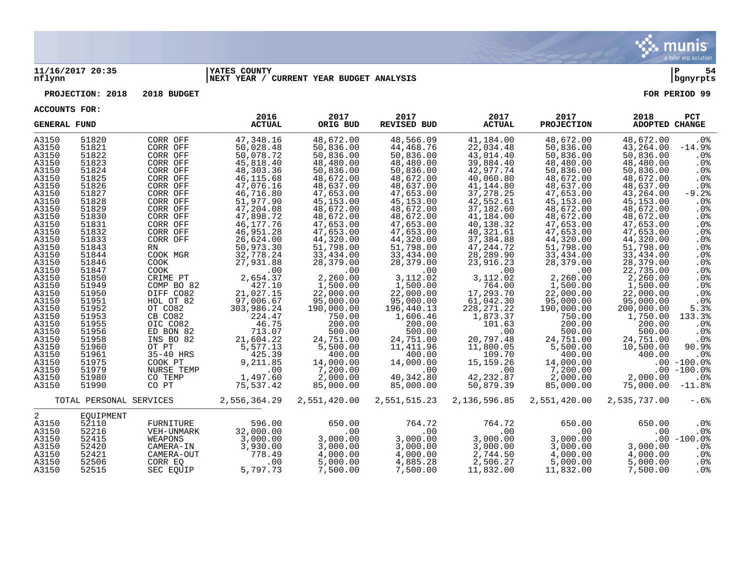

#### **11/16/2017 20:35 |YATES COUNTY |P 54 nflynn |NEXT YEAR / CURRENT YEAR BUDGET ANALYSIS |bgnyrpts**

**PROJECTION: 2018 2018 BUDGET FOR PERIOD 99**

| <b>GENERAL FUND</b>                                                                                                                                                                                                                    |                                                                                                                                                                                                                                        |                                                                                                                                                                                                                                                                                                           | 2016<br><b>ACTUAL</b>                                                                                                                                                                                                                                                                                                       | 2017<br>ORIG BUD                                                                                                                                                                                                                                                                                                               | 2017<br><b>REVISED BUD</b>                                                                                                                                                                                                                                                                                                       | 2017<br><b>ACTUAL</b>                                                                                                                                                                                                                                                                                                             | 2017<br><b>PROJECTION</b>                                                                                                                                                                                                                                                                                                       | 2018<br>ADOPTED CHANGE                                                                                                                                                                                                                                                                                                                  | PCT                                                                                                                                                                                                                                                                                   |
|----------------------------------------------------------------------------------------------------------------------------------------------------------------------------------------------------------------------------------------|----------------------------------------------------------------------------------------------------------------------------------------------------------------------------------------------------------------------------------------|-----------------------------------------------------------------------------------------------------------------------------------------------------------------------------------------------------------------------------------------------------------------------------------------------------------|-----------------------------------------------------------------------------------------------------------------------------------------------------------------------------------------------------------------------------------------------------------------------------------------------------------------------------|--------------------------------------------------------------------------------------------------------------------------------------------------------------------------------------------------------------------------------------------------------------------------------------------------------------------------------|----------------------------------------------------------------------------------------------------------------------------------------------------------------------------------------------------------------------------------------------------------------------------------------------------------------------------------|-----------------------------------------------------------------------------------------------------------------------------------------------------------------------------------------------------------------------------------------------------------------------------------------------------------------------------------|---------------------------------------------------------------------------------------------------------------------------------------------------------------------------------------------------------------------------------------------------------------------------------------------------------------------------------|-----------------------------------------------------------------------------------------------------------------------------------------------------------------------------------------------------------------------------------------------------------------------------------------------------------------------------------------|---------------------------------------------------------------------------------------------------------------------------------------------------------------------------------------------------------------------------------------------------------------------------------------|
| A3150<br>A3150<br>A3150<br>A3150<br>A3150<br>A3150<br>A3150<br>A3150<br>A3150<br>A3150<br>A3150<br>A3150<br>A3150<br>A3150<br>A3150<br>A3150<br>A3150<br>A3150<br>A3150<br>A3150<br>A3150<br>A3150<br>A3150<br>A3150<br>A3150<br>A3150 | 51820<br>51821<br>51822<br>51823<br>51824<br>51825<br>51826<br>51827<br>51828<br>51829<br>51830<br>51831<br>51832<br>51833<br>51843<br>51844<br>51846<br>51847<br>51850<br>51949<br>51950<br>51951<br>51952<br>51953<br>51955<br>51956 | CORR OFF<br>CORR OFF<br>CORR OFF<br>CORR OFF<br>CORR OFF<br>CORR OFF<br>CORR OFF<br>CORR OFF<br>CORR OFF<br>CORR OFF<br>CORR OFF<br>CORR OFF<br>CORR OFF<br>CORR OFF<br>RN<br>COOK MGR<br>COOK<br>COOK<br>CRIME PT<br>COMP BO 82<br>DIFF CO82<br>HOL OT 82<br>OT CO82<br>CB CO82<br>OIC CO82<br>ED BON 82 | 47,348.16<br>50,028.48<br>50,078.72<br>45,818.40<br>48,303.36<br>46,115.68<br>47,076.16<br>46,716.80<br>51,977.90<br>47,204.08<br>47,898.72<br>46,177.76<br>46,951.28<br>26,624.00<br>50,973.30<br>32,778.24<br>27,931.88<br>.00<br>2,654.37<br>427.10<br>21,027.15<br>97,006.67<br>303,986.24<br>224.47<br>46.75<br>713.07 | 48,672.00<br>50,836.00<br>50,836.00<br>48,480.00<br>50,836.00<br>48,672.00<br>48,637.00<br>47,653.00<br>45,153.00<br>48,672.00<br>48,672.00<br>47,653.00<br>47,653.00<br>44,320.00<br>51,798.00<br>33,434.00<br>28,379.00<br>.00<br>2,260.00<br>1,500.00<br>22,000.00<br>95,000.00<br>190,000.00<br>750.00<br>200.00<br>500.00 | 48,566.09<br>44,468.76<br>50,836.00<br>48,480.00<br>50,836.00<br>48,672.00<br>48,637.00<br>47,653.00<br>45,153.00<br>48,672.00<br>48,672.00<br>47,653.00<br>47,653.00<br>44,320.00<br>51,798.00<br>33,434.00<br>28,379.00<br>.00<br>3,112.02<br>1,500.00<br>22,000.00<br>95,000.00<br>196,440.13<br>1,606.46<br>200.00<br>500.00 | 41,184.00<br>22,034.48<br>43,014.40<br>39,884.40<br>42,977.74<br>40,060.80<br>41,144.80<br>37, 278. 25<br>42,552.61<br>37,182.60<br>41,184.00<br>40,138.32<br>40,321.61<br>37,384.88<br>47, 244. 72<br>28,289.90<br>23,916.23<br>.00<br>3,112.02<br>764.00<br>17,293.70<br>61,042.30<br>228, 271. 22<br>1,873.37<br>101.63<br>.00 | 48,672.00<br>50,836.00<br>50,836.00<br>48,480.00<br>50,836.00<br>48,672.00<br>48,637.00<br>47,653.00<br>45, 153.00<br>48,672.00<br>48,672.00<br>47,653.00<br>47,653.00<br>44,320.00<br>51,798.00<br>33,434.00<br>28,379.00<br>.00<br>2,260.00<br>1,500.00<br>22,000.00<br>95,000.00<br>190,000.00<br>750.00<br>200.00<br>500.00 | 48,672.00<br>43,264.00<br>50,836.00<br>48,480.00<br>50,836.00<br>48,672.00<br>48,637.00<br>43,264.00<br>45, 153.00<br>48,672.00<br>48,672.00<br>47,653.00<br>47,653.00<br>44,320.00<br>51,798.00<br>33,434.00<br>28,379.00<br>22,735.00<br>2,260.00<br>1,500.00<br>22,000.00<br>95,000.00<br>200,000.00<br>1,750.00<br>200.00<br>500.00 | $.0\%$<br>$-14.9%$<br>$.0\%$<br>.0%<br>.0 <sub>8</sub><br>.0%<br>.0 <sub>8</sub><br>$-9.2$ $% -9.2$<br>.0 <sub>8</sub><br>$.0\%$<br>.0%<br>.0 <sub>8</sub><br>$.0\%$<br>.0%<br>.0%<br>$.0\%$<br>.0%<br>.0%<br>.0 <sub>8</sub><br>.0%<br>.0%<br>.0%<br>5.3%<br>133.3%<br>$.0\%$<br>.0% |
| A3150<br>A3150<br>A3150<br>A3150<br>A3150<br>A3150<br>A3150                                                                                                                                                                            | 51958<br>51960<br>51961<br>51975<br>51979<br>51980<br>51990                                                                                                                                                                            | INS BO 82<br>OT PT<br>35-40 HRS<br>COOK PT<br>NURSE TEMP<br>CO TEMP<br>CO PT                                                                                                                                                                                                                              | 21,604.22<br>5,577.13<br>425.39<br>9,211.85<br>.00<br>1,497.60<br>75,537.42                                                                                                                                                                                                                                                 | 24,751.00<br>5,500.00<br>400.00<br>14,000.00<br>7,200.00<br>2,000.00<br>85,000.00                                                                                                                                                                                                                                              | 24,751.00<br>11,411.96<br>400.00<br>14,000.00<br>.00<br>40,342.80<br>85,000.00                                                                                                                                                                                                                                                   | 20,797.48<br>11,800.05<br>109.70<br>15, 159. 26<br>.00<br>42, 232.87<br>50,879.39                                                                                                                                                                                                                                                 | 24,751.00<br>5,500.00<br>400.00<br>14,000.00<br>7,200.00<br>2,000.00<br>85,000.00                                                                                                                                                                                                                                               | 24,751.00<br>10,500.00<br>400.00<br>2,000.00<br>75,000.00                                                                                                                                                                                                                                                                               | .0%<br>90.9%<br>$.0\%$<br>$.00 - 100.0$ %<br>$.00 - 100.0$<br>$.0\%$<br>$-11.8%$                                                                                                                                                                                                      |
|                                                                                                                                                                                                                                        | TOTAL PERSONAL SERVICES                                                                                                                                                                                                                |                                                                                                                                                                                                                                                                                                           | 2,556,364.29                                                                                                                                                                                                                                                                                                                | 2,551,420.00                                                                                                                                                                                                                                                                                                                   | 2,551,515.23                                                                                                                                                                                                                                                                                                                     | 2,136,596.85                                                                                                                                                                                                                                                                                                                      | 2,551,420.00                                                                                                                                                                                                                                                                                                                    | 2,535,737.00                                                                                                                                                                                                                                                                                                                            | $-.6%$                                                                                                                                                                                                                                                                                |
| 2<br>A3150<br>A3150<br>A3150<br>A3150<br>A3150<br>A3150<br>A3150                                                                                                                                                                       | EOUIPMENT<br>52110<br>52216<br>52415<br>52420<br>52421<br>52506<br>52515                                                                                                                                                               | FURNITURE<br>VEH-UNMARK<br>WEAPONS<br>CAMERA-IN<br>CAMERA-OUT<br>CORR EO<br>SEC EOUIP                                                                                                                                                                                                                     | 596.00<br>32,000.00<br>3,000.00<br>3,930.00<br>778.49<br>.00<br>5,797.73                                                                                                                                                                                                                                                    | 650.00<br>.00<br>3,000.00<br>3,000.00<br>4,000.00<br>5,000.00<br>7,500.00                                                                                                                                                                                                                                                      | 764.72<br>.00<br>3,000.00<br>3,000.00<br>4,000.00<br>4,885.28<br>7,500.00                                                                                                                                                                                                                                                        | 764.72<br>.00<br>3,000.00<br>3,000.00<br>2,744.50<br>2,506.27<br>11,832.00                                                                                                                                                                                                                                                        | 650.00<br>.00<br>3,000.00<br>3,000.00<br>4,000.00<br>5,000.00<br>11,832.00                                                                                                                                                                                                                                                      | 650.00<br>.00<br>3,000.00<br>4,000.00<br>5.000.00<br>7,500.00                                                                                                                                                                                                                                                                           | .0%<br>.0%<br>$.00 - 100.0%$<br>$.0\%$<br>$.0\%$<br>$.0\%$<br>.0%                                                                                                                                                                                                                     |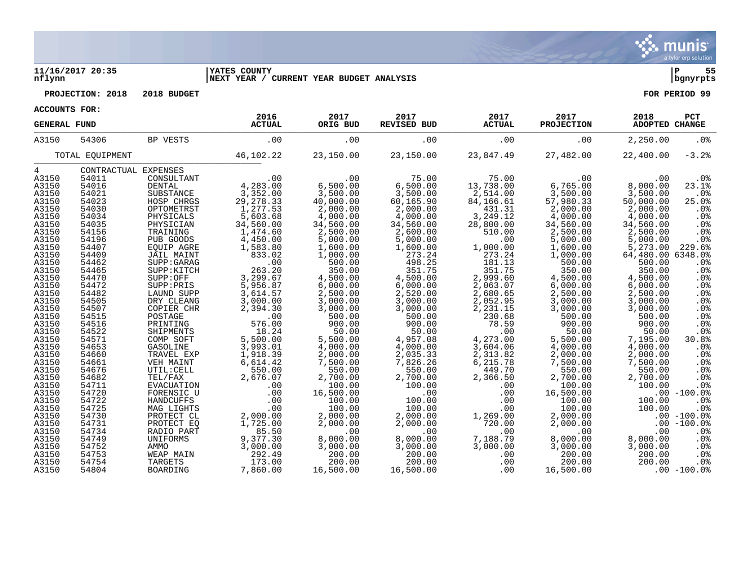

#### **11/16/2017 20:35 |YATES COUNTY |P 55 nflynn |NEXT YEAR / CURRENT YEAR BUDGET ANALYSIS |bgnyrpts**

**PROJECTION:** 2018 2018 BUDGET FOR PERIOD 99

| ACCOUNTS FOR: |  |
|---------------|--|

| ACCOUNTS LOD.       |                      |                 | 2016          | 2017      | 2017                         | 2017          | 2017              | 2018              | PCT             |
|---------------------|----------------------|-----------------|---------------|-----------|------------------------------|---------------|-------------------|-------------------|-----------------|
| <b>GENERAL FUND</b> |                      |                 | <b>ACTUAL</b> | ORIG BUD  | REVISED BUD                  | <b>ACTUAL</b> | <b>PROJECTION</b> | ADOPTED CHANGE    |                 |
| A3150               | 54306                | BP VESTS        | .00           | .00       | .00                          | .00           | .00               | 2,250.00          | $.0\%$          |
|                     | TOTAL EQUIPMENT      |                 | 46,102.22     | 23,150.00 | 23,150.00                    | 23,847.49     | 27,482.00         | 22,400.00         | $-3.2%$         |
| 4                   | CONTRACTUAL EXPENSES |                 |               |           |                              |               |                   |                   |                 |
| A3150               | 54011                | CONSULTANT      | 4, 283.00     | .00       | 75.00                        | 75.00         | .00               | .00               | $.0\%$          |
| A3150               | 54016                | <b>DENTAL</b>   |               | 6,500.00  | 6,500.00                     | 13,738.00     | 6,765.00          | 8,000.00          | 23.1%           |
| A3150               | 54021                | SUBSTANCE       | 3,352.00      | 3,500.00  | 3,500.00                     | 2,514.00      | 3,500.00          | 3,500.00          | .0%             |
| A3150               | 54023                | HOSP CHRGS      | 29, 278.33    | 40,000.00 | 60,165.90                    | 84,166.61     | 57,980.33         | 50,000.00         | 25.0%           |
| A3150               | 54030                | OPTOMETRST      | 1,277.53      | 2,000.00  | 2,000.00                     | 431.31        | 2,000.00          | 2,000.00          | .0%             |
| A3150               | 54034                | PHYSICALS       | 5,603.68      | 4,000.00  | 4,000.00                     | 3,249.12      | 4,000.00          | 4,000.00          | .0%             |
| A3150               | 54035                | PHYSICIAN       | 34,560.00     | 34,560.00 | 34,560.00                    | 28,800.00     | 34,560.00         | 34,560.00         | .0%             |
| A3150               | 54156                | TRAINING        | 1,474.60      | 2,500.00  | 2,600.00                     | 510.00        | 2,500.00          | 2,500.00          | .0%             |
| A3150               | 54196                | PUB GOODS       | 4,450.00      | 5,000.00  | 5,000.00                     | .00           | 5,000.00          | 5,000.00          | .0%             |
| A3150               | 54407                | EQUIP AGRE      | 1,583.80      | 1,600.00  | 1,600.00                     | 1,000.00      | 1,600.00          | 5,273.00          | 229.6%          |
| A3150               | 54409                | JAIL MAINT      | 833.02        | 1,000.00  | 273.24                       | 273.24        | 1,000.00          | 64,480.00 6348.0% |                 |
| A3150               | 54462                | SUPP: GARAG     | .00           | 500.00    | 498.25                       | 181.13        | 500.00            | 500.00            | .0%             |
| A3150               | 54465                | SUPP: KITCH     | 263.20        | 350.00    | 351.75                       | 351.75        | 350.00            | 350.00            | .0%             |
| A3150               | 54470                | SUPP:OFF        | 3,299.67      | 4,500.00  | 4,500.00                     | 2,999.60      | 4,500.00          | 4,500.00          | .0%             |
| A3150               | 54472                | SUPP: PRIS      | 5,956.87      | 6,000.00  | $6,000.00$<br>2,520.00       | 2,063.07      | 6,000.00          | 6,000.00          | .0%             |
| A3150               | 54482                | LAUND SUPP      | 3,614.57      | 2,500.00  |                              | 2,680.65      | 2,500.00          | 2,500.00          | .0%             |
| A3150               | 54505                | DRY CLEANG      | 3,000.00      | 3,000.00  | 3,000.00                     | 2,052.95      | 3,000.00          | 3,000.00          | .0%             |
| A3150               | 54507                | COPIER CHR      | 2,394.30      | 3,000.00  | 3,000.00                     | 2,231.15      | 3,000.00          | 3,000.00          | .0%             |
| A3150               | 54515                | POSTAGE         | .00           | 500.00    | 500.00                       | 230.68        | 500.00            | 500.00            | .0%             |
| A3150               | 54516                | PRINTING        | 576.00        | 900.00    | 900.00                       | 78.59         | 900.00            | 900.00            | .0%             |
| A3150               | 54522                | SHIPMENTS       | 18.24         | 50.00     | 50.00                        | .00           | 50.00             | 50.00             | .0%             |
| A3150               | 54571                | COMP SOFT       | 5,500.00      | 5,500.00  | 4,957.08                     | 4,273.00      | 5,500.00          | 7,195.00          | 30.8%           |
| A3150               | 54653                | GASOLINE        | 3,993.01      | 4,000.00  | 4,000.00                     | 3,604.06      | 4,000.00          | 4,000.00          | .0%             |
| A3150               | 54660                | TRAVEL EXP      | 1,918.39      | 2,000.00  | 2,035.33                     | 2,313.82      | 2,000.00          | 2,000.00          | .0%             |
| A3150               | 54661                | VEH MAINT       | 6,614.42      | 7,500.00  | 7,826.26                     | 6,215.78      | 7,500.00          | 7,500.00          | .0%             |
| A3150               | 54676                | UTIL: CELL      | 550.00        | 550.00    | 550.00                       | 449.70        | 550.00            | 550.00            | .0%             |
| A3150               | 54682                | TEL/FAX         | 2,676.07      | 2,700.00  | 2,700.00                     | 2,366.50      | 2,700.00          | 2,700.00          | .0%             |
| A3150               | 54711                | EVACUATION      | .00           | 100.00    | 100.00                       | .00           | 100.00            | 100.00            | .0%             |
| A3150               | 54720                | FORENSIC U      | .00           | 16,500.00 | $\overline{\phantom{0}}$ .00 | .00           | 16,500.00         |                   | $.00 - 100.0%$  |
| A3150               | 54722                | HANDCUFFS       | .00           | 100.00    | 100.00                       | .00           | 100.00            | 100.00            | .0 <sup>8</sup> |
| A3150               | 54725                | MAG LIGHTS      | .00           | 100.00    | 100.00                       | .00           | 100.00            | 100.00            | .0%             |
| A3150               | 54730                | PROTECT CL      | 2,000.00      | 2,000.00  | 2,000.00                     | 1,269.00      | 2,000.00          |                   | $.00 - 100.0%$  |
| A3150               | 54731                | PROTECT EQ      | 1,725.00      | 2,000.00  | 2,000.00                     | 720.00        | 2,000.00          |                   | $.00 - 100.0$   |
| A3150               | 54734                | RADIO PART      | 85.50         | .00       | .00                          | .00           | .00               | .00               | .0%             |
| A3150               | 54749                | UNIFORMS        | 9,377.30      | 8,000.00  | 8,000.00                     | 7,188.79      | 8,000.00          | 8,000.00          | .0%             |
| A3150               | 54752                | AMMO            | 3,000.00      | 3,000.00  | 3,000.00                     | 3,000.00      | 3,000.00          | 3,000.00          | .0%             |
| A3150               | 54753                | WEAP MAIN       | 292.49        | 200.00    | 200.00                       | .00           | 200.00            | 200.00            | .0%             |
| A3150               | 54754                | TARGETS         | 173.00        | 200.00    | 200.00                       | .00           | 200.00            | 200.00            | .0%             |
| A3150               | 54804                | <b>BOARDING</b> | 7,860.00      | 16,500.00 | 16,500.00                    | .00           | 16,500.00         |                   | $.00 - 100.0$   |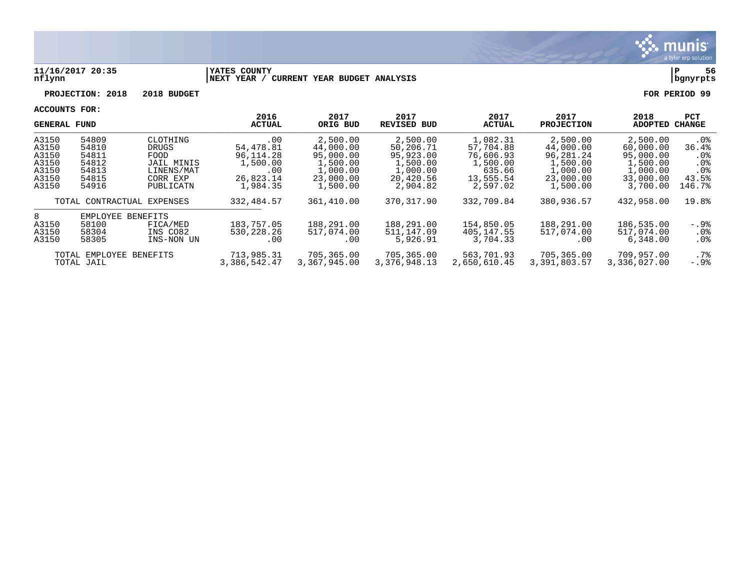

#### **11/16/2017 20:35 |YATES COUNTY |P 56 nflynn |NEXT YEAR / CURRENT YEAR BUDGET ANALYSIS |bgnyrpts**

**PROJECTION: 2018 2018 BUDGET FOR PERIOD 99**

| <b>GENERAL FUND</b> |                            |            | 2016<br><b>ACTUAL</b> | 2017<br>ORIG BUD | 2017<br>REVISED BUD | 2017<br><b>ACTUAL</b> | 2017<br><b>PROJECTION</b> | 2018<br>ADOPTED | <b>PCT</b><br>CHANGE |
|---------------------|----------------------------|------------|-----------------------|------------------|---------------------|-----------------------|---------------------------|-----------------|----------------------|
| A3150               | 54809                      | CLOTHING   | .00                   | 2,500.00         | 2,500.00            | 1,082.31              | 2,500.00                  | 2,500.00        | $.0\%$               |
| A3150               | 54810                      | DRUGS      | 54,478.81             | 44,000.00        | 50,206.71           | 57,704.88             | 44,000.00                 | 60,000.00       | 36.4%                |
| A3150               | 54811                      | FOOD       | 96,114.28             | 95,000.00        | 95,923.00           | 76,606.93             | 96,281.24                 | 95,000.00       | $.0\%$               |
| A3150               | 54812                      | JAIL MINIS | 1,500.00              | 1,500.00         | 1,500.00            | 1,500.00              | 1,500.00                  | 1,500.00        | .0 <sub>8</sub>      |
| A3150               | 54813                      | LINENS/MAT | .00                   | 1,000.00         | 1,000.00            | 635.66                | 1,000.00                  | 1,000.00        | .0 <sub>8</sub>      |
| A3150               | 54815                      | CORR EXP   | 26,823.14             | 23,000.00        | 20,420.56           | 13,555.54             | 23,000.00                 | 33,000.00       | 43.5%                |
| A3150               | 54916                      | PUBLICATN  | 1,984.35              | 1,500.00         | 2,904.82            | 2,597.02              | 1,500.00                  | 3,700.00        | 146.7%               |
|                     | TOTAL CONTRACTUAL EXPENSES |            | 332, 484.57           | 361,410.00       | 370, 317.90         | 332,709.84            | 380,936.57                | 432,958.00      | 19.8%                |
| 8                   | EMPLOYEE                   | BENEFITS   |                       |                  |                     |                       |                           |                 |                      |
| A3150               | 58100                      | FICA/MED   | 183,757.05            | 188,291.00       | 188,291.00          | 154,850.05            | 188,291.00                | 186,535.00      | -.9%                 |
| A3150               | 58304                      | INS CO82   | 530, 228, 26          | 517,074.00       | 511,147.09          | 405,147.55            | 517,074.00                | 517,074.00      | $.0\%$               |
| A3150               | 58305                      | INS-NON UN | .00                   | .00              | 5,926.91            | 3,704.33              | .00                       | 6,348,00        | $.0\%$               |
|                     | TOTAL EMPLOYEE BENEFITS    |            | 713,985.31            | 705,365.00       | 705,365.00          | 563,701.93            | 705,365.00                | 709,957.00      | . 7%                 |
|                     | TOTAL JAIL                 |            | 3,386,542.47          | 3,367,945.00     | 3,376,948.13        | 2,650,610.45          | 3,391,803.57              | 3,336,027.00    | $-.9$ $^{\circ}$     |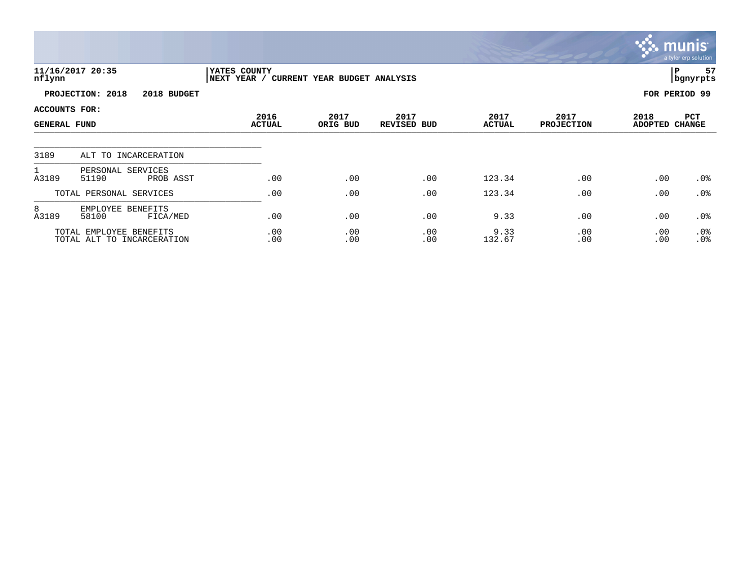|                                             |                                                       |                              |                              |                            |                       |                           |                        | <b>munis</b><br>a tyler erp solution |
|---------------------------------------------|-------------------------------------------------------|------------------------------|------------------------------|----------------------------|-----------------------|---------------------------|------------------------|--------------------------------------|
| nflynn                                      | 11/16/2017 20:35                                      | YATES COUNTY<br> NEXT YEAR / | CURRENT YEAR BUDGET ANALYSIS |                            |                       |                           |                        | 57<br> P<br>bgnyrpts                 |
|                                             | PROJECTION: 2018<br>2018 BUDGET                       |                              |                              |                            |                       |                           |                        | FOR PERIOD 99                        |
| <b>ACCOUNTS FOR:</b><br><b>GENERAL FUND</b> |                                                       | 2016<br><b>ACTUAL</b>        | 2017<br>ORIG BUD             | 2017<br><b>REVISED BUD</b> | 2017<br><b>ACTUAL</b> | 2017<br><b>PROJECTION</b> | 2018<br><b>ADOPTED</b> | PCT<br><b>CHANGE</b>                 |
|                                             |                                                       |                              |                              |                            |                       |                           |                        |                                      |
| 3189                                        | ALT TO INCARCERATION                                  |                              |                              |                            |                       |                           |                        |                                      |
| A3189                                       | PERSONAL SERVICES<br>51190<br>PROB ASST               | .00                          | .00                          | .00                        | 123.34                | .00                       | .00                    | $.0\%$                               |
|                                             | TOTAL PERSONAL SERVICES                               | .00                          | .00                          | .00                        | 123.34                | .00                       | .00                    | .0%                                  |
| 8<br>A3189                                  | EMPLOYEE BENEFITS<br>58100<br>FICA/MED                | .00                          | .00                          | .00                        | 9.33                  | .00                       | .00                    | .0%                                  |
|                                             | TOTAL EMPLOYEE BENEFITS<br>TOTAL ALT TO INCARCERATION | .00<br>.00                   | .00<br>.00                   | .00<br>.00                 | 9.33<br>132.67        | .00<br>.00                | .00<br>.00             | .0%<br>.0%                           |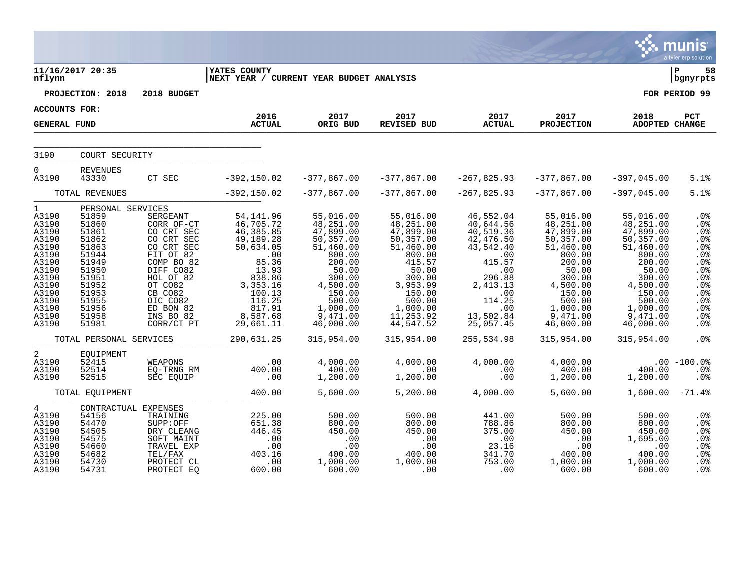|                                                                                                                                                     |                                                                                                                                                                                     |                                                                                                                                                                                                 |                                                                                                                                                                                    |                                                                                                                                                                                         |                                                                                                                                                                                          |                                                                                                                                                                                    |                                                                                                                                                                                          |                                                                                                                                                                                         | munis <sup>®</sup><br>a tyler erp solution                                                                                                       |
|-----------------------------------------------------------------------------------------------------------------------------------------------------|-------------------------------------------------------------------------------------------------------------------------------------------------------------------------------------|-------------------------------------------------------------------------------------------------------------------------------------------------------------------------------------------------|------------------------------------------------------------------------------------------------------------------------------------------------------------------------------------|-----------------------------------------------------------------------------------------------------------------------------------------------------------------------------------------|------------------------------------------------------------------------------------------------------------------------------------------------------------------------------------------|------------------------------------------------------------------------------------------------------------------------------------------------------------------------------------|------------------------------------------------------------------------------------------------------------------------------------------------------------------------------------------|-----------------------------------------------------------------------------------------------------------------------------------------------------------------------------------------|--------------------------------------------------------------------------------------------------------------------------------------------------|
| nflynn                                                                                                                                              | 11/16/2017 20:35                                                                                                                                                                    |                                                                                                                                                                                                 | <b>YATES COUNTY</b><br>NEXT YEAR / CURRENT YEAR BUDGET ANALYSIS                                                                                                                    |                                                                                                                                                                                         |                                                                                                                                                                                          |                                                                                                                                                                                    |                                                                                                                                                                                          |                                                                                                                                                                                         | ΙP<br>58<br>bgnyrpts                                                                                                                             |
|                                                                                                                                                     | PROJECTION: 2018                                                                                                                                                                    | 2018 BUDGET                                                                                                                                                                                     |                                                                                                                                                                                    |                                                                                                                                                                                         |                                                                                                                                                                                          |                                                                                                                                                                                    |                                                                                                                                                                                          |                                                                                                                                                                                         | FOR PERIOD 99                                                                                                                                    |
| <b>ACCOUNTS FOR:</b>                                                                                                                                |                                                                                                                                                                                     |                                                                                                                                                                                                 |                                                                                                                                                                                    |                                                                                                                                                                                         |                                                                                                                                                                                          |                                                                                                                                                                                    |                                                                                                                                                                                          |                                                                                                                                                                                         |                                                                                                                                                  |
| <b>GENERAL FUND</b>                                                                                                                                 |                                                                                                                                                                                     |                                                                                                                                                                                                 | 2016<br><b>ACTUAL</b>                                                                                                                                                              | 2017<br>ORIG BUD                                                                                                                                                                        | 2017<br><b>REVISED BUD</b>                                                                                                                                                               | 2017<br><b>ACTUAL</b>                                                                                                                                                              | 2017<br><b>PROJECTION</b>                                                                                                                                                                | 2018<br><b>ADOPTED CHANGE</b>                                                                                                                                                           | PCT                                                                                                                                              |
| 3190                                                                                                                                                | COURT SECURITY                                                                                                                                                                      |                                                                                                                                                                                                 |                                                                                                                                                                                    |                                                                                                                                                                                         |                                                                                                                                                                                          |                                                                                                                                                                                    |                                                                                                                                                                                          |                                                                                                                                                                                         |                                                                                                                                                  |
| $\Omega$<br>A3190                                                                                                                                   | REVENUES<br>43330                                                                                                                                                                   | CT SEC                                                                                                                                                                                          | $-392,150.02$                                                                                                                                                                      | $-377,867.00$                                                                                                                                                                           | $-377,867.00$                                                                                                                                                                            | $-267,825.93$                                                                                                                                                                      | $-377,867.00$                                                                                                                                                                            | $-397,045.00$                                                                                                                                                                           | 5.1%                                                                                                                                             |
|                                                                                                                                                     | TOTAL REVENUES                                                                                                                                                                      |                                                                                                                                                                                                 | $-392, 150.02$                                                                                                                                                                     | $-377,867.00$                                                                                                                                                                           | $-377,867.00$                                                                                                                                                                            | $-267,825.93$                                                                                                                                                                      | $-377,867.00$                                                                                                                                                                            | $-397,045.00$                                                                                                                                                                           | 5.1%                                                                                                                                             |
| $\mathbf{1}$<br>A3190<br>A3190<br>A3190<br>A3190<br>A3190<br>A3190<br>A3190<br>A3190<br>A3190<br>A3190<br>A3190<br>A3190<br>A3190<br>A3190<br>A3190 | PERSONAL SERVICES<br>51859<br>51860<br>51861<br>51862<br>51863<br>51944<br>51949<br>51950<br>51951<br>51952<br>51953<br>51955<br>51956<br>51958<br>51981<br>TOTAL PERSONAL SERVICES | SERGEANT<br>CORR OF-CT<br>CO CRT SEC<br>CO CRT SEC<br>CO CRT SEC<br>FIT OT 82<br>COMP BO 82<br>DIFF CO82<br>HOL OT 82<br>OT CO82<br>CB CO82<br>OIC CO82<br>ED BON 82<br>INS BO 82<br>CORR/CT PT | 54,141.96<br>46,705.72<br>46, 385.85<br>49,189.28<br>50,634.05<br>.00<br>85.36<br>13.93<br>838.86<br>3,353.16<br>100.13<br>116.25<br>817.91<br>8,587.68<br>29,661.11<br>290,631.25 | 55,016.00<br>48,251.00<br>47,899.00<br>50,357.00<br>51,460.00<br>800.00<br>200.00<br>50.00<br>300.00<br>4,500.00<br>150.00<br>500.00<br>1,000.00<br>9,471.00<br>46,000.00<br>315,954.00 | 55,016.00<br>48,251.00<br>47,899.00<br>50,357.00<br>51,460.00<br>800.00<br>415.57<br>50.00<br>300.00<br>3,953.99<br>150.00<br>500.00<br>1,000.00<br>11,253.92<br>44,547.52<br>315,954.00 | 46,552.04<br>40,644.56<br>40,519.36<br>42,476.50<br>43,542.40<br>.00<br>415.57<br>.00<br>296.88<br>2,413.13<br>$\cdot$ 00<br>114.25<br>.00<br>13,502.84<br>25,057.45<br>255,534.98 | 55,016.00<br>48, 251.00<br>47,899.00<br>50,357.00<br>51,460.00<br>800.00<br>200.00<br>50.00<br>300.00<br>4,500.00<br>150.00<br>500.00<br>1,000.00<br>9,471.00<br>46,000.00<br>315,954.00 | 55,016.00<br>48,251.00<br>47,899.00<br>50,357.00<br>51,460.00<br>800.00<br>200.00<br>50.00<br>300.00<br>4,500.00<br>150.00<br>500.00<br>1,000.00<br>9,471.00<br>46,000.00<br>315,954.00 | .0 <sub>8</sub><br>.0%<br>.0%<br>.0%<br>.0%<br>.0%<br>.0%<br>.0%<br>.0%<br>.0%<br>.0%<br>.0%<br>.0%<br>.0 <sub>8</sub><br>.0 <sub>8</sub><br>.0% |
| $\overline{2}$<br>A3190<br>A3190<br>A3190                                                                                                           | EQUIPMENT<br>52415<br>52514<br>52515<br>TOTAL EQUIPMENT                                                                                                                             | WEAPONS<br>EQ-TRNG RM<br>SEC EQUIP                                                                                                                                                              | .00<br>400.00<br>.00<br>400.00                                                                                                                                                     | 4,000.00<br>400.00<br>1,200.00<br>5,600.00                                                                                                                                              | 4,000.00<br>.00<br>1,200.00<br>5,200.00                                                                                                                                                  | 4,000.00<br>.00<br>.00<br>4,000.00                                                                                                                                                 | 4,000.00<br>400.00<br>1,200.00<br>5,600.00                                                                                                                                               | 400.00<br>1,200.00<br>1,600.00                                                                                                                                                          | $.00 - 100.0$<br>.0 <sub>8</sub><br>.0%<br>$-71.4%$                                                                                              |
| $\overline{4}$<br>A3190<br>A3190<br>A3190<br>A3190<br>A3190<br>A3190<br>A3190<br>A3190                                                              | 54156<br>54470<br>54505<br>54575<br>54660<br>54682<br>54730<br>54731                                                                                                                | CONTRACTUAL EXPENSES<br>TRAINING<br>$\texttt{SUPP:OFF}$<br>DRY CLEANG<br>SOFT MAINT<br>TRAVEL EXP<br>TEL/FAX<br>PROTECT CL<br>PROTECT EO                                                        | 225.00<br>651.38<br>446.45<br>.00<br>.00<br>403.16<br>.00<br>600.00                                                                                                                | 500.00<br>800.00<br>450.00<br>.00<br>.00<br>400.00<br>1,000.00<br>600.00                                                                                                                | 500.00<br>800.00<br>450.00<br>.00<br>.00<br>400.00<br>1,000.00<br>.00                                                                                                                    | 441.00<br>788.86<br>375.00<br>.00<br>23.16<br>341.70<br>753.00<br>.00                                                                                                              | 500.00<br>800.00<br>450.00<br>.00<br>.00<br>400.00<br>1,000.00<br>600.00                                                                                                                 | 500.00<br>800.00<br>450.00<br>1,695.00<br>.00<br>400.00<br>1,000.00<br>600.00                                                                                                           | .0%<br>.0%<br>.0%<br>.0%<br>.0%<br>.0%<br>.0%<br>.0 <sub>8</sub>                                                                                 |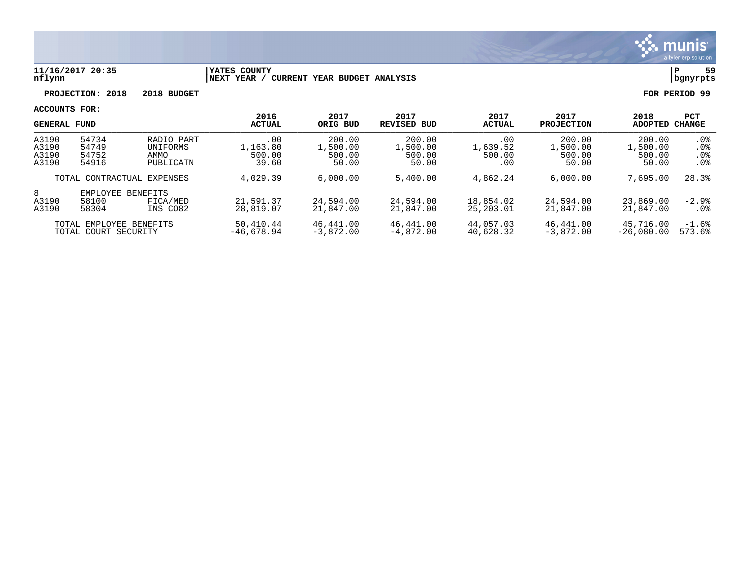

#### **11/16/2017 20:35 |YATES COUNTY |P 59 nflynn |NEXT YEAR / CURRENT YEAR BUDGET ANALYSIS |bgnyrpts**

**PROJECTION: 2018 2018 BUDGET FOR PERIOD 99**

| <b>GENERAL FUND</b>                                                          |                                  |                                             | 2016<br><b>ACTUAL</b>              | 2017<br>ORIG BUD                      | 2017<br><b>REVISED BUD</b>            | 2017<br><b>ACTUAL</b>            | 2017<br><b>PROJECTION</b>             | 2018<br><b>ADOPTED</b>                | <b>PCT</b><br><b>CHANGE</b>             |
|------------------------------------------------------------------------------|----------------------------------|---------------------------------------------|------------------------------------|---------------------------------------|---------------------------------------|----------------------------------|---------------------------------------|---------------------------------------|-----------------------------------------|
| A3190<br>A3190<br>A3190<br>A3190                                             | 54734<br>54749<br>54752<br>54916 | RADIO PART<br>UNIFORMS<br>AMMO<br>PUBLICATN | .00<br>1,163.80<br>500.00<br>39.60 | 200.00<br>L,500.00<br>500.00<br>50.00 | 200.00<br>1,500.00<br>500.00<br>50.00 | .00<br>1,639.52<br>500.00<br>.00 | 200.00<br>1,500.00<br>500.00<br>50.00 | 200.00<br>.,500.00<br>500.00<br>50.00 | $.0\%$<br>.0%<br>.0%<br>.0 <sup>8</sup> |
| TOTAL CONTRACTUAL EXPENSES                                                   |                                  | 4,029.39                                    | 6,000.00                           | 5,400.00                              | 4,862.24                              | 6,000.00                         | 7,695.00                              | 28.3%                                 |                                         |
| 8<br>A3190<br>A3190                                                          | EMPLOYEE<br>58100<br>58304       | <b>BENEFITS</b><br>FICA/MED<br>INS CO82     | 21,591.37<br>28,819.07             | 24,594.00<br>21,847.00                | 24,594.00<br>21,847.00                | 18,854.02<br>25,203.01           | 24,594.00<br>21,847.00                | 23,869.00<br>21,847.00                | $-2.9%$<br>$.0\%$                       |
| 50,410.44<br>TOTAL EMPLOYEE BENEFITS<br>$-46.678.94$<br>TOTAL COURT SECURITY |                                  | 46,441.00<br>$-3,872,00$                    | 46,441.00<br>$-4.872.00$           | 44,057.03<br>40,628.32                | 46,441.00<br>$-3.872.00$              | 45,716.00<br>$-26.080.00$        | $-1.6%$<br>573.6%                     |                                       |                                         |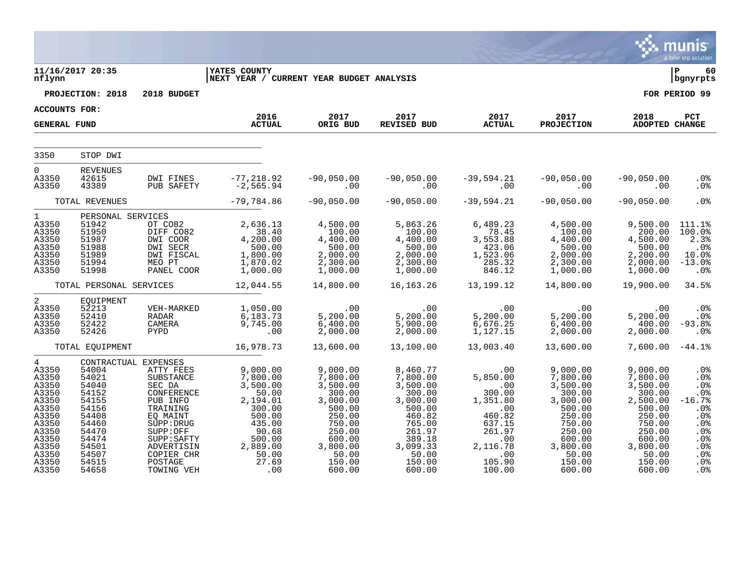|                                                                                                                                              |                                                                                                                            |                                                                                                                                                                                                          |                                                                                                                                                                               |                                                                                                                                                                      |                                                                                                                                                   |                                                                                                                                             |                                                                                                                                                       |                                                                                                                                                   | munis<br>a tyler erp solution                                                                       |
|----------------------------------------------------------------------------------------------------------------------------------------------|----------------------------------------------------------------------------------------------------------------------------|----------------------------------------------------------------------------------------------------------------------------------------------------------------------------------------------------------|-------------------------------------------------------------------------------------------------------------------------------------------------------------------------------|----------------------------------------------------------------------------------------------------------------------------------------------------------------------|---------------------------------------------------------------------------------------------------------------------------------------------------|---------------------------------------------------------------------------------------------------------------------------------------------|-------------------------------------------------------------------------------------------------------------------------------------------------------|---------------------------------------------------------------------------------------------------------------------------------------------------|-----------------------------------------------------------------------------------------------------|
| nflynn                                                                                                                                       | 11/16/2017 20:35                                                                                                           |                                                                                                                                                                                                          | <b>YATES COUNTY</b><br>NEXT YEAR / CURRENT YEAR BUDGET ANALYSIS                                                                                                               |                                                                                                                                                                      |                                                                                                                                                   |                                                                                                                                             |                                                                                                                                                       |                                                                                                                                                   | l P<br>60<br>  bgnyrpts                                                                             |
|                                                                                                                                              | PROJECTION: 2018                                                                                                           | 2018 BUDGET                                                                                                                                                                                              |                                                                                                                                                                               |                                                                                                                                                                      |                                                                                                                                                   |                                                                                                                                             |                                                                                                                                                       |                                                                                                                                                   | FOR PERIOD 99                                                                                       |
| <b>ACCOUNTS FOR:</b>                                                                                                                         |                                                                                                                            |                                                                                                                                                                                                          | 2016                                                                                                                                                                          | 2017                                                                                                                                                                 |                                                                                                                                                   | 2017 2017                                                                                                                                   | 2017                                                                                                                                                  | 2018                                                                                                                                              | PCT                                                                                                 |
| <b>GENERAL FUND</b>                                                                                                                          |                                                                                                                            |                                                                                                                                                                                                          | <b>ACTUAL</b>                                                                                                                                                                 | ORIG BUD                                                                                                                                                             | REVISED BUD                                                                                                                                       | <b>ACTUAL</b>                                                                                                                               | <b>PROJECTION</b>                                                                                                                                     | ADOPTED CHANGE                                                                                                                                    |                                                                                                     |
| 3350                                                                                                                                         | STOP DWI                                                                                                                   |                                                                                                                                                                                                          |                                                                                                                                                                               |                                                                                                                                                                      |                                                                                                                                                   |                                                                                                                                             |                                                                                                                                                       |                                                                                                                                                   |                                                                                                     |
| $\Omega$<br>A3350<br>A3350                                                                                                                   | <b>REVENUES</b><br>42615<br>43389                                                                                          | DWI FINES<br>PUB SAFETY                                                                                                                                                                                  | -77,218.92<br>-2,565.94                                                                                                                                                       | $\sim$ 00                                                                                                                                                            | $-90,050.00$ $-90,050.00$<br>$\begin{array}{c} \begin{array}{c} \hline \end{array} \\ \hline \end{array}$                                         | $-39,594.21$                                                                                                                                | -39,594.21 -90,050.00<br>00. 00                                                                                                                       | $-90,050.00$<br>.00                                                                                                                               | $.0\%$<br>.0%                                                                                       |
|                                                                                                                                              | TOTAL REVENUES                                                                                                             |                                                                                                                                                                                                          | $-79,784.86$                                                                                                                                                                  | $-90,050.00$                                                                                                                                                         | $-90,050.00$                                                                                                                                      | $-39,594.21$                                                                                                                                | $-90,050.00$                                                                                                                                          | $-90,050.00$                                                                                                                                      | .0%                                                                                                 |
| $1 \quad$<br>A3350<br>A3350<br>A3350<br>A3350<br>A3350<br>A3350<br>A3350                                                                     | 51942<br>51950<br>51987<br>51988<br>51989<br>51994<br>51998                                                                | PERSONAL SERVICES<br>OT CO82                                                                                                                                                                             | 2,636.13<br>01 CO82 2,030.13<br>DIFF CO82 38.40<br>DWI COOR 4,200.00<br>DWI SECR 500.00<br>DWI FISCAL 1,800.00<br>MEO PT 1,870.02<br>PANEL COOR 1,000.00                      | 4,500.00<br>$\begin{array}{r}4,900.00\\100.00\\4,400.00\\2,000.00\\2,300.00\\1,000.00\end{array}$                                                                    | 5,863.26<br>100.00<br>$\begin{array}{r} 100.00\ 4,400.00\ 500.00\ 2,000.00\ 2,300.00\ 1,000.00 \end{array}$                                       | 6,489.23<br>78.45<br>$\begin{array}{r} \n 76.49 \\  3,553.88 \\  423.06 \\  1,523.06 \\  285.32\n \end{array}$<br>846.12                    | 4,500.00<br>$\begin{array}{r} 1,000.00\ 4,400.00\ 500.00\ 2,000.00\ 2,300.00\ 1,000.00\ \end{array}$                                                  | 9,500.00<br>200.00<br>4,500.00<br>500.00<br>2,200.00<br>2,000.00<br>1,000.00                                                                      | 111.1%<br>100.0%<br>2.3%<br>.0 <sup>°</sup><br>10.0%<br>$-13.0%$<br>.0%                             |
|                                                                                                                                              | TOTAL PERSONAL SERVICES                                                                                                    |                                                                                                                                                                                                          | 12,044.55                                                                                                                                                                     | 14,800.00                                                                                                                                                            | 16,163.26                                                                                                                                         | 13,199.12                                                                                                                                   | 14,800.00                                                                                                                                             | 19,900.00                                                                                                                                         | 34.5%                                                                                               |
| $2^{\circ}$<br>A3350<br>A3350<br>A3350<br>A3350                                                                                              | EQUIPMENT<br>52213<br>52410<br>52422<br>52426                                                                              | VEH-MARKED                                                                                                                                                                                               | 1,050.00<br>RADAR 6,183.73<br>CAMERA 9,745.00<br>PYPD .00                                                                                                                     | 00 .<br>5 , 200 . 00<br>6 , 400 . 00<br>2,000.00                                                                                                                     | $6$<br>$\overline{5}$ , 200.00<br>$\overline{5}$ , 200.00<br>$\overline{5}$ , 900.                                                                | .00<br>00.<br>5,200.00<br>6,676.25<br>1,127.15                                                                                              | 00 .<br>5 , 200 . 00<br>6 , 400 . 00<br>2 , 000 . 00                                                                                                  | .00<br>5,200.00<br>400.00<br>2,000.00                                                                                                             | $.0\%$<br>$.0\%$<br>$-93.8%$<br>.0%                                                                 |
|                                                                                                                                              | TOTAL EQUIPMENT                                                                                                            |                                                                                                                                                                                                          | 16,978.73                                                                                                                                                                     | 13,600.00                                                                                                                                                            | 13,100.00                                                                                                                                         | 13,003.40                                                                                                                                   | 13,600.00                                                                                                                                             | 7,600.00                                                                                                                                          | $-44.1\%$                                                                                           |
| $\overline{4}$<br>A3350<br>A3350<br>A3350<br>A3350<br>A3350<br>A3350<br>A3350<br>A3350<br>A3350<br>A3350<br>A3350<br>A3350<br>A3350<br>A3350 | 54004<br>54021<br>54040<br>54152<br>54155<br>54156<br>54408<br>54460<br>54470<br>54474<br>54501<br>54507<br>54515<br>54658 | CONTRACTUAL EXPENSES<br>ATTY FEES<br>SUBSTANCE<br>SEC DA<br>CONFERENCE<br>PUB INFO<br>TRAINING<br>EQ MAINT<br>SUPP: DRUG<br>SUPP:OFF<br>SUPP: SAFTY<br>ADVERTISIN<br>COPIER CHR<br>POSTAGE<br>TOWING VEH | 9,000.00<br>7,800.00<br>3,500.00<br>50.00<br>2,194.01<br>300.00<br>500.00<br>435.00<br>$\begin{array}{r} 435.00 \ 90.68 \ 500.00 \ 2,889.00 \ 50.00 \ 27.69 \ 00 \end{array}$ | 9,000.00<br>7,800.00<br>3,500.00<br>300.00<br>3,000.00<br>500.00<br>250.00<br>$250.0$<br>$750.00$<br>$250.00$<br>$600.0$<br>$3.8$<br>$50.00$<br>$150.00$<br>$600.00$ | 8,460.77<br>7,800.00<br>3,500.00<br>300.00<br>3,000.00<br>500.00<br>460.82<br>765.00<br>261.97<br>389.18<br>3,099.33<br>50.00<br>150.00<br>600.00 | .00<br>5,850.00<br>$\sim 00$<br>300.00<br>1,351.80<br>$\sim 00$<br>460.82<br>637.15<br>261.97<br>.00<br>2,116.78<br>.00<br>105.90<br>100.00 | 9,000.00<br>7,800.00<br>3,500.00<br>300.00<br>3,000.00<br>500.00<br>250.00<br>750.00<br>250.00<br>600.00<br>$3,800.00$<br>$50.00$<br>150.00<br>600.00 | 9,000.00<br>7,800.00<br>3,500.00<br>300.00<br>2,500.00<br>500.00<br>250.00<br>750.00<br>250.00<br>600.00<br>3,800.00<br>50.00<br>150.00<br>600.00 | .0%<br>.0%<br>.0%<br>.0%<br>$-16.7%$<br>.0%<br>.0%<br>.0%<br>.0%<br>.0%<br>.0%<br>.0%<br>.0%<br>.0% |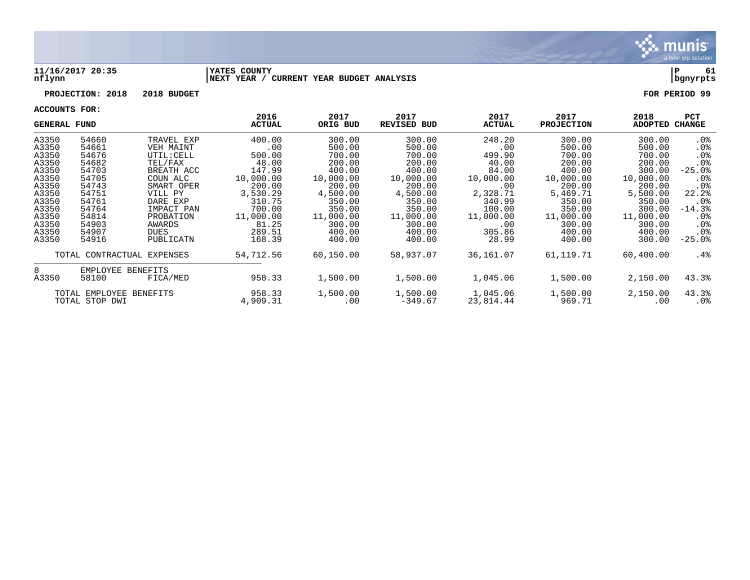

#### **11/16/2017 20:35 |YATES COUNTY |P 61 nflynn |NEXT YEAR / CURRENT YEAR BUDGET ANALYSIS |bgnyrpts**

# **PROJECTION: 2018 2018 BUDGET FOR PERIOD 99**

| <b>GENERAL FUND</b> |                            |            | 2016<br><b>ACTUAL</b> | 2017<br>ORIG BUD | 2017<br><b>REVISED BUD</b> | 2017<br><b>ACTUAL</b> | 2017<br><b>PROJECTION</b> | 2018<br><b>ADOPTED</b> | <b>PCT</b><br>CHANGE |
|---------------------|----------------------------|------------|-----------------------|------------------|----------------------------|-----------------------|---------------------------|------------------------|----------------------|
| A3350               | 54660                      | TRAVEL EXP | 400.00                | 300.00           | 300.00                     | 248.20                | 300.00                    | 300.00                 | . 0%                 |
| A3350               | 54661                      | VEH MAINT  | .00                   | 500.00           | 500.00                     | .00                   | 500.00                    | 500.00                 | $.0\%$               |
| A3350               | 54676                      | UTIL: CELL | 500.00                | 700.00           | 700.00                     | 499.90                | 700.00                    | 700.00                 | .0 <sub>8</sub>      |
| A3350               | 54682                      | TEL/FAX    | 48.00                 | 200.00           | 200.00                     | 40.00                 | 200.00                    | 200.00                 | .0 <sub>8</sub>      |
| A3350               | 54703                      | BREATH ACC | 147.99                | 400.00           | 400.00                     | 84.00                 | 400.00                    | 300.00                 | $-25.0$ $8$          |
| A3350               | 54705                      | COUN ALC   | 10,000.00             | 10,000.00        | 10,000.00                  | 10,000.00             | 10,000.00                 | 10,000.00              | . 0%                 |
| A3350               | 54743                      | SMART OPER | 200.00                | 200.00           | 200.00                     | .00                   | 200.00                    | 200.00                 | .0 <sub>8</sub>      |
| A3350               | 54751                      | VILL PY    | 3,530.29              | 4,500.00         | 4,500.00                   | 2,328.71              | 5,469.71                  | 5,500.00               | 22.2%                |
| A3350               | 54761                      | DARE EXP   | 310.75                | 350.00           | 350.00                     | 340.99                | 350.00                    | 350.00                 | $.0\%$               |
| A3350               | 54764                      | IMPACT PAN | 700.00                | 350.00           | 350.00                     | 100.00                | 350.00                    | 300.00                 | $-14.3%$             |
| A3350               | 54814                      | PROBATION  | 11,000.00             | 11,000.00        | 11,000.00                  | 11,000.00             | 11,000.00                 | 11,000.00              | . 0%                 |
| A3350               | 54903                      | AWARDS     | 81.25                 | 300.00           | 300.00                     | .00                   | 300.00                    | 300.00                 | .0 <sub>8</sub>      |
| A3350               | 54907                      | DUES       | 289.51                | 400.00           | 400.00                     | 305.86                | 400.00                    | 400.00                 | .0%                  |
| A3350               | 54916                      | PUBLICATN  | 168.39                | 400.00           | 400.00                     | 28.99                 | 400.00                    | 300.00                 | $-25.0$ $8$          |
|                     | TOTAL CONTRACTUAL EXPENSES |            | 54,712.56             | 60,150.00        | 58,937.07                  | 36,161.07             | 61,119.71                 | 60,400.00              | .4%                  |
| 8                   | EMPLOYEE BENEFITS          |            |                       |                  |                            |                       |                           |                        |                      |
| A3350               | 58100                      | FICA/MED   | 958.33                | 1,500.00         | 1,500.00                   | 1,045.06              | 1,500.00                  | 2,150.00               | 43.3%                |
|                     | TOTAL EMPLOYEE BENEFITS    |            | 958.33                | 1,500.00         | 1,500.00                   | 1,045.06              | 1,500.00                  | 2,150.00               | 43.3%                |
|                     | TOTAL STOP DWI             |            | 4,909.31              | .00              | $-349.67$                  | 23,814.44             | 969.71                    | .00                    | . 0%                 |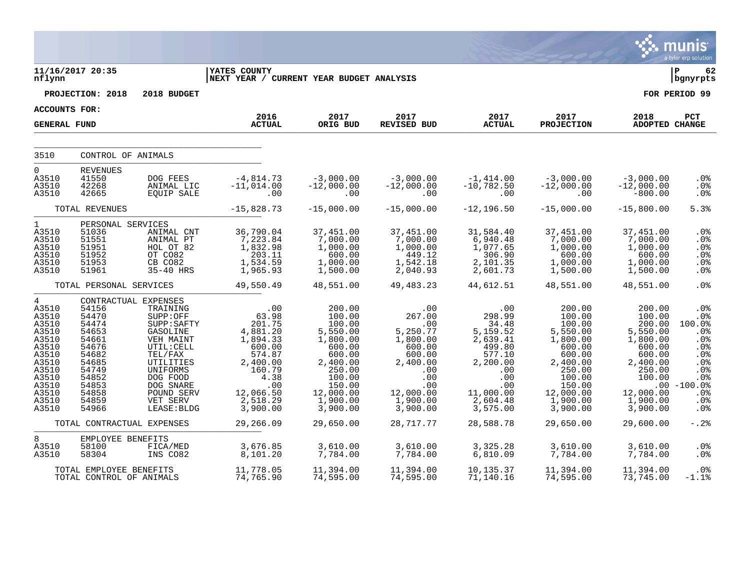|                                                                                                                                              |                                                                                                                            |                                                                                                                                                                                                          |                                                                                                                                              |                                                                                                                                                       |                                                                                                                                        |                                                                                                                                          |                                                                                                                                                       |                                                                                                                                             | a tyler erp solution                                                                                         |
|----------------------------------------------------------------------------------------------------------------------------------------------|----------------------------------------------------------------------------------------------------------------------------|----------------------------------------------------------------------------------------------------------------------------------------------------------------------------------------------------------|----------------------------------------------------------------------------------------------------------------------------------------------|-------------------------------------------------------------------------------------------------------------------------------------------------------|----------------------------------------------------------------------------------------------------------------------------------------|------------------------------------------------------------------------------------------------------------------------------------------|-------------------------------------------------------------------------------------------------------------------------------------------------------|---------------------------------------------------------------------------------------------------------------------------------------------|--------------------------------------------------------------------------------------------------------------|
| nflynn                                                                                                                                       | 11/16/2017 20:35                                                                                                           |                                                                                                                                                                                                          | <b>YATES COUNTY</b><br>NEXT YEAR / CURRENT YEAR BUDGET ANALYSIS                                                                              |                                                                                                                                                       |                                                                                                                                        |                                                                                                                                          |                                                                                                                                                       |                                                                                                                                             | l P<br>62<br>bgnyrpts                                                                                        |
|                                                                                                                                              | PROJECTION: 2018                                                                                                           | 2018 BUDGET                                                                                                                                                                                              |                                                                                                                                              |                                                                                                                                                       |                                                                                                                                        |                                                                                                                                          |                                                                                                                                                       |                                                                                                                                             | FOR PERIOD 99                                                                                                |
| <b>ACCOUNTS FOR:</b>                                                                                                                         |                                                                                                                            |                                                                                                                                                                                                          | 2016                                                                                                                                         | 2017                                                                                                                                                  | 2017                                                                                                                                   |                                                                                                                                          |                                                                                                                                                       |                                                                                                                                             |                                                                                                              |
| <b>GENERAL FUND</b>                                                                                                                          |                                                                                                                            |                                                                                                                                                                                                          | <b>ACTUAL</b>                                                                                                                                | ORIG BUD                                                                                                                                              | REVISED BUD                                                                                                                            | 2017<br><b>ACTUAL</b>                                                                                                                    | 2017<br><b>PROJECTION</b>                                                                                                                             | 2018<br>ADOPTED CHANGE                                                                                                                      | <b>PCT</b>                                                                                                   |
| 3510                                                                                                                                         | CONTROL OF ANIMALS                                                                                                         |                                                                                                                                                                                                          |                                                                                                                                              |                                                                                                                                                       |                                                                                                                                        |                                                                                                                                          |                                                                                                                                                       |                                                                                                                                             |                                                                                                              |
| 0                                                                                                                                            | <b>REVENUES</b>                                                                                                            |                                                                                                                                                                                                          |                                                                                                                                              |                                                                                                                                                       |                                                                                                                                        |                                                                                                                                          |                                                                                                                                                       |                                                                                                                                             |                                                                                                              |
| A3510<br>A3510<br>A3510                                                                                                                      | 41550<br>42268<br>42665                                                                                                    | DOG FEES<br>ANIMAL LIC<br>EQUIP SALE                                                                                                                                                                     | $-4,814.73$<br>$-11,014.00$<br>.00                                                                                                           | $-3,000.00$<br>$-12,000.00$<br>.00                                                                                                                    | $-3,000.00$<br>$-12,000.00$<br>.00                                                                                                     | $-1,414.00$<br>$-10,782.50$<br>.00                                                                                                       | $-3,000.00$<br>$-12,000.00$<br>.00                                                                                                                    | $-3,000.00$<br>$-12,000.00$<br>$-800.00$                                                                                                    | .0%<br>.0%<br>.0%                                                                                            |
|                                                                                                                                              | TOTAL REVENUES                                                                                                             |                                                                                                                                                                                                          | $-15,828.73$                                                                                                                                 | $-15,000.00$                                                                                                                                          | $-15,000.00$                                                                                                                           | $-12, 196.50$                                                                                                                            | $-15,000.00$                                                                                                                                          | $-15,800.00$                                                                                                                                | 5.3%                                                                                                         |
| $\mathbf{1}$<br>A3510<br>A3510<br>A3510<br>A3510<br>A3510<br>A3510                                                                           | PERSONAL SERVICES<br>51036<br>51551<br>51951<br>51952<br>51953<br>51961                                                    | ANIMAL CNT<br>ANIMAL PT<br>HOL OT 82<br>OT CO82<br>CB CO82<br>35-40 HRS                                                                                                                                  | 36,790.04<br>7,223.84<br>1,832.98<br>203.11<br>1,534.59<br>1,965.93                                                                          | 37,451.00<br>7,000.00<br>1,000.00<br>600.00<br>1,000.00<br>1,500.00                                                                                   | 37,451.00<br>7,000.00<br>1,000.00<br>449.12<br>1,542.18<br>2,040.93                                                                    | 31,584.40<br>6,940.48<br>1,077.65<br>306.90<br>2,101.35<br>2,601.73                                                                      | 37,451.00<br>7,000.00<br>1,000.00<br>600.00<br>1,000.00<br>1,500.00                                                                                   | 37,451.00<br>7,000.00<br>1,000.00<br>600.00<br>1,000.00<br>1,500.00                                                                         | .0%<br>.0%<br>.0%<br>.0%<br>.0%<br>.0%                                                                       |
|                                                                                                                                              | TOTAL PERSONAL SERVICES                                                                                                    |                                                                                                                                                                                                          | 49,550.49                                                                                                                                    | 48,551.00                                                                                                                                             | 49, 483. 23                                                                                                                            | 44,612.51                                                                                                                                | 48,551.00                                                                                                                                             | 48,551.00                                                                                                                                   | .0%                                                                                                          |
| $\overline{4}$<br>A3510<br>A3510<br>A3510<br>A3510<br>A3510<br>A3510<br>A3510<br>A3510<br>A3510<br>A3510<br>A3510<br>A3510<br>A3510<br>A3510 | 54156<br>54470<br>54474<br>54653<br>54661<br>54676<br>54682<br>54685<br>54749<br>54852<br>54853<br>54858<br>54859<br>54966 | CONTRACTUAL EXPENSES<br>TRAINING<br>SUPP:OFF<br>SUPP: SAFTY<br>GASOLINE<br>VEH MAINT<br>UTIL: CELL<br>TEL/FAX<br>UTILITIES<br>UNIFORMS<br>DOG FOOD<br>DOG SNARE<br>POUND SERV<br>VET SERV<br>LEASE: BLDG | .00<br>63.98<br>201.75<br>4,881.20<br>1,894.33<br>600.00<br>574.87<br>2,400.00<br>160.79<br>4.38<br>.00<br>12,066.50<br>2,518.29<br>3,900.00 | 200.00<br>100.00<br>100.00<br>5,550.00<br>1,800.00<br>600.00<br>600.00<br>2,400.00<br>250.00<br>100.00<br>150.00<br>12,000.00<br>1,900.00<br>3,900.00 | .00<br>267.00<br>.00<br>5,250.77<br>1,800.00<br>600.00<br>600.00<br>2,400.00<br>.00<br>.00<br>.00<br>12,000.00<br>1,900.00<br>3,900.00 | .00<br>298.99<br>34.48<br>5,159.52<br>2,639.41<br>499.80<br>577.10<br>2,200.00<br>.00<br>.00<br>.00<br>11,000.00<br>2,604.48<br>3,575.00 | 200.00<br>100.00<br>100.00<br>5,550.00<br>1,800.00<br>600.00<br>600.00<br>2,400.00<br>250.00<br>100.00<br>150.00<br>12,000.00<br>1,900.00<br>3,900.00 | 200.00<br>100.00<br>200.00<br>5,550.00<br>1,800.00<br>600.00<br>600.00<br>2,400.00<br>250.00<br>100.00<br>12,000.00<br>1,900.00<br>3,900.00 | .0%<br>.0%<br>100.0%<br>.0%<br>.0%<br>.0%<br>.0%<br>.0%<br>.0%<br>.0%<br>$.00 - 100.0%$<br>.0%<br>.0%<br>.0% |
|                                                                                                                                              | TOTAL CONTRACTUAL EXPENSES                                                                                                 |                                                                                                                                                                                                          | 29,266.09                                                                                                                                    | 29,650.00                                                                                                                                             | 28,717.77                                                                                                                              | 28,588.78                                                                                                                                | 29,650.00                                                                                                                                             | 29,600.00                                                                                                                                   | $-0.2$                                                                                                       |
| 8<br>A3510<br>A3510                                                                                                                          | EMPLOYEE BENEFITS<br>58100<br>58304                                                                                        | FICA/MED<br>INS CO82                                                                                                                                                                                     | 3,676.85<br>8,101.20                                                                                                                         | 3,610.00<br>7,784.00                                                                                                                                  | 3,610.00<br>7,784.00                                                                                                                   | 3,325.28<br>6,810.09                                                                                                                     | 3,610.00<br>7,784.00                                                                                                                                  | 3,610.00<br>7,784.00                                                                                                                        | .0%<br>.0%                                                                                                   |
|                                                                                                                                              | TOTAL EMPLOYEE BENEFITS<br>TOTAL CONTROL OF ANIMALS                                                                        |                                                                                                                                                                                                          | 11,778.05<br>74,765.90                                                                                                                       | 11,394.00<br>74,595.00                                                                                                                                | 11,394.00<br>74,595.00                                                                                                                 | 10,135.37<br>71,140.16                                                                                                                   | 11,394.00<br>74,595.00                                                                                                                                | 11,394.00<br>73,745.00                                                                                                                      | .0%<br>$-1.1$ %                                                                                              |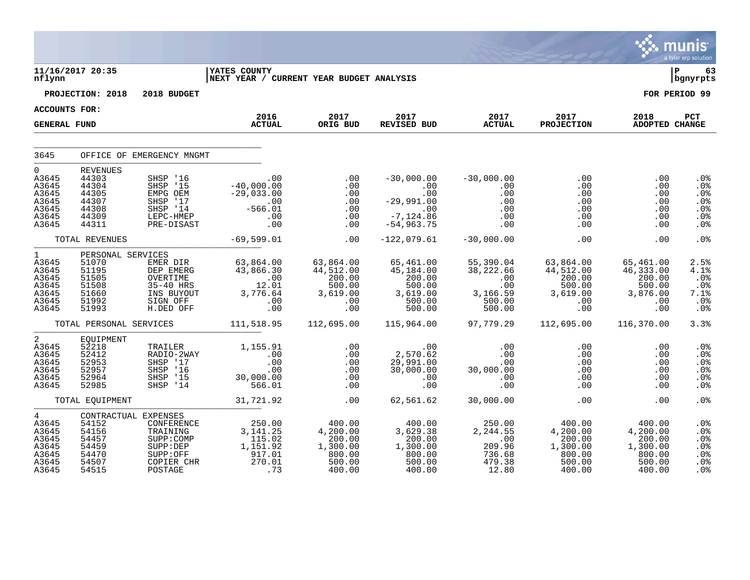|                                                                                       |                                                                                     |                                                                                           |                                                                                                                                                                                                                                                                                                                                                 |                                                                             |                                                                            |                                                                      |                                                                             |                                                                        | munis<br>a tyler erp solution                                  |
|---------------------------------------------------------------------------------------|-------------------------------------------------------------------------------------|-------------------------------------------------------------------------------------------|-------------------------------------------------------------------------------------------------------------------------------------------------------------------------------------------------------------------------------------------------------------------------------------------------------------------------------------------------|-----------------------------------------------------------------------------|----------------------------------------------------------------------------|----------------------------------------------------------------------|-----------------------------------------------------------------------------|------------------------------------------------------------------------|----------------------------------------------------------------|
| nflynn                                                                                | 11/16/2017 20:35                                                                    |                                                                                           | <b>YATES COUNTY</b><br>NEXT YEAR / CURRENT YEAR BUDGET ANALYSIS                                                                                                                                                                                                                                                                                 |                                                                             |                                                                            |                                                                      |                                                                             |                                                                        | 63<br>  bgnyrpts                                               |
|                                                                                       | PROJECTION: 2018                                                                    | 2018 BUDGET                                                                               |                                                                                                                                                                                                                                                                                                                                                 |                                                                             |                                                                            |                                                                      |                                                                             |                                                                        | FOR PERIOD 99                                                  |
| <b>ACCOUNTS FOR:</b>                                                                  |                                                                                     |                                                                                           |                                                                                                                                                                                                                                                                                                                                                 |                                                                             |                                                                            |                                                                      |                                                                             |                                                                        |                                                                |
| <b>GENERAL FUND</b>                                                                   |                                                                                     |                                                                                           | 2016<br><b>ACTUAL</b>                                                                                                                                                                                                                                                                                                                           | 2017<br>ORIG BUD                                                            | 2017<br><b>REVISED BUD</b>                                                 | 2017<br><b>ACTUAL</b>                                                | 2017<br><b>PROJECTION</b>                                                   | 2018<br>ADOPTED CHANGE                                                 | PCT                                                            |
| 3645                                                                                  |                                                                                     | OFFICE OF EMERGENCY MNGMT                                                                 |                                                                                                                                                                                                                                                                                                                                                 |                                                                             |                                                                            |                                                                      |                                                                             |                                                                        |                                                                |
| $\Omega$<br>A3645<br>A3645<br>A3645<br>A3645<br>A3645<br>A3645<br>A3645               | <b>REVENUES</b><br>44303<br>44304<br>44305<br>44307<br>44308<br>44309<br>44311      | SHSP '16<br>SHSP '15<br>EMPG OEM<br>SHSP '17<br>$SHSP$ $14$<br>LEPC-HMEP<br>PRE-DISAST    | .00<br>$-40,000.00$<br>$-29,033.00$<br>00.<br>01. a565-<br>$-566.01$<br>.00<br>.00                                                                                                                                                                                                                                                              | .00<br>.00<br>.00<br>.00<br>.00<br>.00<br>.00                               | $-30,000.00$<br>$00$<br>00.<br>00.109, 29–<br>$-7, 124.86$<br>$-54,963.75$ | $-30,000.00$<br>.00<br>.00<br>.00<br>.00<br>.00<br>.00               | .00<br>$.00 \,$<br>.00<br>.00<br>.00<br>.00<br>$.00 \,$                     | .00<br>.00<br>.00<br>.00<br>.00<br>.00<br>.00                          | .0 <sub>8</sub><br>.0%<br>.0%<br>.0%<br>.0%<br>.0%<br>.0%      |
|                                                                                       | TOTAL REVENUES                                                                      |                                                                                           | $-69,599.01$                                                                                                                                                                                                                                                                                                                                    | .00                                                                         | $-122,079.61$                                                              | $-30,000.00$                                                         | .00                                                                         | .00                                                                    | .0%                                                            |
| $1 \quad \blacksquare$<br>A3645<br>A3645<br>A3645<br>A3645<br>A3645<br>A3645<br>A3645 | PERSONAL SERVICES<br>51070<br>51195<br>51505<br>51508<br>51660<br>51992<br>51993    | EMER DIR<br>DEP EMERG<br>OVERTIME<br>$35 - 40$ HRS<br>INS BUYOUT<br>SIGN OFF<br>H.DED OFF | 63,864.00<br>43,866.30<br>43,866.30<br>$\begin{array}{c} 0.00 \\ 12.01 \end{array}$<br>12.01<br>3,776.64<br>$\begin{array}{c} 0.00000 \\ -0.00000 \\ -0.00000 \end{array}$                                                                                                                                                                      | 63,864.00<br>44,512.00<br>200.00<br>500.00<br>3,619.00<br>.00<br>.00        | 65,461.00<br>45,184.00<br>200.00<br>500.00<br>3,619.00<br>500.00<br>500.00 | 55,390.04<br>38,222.66<br>.00<br>.00<br>3,166.59<br>500.00<br>500.00 | 63,864.00<br>44,512.00<br>200.00<br>3,619.00<br>.00<br>.00                  | 65,461.00<br>46,333.00<br>200.00<br>500.00<br>3,876.00<br>.00<br>.00   | 2.5%<br>4.1%<br>.0%<br>.0%<br>7.1%<br>.0%<br>.0%               |
|                                                                                       | TOTAL PERSONAL SERVICES                                                             |                                                                                           | 111,518.95                                                                                                                                                                                                                                                                                                                                      | 112,695.00                                                                  | 115,964.00                                                                 | 97,779.29                                                            | 112,695.00                                                                  | 116,370.00                                                             | 3.3%                                                           |
| $\overline{2}$<br>A3645<br>A3645<br>A3645<br>A3645<br>A3645<br>A3645                  | EQUIPMENT<br>52218<br>52412<br>52953<br>52957<br>52964<br>52985                     | TRAILER<br>RADIO-2WAY<br>SHSP '17<br>SHSP '16<br>SHSP '15<br>SHSP '14                     | 1,155.91<br>$\begin{array}{c} 0.000000 \\ -0.00000 \\ -0.00000 \\ -0.00000 \\ -0.00000 \\ -0.00000 \\ -0.00000 \\ -0.00000 \\ -0.00000 \\ -0.00000 \\ -0.00000 \\ -0.00000 \\ -0.00000 \\ -0.00000 \\ -0.00000 \\ -0.00000 \\ -0.00000 \\ -0.00000 \\ -0.00000 \\ -0.00000 \\ -0.00000 \\ -0.00000 \\ -0.00000 \\ -0.00$<br>30,000.00<br>566.01 | .00<br>.00<br>.00<br>.00<br>.00<br>.00                                      | $.00 \ \,$<br>2,570.62<br>29,991.00<br>30,000.00<br>.00<br>.00             | $.00 \,$<br>.00<br>.00<br>30,000.00<br>$\sim 00$<br>.00              | $.00 \,$<br>.00<br>.00<br>.00<br>.00<br>.00                                 | .00<br>.00<br>.00<br>.00<br>.00<br>.00                                 | .0%<br>.0 <sub>8</sub><br>.0%<br>.0%<br>.0%<br>.0 <sub>8</sub> |
|                                                                                       | TOTAL EQUIPMENT                                                                     |                                                                                           | 31,721.92                                                                                                                                                                                                                                                                                                                                       | .00                                                                         | 62,561.62                                                                  | 30,000.00                                                            | .00                                                                         | .00                                                                    | .0%                                                            |
| $4\overline{ }$<br>A3645<br>A3645<br>A3645<br>A3645<br>A3645<br>A3645<br>A3645        | CONTRACTUAL EXPENSES<br>54152<br>54156<br>54457<br>54459<br>54470<br>54507<br>54515 | CONFERENCE<br>TRAINING<br>SUPP: COMP<br>SUPP: DEP<br>SUPP:OFF<br>COPIER CHR<br>POSTAGE    | 250.00<br>$3, \overline{141.25}$<br>$115.02$<br>$1,\overline{151.92}\atop917.01$<br>270.01<br>. 73                                                                                                                                                                                                                                              | 400.00<br>$4, 200.00$<br>$200.00$<br>1,300.00<br>800.00<br>500.00<br>400.00 | 400.00<br>3,629.38<br>200.00<br>1,300.00<br>800.00<br>500.00<br>400.00     | 250.00<br>2, 244.55<br>.00<br>209.96<br>736.68<br>479.38<br>12.80    | 400.00<br>$4, 200.00$<br>$200.00$<br>1,300.00<br>800.00<br>500.00<br>400.00 | 400.00<br>4,200.00<br>200.00<br>1,300.00<br>800.00<br>500.00<br>400.00 | .0%<br>.0%<br>.0%<br>.0%<br>.0%<br>.0%<br>.0%                  |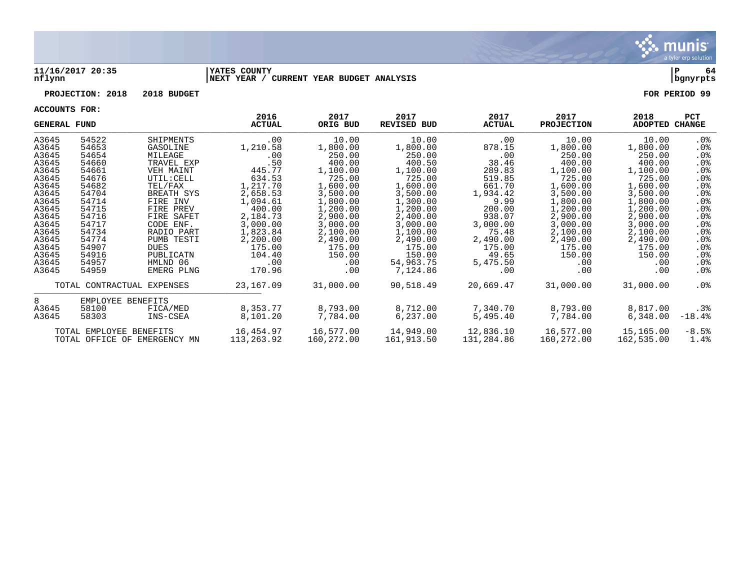

#### **11/16/2017 20:35 |YATES COUNTY |P 64 nflynn |NEXT YEAR / CURRENT YEAR BUDGET ANALYSIS |bgnyrpts**

# **PROJECTION: 2018 2018 BUDGET FOR PERIOD 99**

| <b>GENERAL FUND</b> |                         |                              | 2016<br><b>ACTUAL</b> | 2017<br>ORIG BUD | 2017<br><b>REVISED BUD</b> | 2017<br><b>ACTUAL</b> | 2017<br><b>PROJECTION</b> | 2018<br>ADOPTED CHANGE | <b>PCT</b>      |
|---------------------|-------------------------|------------------------------|-----------------------|------------------|----------------------------|-----------------------|---------------------------|------------------------|-----------------|
| A3645               | 54522                   | SHIPMENTS                    | $.00 \,$              | 10.00            | 10.00                      | .00                   | 10.00                     | 10.00                  | .0%             |
| A3645               | 54653                   | GASOLINE                     | 1,210.58              | 1,800.00         | 1,800.00                   | 878.15                | 1,800.00                  | 1,800.00               | .0%             |
| A3645               | 54654                   | MILEAGE                      | .00                   | 250.00           | 250.00                     | .00                   | 250.00                    | 250.00                 | $.0\%$          |
| A3645               | 54660                   | TRAVEL EXP                   | .50                   | 400.00           | 400.50                     | 38.46                 | 400.00                    | 400.00                 | .0%             |
| A3645               | 54661                   | VEH MAINT                    | 445.77                | 1,100.00         | 1,100.00                   | 289.83                | 1,100.00                  | 1,100.00               | .0%             |
| A3645               | 54676                   | UTIL: CELL                   | 634.53                | 725.00           | 725.00                     | 519.85                | 725.00                    | 725.00                 | $.0\%$          |
| A3645               | 54682                   | TEL/FAX                      | 1,217.70              | 1,600.00         | 1,600.00                   | 661.70                | 1,600.00                  | 1,600.00               | $.0\%$          |
| A3645               | 54704                   | BREATH SYS                   | 2,658.53              | 3,500.00         | 3,500.00                   | 1,934.42              | 3,500.00                  | 3,500.00               | .0%             |
| A3645               | 54714                   | FIRE INV                     | 1,094.61              | 1,800.00         | 1,300.00                   | 9.99                  | 1,800.00                  | 1,800.00               | .0%             |
| A3645               | 54715                   | FIRE PREV                    | 400.00                | 1,200.00         | 1,200.00                   | 200.00                | 1,200.00                  | 1,200.00               | .0%             |
| A3645               | 54716                   | FIRE SAFET                   | 2,184.73              | 2,900.00         | 2,400.00                   | 938.07                | 2,900.00                  | 2,900.00               | .0%             |
| A3645               | 54717                   | CODE ENF.                    | 3,000.00              | 3,000.00         | 3,000.00                   | 3,000.00              | 3,000.00                  | 3,000.00               | .0%             |
| A3645               | 54734                   | RADIO PART                   | 1,823.84              | 2,100.00         | 1,100.00                   | 75.48                 | 2,100.00                  | 2,100.00               | .0 <sub>8</sub> |
| A3645               | 54774                   | PUMB TESTI                   | 2,200.00              | 2,490.00         | 2,490.00                   | 2,490.00              | 2,490.00                  | 2,490.00               | $.0\%$          |
| A3645               | 54907                   | <b>DUES</b>                  | 175.00                | 175.00           | 175.00                     | 175.00                | 175.00                    | 175.00                 | .0%             |
| A3645               | 54916                   | PUBLICATN                    | 104.40                | 150.00           | 150.00                     | 49.65                 | 150.00                    | 150.00                 | $.0\%$          |
| A3645               | 54957                   | HMLND 06                     | $.00 \,$              | .00              | 54,963.75                  | 5,475.50              | .00                       | .00                    | .0%             |
| A3645               | 54959                   | EMERG PLNG                   | 170.96                | .00              | 7,124.86                   | $.00 \,$              | .00                       | .00                    | . 0%            |
|                     |                         | TOTAL CONTRACTUAL EXPENSES   | 23,167.09             | 31,000.00        | 90,518.49                  | 20,669.47             | 31,000.00                 | 31,000.00              | .0%             |
| 8                   | EMPLOYEE BENEFITS       |                              |                       |                  |                            |                       |                           |                        |                 |
| A3645               | 58100                   | FICA/MED                     | 8,353.77              | 8,793.00         | 8,712.00                   | 7,340.70              | 8,793.00                  | 8,817.00               | $.3\%$          |
| A3645               | 58303                   | INS-CSEA                     | 8,101.20              | 7,784.00         | 6,237.00                   | 5,495.40              | 7,784.00                  | 6,348.00               | $-18.4%$        |
|                     | TOTAL EMPLOYEE BENEFITS |                              | 16,454.97             | 16,577.00        | 14,949.00                  | 12,836.10             | 16,577.00                 | 15,165.00              | $-8.5%$         |
|                     |                         | TOTAL OFFICE OF EMERGENCY MN | 113,263.92            | 160,272.00       | 161,913.50                 | 131,284.86            | 160,272.00                | 162,535.00             | 1.4%            |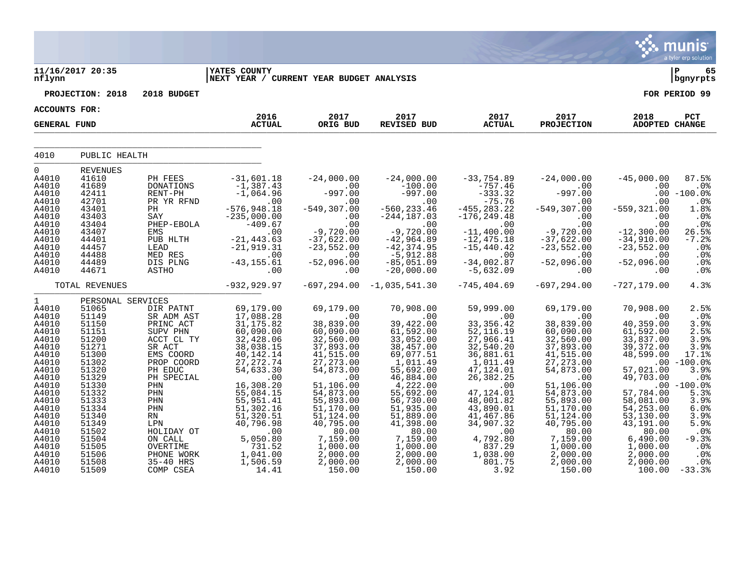|                                                                                                                                                                                                                   |                                                                                                                                                                                                                         |                                                                                                                                                                                                                                                    |                                                                                                                                                                                                                                                                         |                                                                                                                                                                                                                                                                       |                                                                                                                                                                                                                                                                         |                                                                                                                                                                                                                                                              |                                                                                                                                                                                                                                                                      |                                                                                                                                                                                                                                                  | munis<br>a tyler erp solution                                                                                                                                                                                |
|-------------------------------------------------------------------------------------------------------------------------------------------------------------------------------------------------------------------|-------------------------------------------------------------------------------------------------------------------------------------------------------------------------------------------------------------------------|----------------------------------------------------------------------------------------------------------------------------------------------------------------------------------------------------------------------------------------------------|-------------------------------------------------------------------------------------------------------------------------------------------------------------------------------------------------------------------------------------------------------------------------|-----------------------------------------------------------------------------------------------------------------------------------------------------------------------------------------------------------------------------------------------------------------------|-------------------------------------------------------------------------------------------------------------------------------------------------------------------------------------------------------------------------------------------------------------------------|--------------------------------------------------------------------------------------------------------------------------------------------------------------------------------------------------------------------------------------------------------------|----------------------------------------------------------------------------------------------------------------------------------------------------------------------------------------------------------------------------------------------------------------------|--------------------------------------------------------------------------------------------------------------------------------------------------------------------------------------------------------------------------------------------------|--------------------------------------------------------------------------------------------------------------------------------------------------------------------------------------------------------------|
| nflynn                                                                                                                                                                                                            | 11/16/2017 20:35                                                                                                                                                                                                        |                                                                                                                                                                                                                                                    | <b>YATES COUNTY</b><br>NEXT YEAR / CURRENT YEAR BUDGET ANALYSIS                                                                                                                                                                                                         |                                                                                                                                                                                                                                                                       |                                                                                                                                                                                                                                                                         |                                                                                                                                                                                                                                                              |                                                                                                                                                                                                                                                                      |                                                                                                                                                                                                                                                  | ∣ P<br>65<br>  bgnyrpts                                                                                                                                                                                      |
|                                                                                                                                                                                                                   | PROJECTION: 2018                                                                                                                                                                                                        | 2018 BUDGET                                                                                                                                                                                                                                        |                                                                                                                                                                                                                                                                         |                                                                                                                                                                                                                                                                       |                                                                                                                                                                                                                                                                         |                                                                                                                                                                                                                                                              |                                                                                                                                                                                                                                                                      |                                                                                                                                                                                                                                                  | FOR PERIOD 99                                                                                                                                                                                                |
| <b>ACCOUNTS FOR:</b>                                                                                                                                                                                              |                                                                                                                                                                                                                         |                                                                                                                                                                                                                                                    |                                                                                                                                                                                                                                                                         |                                                                                                                                                                                                                                                                       |                                                                                                                                                                                                                                                                         |                                                                                                                                                                                                                                                              |                                                                                                                                                                                                                                                                      |                                                                                                                                                                                                                                                  |                                                                                                                                                                                                              |
| <b>GENERAL FUND</b>                                                                                                                                                                                               |                                                                                                                                                                                                                         |                                                                                                                                                                                                                                                    | 2016<br><b>ACTUAL</b>                                                                                                                                                                                                                                                   | 2017<br>ORIG BUD                                                                                                                                                                                                                                                      | 2017<br><b>REVISED BUD</b>                                                                                                                                                                                                                                              | 2017<br><b>ACTUAL</b>                                                                                                                                                                                                                                        | 2017<br><b>PROJECTION</b>                                                                                                                                                                                                                                            | 2018<br>ADOPTED CHANGE                                                                                                                                                                                                                           | PCT                                                                                                                                                                                                          |
| 4010                                                                                                                                                                                                              | PUBLIC HEALTH                                                                                                                                                                                                           |                                                                                                                                                                                                                                                    |                                                                                                                                                                                                                                                                         |                                                                                                                                                                                                                                                                       |                                                                                                                                                                                                                                                                         |                                                                                                                                                                                                                                                              |                                                                                                                                                                                                                                                                      |                                                                                                                                                                                                                                                  |                                                                                                                                                                                                              |
| 0<br>A4010<br>A4010<br>A4010<br>A4010<br>A4010<br>A4010<br>A4010<br>A4010<br>A4010<br>A4010<br>A4010<br>A4010<br>A4010                                                                                            | <b>REVENUES</b><br>41610<br>41689<br>42411<br>42701<br>43401<br>43403<br>43404<br>43407<br>44401<br>44457<br>44488<br>44489<br>44671                                                                                    | PH FEES<br><b>DONATIONS</b><br>RENT-PH<br>PR YR RFND<br>PH<br>SAY<br>PHEP-EBOLA<br>EMS<br>PUB HLTH<br>LEAD<br>MED RES<br>DIS PLNG<br><b>ASTHO</b>                                                                                                  | $-31,601.18$<br>$-1,387.43$<br>$-1,064.96$<br>.00<br>$-576, 948.18$<br>$-235,000.00$<br>$-409.67$<br>.00<br>$-21, 443.63$<br>$-21, 919.31$<br>.00<br>$-43, 155.61$<br>.00                                                                                               | $-24,000.00$<br>.00<br>$-997.00$<br>.00<br>$-549, 307.00$<br>.00<br>.00<br>$-9,720.00$<br>$-37,622.00$<br>$-23,552.00$<br>.00<br>$-52,096.00$<br>.00                                                                                                                  | $-24,000.00$<br>$-100.00$<br>$-997.00$<br>.00<br>$-560, 233.46$<br>$-244, 187.03$<br>.00<br>$-9,720.00$<br>$-42, 964.89$<br>$-42, 374.95$<br>$-5,912.88$<br>$-85,051.09$<br>$-20,000.00$                                                                                | $-33,754.89$<br>$-757.46$<br>$-333.32$<br>$-75.76$<br>$-455, 283.22$<br>$-176, 249.48$<br>.00<br>$-11,400.00$<br>$-12,475.18$<br>$-15,440.42$<br>.00<br>$-34,002.87$<br>$-5,632.09$                                                                          | $-24,000.00$<br>.00<br>$-997.00$<br>.00<br>$-549, 307.00$<br>.00<br>.00<br>$-9,720.00$<br>$-37,622.00$<br>$-23,552.00$<br>$.00 \,$<br>$-52,096.00$<br>.00                                                                                                            | $-45,000.00$<br>.00<br>.00<br>.00<br>$-559, 321.00$<br>.00<br>.00<br>$-12,300.00$<br>$-34,910.00$<br>$-23,552.00$<br>.00<br>$-52,096.00$<br>.00                                                                                                  | 87.5%<br>.0%<br>$-100.0$ %<br>.0%<br>1.8%<br>.0%<br>.0%<br>26.5%<br>$-7.2%$<br>.0%<br>.0%<br>.0%<br>.0%                                                                                                      |
|                                                                                                                                                                                                                   | TOTAL REVENUES                                                                                                                                                                                                          |                                                                                                                                                                                                                                                    | $-932, 929.97$                                                                                                                                                                                                                                                          | $-697, 294.00$                                                                                                                                                                                                                                                        | $-1,035,541.30$                                                                                                                                                                                                                                                         | $-745, 404.69$                                                                                                                                                                                                                                               | $-697, 294.00$                                                                                                                                                                                                                                                       | $-727, 179.00$                                                                                                                                                                                                                                   | 4.3%                                                                                                                                                                                                         |
| $\mathbf 1$<br>A4010<br>A4010<br>A4010<br>A4010<br>A4010<br>A4010<br>A4010<br>A4010<br>A4010<br>A4010<br>A4010<br>A4010<br>A4010<br>A4010<br>A4010<br>A4010<br>A4010<br>A4010<br>A4010<br>A4010<br>A4010<br>A4010 | PERSONAL SERVICES<br>51065<br>51149<br>51150<br>51151<br>51200<br>51271<br>51300<br>51302<br>51320<br>51329<br>51330<br>51332<br>51333<br>51334<br>51340<br>51349<br>51502<br>51504<br>51505<br>51506<br>51508<br>51509 | DIR PATNT<br>SR ADM AST<br>PRINC ACT<br>SUPV PHN<br>ACCT CL TY<br>SR ACT<br>EMS COORD<br>PROP COORD<br>PH EDUC<br>PH SPECIAL<br>PHN<br>PHN<br>PHN<br>PHN<br>RN<br>LPN<br>HOLIDAY OT<br>ON CALL<br>OVERTIME<br>PHONE WORK<br>35-40 HRS<br>COMP CSEA | 69,179.00<br>17,088.28<br>31, 175.82<br>60,090.00<br>32,428.06<br>38,038.15<br>40,142.14<br>27,272.74<br>54,633.30<br>.00<br>16,308.20<br>55,084.15<br>55,951.41<br>51,302.16<br>51,320.51<br>40,796.98<br>.00<br>5,050.80<br>$731.52$<br>1,041.00<br>1,506.59<br>14.41 | 69,179.00<br>.00<br>38,839.00<br>60,090.00<br>32,560.00<br>37,893.00<br>41,515.00<br>27, 273.00<br>54,873.00<br>.00<br>51,106.00<br>54,873.00<br>55,893.00<br>51,170.00<br>51, 124.00<br>40,795.00<br>80.00<br>7,159.00<br>1,000.00<br>2,000.00<br>2,000.00<br>150.00 | 70,908.00<br>.00<br>39,422.00<br>61,592.00<br>33,052.00<br>38,457.00<br>69,077.51<br>1,011.49<br>55,692.00<br>46,884.00<br>4,222.00<br>55,692.00<br>56,730.00<br>51,935.00<br>51,889.00<br>41,398.00<br>80.00<br>7,159.00<br>1,000.00<br>2,000.00<br>2,000.00<br>150.00 | 59,999.00<br>.00<br>33, 356.42<br>52, 116.19<br>27,966.41<br>32,540.20<br>36,881.61<br>1,011.49<br>47,124.01<br>26,382.25<br>.00<br>47,124.01<br>48,001.82<br>43,890.01<br>41,467.86<br>34,907.32<br>.00<br>4,792.80<br>837.29<br>1,038.00<br>801.75<br>3.92 | 69,179.00<br>.00<br>38,839.00<br>60,090.00<br>32,560.00<br>37,893.00<br>41,515.00<br>27, 273.00<br>54,873.00<br>.00<br>51,106.00<br>54,873.00<br>55,893.00<br>51,170.00<br>51,124.00<br>40,795.00<br>80.00<br>7,159.00<br>1,000.00<br>2,000.00<br>2,000.00<br>150.00 | 70,908.00<br>.00<br>40,359.00<br>61,592.00<br>33,837.00<br>39, 372.00<br>48,599.00<br>57,021.00<br>49,703.00<br>57,784.00<br>58,081.00<br>54,253.00<br>53,130.00<br>43,191.00<br>80.00<br>6,490.00<br>1,000.00<br>2,000.00<br>2,000.00<br>100.00 | 2.5%<br>.0%<br>3.9%<br>2.5%<br>3.9%<br>3.9%<br>17.1%<br>$.00 - 100.0$<br>3.9%<br>.0%<br>$.00 - 100.0$<br>5.3%<br>3.9%<br>6.0%<br>3.9%<br>5.9%<br>.0%<br>$-9.3%$<br>.0%<br>.0 <sub>8</sub><br>.0%<br>$-33.3%$ |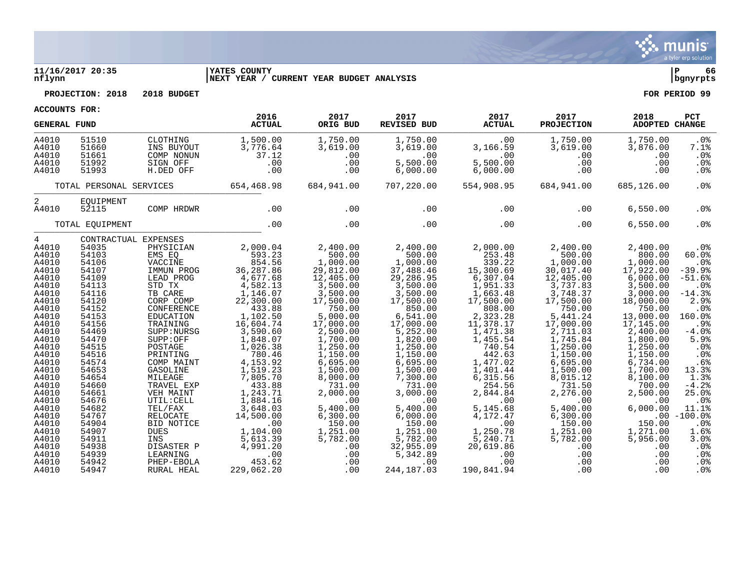

# **11/16/2017 20:35 |YATES COUNTY |P 66**

**PROJECTION: 2018 2018 BUDGET FOR PERIOD 99**

**nflynn |NEXT YEAR / CURRENT YEAR BUDGET ANALYSIS |bgnyrpts**

| <b>ACCOUNTS FOR:</b>                      |                                           |                                                               |                                                 |                                              |                                                     |                                                  |                                                  |                                               |                                              |
|-------------------------------------------|-------------------------------------------|---------------------------------------------------------------|-------------------------------------------------|----------------------------------------------|-----------------------------------------------------|--------------------------------------------------|--------------------------------------------------|-----------------------------------------------|----------------------------------------------|
| <b>GENERAL FUND</b>                       |                                           |                                                               | 2016<br><b>ACTUAL</b>                           | 2017<br>ORIG BUD                             | 2017<br><b>REVISED BUD</b>                          | 2017<br><b>ACTUAL</b>                            | 2017<br><b>PROJECTION</b>                        | 2018<br>ADOPTED CHANGE                        | PCT                                          |
| A4010<br>A4010<br>A4010<br>A4010<br>A4010 | 51510<br>51660<br>51661<br>51992<br>51993 | CLOTHING<br>INS BUYOUT<br>COMP NONUN<br>SIGN OFF<br>H.DED OFF | 1,500.00<br>3,776.64<br>37.12<br>.00<br>.00     | 1,750.00<br>3,619.00<br>.00<br>.00<br>.00    | 1,750.00<br>3,619.00<br>.00<br>5,500.00<br>6,000.00 | .00<br>3,166.59<br>.00<br>5,500.00<br>6,000.00   | 1,750.00<br>3,619.00<br>.00<br>.00<br>.00        | 1,750.00<br>3,876.00<br>.00<br>.00<br>.00     | .0%<br>7.1%<br>.0%<br>.0%<br>.0 <sub>8</sub> |
|                                           | TOTAL PERSONAL SERVICES                   |                                                               | 654,468.98                                      | 684,941.00                                   | 707,220.00                                          | 554,908.95                                       | 684,941.00                                       | 685,126.00                                    | .0%                                          |
| 2<br>A4010                                | EQUIPMENT<br>52115                        | COMP HRDWR                                                    | .00                                             | .00                                          | .00                                                 | .00                                              | .00                                              | 6,550.00                                      | .0%                                          |
|                                           | TOTAL EQUIPMENT                           |                                                               | .00                                             | .00                                          | .00                                                 | .00                                              | .00                                              | 6,550.00                                      | .0%                                          |
| $4\degree$<br>A4010                       | 54035                                     | CONTRACTUAL EXPENSES<br>PHYSICIAN                             | 2,000.04                                        | 2,400.00                                     | 2,400.00                                            | 2,000.00                                         | 2,400.00                                         | 2,400.00                                      | .0%                                          |
| A4010<br>A4010<br>A4010                   | 54103<br>54106<br>54107                   | EMS EO<br>VACCINE<br>IMMUN PROG                               | 593.23<br>854.56<br>36,287.86                   | 500.00<br>1,000.00<br>29,812.00              | 500.00<br>1,000.00<br>37,488.46                     | 253.48<br>339.22                                 | 500.00<br>1,000.00<br>30,017.40                  | 800.00<br>1,000.00<br>17,922.00               | 60.0%<br>.0%<br>$-39.9$                      |
| A4010<br>A4010<br>A4010                   | 54109<br>54113<br>54116                   | LEAD PROG<br>STD TX<br>TB CARE                                | 4,677.68<br>4,582.13<br>$1,146.07$<br>22,300.00 | 12,405.00<br>3,500.00<br>3,500.00            | 29,286.95<br>3,500.00<br>3,500.00                   | 15, 300.69<br>6, 307.04<br>1, 951.33<br>1,663.48 | $\frac{12}{3}$ , 405.00<br>3, 737.83<br>3,748.37 | 6,000.00<br>3,500.00<br>3,000.00              | $-51.6%$<br>.0%<br>$-14.3%$                  |
| A4010<br>A4010<br>A4010<br>A4010          | 54120<br>54152<br>54153<br>54156          | CORP COMP<br>CONFERENCE<br>EDUCATION<br>TRAINING              | 433.88<br>1,102.50<br>16,604.74                 | 17,500.00<br>750.00<br>5,000.00<br>17,000.00 | 17,500.00<br>850.00<br>6,541.00<br>17,000.00        | 17,500.00<br>808.00<br>2,323.28<br>11,378.17     | 17,500.00<br>750.00<br>5,441.24<br>17,000.00     | 18,000.00<br>750.00<br>13,000.00<br>17,145.00 | 2.9%<br>.0%<br>160.0%<br>.9%                 |
| A4010<br>A4010<br>A4010                   | 54469<br>54470<br>54515                   | SUPP: NURSG<br>SUPP:OFF<br>POSTAGE                            | 3,590.60<br>1,848.07<br>1,026.38                | 2,500.00<br>1,700.00<br>1,250.00             | 5,252.00<br>1,820.00<br>1,250.00                    | 1,471.38<br>1,455.54<br>740.54                   | 2,711.03<br>1,745.84<br>1,250.00                 | 2,400.00<br>1,800.00<br>1,250.00              | $-4.0%$<br>5.9%<br>.0%                       |
| A4010<br>A4010<br>A4010                   | 54516<br>54574<br>54653                   | PRINTING<br>COMP MAINT<br>GASOLINE                            | 780.46<br>4,153.92<br>1,519.23                  | 1,150.00<br>6,695.00<br>1,500.00             | 1,150.00<br>6,695.00<br>1,500.00                    | $442.63$<br>1,477.02<br>1,401.44                 | 1,150.00<br>6,695.00<br>1,500.00                 | 1,150.00<br>6,734.00<br>1,700.00              | .0%<br>.6%<br>13.3%                          |
| A4010<br>A4010<br>A4010                   | 54654<br>54660<br>54661                   | MILEAGE<br>TRAVEL EXP<br>VEH MAINT                            | 7,805.70<br>433.88<br>1,243.71                  | 8,000.00<br>731.00<br>2,000.00               | 7,300.00<br>731.00<br>3,000.00                      | 6,315.56<br>254.56<br>2,844.84                   | 8,015.12<br>731.50<br>2,276.00                   | 8,100.00<br>700.00<br>2,500.00                | 1.3%<br>$-4.2%$<br>25.0%                     |
| A4010<br>A4010<br>A4010                   | 54676<br>54682<br>54767                   | UTIL: CELL<br>TEL/FAX<br>RELOCATE                             | 1,884.16<br>3,648.03<br>14,500.00               | .00<br>5,400.00<br>6,300.00                  | .00<br>5,400.00<br>6,000.00                         | .00<br>5,145.68<br>4,172.47                      | .00<br>5,400.00<br>6,300.00                      | .00<br>6.000.00                               | .0%<br>11.1%<br>$.00 - 100.0$                |
| A4010<br>A4010<br>A4010<br>A4010          | 54904<br>54907<br>54911<br>54938          | BID NOTICE<br><b>DUES</b><br>INS<br>DISASTER P                | .00<br>1,104.00<br>5,613.39<br>4,991.20         | 150.00<br>1,251.00<br>5,782.00<br>.00        | 150.00<br>1,251.00<br>5,782.00<br>32,955.09         | .00<br>1,250.78<br>5,240.71<br>20,619.86         | 150.00<br>1,251.00<br>5,782.00<br>.00            | 150.00<br>1,271.00<br>5,956.00<br>.00         | .0%<br>1.6%<br>3.0%<br>.0%                   |
| A4010<br>A4010<br>A4010                   | 54939<br>54942<br>54947                   | LEARNING<br>PHEP-EBOLA<br>RURAL HEAL                          | .00<br>453.62<br>229,062.20                     | .00<br>.00<br>.00                            | 5,342.89<br>.00<br>244, 187.03                      | .00<br>.00<br>190,841.94                         | .00<br>.00<br>.00                                | .00<br>.00<br>.00                             | .0%<br>.0%<br>.0%                            |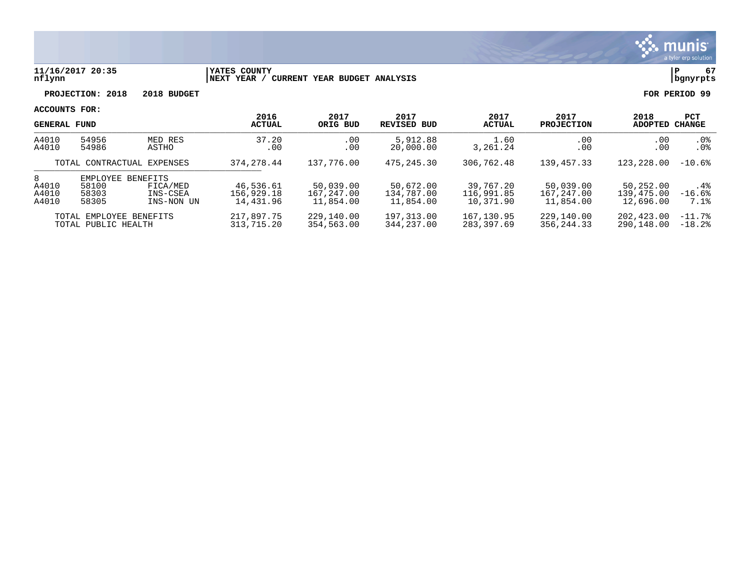

#### **11/16/2017 20:35 |YATES COUNTY |P 67 nflynn |NEXT YEAR / CURRENT YEAR BUDGET ANALYSIS |bgnyrpts**

**PROJECTION: 2018 2018 BUDGET FOR PERIOD 99**

|                                                | <b>GENERAL FUND</b>                                                                          |                          | 2016<br><b>ACTUAL</b>                | 2017<br>ORIG BUD                     | 2017<br><b>REVISED BUD</b>           | 2017<br>ACTUAL                       | 2017<br><b>PROJECTION</b>            | 2018<br>ADOPTED                      | <b>PCT</b><br><b>CHANGE</b> |
|------------------------------------------------|----------------------------------------------------------------------------------------------|--------------------------|--------------------------------------|--------------------------------------|--------------------------------------|--------------------------------------|--------------------------------------|--------------------------------------|-----------------------------|
| A4010<br>A4010                                 | 54956<br>MED RES<br>54986<br>ASTHO                                                           |                          | 37.20<br>.00                         | .00<br>.00                           | 5,912.88<br>20,000.00                | 1.60<br>3,261.24                     | .00<br>.00                           | .00<br>.00                           | $.0\%$<br>.0 <sub>8</sub>   |
|                                                | TOTAL CONTRACTUAL EXPENSES                                                                   |                          | 374, 278, 44                         | 137,776.00                           | 475,245.30                           | 306,762.48                           | 139, 457.33                          | 123,228.00                           | $-10.6%$                    |
| 8<br>A4010<br>A4010<br>A4010                   | <b>BENEFITS</b><br>EMPLOYEE<br>58100<br>FICA/MED<br>58303<br>INS-CSEA<br>58305<br>INS-NON UN |                          | 46,536.61<br>156,929.18<br>14,431.96 | 50,039.00<br>167,247.00<br>11,854.00 | 50,672.00<br>134,787.00<br>11,854.00 | 39,767.20<br>116,991.85<br>10,371.90 | 50,039.00<br>167,247.00<br>11,854.00 | 50,252.00<br>139,475.00<br>12,696.00 | $.4\%$<br>$-16.6%$<br>7.1%  |
| TOTAL EMPLOYEE BENEFITS<br>TOTAL PUBLIC HEALTH |                                                                                              | 217,897.75<br>313,715.20 | 229,140.00<br>354,563.00             | 197,313.00<br>344,237.00             | 167,130.95<br>283,397.69             | 229,140.00<br>356, 244. 33           | 202,423.00<br>290,148.00             | $-11.7%$<br>$-18.2$ .                |                             |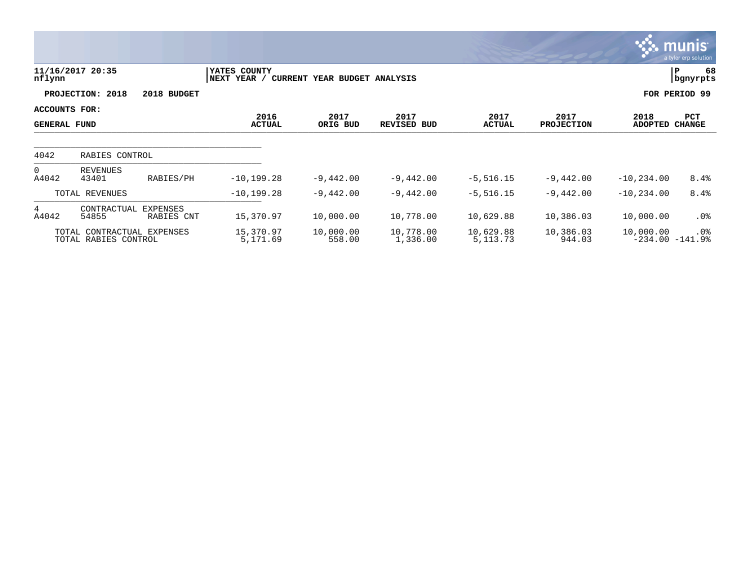|                          |                                                    |                        |                             |                              |                            |                         |                           |                                | <b>munis</b><br>a tyler erp solution |
|--------------------------|----------------------------------------------------|------------------------|-----------------------------|------------------------------|----------------------------|-------------------------|---------------------------|--------------------------------|--------------------------------------|
| nflynn                   | 11/16/2017 20:35                                   |                        | YATES COUNTY<br>NEXT YEAR / | CURRENT YEAR BUDGET ANALYSIS |                            |                         |                           |                                | 68<br>P<br>  bgnyrpts                |
|                          | PROJECTION: 2018                                   | 2018 BUDGET            |                             |                              |                            |                         |                           |                                | FOR PERIOD 99                        |
|                          | ACCOUNTS FOR:<br><b>GENERAL FUND</b>               |                        | 2016<br><b>ACTUAL</b>       | 2017<br>ORIG BUD             | 2017<br><b>REVISED BUD</b> | 2017<br><b>ACTUAL</b>   | 2017<br><b>PROJECTION</b> | 2018<br><b>ADOPTED</b>         | PCT<br><b>CHANGE</b>                 |
| 4042                     | RABIES CONTROL                                     |                        |                             |                              |                            |                         |                           |                                |                                      |
| $\overline{0}$<br>A4042  | <b>REVENUES</b><br>43401                           | RABIES/PH              | $-10, 199.28$               | $-9,442.00$                  | $-9,442.00$                | $-5,516.15$             | $-9,442.00$               | $-10, 234.00$                  | 8.4%                                 |
|                          | TOTAL REVENUES                                     |                        | $-10, 199.28$               | $-9,442.00$                  | $-9,442.00$                | $-5,516.15$             | $-9,442.00$               | $-10, 234.00$                  | 8.4%                                 |
| $4\overline{ }$<br>A4042 | CONTRACTUAL<br>54855                               | EXPENSES<br>RABIES CNT | 15,370.97                   | 10,000.00                    | 10,778.00                  | 10,629.88               | 10,386.03                 | 10,000.00                      | $.0\%$                               |
|                          | TOTAL CONTRACTUAL EXPENSES<br>TOTAL RABIES CONTROL |                        | 15,370.97<br>5,171.69       | 10,000.00<br>558.00          | 10,778.00<br>1,336.00      | 10,629.88<br>5, 113. 73 | 10,386.03<br>944.03       | 10,000.00<br>$-234.00 -141.98$ | $.0\%$                               |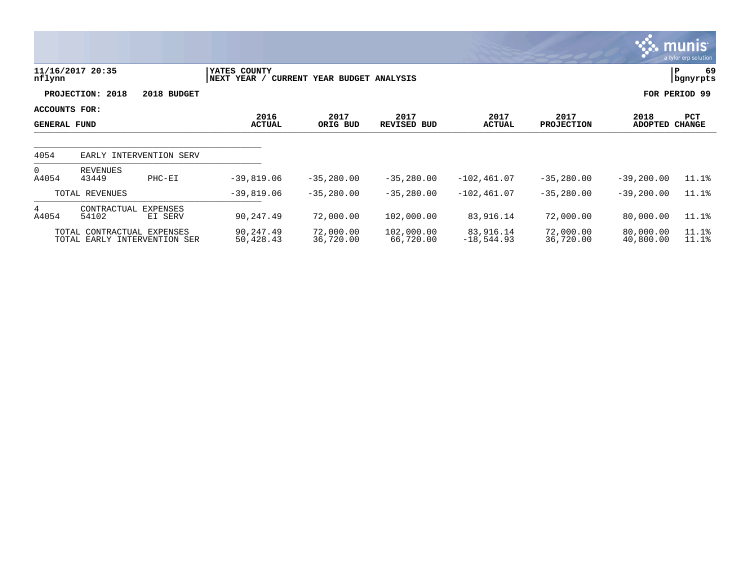|                                             |                                                            |                            |                             |                              |                         |                           |                           |                        | <b>munis</b><br>a tyler erp solution |
|---------------------------------------------|------------------------------------------------------------|----------------------------|-----------------------------|------------------------------|-------------------------|---------------------------|---------------------------|------------------------|--------------------------------------|
| nflynn                                      | 11/16/2017 20:35                                           |                            | YATES COUNTY<br>NEXT YEAR / | CURRENT YEAR BUDGET ANALYSIS |                         |                           |                           |                        | 69<br>P<br>bgnyrpts                  |
|                                             | PROJECTION: 2018                                           | 2018 BUDGET                |                             |                              |                         |                           |                           |                        | FOR PERIOD 99                        |
| <b>ACCOUNTS FOR:</b><br><b>GENERAL FUND</b> |                                                            |                            | 2016<br><b>ACTUAL</b>       | 2017<br>ORIG BUD             | 2017<br>REVISED BUD     | 2017<br><b>ACTUAL</b>     | 2017<br><b>PROJECTION</b> | 2018<br><b>ADOPTED</b> | PCT<br><b>CHANGE</b>                 |
| 4054                                        | EARLY INTERVENTION SERV                                    |                            |                             |                              |                         |                           |                           |                        |                                      |
| $\overline{0}$<br>A4054                     | REVENUES<br>43449                                          | $PHC-EI$                   | $-39,819.06$                | $-35,280.00$                 | $-35,280.00$            | $-102, 461.07$            | $-35,280.00$              | $-39,200.00$           | 11.1%                                |
|                                             | TOTAL REVENUES                                             |                            | $-39,819.06$                | $-35,280.00$                 | $-35,280.00$            | $-102, 461.07$            | $-35,280.00$              | $-39, 200.00$          | 11.1%                                |
| 4<br>A4054                                  | CONTRACTUAL<br>54102                                       | <b>EXPENSES</b><br>EI SERV | 90,247.49                   | 72,000.00                    | 102,000.00              | 83,916.14                 | 72,000.00                 | 80,000.00              | 11.1%                                |
|                                             | TOTAL CONTRACTUAL EXPENSES<br>TOTAL EARLY INTERVENTION SER |                            | 90,247.49<br>50,428.43      | 72,000.00<br>36,720.00       | 102,000.00<br>66,720.00 | 83,916.14<br>$-18,544.93$ | 72,000.00<br>36,720.00    | 80,000.00<br>40,800.00 | 11.1%<br>11.1%                       |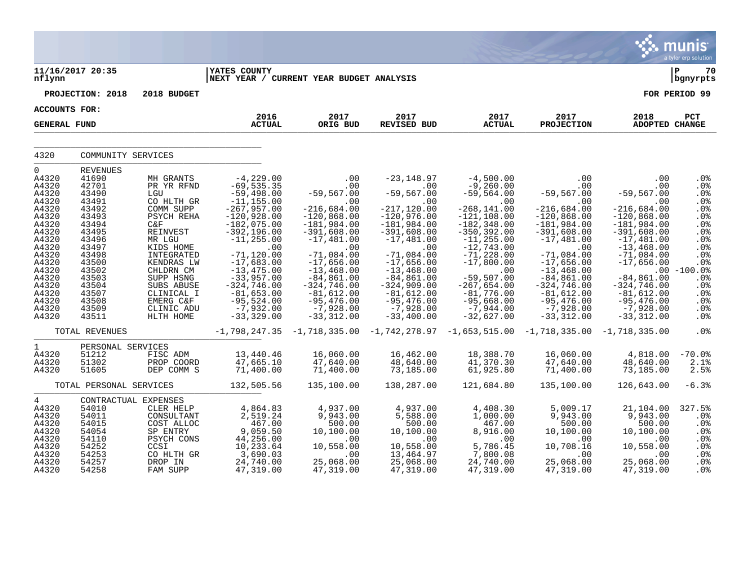|                                                                                                                                                                              |                                                                                                                                                                                            |                                                                                                                                                                                                                                             |                                                                                                                                                                                                                                                                                                                     |                                                                                                                                                                                                                                                                                |                                                                                                                                                                                                                                                                                          |                                                                                                                                                                                                                                                                                                    |                                                                                                                                                                                                                                                                                      |                                                                                                                                                                                                                                                                        | a tyler erp solution                                                                                                                                                                |
|------------------------------------------------------------------------------------------------------------------------------------------------------------------------------|--------------------------------------------------------------------------------------------------------------------------------------------------------------------------------------------|---------------------------------------------------------------------------------------------------------------------------------------------------------------------------------------------------------------------------------------------|---------------------------------------------------------------------------------------------------------------------------------------------------------------------------------------------------------------------------------------------------------------------------------------------------------------------|--------------------------------------------------------------------------------------------------------------------------------------------------------------------------------------------------------------------------------------------------------------------------------|------------------------------------------------------------------------------------------------------------------------------------------------------------------------------------------------------------------------------------------------------------------------------------------|----------------------------------------------------------------------------------------------------------------------------------------------------------------------------------------------------------------------------------------------------------------------------------------------------|--------------------------------------------------------------------------------------------------------------------------------------------------------------------------------------------------------------------------------------------------------------------------------------|------------------------------------------------------------------------------------------------------------------------------------------------------------------------------------------------------------------------------------------------------------------------|-------------------------------------------------------------------------------------------------------------------------------------------------------------------------------------|
| nflynn                                                                                                                                                                       | 11/16/2017 20:35                                                                                                                                                                           |                                                                                                                                                                                                                                             | <b>YATES COUNTY</b><br>NEXT YEAR / CURRENT YEAR BUDGET ANALYSIS                                                                                                                                                                                                                                                     |                                                                                                                                                                                                                                                                                |                                                                                                                                                                                                                                                                                          |                                                                                                                                                                                                                                                                                                    |                                                                                                                                                                                                                                                                                      |                                                                                                                                                                                                                                                                        | lР<br>70<br>  bgnyrpts                                                                                                                                                              |
|                                                                                                                                                                              | PROJECTION: 2018                                                                                                                                                                           | 2018 BUDGET                                                                                                                                                                                                                                 |                                                                                                                                                                                                                                                                                                                     |                                                                                                                                                                                                                                                                                |                                                                                                                                                                                                                                                                                          |                                                                                                                                                                                                                                                                                                    |                                                                                                                                                                                                                                                                                      |                                                                                                                                                                                                                                                                        | FOR PERIOD 99                                                                                                                                                                       |
| <b>ACCOUNTS FOR:</b>                                                                                                                                                         |                                                                                                                                                                                            |                                                                                                                                                                                                                                             | 2016                                                                                                                                                                                                                                                                                                                | 2017                                                                                                                                                                                                                                                                           |                                                                                                                                                                                                                                                                                          | 2017                                                                                                                                                                                                                                                                                               |                                                                                                                                                                                                                                                                                      |                                                                                                                                                                                                                                                                        |                                                                                                                                                                                     |
| <b>GENERAL FUND</b>                                                                                                                                                          |                                                                                                                                                                                            |                                                                                                                                                                                                                                             | <b>ACTUAL</b>                                                                                                                                                                                                                                                                                                       | ORIG BUD                                                                                                                                                                                                                                                                       | 2017<br><b>REVISED BUD</b>                                                                                                                                                                                                                                                               | <b>ACTUAL</b>                                                                                                                                                                                                                                                                                      | 2017<br><b>PROJECTION</b>                                                                                                                                                                                                                                                            | 2018<br><b>ADOPTED CHANGE</b>                                                                                                                                                                                                                                          | PCT                                                                                                                                                                                 |
| 4320                                                                                                                                                                         | COMMUNITY SERVICES                                                                                                                                                                         |                                                                                                                                                                                                                                             |                                                                                                                                                                                                                                                                                                                     |                                                                                                                                                                                                                                                                                |                                                                                                                                                                                                                                                                                          |                                                                                                                                                                                                                                                                                                    |                                                                                                                                                                                                                                                                                      |                                                                                                                                                                                                                                                                        |                                                                                                                                                                                     |
| 0<br>A4320<br>A4320<br>A4320<br>A4320<br>A4320<br>A4320<br>A4320<br>A4320<br>A4320<br>A4320<br>A4320<br>A4320<br>A4320<br>A4320<br>A4320<br>A4320<br>A4320<br>A4320<br>A4320 | <b>REVENUES</b><br>41690<br>42701<br>43490<br>43491<br>43492<br>43493<br>43494<br>43495<br>43496<br>43497<br>43498<br>43500<br>43502<br>43503<br>43504<br>43507<br>43508<br>43509<br>43511 | MH GRANTS<br>PR YR RFND<br>LGU<br>CO HLTH GR<br>COMM SUPP<br>PSYCH REHA<br>C&F<br>REINVEST<br>MR LGU<br>KIDS HOME<br>INTEGRATED<br>KENDRAS LW<br>CHLDRN CM<br>SUPP HSNG<br>SUBS ABUSE<br>CLINICAL I<br>EMERG C&F<br>CLINIC ADU<br>HLTH HOME | $-4, 229.00$<br>$-69, 535.35$<br>$-59,498.00$<br>$-11, 155.00$<br>$-267,957.00$<br>$-120,928.00$<br>$-182,075.00$<br>$-392, 196.00$<br>$-11, 255.00$<br>$\ldots$<br>$-71, 120.00$<br>$-17,683.00$<br>$-13, 475.00$<br>$-33,957.00$<br>$-324,746.00$<br>$-81,653.00$<br>$-95,524.00$<br>$-7,932.00$<br>$-33, 329.00$ | .00<br>.00<br>$-59,567.00$<br>.00<br>$-216,684.00$<br>$-120,868.00$<br>$-181,984.00$<br>$-391,608.00$<br>$-17,481.00$<br>.00<br>$-71,084.00$<br>$-17,656.00$<br>$-13,468.00$<br>$-84, 861.00$<br>$-324,746.00$<br>$-81,612.00$<br>$-95,476.00$<br>$-7,928.00$<br>$-33, 312.00$ | $-23, 148.97$<br>.00<br>$-59,567.00$<br>.00<br>$-217, 120.00$<br>$-120,976.00$<br>$-181,984.00$<br>$-391,608.00$<br>$-17,481.00$<br>.00<br>$-71,084.00$<br>$-17,656.00$<br>$-13,468.00$<br>$-84, 861.00$<br>$-324,909.00$<br>$-81,612.00$<br>$-95,476.00$<br>$-7,928.00$<br>$-33,400.00$ | $-4,500.00$<br>$-9,260.00$<br>$-59,564.00$<br>.00<br>$-268, 141.00$<br>$-121, 108.00$<br>$-182, 348.00$<br>$-350, 392.00$<br>$-11, 255.00$<br>$-12,743.00$<br>$-71, 228.00$<br>$-17,800.00$<br>.00<br>$-59,507.00$<br>$-267,654.00$<br>$-81,776.00$<br>$-95,668.00$<br>$-7,944.00$<br>$-32,627.00$ | .00<br>$.00 \,$<br>$-59,567.00$<br>.00<br>$-216,684.00$<br>$-120,868.00$<br>$-181,984.00$<br>$-391,608.00$<br>$-17,481.00$<br>.00<br>$-71,084.00$<br>$-17,656.00$<br>$-13, 468.00$<br>$-84, 861.00$<br>$-324,746.00$<br>$-81,612.00$<br>$-95,476.00$<br>$-7,928.00$<br>$-33, 312.00$ | .00<br>.00<br>$-59,567.00$<br>.00<br>$-216,684.00$<br>$-120,868.00$<br>$-181,984.00$<br>$-391,608.00$<br>$-17,481.00$<br>$-13,468.00$<br>$-71,084.00$<br>$-17,656.00$<br>$-84,861.00$<br>$-324,746.00$<br>$-81,612.00$<br>$-95,476.00$<br>$-7,928.00$<br>$-33, 312.00$ | .0%<br>.0%<br>.0%<br>.0%<br>.0%<br>.0%<br>.0%<br>. $0o$<br>.0 <sub>8</sub><br>.0 <sub>8</sub><br>.0%<br>.0%<br>$.00 - 100.0%$<br>.0%<br>.0%<br>.0%<br>.0 <sub>8</sub><br>.0%<br>.0% |
|                                                                                                                                                                              | TOTAL REVENUES                                                                                                                                                                             |                                                                                                                                                                                                                                             |                                                                                                                                                                                                                                                                                                                     |                                                                                                                                                                                                                                                                                | $-1,798,247.35$ $-1,718,335.00$ $-1,742,278.97$ $-1,653,515.00$                                                                                                                                                                                                                          |                                                                                                                                                                                                                                                                                                    | $-1, 718, 335.00 -1, 718, 335.00$                                                                                                                                                                                                                                                    |                                                                                                                                                                                                                                                                        | .0%                                                                                                                                                                                 |
| $\mathbf 1$<br>A4320<br>A4320<br>A4320                                                                                                                                       | PERSONAL SERVICES<br>51212<br>51302<br>51605                                                                                                                                               | FISC ADM<br>PROP COORD<br>DEP COMM S                                                                                                                                                                                                        | 13,440.46<br>47,665.10<br>71,400.00                                                                                                                                                                                                                                                                                 | 16,060.00<br>47,640.00<br>71,400.00                                                                                                                                                                                                                                            | 16,462.00<br>48,640.00<br>73,185.00                                                                                                                                                                                                                                                      | 18,388.70<br>41,370.30<br>61,925.80                                                                                                                                                                                                                                                                | 16,060.00<br>47,640.00<br>71,400.00                                                                                                                                                                                                                                                  | 4,818.00<br>48,640.00<br>73,185.00                                                                                                                                                                                                                                     | $-70.0%$<br>2.1%<br>2.5%                                                                                                                                                            |
|                                                                                                                                                                              | TOTAL PERSONAL SERVICES                                                                                                                                                                    |                                                                                                                                                                                                                                             | 132,505.56                                                                                                                                                                                                                                                                                                          | 135,100.00                                                                                                                                                                                                                                                                     | 138,287.00                                                                                                                                                                                                                                                                               | 121,684.80                                                                                                                                                                                                                                                                                         | 135,100.00                                                                                                                                                                                                                                                                           | 126,643.00                                                                                                                                                                                                                                                             | $-6.3%$                                                                                                                                                                             |
| $\overline{4}$<br>A4320<br>A4320<br>A4320<br>A4320<br>A4320<br>A4320<br>A4320<br>A4320<br>A4320                                                                              | CONTRACTUAL EXPENSES<br>54010<br>54011<br>54015<br>54054<br>54110<br>54252<br>54253<br>54257<br>54258                                                                                      | CLER HELP<br>CONSULTANT<br>COST ALLOC<br>SP ENTRY<br>PSYCH CONS<br>CCSI<br>CO HLTH GR<br>DROP IN<br>FAM SUPP                                                                                                                                | 4,864.83<br>2,519.24<br>467.00<br>9,059.50<br>44,256.00<br>10,233.64<br>3,690.03<br>24,740.00<br>47,319.00                                                                                                                                                                                                          | 4,937.00<br>9,943.00<br>500.00<br>10,100.00<br>.00<br>10,558.00<br>.00<br>25,068.00<br>47,319.00                                                                                                                                                                               | 4,937.00<br>5,588.00<br>500.00<br>10,100.00<br>.00<br>10,558.00<br>13,464.97<br>25,068.00<br>47,319.00                                                                                                                                                                                   | 4,408.30<br>1,000.00<br>467.00<br>8,916.00<br>.00<br>5,786.45<br>7,800.08<br>24,740.00<br>47,319.00                                                                                                                                                                                                | 5,009.17<br>9,943.00<br>500.00<br>10,100.00<br>.00<br>10,708.16<br>.00<br>25,068.00<br>47,319.00                                                                                                                                                                                     | 21,104.00<br>9,943.00<br>500.00<br>10,100.00<br>.00<br>10,558.00<br>.00<br>25,068.00<br>47,319.00                                                                                                                                                                      | 327.5%<br>.0%<br>.0%<br>.0%<br>$.0\%$<br>.0 <sub>8</sub><br>.0 <sub>8</sub><br>.0%<br>.0 <sub>8</sub>                                                                               |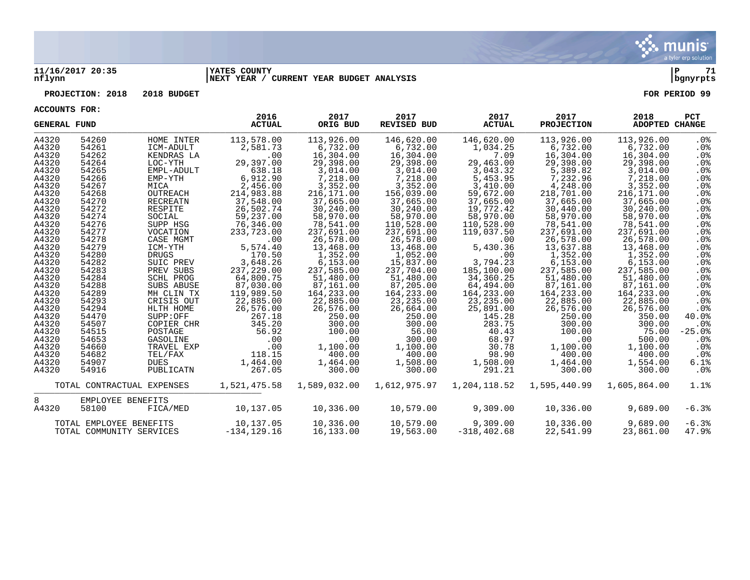

#### **11/16/2017 20:35 |YATES COUNTY |P 71 nflynn |NEXT YEAR / CURRENT YEAR BUDGET ANALYSIS |bgnyrpts**

### **PROJECTION: 2018 2018 BUDGET FOR PERIOD 99**

| <b>GENERAL FUND</b> |                          |                            | 2016<br><b>ACTUAL</b>   | 2017<br>ORIG BUD | 2017<br><b>REVISED BUD</b> | 2017<br><b>ACTUAL</b> | 2017<br><b>PROJECTION</b> | 2018<br>ADOPTED CHANGE | <b>PCT</b>      |
|---------------------|--------------------------|----------------------------|-------------------------|------------------|----------------------------|-----------------------|---------------------------|------------------------|-----------------|
| A4320               | 54260                    | HOME INTER                 | 113,578.00              | 113,926.00       | 146,620.00                 | 146,620.00            | 113,926.00                | 113,926.00             | . 0%            |
| A4320               | 54261                    | ICM-ADULT                  | 2,581.73                | 6,732.00         | 6,732.00                   | 1,034.25              | 6,732.00                  | 6,732.00               | $.0\%$          |
| A4320               | 54262                    | KENDRAS LA                 | .00                     | 16,304.00        | 16,304.00                  | 7.09                  | 16,304.00                 | 16,304.00              | $.0\%$          |
| A4320               | 54264                    | LOC-YTH                    | 29,397.00               | 29,398.00        | 29,398.00                  | 29,463.00             | 29,398.00                 | 29,398.00              | .0%             |
| A4320               | 54265                    | EMPL-ADULT                 | 638.18                  | 3,014.00         | 3,014.00                   | 3,043.32              | 5,389.82                  | 3,014.00               | $.0\%$          |
| A4320               | 54266                    | EMP-YTH                    | 6,912.90                | 7,218.00         | 7,218.00                   | 5,453.95              | 7,232.96                  | 7,218.00               | .0%             |
| A4320               | 54267                    | MICA                       | 2,456.00                | 3,352.00         | 3,352.00                   | 3,410.00              | 4,248.00                  | 3,352.00               | $.0\%$          |
| A4320               | 54268                    | OUTREACH                   | 214,983.88              | 216,171.00       | 156,039.00                 | 59,672.00             | 218,701.00                | 216, 171.00            | $.0\%$          |
| A4320               | 54270                    | RECREATN                   | 37,548.00               | 37,665.00        | 37,665.00                  | 37,665.00             | 37,665.00                 | 37,665.00              | $.0\%$          |
| A4320               | 54272                    | RESPITE                    | 26,502.74               | 30,240.00        | 30,240.00                  | 19,772.42             | 30,440.00                 | 30,240.00              | $.0\%$          |
| A4320               | 54274                    | SOCIAL                     | 59,237.00               | 58,970.00        | 58,970.00                  | 58,970.00             | 58,970.00                 | 58,970.00              | .0%             |
| A4320               | 54276                    | SUPP HSG                   | 76,346.00               | 78,541.00        | 110,528.00                 | 110,528.00            | 78,541.00                 | 78,541.00              | $.0\%$          |
| A4320               | 54277                    | VOCATION                   | 233,723.00              | 237,691.00       | 237,691.00                 | 119,037.50            | 237,691.00                | 237,691.00             | $.0\%$          |
| A4320               | 54278                    | CASE MGMT                  | $.00 \,$                | 26,578.00        | 26,578.00                  | .00                   | 26,578.00                 | 26,578.00              | .0 <sub>8</sub> |
| A4320               | 54279                    | ICM-YTH                    | 5,574.40                | 13,468.00        | 13,468.00                  | 5,430.36              | 13,637.88                 | 13,468.00              | $.0\%$          |
| A4320               | 54280                    | <b>DRUGS</b>               | 170.50                  | 1,352.00         | 1,052.00                   | .00                   | 1,352.00                  | 1,352.00               | $.0\%$          |
| A4320               | 54282                    | SUIC PREV                  | 3,648.26                | 6, 153.00        | 15,837.00                  | 3,794.23              | 6,153.00                  | 6, 153.00              | $.0\%$          |
| A4320               | 54283                    | PREV SUBS                  | 237,229.00              | 237,585.00       | 237,704.00                 | 185,100.00            | 237,585.00                | 237,585.00             | $.0\%$          |
| A4320               | 54284                    | SCHL PROG                  | 64,800.75               | 51,480.00        | 51,480.00                  | 34,360.25             | 51,480.00                 | 51,480.00              | $.0\%$          |
| A4320               | 54288                    | SUBS ABUSE                 | 87,030.00               | 87,161.00        | 87,205.00                  | 64,494.00             | 87,161.00                 | 87,161.00              | $.0\%$          |
| A4320               | 54289                    | MH CLIN TX                 | 119,989.50<br>22,885.00 | 164, 233.00      | 164,233.00                 | 164,233.00            | 164,233.00                | 164,233.00             | $.0\%$          |
| A4320               | 54293                    | CRISIS OUT                 |                         | 22,885.00        | 23,235.00                  | 23, 235.00            | 22,885.00                 | 22,885.00              | $.0\%$          |
| A4320               | 54294<br>54470           | HLTH HOME                  | 26,576.00               | 26,576.00        | 26,664.00                  | 25,891.00             | 26,576.00                 | 26,576.00              | .0 <sub>8</sub> |
| A4320<br>A4320      | 54507                    | SUPP:OFF<br>COPIER CHR     | 267.18<br>345.20        | 250.00<br>300.00 | 250.00<br>300.00           | 145.28<br>283.75      | 250.00<br>300.00          | 350.00<br>300.00       | 40.0%<br>$.0\%$ |
| A4320               | 54515                    | POSTAGE                    | 56.92                   | 100.00           | 56.00                      | 40.43                 | 100.00                    | 75.00                  | $-25.0%$        |
| A4320               | 54653                    | GASOLINE                   | .00                     | .00              | 300.00                     | 68.97                 | .00                       | 500.00                 | $.0\%$          |
| A4320               | 54660                    | TRAVEL EXP                 | .00                     | 1,100.00         | 1,100.00                   | 30.78                 | 1,100.00                  | 1,100.00               | .0%             |
| A4320               | 54682                    | TEL/FAX                    | 118.15                  | 400.00           | 400.00                     | 98.90                 | 400.00                    | 400.00                 | $.0\%$          |
| A4320               | 54907                    | <b>DUES</b>                | 1,464.00                | 1,464.00         | 1,508.00                   | 1,508.00              | 1,464.00                  | 1,554.00               | 6.1%            |
| A4320               | 54916                    | PUBLICATN                  | 267.05                  | 300.00           | 300.00                     | 291.21                | 300.00                    | 300.00                 | $.0\%$          |
|                     |                          |                            |                         |                  |                            |                       |                           |                        |                 |
|                     |                          | TOTAL CONTRACTUAL EXPENSES | 1,521,475.58            | 1,589,032.00     | 1,612,975.97               | 1,204,118.52          | 1,595,440.99              | 1,605,864.00           | 1.1%            |
| 8                   | EMPLOYEE BENEFITS        |                            |                         |                  |                            |                       |                           |                        |                 |
| A4320               | 58100                    | FICA/MED                   | 10,137.05               | 10,336.00        | 10,579.00                  | 9,309.00              | 10,336.00                 | 9,689.00               | $-6.3%$         |
|                     |                          |                            |                         |                  |                            |                       |                           |                        |                 |
|                     | TOTAL EMPLOYEE BENEFITS  |                            | 10,137.05               | 10,336.00        | 10,579.00                  | 9,309.00              | 10,336.00                 | 9,689.00               | $-6.3%$         |
|                     | TOTAL COMMUNITY SERVICES |                            | $-134, 129.16$          | 16,133.00        | 19,563.00                  | $-318, 402.68$        | 22,541.99                 | 23,861.00              | 47.9%           |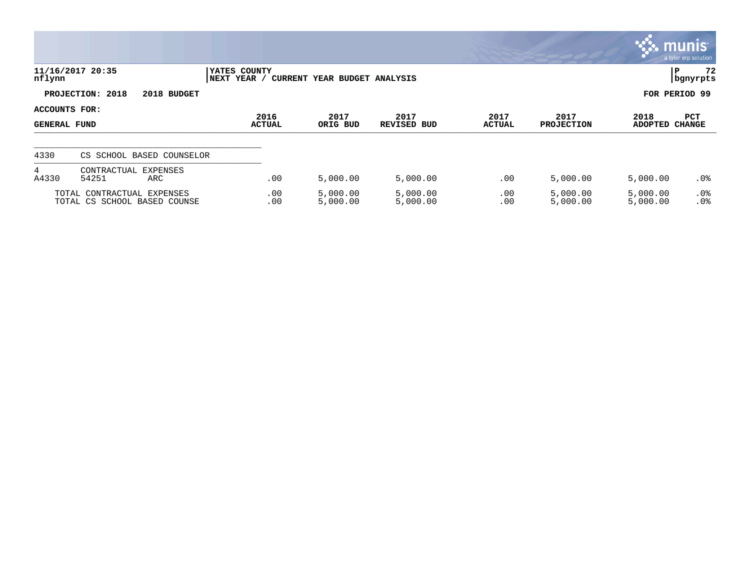|                                                            |                                         |                                                             |                      |                            |                       |                           |                        | <b>munis</b><br>a tyler erp solution |  |
|------------------------------------------------------------|-----------------------------------------|-------------------------------------------------------------|----------------------|----------------------------|-----------------------|---------------------------|------------------------|--------------------------------------|--|
| nflynn                                                     | 11/16/2017 20:35                        | YATES COUNTY<br>CURRENT YEAR BUDGET ANALYSIS<br>NEXT YEAR / |                      |                            |                       |                           |                        | 72<br>P<br>  bgnyrpts                |  |
|                                                            | PROJECTION: 2018<br>2018 BUDGET         |                                                             |                      |                            |                       |                           | FOR PERIOD 99          |                                      |  |
| ACCOUNTS FOR:<br><b>GENERAL FUND</b>                       |                                         | 2016<br><b>ACTUAL</b>                                       | 2017<br>ORIG BUD     | 2017<br><b>REVISED BUD</b> | 2017<br><b>ACTUAL</b> | 2017<br><b>PROJECTION</b> | 2018<br><b>ADOPTED</b> | <b>PCT</b><br><b>CHANGE</b>          |  |
| 4330                                                       | CS SCHOOL BASED COUNSELOR               |                                                             |                      |                            |                       |                           |                        |                                      |  |
| 4<br>A4330                                                 | CONTRACTUAL<br>EXPENSES<br>54251<br>ARC | .00                                                         | 5,000.00             | 5,000.00                   | .00                   | 5,000.00                  | 5,000.00               | $.0\%$                               |  |
| TOTAL CONTRACTUAL EXPENSES<br>TOTAL CS SCHOOL BASED COUNSE |                                         | .00<br>.00                                                  | 5,000.00<br>5,000.00 | 5,000.00<br>5,000.00       | .00<br>.00            | 5,000.00<br>5,000.00      | 5,000.00<br>5,000.00   | $.0\%$<br>.0%                        |  |

 $\bullet$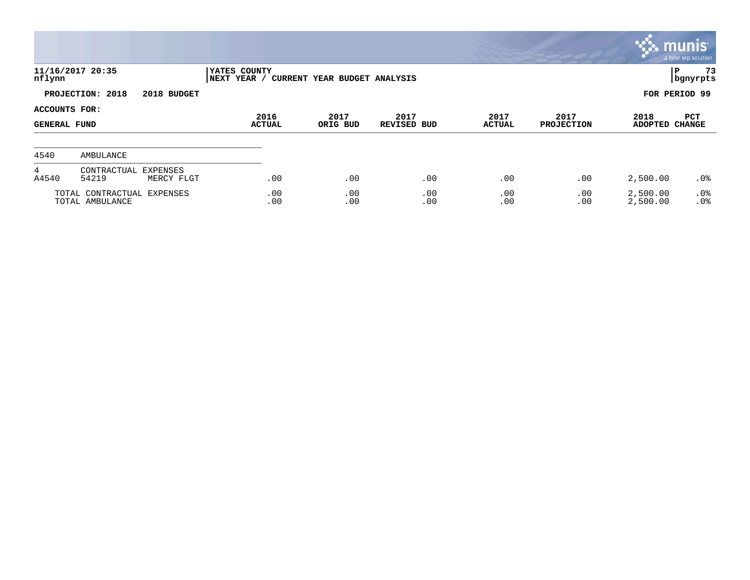|                                      |                                               |                             |                              |                            |                       |                           |                        | <b>munis</b><br>a tyler erp solution |
|--------------------------------------|-----------------------------------------------|-----------------------------|------------------------------|----------------------------|-----------------------|---------------------------|------------------------|--------------------------------------|
| nflynn                               | 11/16/2017 20:35                              | YATES COUNTY<br>NEXT YEAR / | CURRENT YEAR BUDGET ANALYSIS |                            |                       |                           |                        | 73<br>l P<br>  bgnyrpts              |
|                                      | PROJECTION: 2018<br>2018 BUDGET               |                             |                              |                            |                       |                           |                        | FOR PERIOD 99                        |
| ACCOUNTS FOR:<br><b>GENERAL FUND</b> |                                               | 2016<br><b>ACTUAL</b>       | 2017<br>ORIG BUD             | 2017<br><b>REVISED BUD</b> | 2017<br><b>ACTUAL</b> | 2017<br><b>PROJECTION</b> | 2018<br><b>ADOPTED</b> | PCT<br><b>CHANGE</b>                 |
| 4540                                 | AMBULANCE                                     |                             |                              |                            |                       |                           |                        |                                      |
| 4<br>A4540                           | CONTRACTUAL EXPENSES<br>54219<br>MERCY FLGT   | .00                         | .00                          | .00                        | .00                   | .00                       | 2,500.00               | $.0\%$                               |
|                                      | TOTAL CONTRACTUAL EXPENSES<br>TOTAL AMBULANCE | .00<br>.00                  | .00<br>.00                   | .00<br>.00                 | .00<br>.00            | .00<br>.00                | 2,500.00<br>2,500.00   | $.0\%$<br>.0%                        |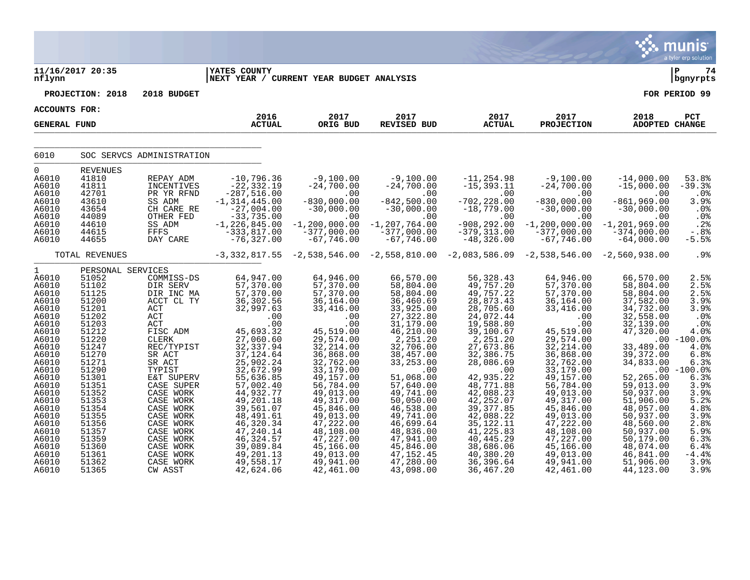|                                                                                                                                                                                                           |                                                                                                                                                                                                                |                                                                                                                                                                                                                                                    |                                                                                                                                                                                                                                                                                     |                                                                                                                                                                                                                                                                   |                                                                                                                                                                                                                                                                          |                                                                                                                                                                                                                                                                                    |                                                                                                                                                                                                                                                                                          |                                                                                                                                                                                                                                                     | munis <sup>®</sup><br>a tyler erp solution                                                                                                                                                       |
|-----------------------------------------------------------------------------------------------------------------------------------------------------------------------------------------------------------|----------------------------------------------------------------------------------------------------------------------------------------------------------------------------------------------------------------|----------------------------------------------------------------------------------------------------------------------------------------------------------------------------------------------------------------------------------------------------|-------------------------------------------------------------------------------------------------------------------------------------------------------------------------------------------------------------------------------------------------------------------------------------|-------------------------------------------------------------------------------------------------------------------------------------------------------------------------------------------------------------------------------------------------------------------|--------------------------------------------------------------------------------------------------------------------------------------------------------------------------------------------------------------------------------------------------------------------------|------------------------------------------------------------------------------------------------------------------------------------------------------------------------------------------------------------------------------------------------------------------------------------|------------------------------------------------------------------------------------------------------------------------------------------------------------------------------------------------------------------------------------------------------------------------------------------|-----------------------------------------------------------------------------------------------------------------------------------------------------------------------------------------------------------------------------------------------------|--------------------------------------------------------------------------------------------------------------------------------------------------------------------------------------------------|
| nflynn                                                                                                                                                                                                    | 11/16/2017 20:35                                                                                                                                                                                               |                                                                                                                                                                                                                                                    | <b>YATES COUNTY</b><br>NEXT YEAR / CURRENT YEAR BUDGET ANALYSIS                                                                                                                                                                                                                     |                                                                                                                                                                                                                                                                   |                                                                                                                                                                                                                                                                          |                                                                                                                                                                                                                                                                                    |                                                                                                                                                                                                                                                                                          |                                                                                                                                                                                                                                                     | l P<br>74<br>  bgnyrpts                                                                                                                                                                          |
|                                                                                                                                                                                                           | PROJECTION: 2018                                                                                                                                                                                               | 2018 BUDGET                                                                                                                                                                                                                                        |                                                                                                                                                                                                                                                                                     |                                                                                                                                                                                                                                                                   |                                                                                                                                                                                                                                                                          |                                                                                                                                                                                                                                                                                    |                                                                                                                                                                                                                                                                                          |                                                                                                                                                                                                                                                     | FOR PERIOD 99                                                                                                                                                                                    |
| ACCOUNTS FOR:                                                                                                                                                                                             |                                                                                                                                                                                                                |                                                                                                                                                                                                                                                    |                                                                                                                                                                                                                                                                                     |                                                                                                                                                                                                                                                                   |                                                                                                                                                                                                                                                                          |                                                                                                                                                                                                                                                                                    |                                                                                                                                                                                                                                                                                          |                                                                                                                                                                                                                                                     |                                                                                                                                                                                                  |
| <b>GENERAL FUND</b>                                                                                                                                                                                       |                                                                                                                                                                                                                |                                                                                                                                                                                                                                                    | 2016<br><b>ACTUAL</b>                                                                                                                                                                                                                                                               | 2017<br>ORIG BUD                                                                                                                                                                                                                                                  | 2017<br><b>REVISED BUD</b>                                                                                                                                                                                                                                               | 2017<br><b>ACTUAL</b>                                                                                                                                                                                                                                                              | 2017<br><b>PROJECTION</b>                                                                                                                                                                                                                                                                | 2018<br>ADOPTED CHANGE                                                                                                                                                                                                                              | PCT                                                                                                                                                                                              |
| 6010                                                                                                                                                                                                      |                                                                                                                                                                                                                | SOC SERVCS ADMINISTRATION                                                                                                                                                                                                                          |                                                                                                                                                                                                                                                                                     |                                                                                                                                                                                                                                                                   |                                                                                                                                                                                                                                                                          |                                                                                                                                                                                                                                                                                    |                                                                                                                                                                                                                                                                                          |                                                                                                                                                                                                                                                     |                                                                                                                                                                                                  |
| $\mathbf 0$<br>A6010<br>A6010<br>A6010<br>A6010<br>A6010<br>A6010<br>A6010<br>A6010<br>A6010                                                                                                              | <b>REVENUES</b><br>41810<br>41811<br>42701<br>43610<br>43654<br>44089<br>44610<br>44615<br>44655                                                                                                               | REPAY ADM<br>INCENTIVES<br>PR YR RFND<br>SS ADM<br>CH CARE RE<br>OTHER FED<br>SS ADM<br>FFFS<br>DAY CARE                                                                                                                                           | $-10,796.36$<br>$-22, 332.19$<br>$-287,516.00$<br>$-1, 314, 445.00$<br>$-27,004.00$<br>$-33,735.00$<br>$-1, 226, 845.00$<br>$-333,817.00$<br>$-76, 327.00$                                                                                                                          | $-9,100.00$<br>$-24,700.00$<br>.00<br>$-830,000.00$<br>$-30,000.00$<br>.00<br>$-1, 200, 000.00$<br>$-377,000.00$<br>$-67,746.00$                                                                                                                                  | $-9,100.00$<br>$-24,700.00$<br>.00<br>$-842,500.00$<br>$-30,000.00$<br>.00<br>$-1, 207, 764.00$<br>$-377,000.00$<br>$-67,746.00$                                                                                                                                         | $-11, 254.98$<br>$-15, 393.11$<br>.00<br>$-702, 228.00$<br>$-18, 779.00$<br>.00<br>$-908, 292.00$<br>$-379, 313.00$<br>$-48,326.00$                                                                                                                                                | $-9,100.00$<br>$-24,700.00$<br>.00<br>$-830,000.00$<br>$-30,000.00$<br>.00<br>$-1, 200, 000.00$<br>$-377,000.00$<br>$-67,746.00$                                                                                                                                                         | $-14,000.00$<br>$-15,000.00$<br>.00<br>$-861,969.00$<br>$-30,000.00$<br>.00<br>$-1, 201, 969.00$<br>$-374,000.00$<br>$-64,000.00$                                                                                                                   | 53.8%<br>$-39.3%$<br>.0%<br>3.9%<br>.0%<br>$\frac{0}{28}$<br>$-0.8%$<br>$-5.5%$                                                                                                                  |
|                                                                                                                                                                                                           | TOTAL REVENUES                                                                                                                                                                                                 |                                                                                                                                                                                                                                                    |                                                                                                                                                                                                                                                                                     | $-3,332,817.55$ $-2,538,546.00$ $-2,558,810.00$ $-2,083,586.09$                                                                                                                                                                                                   |                                                                                                                                                                                                                                                                          |                                                                                                                                                                                                                                                                                    | $-2,538,546.00 -2,560,938.00$                                                                                                                                                                                                                                                            |                                                                                                                                                                                                                                                     | .9%                                                                                                                                                                                              |
| $\mathbf{1}$<br>A6010<br>A6010<br>A6010<br>A6010<br>A6010<br>A6010<br>A6010<br>A6010<br>A6010<br>A6010<br>A6010<br>A6010<br>A6010<br>A6010<br>A6010<br>A6010<br>A6010<br>A6010<br>A6010<br>A6010<br>A6010 | PERSONAL SERVICES<br>51052<br>51102<br>51125<br>51200<br>51201<br>51202<br>51203<br>51212<br>51220<br>51247<br>51270<br>51271<br>51290<br>51301<br>51351<br>51352<br>51353<br>51354<br>51355<br>51356<br>51357 | COMMISS-DS<br>DIR SERV<br>DIR INC MA<br>ACCT CL TY<br>ACT<br>ACT<br>ACT<br>FISC ADM<br>CLERK<br>REC/TYPIST<br>SR ACT<br>SR ACT<br>TYPIST<br>E&T SUPERV<br>CASE SUPER<br>CASE WORK<br>CASE WORK<br>CASE WORK<br>CASE WORK<br>CASE WORK<br>CASE WORK | 64,947.00<br>57,370.00<br>$\frac{57}{37}$ , 370.00<br>36, 302.56<br>32,997.63<br>.00<br>.00<br>45,693.32<br>27,060.60<br>32, 337.94<br>37, 124.64<br>25,902.24<br>32,672.99<br>55,636.85<br>57,002.40<br>44,932.77<br>49,201.18<br>39,561.07<br>48,491.61<br>46,320.34<br>47,240.14 | 64,946.00<br>57,370.00<br>57,370.00<br>36,164.00<br>33,416.00<br>.00<br>.00<br>45,519.00<br>29,574.00<br>32,214.00<br>36,868.00<br>32,762.00<br>33,179.00<br>49,157.00<br>56,784.00<br>49,013.00<br>49,317.00<br>45,846.00<br>49,013.00<br>47,222.00<br>48,108.00 | 66,570.00<br>58,804.00<br>58,804.00<br>36,460.69<br>33,925.00<br>27,322.80<br>31,179.00<br>46, 210.00<br>2,251.20<br>32,706.00<br>38,457.00<br>33, 253.00<br>.00<br>51,068.00<br>57,640.00<br>49,741.00<br>50,050.00<br>46,538.00<br>49,741.00<br>46,699.64<br>48,836.00 | 56, 328.43<br>49, 757.20<br>$49,757.22$<br>$28,873.43$<br>28,705.60<br>24,072.44<br>19,588.80<br>$39,100.67$<br>2,251.20<br>27,673.86<br>32,386.75<br>28,086.69<br>.00<br>42,935.22<br>48,771.88<br>42,088.23<br>42,252.07<br>39, 377.85<br>42,088.22<br>35, 122. 11<br>41, 225.83 | 64,946.00<br>57,370.00<br>$\frac{57}{37}$ , 370.00<br>36, 164.00<br>33, 416.00<br>.00<br>.00<br>45, 519.00<br>29, 574.00<br>32, 214.00<br>36,868.00<br>32,762.00<br>33,179.00<br>49,157.00<br>56,784.00<br>49,013.00<br>49, 317.00<br>45,846.00<br>49,013.00<br>47, 222.00<br>48, 108.00 | 66,570.00<br>58,804.00<br>58,804.00<br>37,582.00<br>34,732.00<br>32,558.00<br>32,139.00<br>47,320.00<br>33,489.00<br>39,372.00<br>34,833.00<br>52,265.00<br>59,013.00<br>50,937.00<br>51,906.00<br>48,057.00<br>50,937.00<br>48,560.00<br>50,937.00 | 2.5%<br>2.5%<br>2.5%<br>3.9%<br>3.9%<br>.0%<br>.0%<br>4.0%<br>$.00 - 100.0%$<br>4.0%<br>6.8%<br>6.3%<br>$.00 - 100.0%$<br>6.3%<br>$3.9%$<br>$3.9%$<br>$5.2%$<br>$4.8%$<br>$3.9%$<br>2.8%<br>5.9% |
| A6010<br>A6010<br>A6010<br>A6010<br>A6010                                                                                                                                                                 | 51359<br>51360<br>51361<br>51362<br>51365                                                                                                                                                                      | CASE WORK<br>CASE WORK<br>CASE WORK<br>CASE WORK<br>CW ASST                                                                                                                                                                                        | 46, 324.57<br>39,089.84<br>49,201.13<br>49,558.17<br>42,624.06                                                                                                                                                                                                                      | 47,227.00<br>45,166.00<br>49,013.00<br>49,941.00<br>42,461.00                                                                                                                                                                                                     | 47,941.00<br>45,846.00<br>47, 152.45<br>47,280.00<br>43,098.00                                                                                                                                                                                                           | 40,445.29<br>38,686.06<br>40,380.20<br>36,396.64<br>36,467.20                                                                                                                                                                                                                      | 47,227.00<br>45,166.00<br>49,013.00<br>49,941.00<br>42,461.00                                                                                                                                                                                                                            | 50,179.00<br>48,074.00<br>46,841.00<br>51,906.00<br>44,123.00                                                                                                                                                                                       | 6.3%<br>6.4%<br>$-4.4%$<br>3.9%<br>3.9%                                                                                                                                                          |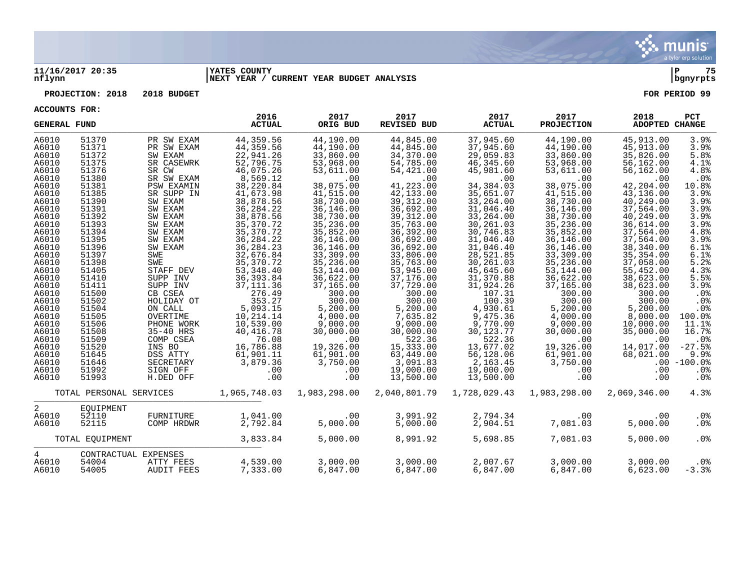

## **11/16/2017 20:35 |YATES COUNTY |P 75 nflynn |NEXT YEAR / CURRENT YEAR BUDGET ANALYSIS |bgnyrpts**

**PROJECTION: 2018 2018 BUDGET FOR PERIOD 99**

**ACCOUNTS FOR:**

| <b>GENERAL FUND</b>                                                                                                                                                                                                  |                                                                                                                                                                                                                      |                                                                                                                                                                                                                                                                                             | 2016<br><b>ACTUAL</b>                                                                                                                                                                                                                                                                                                       | 2017<br>ORIG BUD                                                                                                                                                                                                                                                                                       | 2017<br>REVISED BUD                                                                                                                                                                                                                                                                                      | 2017<br><b>ACTUAL</b>                                                                                                                                                                                                                                                                                  | 2017<br><b>PROJECTION</b>                                                                                                                                                                                                                                                                               | 2018<br>ADOPTED CHANGE                                                                                                                                                                                                                                                                                 | PCT                                                                                                                                                                                         |
|----------------------------------------------------------------------------------------------------------------------------------------------------------------------------------------------------------------------|----------------------------------------------------------------------------------------------------------------------------------------------------------------------------------------------------------------------|---------------------------------------------------------------------------------------------------------------------------------------------------------------------------------------------------------------------------------------------------------------------------------------------|-----------------------------------------------------------------------------------------------------------------------------------------------------------------------------------------------------------------------------------------------------------------------------------------------------------------------------|--------------------------------------------------------------------------------------------------------------------------------------------------------------------------------------------------------------------------------------------------------------------------------------------------------|----------------------------------------------------------------------------------------------------------------------------------------------------------------------------------------------------------------------------------------------------------------------------------------------------------|--------------------------------------------------------------------------------------------------------------------------------------------------------------------------------------------------------------------------------------------------------------------------------------------------------|---------------------------------------------------------------------------------------------------------------------------------------------------------------------------------------------------------------------------------------------------------------------------------------------------------|--------------------------------------------------------------------------------------------------------------------------------------------------------------------------------------------------------------------------------------------------------------------------------------------------------|---------------------------------------------------------------------------------------------------------------------------------------------------------------------------------------------|
| A6010<br>A6010<br>A6010<br>A6010<br>A6010<br>A6010<br>A6010<br>A6010<br>A6010<br>A6010<br>A6010<br>A6010<br>A6010<br>A6010<br>A6010<br>A6010<br>A6010<br>A6010<br>A6010<br>A6010<br>A6010<br>A6010<br>A6010<br>A6010 | 51370<br>51371<br>51372<br>51375<br>51376<br>51380<br>51381<br>51385<br>51390<br>51391<br>51392<br>51393<br>51394<br>51395<br>51396<br>51397<br>51398<br>51405<br>51410<br>51411<br>51500<br>51502<br>51504<br>51505 | PR SW EXAM<br>PR SW EXAM<br>SW EXAM<br>SR CASEWRK<br>SR CW<br>SR SW EXAM<br><b>PSW EXAMIN</b><br>SR SUPP IN<br>SW EXAM<br>SW EXAM<br>SW EXAM<br>SW EXAM<br>SW EXAM<br>SW EXAM<br>SW EXAM<br>SWE<br>SWE<br>STAFF DEV<br>SUPP INV<br>SUPP INV<br>CB CSEA<br>HOLIDAY OT<br>ON CALL<br>OVERTIME | 44,359.56<br>44,359.56<br>22,941.26<br>52,796.75<br>46,075.26<br>8,569.12<br>38,220.84<br>41,673.98<br>38,878.56<br>36, 284. 22<br>38,878.56<br>35, 370. 72<br>35, 370. 72<br>36, 284. 22<br>36, 284. 23<br>32,676.84<br>35, 370. 72<br>53, 348.40<br>36, 393.84<br>37, 111.36<br>276.49<br>353.27<br>5,093.15<br>10,214.14 | 44,190.00<br>44,190.00<br>33,860.00<br>53,968.00<br>53,611.00<br>.00<br>38,075.00<br>41,515.00<br>38,730.00<br>36,146.00<br>38,730.00<br>35,236.00<br>35,852.00<br>36,146.00<br>36,146.00<br>33,309.00<br>35,236.00<br>53,144.00<br>36,622.00<br>37,165.00<br>300.00<br>300.00<br>5,200.00<br>4,000.00 | 44,845.00<br>44,845.00<br>34,370.00<br>54,785.00<br>54,421.00<br>.00<br>41,223.00<br>42,133.00<br>39, 312.00<br>36,692.00<br>39, 312.00<br>35,763.00<br>36,392.00<br>36,692.00<br>36,692.00<br>33,806.00<br>35,763.00<br>53,945.00<br>37,176.00<br>37,729.00<br>300.00<br>300.00<br>5,200.00<br>7,635.82 | 37,945.60<br>37,945.60<br>29,059.83<br>46,345.60<br>45,981.60<br>.00<br>34,384.03<br>35,651.07<br>33,264.00<br>31,046.40<br>33,264.00<br>30,261.03<br>30,746.83<br>31,046.40<br>31,046.40<br>28,521.85<br>30,261.03<br>45,645.60<br>31,370.88<br>31,924.26<br>107.31<br>100.39<br>4,930.61<br>9,475.36 | 44,190.00<br>44,190.00<br>33,860.00<br>53,968.00<br>53,611.00<br>.00<br>38,075.00<br>41,515.00<br>38,730.00<br>36,146.00<br>38,730.00<br>35,236.00<br>35,852.00<br>36,146.00<br>36,146.00<br>33,309.00<br>35,236.00<br>53, 144.00<br>36,622.00<br>37,165.00<br>300.00<br>300.00<br>5,200.00<br>4,000.00 | 45,913.00<br>45,913.00<br>35,826.00<br>56,162.00<br>56,162.00<br>.00<br>42,204.00<br>43,136.00<br>40,249.00<br>37,564.00<br>40,249.00<br>36,614.00<br>37,564.00<br>37,564.00<br>38,340.00<br>35,354.00<br>37,058.00<br>55,452.00<br>38,623.00<br>38,623.00<br>300.00<br>300.00<br>5,200.00<br>8,000.00 | 3.9%<br>3.9%<br>5.8%<br>4.1%<br>4.8%<br>.0%<br>10.8%<br>3.9%<br>3.9%<br>3.9%<br>3.9%<br>3.9%<br>4.8%<br>3.9%<br>6.1%<br>6.1%<br>5.2%<br>4.3%<br>5.5%<br>3.9%<br>.0%<br>.0%<br>.0%<br>100.0% |
| A6010<br>A6010<br>A6010<br>A6010<br>A6010<br>A6010<br>A6010<br>A6010                                                                                                                                                 | 51506<br>51508<br>51509<br>51520<br>51645<br>51646<br>51992<br>51993                                                                                                                                                 | PHONE WORK<br>35-40 HRS<br>COMP CSEA<br>INS BO<br>DSS ATTY<br>SECRETARY<br>SIGN OFF<br>H.DED OFF                                                                                                                                                                                            | 10,539.00<br>40, 416.78<br>76.08<br>16,786.88<br>61,901.11<br>3,879.36<br>.00<br>.00                                                                                                                                                                                                                                        | 9,000.00<br>30,000.00<br>.00<br>19,326.00<br>61,901.00<br>3,750.00<br>.00<br>.00                                                                                                                                                                                                                       | 9,000.00<br>30,000.00<br>522.36<br>15,333.00<br>63,449.00<br>3,091.83<br>19,000.00<br>13,500.00                                                                                                                                                                                                          | 9,770.00<br>30, 123. 77<br>522.36<br>13,677.02<br>56,128.06<br>2,163.45<br>19,000.00<br>13,500.00                                                                                                                                                                                                      | 9,000.00<br>30,000.00<br>.00<br>19,326.00<br>61,901.00<br>3,750.00<br>.00<br>.00                                                                                                                                                                                                                        | 10,000.00<br>35,000.00<br>.00<br>14,017.00<br>68,021.00<br>.00<br>.00                                                                                                                                                                                                                                  | 11.1%<br>16.7%<br>$.0\%$<br>$-27.5%$<br>9.9%<br>$.00 - 100.0%$<br>.0 <sub>8</sub><br>.0%                                                                                                    |
|                                                                                                                                                                                                                      | TOTAL PERSONAL SERVICES                                                                                                                                                                                              |                                                                                                                                                                                                                                                                                             | 1,965,748.03                                                                                                                                                                                                                                                                                                                | 1,983,298.00                                                                                                                                                                                                                                                                                           | 2,040,801.79                                                                                                                                                                                                                                                                                             | 1,728,029.43                                                                                                                                                                                                                                                                                           | 1,983,298.00                                                                                                                                                                                                                                                                                            | 2,069,346.00                                                                                                                                                                                                                                                                                           | 4.3%                                                                                                                                                                                        |
| 2<br>A6010<br>A6010                                                                                                                                                                                                  | EOUIPMENT<br>52110<br>52115                                                                                                                                                                                          | FURNITURE<br>COMP HRDWR                                                                                                                                                                                                                                                                     | 1,041.00<br>2,792.84                                                                                                                                                                                                                                                                                                        | .00<br>5,000.00                                                                                                                                                                                                                                                                                        | 3,991.92<br>5,000.00                                                                                                                                                                                                                                                                                     | 2,794.34<br>2,904.51                                                                                                                                                                                                                                                                                   | .00<br>7,081.03                                                                                                                                                                                                                                                                                         | .00<br>5,000.00                                                                                                                                                                                                                                                                                        | $.0\%$<br>.0%                                                                                                                                                                               |
|                                                                                                                                                                                                                      | TOTAL EQUIPMENT                                                                                                                                                                                                      |                                                                                                                                                                                                                                                                                             | 3,833.84                                                                                                                                                                                                                                                                                                                    | 5,000.00                                                                                                                                                                                                                                                                                               | 8,991.92                                                                                                                                                                                                                                                                                                 | 5,698.85                                                                                                                                                                                                                                                                                               | 7,081.03                                                                                                                                                                                                                                                                                                | 5,000.00                                                                                                                                                                                                                                                                                               | .0%                                                                                                                                                                                         |
| 4<br>A6010<br>A6010                                                                                                                                                                                                  | 54004<br>54005                                                                                                                                                                                                       | CONTRACTUAL EXPENSES<br>ATTY FEES<br>AUDIT FEES                                                                                                                                                                                                                                             | 4,539.00<br>7,333.00                                                                                                                                                                                                                                                                                                        | 3,000.00<br>6,847.00                                                                                                                                                                                                                                                                                   | 3,000.00<br>6,847.00                                                                                                                                                                                                                                                                                     | 2,007.67<br>6,847.00                                                                                                                                                                                                                                                                                   | 3,000.00<br>6,847.00                                                                                                                                                                                                                                                                                    | 3,000.00<br>6,623.00                                                                                                                                                                                                                                                                                   | $.0\%$<br>$-3.3%$                                                                                                                                                                           |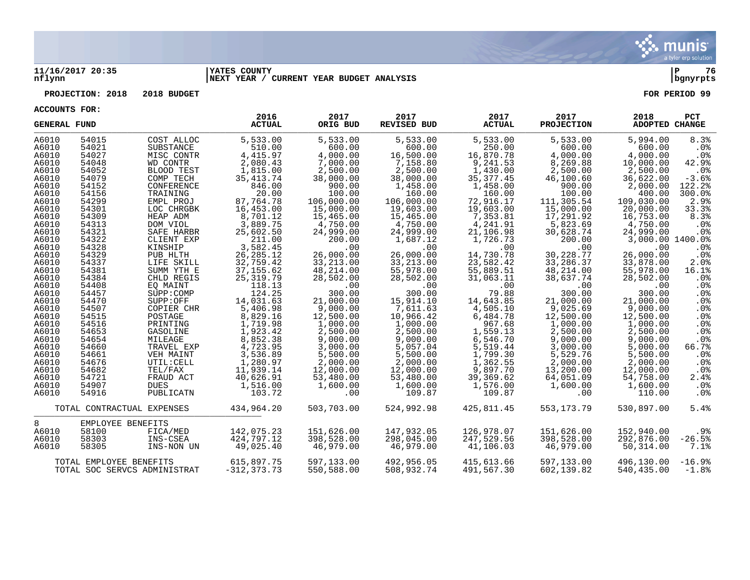

## **11/16/2017 20:35 |YATES COUNTY |P 76 nflynn |NEXT YEAR / CURRENT YEAR BUDGET ANALYSIS |bgnyrpts**

## **PROJECTION: 2018 2018 BUDGET FOR PERIOD 99**

**ACCOUNTS FOR:**

| <b>GENERAL FUND</b> |                         |                              | 2016<br><b>ACTUAL</b> | 2017<br>ORIG BUD | 2017<br><b>REVISED BUD</b> | 2017<br><b>ACTUAL</b> | 2017<br><b>PROJECTION</b> | 2018<br>ADOPTED CHANGE | <b>PCT</b>      |
|---------------------|-------------------------|------------------------------|-----------------------|------------------|----------------------------|-----------------------|---------------------------|------------------------|-----------------|
| A6010               | 54015                   | COST ALLOC                   | 5,533.00              | 5,533.00         | 5,533.00                   | 5,533.00              | 5,533.00                  | 5,994.00               | 8.3%            |
| A6010               | 54021                   | SUBSTANCE                    | 510.00                | 600.00           | 600.00                     | 250.00                | 600.00                    | 600.00                 | $.0\%$          |
| A6010               | 54027                   | MISC CONTR                   | 4, 415.97             | 4,000.00         | 16,500.00                  | 16,870.78             | 4,000.00                  | 4,000.00               | $.0\%$          |
| A6010               | 54048                   | WD CONTR                     | 2,080.43              | 7,000.00         | 7,158.80                   | 9,241.53              | 8,269.88                  | 10,000.00              | 42.9%           |
| A6010               | 54052                   | BLOOD TEST                   | 1,815.00              | 2,500.00         | 2,500.00                   | 1,430.00              | 2,500.00                  | 2,500.00               | $.0\%$          |
| A6010               | 54079                   | COMP TECH                    | 35, 413. 74           | 38,000.00        | 38,000.00                  | 35, 377.45            | 46,100.60                 | 36,622.00              | $-3.6%$         |
| A6010               | 54152                   | CONFERENCE                   | 846.00                | 900.00           | 1,458.00                   | 1,458.00              | 900.00                    | 2,000.00               | 122.2%          |
| A6010               | 54156                   | TRAINING                     | 20.00                 | 100.00           | 160.00                     | 160.00                | 100.00                    | 400.00                 | 300.0%          |
| A6010               | 54299                   | EMPL PROJ                    | 87,764.78             | 106,000.00       | 106,000.00                 | 72,916.17             | 111,305.54                | 109,030.00             | 2.9%            |
| A6010               | 54301                   | LOC CHRGBK                   | 16,453.00             | 15,000.00        | 19,603.00                  | 19,603.00             | 15,000.00                 | 20,000.00              | 33.3%           |
| A6010               | 54309                   | HEAP ADM                     | 8,701.12              | 15,465.00        | 15,465.00                  | 7,353.81              | 17,291.92                 | 16,753.00              | 8.3%            |
| A6010               | 54313                   | DOM VIOL                     | 3,889.75              | 4,750.00         | 4,750.00                   | 4,241.91              | 5,823.69                  | 4,750.00               | .0%             |
| A6010               | 54321                   | SAFE HARBR                   | 25,602.50             | 24,999.00        | 24,999.00                  | 21,106.98             | 30,628.74                 | 24,999.00              | .0 <sub>8</sub> |
| A6010               | 54322                   | CLIENT EXP                   | 211.00                | 200.00           | 1,687.12                   | 1,726.73              | 200.00                    | 3,000.00 1400.0%       |                 |
| A6010               | 54328                   | KINSHIP                      | 3,582.45              | .00              | .00                        | .00                   | .00                       | .00                    | .0%             |
| A6010               | 54329                   | PUB HLTH                     | 26, 285. 12           | 26,000.00        | 26,000.00                  | 14,730.78             | 30,228.77                 | 26,000.00              | .0%             |
| A6010               | 54337                   | LIFE SKILL                   | 32,759.42             | 33,213.00        | 33, 213.00                 | 23,582.42             | 33,286.37                 | 33,878.00              | 2.0%            |
| A6010               | 54381                   | SUMM YTH E                   | 37, 155.62            | 48,214.00        | 55,978.00                  | 55,889.51             | 48,214.00                 | 55,978.00              | 16.1%           |
| A6010               | 54384                   | CHLD REGIS                   | 25, 319.79            | 28,502.00        | 28,502.00                  | 31,063.11             | 38,637.74                 | 28,502.00              | .0 <sub>8</sub> |
| A6010               | 54408                   | EO MAINT                     | 118.13                | .00              | .00                        | .00                   | .00                       | .00                    | .0%             |
| A6010               | 54457                   | SUPP:COMP                    | 124.25                | 300.00           | 300.00                     | 79.88                 | 300.00                    | 300.00                 | .0%             |
| A6010               | 54470                   | SUPP:OFF                     | 14,031.63             | 21,000.00        | 15,914.10                  | 14,643.85             | 21,000.00                 | 21,000.00              | $.0\%$          |
| A6010               | 54507                   | COPIER CHR                   | 5,406.98              | 9,000.00         | 7,611.63                   | 4,505.10              | 9,025.69                  | 9,000.00               | .0%             |
| A6010               | 54515                   | POSTAGE                      | 8,829.16              | 12,500.00        | 10,966.42                  | 6,484.78              | 12,500.00                 | 12,500.00              | .0%             |
| A6010               | 54516                   | PRINTING                     | 1,719.98              | 1,000.00         | 1,000.00                   | 967.68                | 1,000.00                  | 1,000.00               | $.0\%$          |
| A6010               | 54653                   | GASOLINE                     | 1,923.42              | 2,500.00         | 2,500.00                   | 1,559.13              | 2,500.00                  | 2,500.00               | .0%             |
| A6010               | 54654                   | MILEAGE                      | 8,852.38              | 9,000.00         | 9,000.00                   | 6,546.70              | 9,000.00                  | 9,000.00               | .0%             |
| A6010               | 54660                   | TRAVEL EXP                   | 4,723.95              | 3,000.00         | 5,057.04                   | 5,519.44              | 3,000.00                  | 5,000.00               | 66.7%           |
| A6010               | 54661                   | VEH MAINT                    | 3,536.89              | 5,500.00         | 5,500.00                   | 1,799.30              | 5,529.76                  | 5,500.00               | .0%             |
| A6010               | 54676                   | UTIL: CELL                   | 1,280.97              | 2,000.00         | 2,000.00                   | 1,362.55              | 2,000.00                  | 2,000.00               | $.0\%$          |
| A6010               | 54682                   | TEL/FAX                      | 11,939.14             | 12,000.00        | 12,000.00                  | 9,897.70              | 13,200.00                 | 12,000.00              | .0%             |
| A6010               | 54721                   | FRAUD ACT                    | 40,626.91             | 53,480.00        | 53,480.00                  | 39,369.62             | 64,051.09                 | 54,758.00              | 2.4%            |
| A6010               | 54907                   | <b>DUES</b>                  | 1,516.00              | 1,600.00         | 1,600.00                   | 1,576.00              | 1,600.00                  | 1,600.00               | .0%             |
| A6010               | 54916                   | PUBLICATN                    | 103.72                | .00              | 109.87                     | 109.87                | .00                       | 110.00                 | $.0\%$          |
|                     |                         | TOTAL CONTRACTUAL EXPENSES   | 434,964.20            | 503,703.00       | 524,992.98                 | 425,811.45            | 553,173.79                | 530,897.00             | 5.4%            |
| 8                   | EMPLOYEE BENEFITS       |                              |                       |                  |                            |                       |                           |                        |                 |
| A6010               | 58100                   | FICA/MED                     | 142,075.23            | 151,626.00       | 147,932.05                 | 126,978.07            | 151,626.00                | 152,940.00             | .9%             |
| A6010               | 58303                   | INS-CSEA                     | 424,797.12            | 398,528.00       | 298,045.00                 | 247,529.56            | 398,528.00                | 292,876.00             | $-26.5%$        |
| A6010               | 58305                   | INS-NON UN                   | 49,025.40             | 46,979.00        | 46,979.00                  | 41,106.03             | 46,979.00                 | 50,314.00              | 7.1%            |
|                     |                         |                              |                       |                  |                            |                       |                           |                        |                 |
|                     | TOTAL EMPLOYEE BENEFITS |                              | 615,897.75            | 597,133.00       | 492,956.05                 | 415,613.66            | 597,133.00                | 496,130.00             | $-16.9%$        |
|                     |                         | TOTAL SOC SERVCS ADMINISTRAT | -312,373.73           | 550,588.00       | 508,932.74                 | 491,567.30            | 602,139.82                | 540,435.00             | $-1.8%$         |

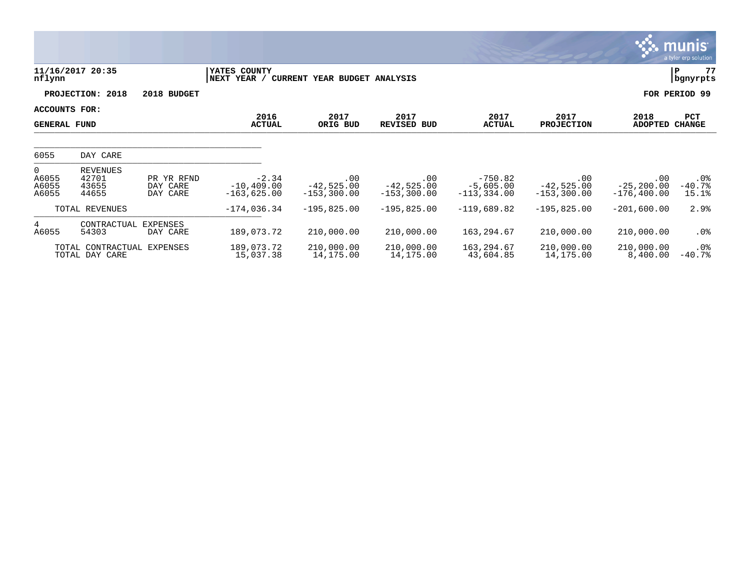|                                      |                                              |                                    |                                           |                                       |                                      |                                           |                                      |                                        | ः munis ।<br>a tyler erp solution |
|--------------------------------------|----------------------------------------------|------------------------------------|-------------------------------------------|---------------------------------------|--------------------------------------|-------------------------------------------|--------------------------------------|----------------------------------------|-----------------------------------|
| nflynn                               | 11/16/2017 20:35                             |                                    | YATES COUNTY<br> NEXT YEAR /              | CURRENT YEAR BUDGET ANALYSIS          |                                      |                                           |                                      |                                        | 77<br>ΙP<br>bgnyrpts              |
|                                      | PROJECTION: 2018                             | 2018 BUDGET                        |                                           |                                       |                                      |                                           |                                      |                                        | FOR PERIOD 99                     |
| ACCOUNTS FOR:<br><b>GENERAL FUND</b> |                                              |                                    | 2016<br><b>ACTUAL</b>                     | 2017<br>ORIG BUD                      | 2017<br><b>REVISED BUD</b>           | 2017<br><b>ACTUAL</b>                     | 2017<br><b>PROJECTION</b>            | 2018<br><b>ADOPTED</b>                 | PCT<br><b>CHANGE</b>              |
| 6055                                 | DAY CARE                                     |                                    |                                           |                                       |                                      |                                           |                                      |                                        |                                   |
| $\Omega$<br>A6055<br>A6055<br>A6055  | <b>REVENUES</b><br>42701<br>43655<br>44655   | PR YR RFND<br>DAY CARE<br>DAY CARE | $-2.34$<br>$-10, 409.00$<br>$-163,625.00$ | .00<br>$-42,525.00$<br>$-153, 300.00$ | .00<br>$-42,525.00$<br>$-153,300.00$ | $-750.82$<br>$-5,605.00$<br>$-113,334.00$ | .00<br>$-42,525.00$<br>$-153,300.00$ | .00<br>$-25, 200.00$<br>$-176, 400.00$ | $.0\%$<br>$-40.7%$<br>15.1%       |
|                                      | TOTAL REVENUES                               |                                    | $-174,036.34$                             | $-195,825.00$                         | $-195,825.00$                        | $-119,689.82$                             | $-195,825.00$                        | $-201,600.00$                          | 2.9%                              |
| 4<br>A6055                           | CONTRACTUAL<br>54303                         | EXPENSES<br>DAY CARE               | 189,073.72                                | 210,000.00                            | 210,000.00                           | 163,294.67                                | 210,000.00                           | 210,000.00                             | $.0\%$                            |
|                                      | TOTAL CONTRACTUAL EXPENSES<br>TOTAL DAY CARE |                                    | 189,073.72<br>15,037.38                   | 210,000.00<br>14,175.00               | 210,000.00<br>14,175.00              | 163,294.67<br>43,604.85                   | 210,000.00<br>14,175.00              | 210,000.00<br>8,400.00                 | $.0\%$<br>$-40.7%$                |

**CONTRACTOR**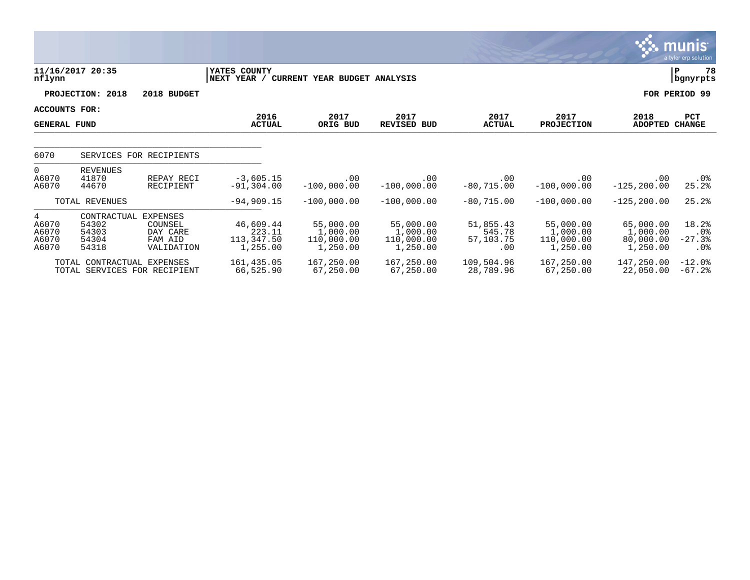|                                             |                                                            |                                                          |                                               |                                                 |                                                 |                                         |                                                 |                                                | munis <sup>.</sup><br>a tyler erp solution     |
|---------------------------------------------|------------------------------------------------------------|----------------------------------------------------------|-----------------------------------------------|-------------------------------------------------|-------------------------------------------------|-----------------------------------------|-------------------------------------------------|------------------------------------------------|------------------------------------------------|
| nflynn                                      | 11/16/2017 20:35                                           |                                                          | YATES COUNTY<br>NEXT YEAR /                   | CURRENT YEAR BUDGET ANALYSIS                    |                                                 |                                         |                                                 |                                                | 78<br>P<br>bgnyrpts                            |
|                                             | PROJECTION: 2018                                           | 2018 BUDGET                                              |                                               |                                                 |                                                 |                                         |                                                 |                                                | FOR PERIOD 99                                  |
| <b>ACCOUNTS FOR:</b><br><b>GENERAL FUND</b> |                                                            |                                                          | 2016<br><b>ACTUAL</b>                         | 2017<br>ORIG BUD                                | 2017<br>REVISED BUD                             | 2017<br><b>ACTUAL</b>                   | 2017<br><b>PROJECTION</b>                       | 2018<br><b>ADOPTED</b>                         | <b>PCT</b><br><b>CHANGE</b>                    |
| 6070                                        |                                                            | SERVICES FOR RECIPIENTS                                  |                                               |                                                 |                                                 |                                         |                                                 |                                                |                                                |
| $\overline{0}$<br>A6070<br>A6070            | <b>REVENUES</b><br>41870<br>44670                          | REPAY RECI<br>RECIPIENT                                  | $-3,605.15$<br>$-91, 304.00$                  | .00<br>$-100,000.00$                            | .00<br>$-100,000.00$                            | .00<br>$-80,715.00$                     | .00<br>$-100,000.00$                            | .00<br>$-125, 200.00$                          | $.0\%$<br>25.2%                                |
|                                             | TOTAL REVENUES                                             |                                                          | $-94,909.15$                                  | $-100,000.00$                                   | $-100,000.00$                                   | $-80,715.00$                            | $-100,000.00$                                   | $-125, 200.00$                                 | 25.2%                                          |
| 4<br>A6070<br>A6070<br>A6070<br>A6070       | CONTRACTUAL<br>54302<br>54303<br>54304<br>54318            | EXPENSES<br>COUNSEL<br>DAY CARE<br>FAM AID<br>VALIDATION | 46,609.44<br>223.11<br>113,347.50<br>1,255.00 | 55,000.00<br>1,000.00<br>110,000.00<br>1,250.00 | 55,000.00<br>1,000.00<br>110,000.00<br>1,250.00 | 51,855.43<br>545.78<br>57,103.75<br>.00 | 55,000.00<br>1,000.00<br>110,000.00<br>1,250.00 | 65,000.00<br>1,000.00<br>80,000.00<br>1,250.00 | 18.2%<br>$.0\%$<br>$-27.3%$<br>.0 <sub>8</sub> |
|                                             | TOTAL CONTRACTUAL EXPENSES<br>TOTAL SERVICES FOR RECIPIENT |                                                          | 161,435.05<br>66,525.90                       | 167,250.00<br>67,250.00                         | 167,250.00<br>67,250.00                         | 109,504.96<br>28,789.96                 | 167,250.00<br>67,250.00                         | 147,250.00<br>22,050.00                        | $-12.0%$<br>$-67.2$                            |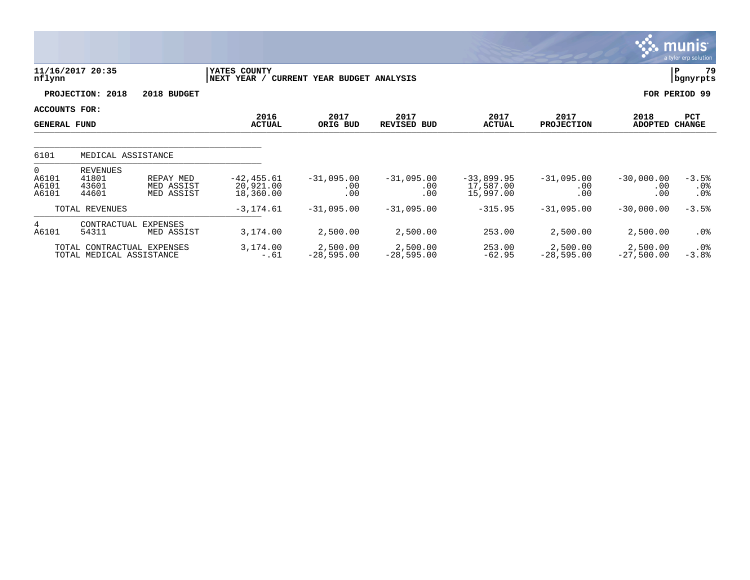|                                           |                                                        |                                       |                                         |                              |                                 |                                        |                            |                                 | munis<br>a tyler erp solution |
|-------------------------------------------|--------------------------------------------------------|---------------------------------------|-----------------------------------------|------------------------------|---------------------------------|----------------------------------------|----------------------------|---------------------------------|-------------------------------|
| nflynn                                    | 11/16/2017 20:35                                       |                                       | YATES COUNTY<br>NEXT YEAR /             | CURRENT YEAR BUDGET ANALYSIS |                                 |                                        |                            |                                 | 79<br>Р<br>  bgnyrpts         |
|                                           | PROJECTION: 2018                                       | 2018 BUDGET                           |                                         |                              |                                 |                                        |                            |                                 | FOR PERIOD 99                 |
| ACCOUNTS FOR:<br><b>GENERAL FUND</b>      |                                                        |                                       | 2016<br><b>ACTUAL</b>                   | 2017<br>ORIG BUD             | 2017<br>REVISED BUD             | 2017<br><b>ACTUAL</b>                  | 2017<br><b>PROJECTION</b>  | 2018<br><b>ADOPTED</b>          | PCT<br><b>CHANGE</b>          |
| 6101                                      | MEDICAL ASSISTANCE                                     |                                       |                                         |                              |                                 |                                        |                            |                                 |                               |
| $\overline{0}$<br>A6101<br>A6101<br>A6101 | REVENUES<br>41801<br>43601<br>44601                    | REPAY MED<br>MED ASSIST<br>MED ASSIST | $-42, 455.61$<br>20,921.00<br>18,360.00 | $-31,095.00$<br>.00<br>.00   | $-31,095.00$<br>$.00 \,$<br>.00 | $-33,899.95$<br>17,587.00<br>15,997.00 | $-31,095.00$<br>.00<br>.00 | $-30,000.00$<br>$.00 \,$<br>.00 | $-3.5%$<br>$.0\%$<br>$.0\%$   |
|                                           | TOTAL REVENUES                                         |                                       | $-3, 174.61$                            | $-31,095.00$                 | $-31,095.00$                    | $-315.95$                              | $-31,095.00$               | $-30,000.00$                    | $-3.5%$                       |
| $4^{\circ}$<br>A6101                      | CONTRACTUAL<br>54311                                   | EXPENSES<br>MED ASSIST                | 3,174.00                                | 2,500.00                     | 2,500.00                        | 253.00                                 | 2,500.00                   | 2,500.00                        | $.0\%$                        |
|                                           | TOTAL CONTRACTUAL EXPENSES<br>TOTAL MEDICAL ASSISTANCE |                                       | 3,174.00<br>$-.61$                      | 2,500.00<br>$-28,595.00$     | 2,500.00<br>$-28,595.00$        | 253.00<br>$-62.95$                     | 2,500.00<br>$-28,595.00$   | 2,500.00<br>$-27,500.00$        | $.0\%$<br>$-3.8%$             |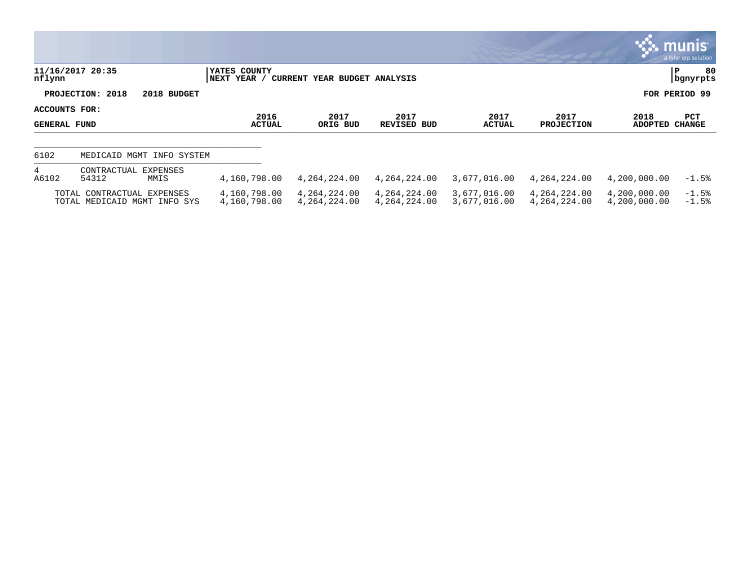|                                      |                                                            |                              |                              |                              |                              |                              |                              | ः munis $\blacksquare$<br>a tyler erp solution |
|--------------------------------------|------------------------------------------------------------|------------------------------|------------------------------|------------------------------|------------------------------|------------------------------|------------------------------|------------------------------------------------|
| nflynn                               | 11/16/2017 20:35                                           | YATES COUNTY<br> NEXT YEAR / | CURRENT YEAR BUDGET ANALYSIS |                              |                              |                              |                              | 80<br>P<br>  bgnyrpts                          |
|                                      | PROJECTION: 2018<br>2018 BUDGET                            |                              |                              |                              |                              |                              |                              | FOR PERIOD 99                                  |
| ACCOUNTS FOR:<br><b>GENERAL FUND</b> |                                                            | 2016<br><b>ACTUAL</b>        | 2017<br>ORIG BUD             | 2017<br>REVISED BUD          | 2017<br><b>ACTUAL</b>        | 2017<br><b>PROJECTION</b>    | 2018<br><b>ADOPTED</b>       | <b>PCT</b><br><b>CHANGE</b>                    |
| 6102                                 | MEDICAID MGMT INFO SYSTEM                                  |                              |                              |                              |                              |                              |                              |                                                |
| 4<br>A6102                           | CONTRACTUAL EXPENSES<br>54312<br>MMIS                      | 4,160,798.00                 | 4,264,224.00                 | 4,264,224.00                 | 3,677,016.00                 | 4,264,224.00                 | 4,200,000.00                 | $-1.5%$                                        |
|                                      | TOTAL CONTRACTUAL EXPENSES<br>TOTAL MEDICAID MGMT INFO SYS | 4,160,798.00<br>4,160,798.00 | 4,264,224.00<br>4,264,224.00 | 4,264,224.00<br>4,264,224.00 | 3,677,016.00<br>3,677,016.00 | 4,264,224.00<br>4,264,224.00 | 4,200,000.00<br>4,200,000.00 | $-1.5%$<br>$-1.5%$                             |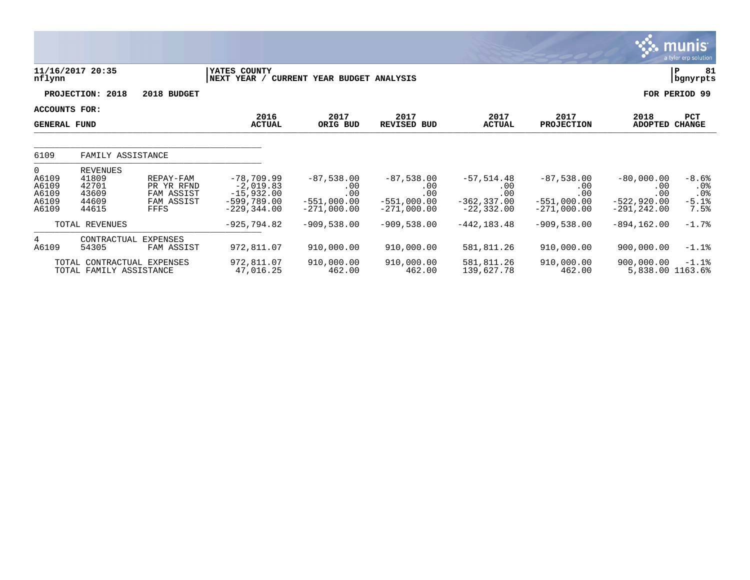|                                                             |                                                              |                                                             |                                                                                |                                                              |                                                              |                                                                |                                                              |                                                               | munis <sup>.</sup><br>a tyler erp solution |
|-------------------------------------------------------------|--------------------------------------------------------------|-------------------------------------------------------------|--------------------------------------------------------------------------------|--------------------------------------------------------------|--------------------------------------------------------------|----------------------------------------------------------------|--------------------------------------------------------------|---------------------------------------------------------------|--------------------------------------------|
| nflynn                                                      | 11/16/2017 20:35                                             |                                                             | YATES COUNTY<br>NEXT YEAR /                                                    | CURRENT YEAR BUDGET ANALYSIS                                 |                                                              |                                                                |                                                              |                                                               | 81<br>ΙP<br>bgnyrpts                       |
|                                                             | PROJECTION: 2018                                             | 2018 BUDGET                                                 |                                                                                |                                                              |                                                              |                                                                |                                                              |                                                               | FOR PERIOD 99                              |
| ACCOUNTS FOR:<br><b>GENERAL FUND</b>                        |                                                              |                                                             | 2016<br><b>ACTUAL</b>                                                          | 2017<br>ORIG BUD                                             | 2017<br><b>REVISED BUD</b>                                   | 2017<br><b>ACTUAL</b>                                          | 2017<br><b>PROJECTION</b>                                    | 2018<br><b>ADOPTED</b>                                        | PCT<br><b>CHANGE</b>                       |
| 6109                                                        | FAMILY ASSISTANCE                                            |                                                             |                                                                                |                                                              |                                                              |                                                                |                                                              |                                                               |                                            |
| $\overline{0}$<br>A6109<br>A6109<br>A6109<br>A6109<br>A6109 | <b>REVENUES</b><br>41809<br>42701<br>43609<br>44609<br>44615 | REPAY-FAM<br>PR YR RFND<br>FAM ASSIST<br>FAM ASSIST<br>FFFS | $-78,709.99$<br>$-2,019.83$<br>$-15,932.00$<br>$-599,789.00$<br>$-229, 344.00$ | $-87,538.00$<br>.00<br>.00<br>$-551,000.00$<br>$-271,000.00$ | $-87,538.00$<br>.00<br>.00<br>$-551,000.00$<br>$-271,000.00$ | $-57, 514.48$<br>.00<br>.00<br>$-362, 337.00$<br>$-22, 332.00$ | $-87,538.00$<br>.00<br>.00<br>$-551,000.00$<br>$-271,000.00$ | $-80,000.00$<br>.00<br>.00<br>$-522,920.00$<br>$-291, 242.00$ | $-8.6%$<br>.0%<br>.0%<br>$-5.1%$<br>7.5%   |
|                                                             | TOTAL REVENUES                                               |                                                             | $-925,794.82$                                                                  | $-909,538.00$                                                | $-909,538.00$                                                | $-442, 183.48$                                                 | $-909,538.00$                                                | $-894, 162.00$                                                | $-1.7%$                                    |
| 4<br>A6109                                                  | CONTRACTUAL<br>54305<br>TOTAL CONTRACTUAL EXPENSES           | <b>EXPENSES</b><br>FAM ASSIST                               | 972,811.07<br>972,811.07                                                       | 910,000.00<br>910,000.00                                     | 910,000.00<br>910,000.00                                     | 581,811.26<br>581,811.26                                       | 910,000.00<br>910,000.00                                     | 900,000.00<br>900,000.00                                      | $-1.1$ %<br>$-1.1%$                        |
|                                                             | TOTAL FAMILY ASSISTANCE                                      |                                                             | 47,016.25                                                                      | 462.00                                                       | 462.00                                                       | 139,627.78                                                     | 462.00                                                       | 5,838.00 1163.6%                                              |                                            |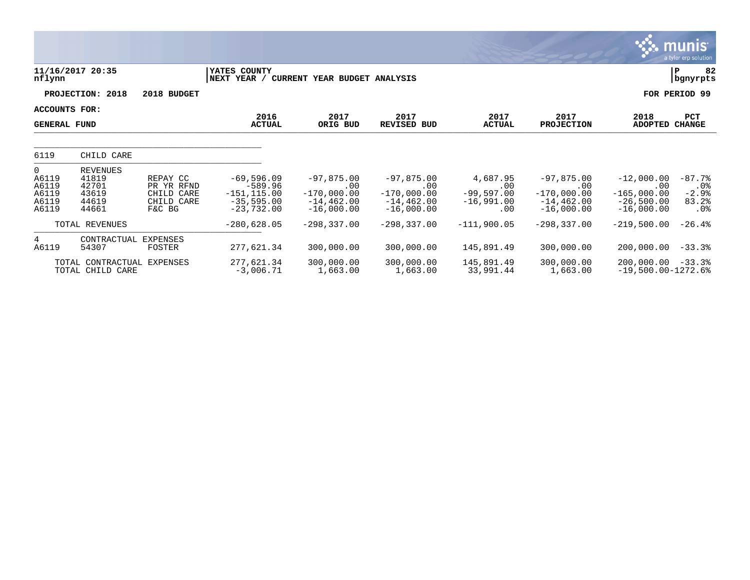|                                                |                                                               |                                                              |                                                                             |                                                                            |                                                                       |                                                        |                                                                       |                                                                      | munis<br>a tyler erp solution                    |
|------------------------------------------------|---------------------------------------------------------------|--------------------------------------------------------------|-----------------------------------------------------------------------------|----------------------------------------------------------------------------|-----------------------------------------------------------------------|--------------------------------------------------------|-----------------------------------------------------------------------|----------------------------------------------------------------------|--------------------------------------------------|
| nflynn                                         | 11/16/2017 20:35                                              |                                                              | YATES COUNTY<br>NEXT YEAR / CURRENT YEAR BUDGET ANALYSIS                    |                                                                            |                                                                       |                                                        |                                                                       |                                                                      | 82<br>P<br>bgnyrpts                              |
|                                                | PROJECTION: 2018                                              | 2018 BUDGET                                                  |                                                                             |                                                                            |                                                                       |                                                        |                                                                       |                                                                      | FOR PERIOD 99                                    |
| <b>ACCOUNTS FOR:</b><br><b>GENERAL FUND</b>    |                                                               |                                                              | 2016<br><b>ACTUAL</b>                                                       | 2017<br>ORIG BUD                                                           | 2017<br><b>REVISED BUD</b>                                            | 2017<br><b>ACTUAL</b>                                  | 2017<br><b>PROJECTION</b>                                             | 2018<br><b>ADOPTED</b>                                               | <b>PCT</b><br><b>CHANGE</b>                      |
| 6119                                           | CHILD CARE                                                    |                                                              |                                                                             |                                                                            |                                                                       |                                                        |                                                                       |                                                                      |                                                  |
| 0<br>A6119<br>A6119<br>A6119<br>A6119<br>A6119 | <b>REVENUES</b><br>41819<br>42701<br>43619<br>44619<br>44661  | REPAY CC<br>PR YR RFND<br>CHILD CARE<br>CHILD CARE<br>F&C BG | $-69,596.09$<br>$-589.96$<br>$-151, 115.00$<br>$-35,595.00$<br>$-23,732.00$ | $-97,875.00$<br>$.00 \,$<br>$-170,000.00$<br>$-14, 462.00$<br>$-16,000.00$ | $-97,875.00$<br>.00<br>$-170,000.00$<br>$-14, 462.00$<br>$-16,000.00$ | 4,687.95<br>.00<br>$-99,597.00$<br>$-16,991.00$<br>.00 | $-97,875.00$<br>.00<br>$-170,000.00$<br>$-14, 462.00$<br>$-16,000.00$ | $-12,000.00$<br>.00<br>$-165,000.00$<br>$-26,500.00$<br>$-16,000.00$ | $-87.7%$<br>$.0\%$<br>$-2.9%$<br>83.2%<br>$.0\%$ |
|                                                | TOTAL REVENUES                                                |                                                              | $-280,628.05$                                                               | $-298, 337.00$                                                             | $-298, 337.00$                                                        | $-111,900.05$                                          | $-298, 337.00$                                                        | $-219,500.00$                                                        | $-26.4%$                                         |
| 4<br>A6119                                     | CONTRACTUAL<br>54307<br>TOTAL CONTRACTUAL<br>TOTAL CHILD CARE | <b>EXPENSES</b><br><b>FOSTER</b><br>EXPENSES                 | 277,621.34<br>277,621.34<br>$-3,006.71$                                     | 300,000.00<br>300,000.00<br>1,663.00                                       | 300,000.00<br>300,000.00<br>1,663.00                                  | 145,891.49<br>145,891.49<br>33,991.44                  | 300,000.00<br>300,000.00<br>1,663.00                                  | 200,000.00<br>$200,000.00 - 33.3$<br>$-19,500.00 - 1272.6$           | $-33.3$                                          |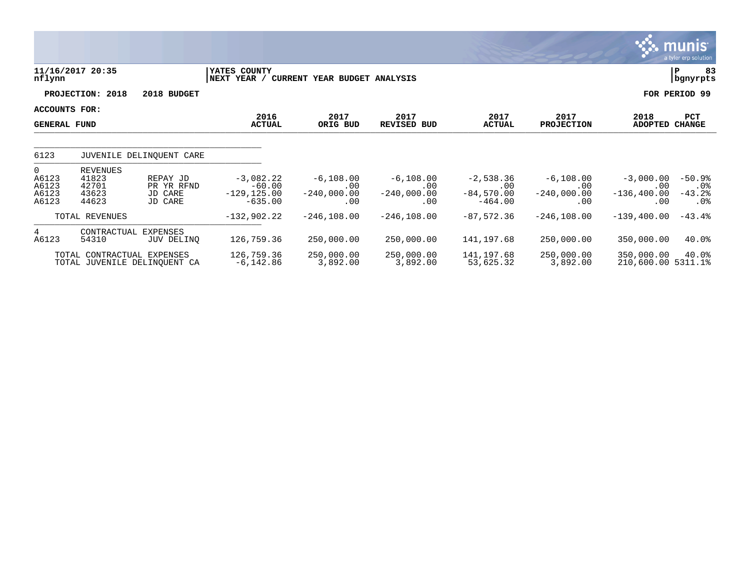|                                              |                                                            |                                              |                                                        |                                             |                                             |                                                 |                                             |                                             | <b>munis</b><br>a tyler erp solution     |
|----------------------------------------------|------------------------------------------------------------|----------------------------------------------|--------------------------------------------------------|---------------------------------------------|---------------------------------------------|-------------------------------------------------|---------------------------------------------|---------------------------------------------|------------------------------------------|
| nflynn                                       | 11/16/2017 20:35                                           |                                              | YATES COUNTY<br>NEXT YEAR /                            | CURRENT YEAR BUDGET ANALYSIS                |                                             |                                                 |                                             |                                             | 83<br>P<br>bgnyrpts                      |
|                                              | PROJECTION: 2018                                           | 2018 BUDGET                                  |                                                        |                                             |                                             |                                                 |                                             |                                             | FOR PERIOD 99                            |
| ACCOUNTS FOR:<br><b>GENERAL FUND</b>         |                                                            |                                              | 2016<br><b>ACTUAL</b>                                  | 2017<br>ORIG BUD                            | 2017<br>REVISED<br>BUD                      | 2017<br><b>ACTUAL</b>                           | 2017<br><b>PROJECTION</b>                   | 2018<br><b>ADOPTED</b>                      | PCT<br><b>CHANGE</b>                     |
| 6123                                         |                                                            | JUVENILE DELINQUENT CARE                     |                                                        |                                             |                                             |                                                 |                                             |                                             |                                          |
| $\Omega$<br>A6123<br>A6123<br>A6123<br>A6123 | <b>REVENUES</b><br>41823<br>42701<br>43623<br>44623        | REPAY JD<br>PR YR RFND<br>JD CARE<br>JD CARE | $-3,082.22$<br>$-60.00$<br>$-129, 125.00$<br>$-635.00$ | $-6, 108.00$<br>.00<br>$-240,000.00$<br>.00 | $-6, 108.00$<br>.00<br>$-240,000.00$<br>.00 | $-2,538.36$<br>.00<br>$-84,570.00$<br>$-464.00$ | $-6, 108.00$<br>.00<br>$-240,000.00$<br>.00 | $-3,000.00$<br>.00<br>$-136, 400.00$<br>.00 | $-50.9%$<br>$.0\%$<br>$-43.2%$<br>$.0\%$ |
|                                              | TOTAL REVENUES                                             |                                              | $-132,902.22$                                          | $-246, 108.00$                              | $-246, 108.00$                              | $-87,572.36$                                    | $-246, 108.00$                              | $-139, 400.00$                              | $-43.4%$                                 |
| $4\overline{ }$<br>A6123                     | CONTRACTUAL<br>54310                                       | EXPENSES<br>JUV DELINQ                       | 126,759.36                                             | 250,000.00                                  | 250,000.00                                  | 141,197.68                                      | 250,000.00                                  | 350,000.00                                  | 40.0%                                    |
|                                              | TOTAL CONTRACTUAL EXPENSES<br>TOTAL JUVENILE DELINQUENT CA |                                              | 126,759.36<br>$-6, 142.86$                             | 250,000.00<br>3,892.00                      | 250,000.00<br>3,892.00                      | 141,197.68<br>53,625.32                         | 250,000.00<br>3,892.00                      | 350,000.00<br>210,600.00 5311.1%            | 40.0%                                    |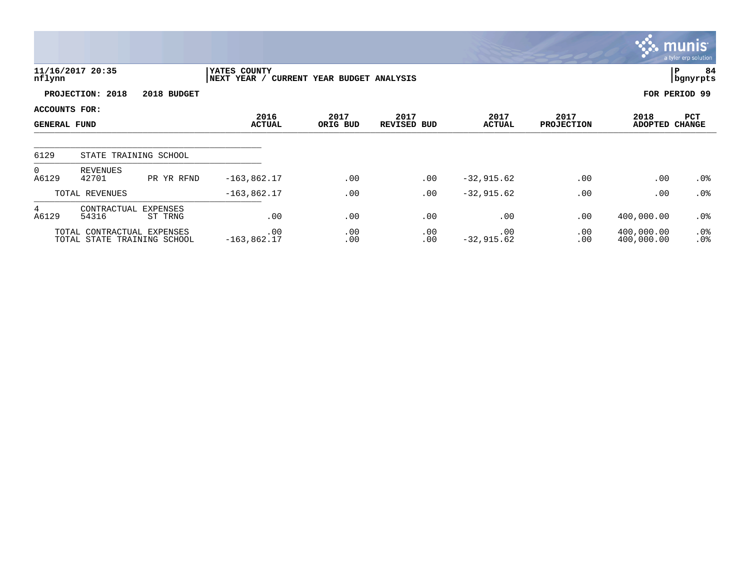|                                             |                                                           |                            |                              |                              |                            |                       |                           |                          | <b>munis</b><br>a tyler erp solution |
|---------------------------------------------|-----------------------------------------------------------|----------------------------|------------------------------|------------------------------|----------------------------|-----------------------|---------------------------|--------------------------|--------------------------------------|
| nflynn                                      | 11/16/2017 20:35                                          |                            | YATES COUNTY<br> NEXT YEAR / | CURRENT YEAR BUDGET ANALYSIS |                            |                       |                           |                          | 84<br>∣P<br>bgnyrpts                 |
|                                             | PROJECTION: 2018                                          | 2018 BUDGET                |                              |                              |                            |                       |                           |                          | FOR PERIOD 99                        |
| <b>ACCOUNTS FOR:</b><br><b>GENERAL FUND</b> |                                                           |                            | 2016<br><b>ACTUAL</b>        | 2017<br>ORIG BUD             | 2017<br><b>REVISED BUD</b> | 2017<br><b>ACTUAL</b> | 2017<br><b>PROJECTION</b> | 2018<br><b>ADOPTED</b>   | PCT<br><b>CHANGE</b>                 |
| 6129                                        |                                                           | STATE TRAINING SCHOOL      |                              |                              |                            |                       |                           |                          |                                      |
| $\overline{0}$<br>A6129                     | REVENUES<br>42701                                         | PR YR RFND                 | $-163,862.17$                | .00                          | .00                        | $-32,915.62$          | .00                       | .00                      | $.0\%$                               |
|                                             | TOTAL REVENUES                                            |                            | $-163,862.17$                | .00                          | .00                        | $-32,915.62$          | .00                       | .00                      | .0%                                  |
| 4<br>A6129                                  | CONTRACTUAL<br>54316                                      | <b>EXPENSES</b><br>ST TRNG | .00                          | .00                          | .00                        | .00                   | .00                       | 400,000.00               | .0%                                  |
|                                             | TOTAL CONTRACTUAL EXPENSES<br>TOTAL STATE TRAINING SCHOOL |                            | .00<br>$-163,862.17$         | .00<br>.00                   | .00<br>.00                 | .00<br>$-32,915.62$   | .00<br>.00                | 400,000.00<br>400,000.00 | .0%<br>.0%                           |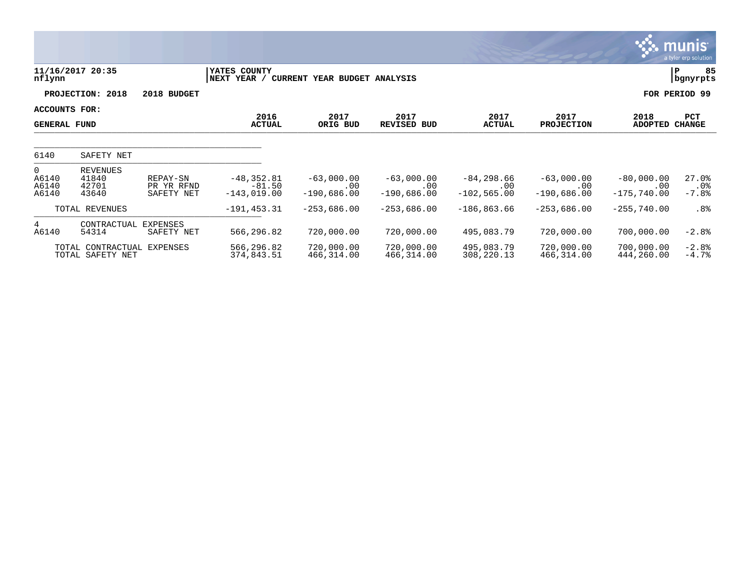|                                           |                                                |                                      |                                            |                                      |                                      |                                        |                                      |                                      | <b>munis</b><br>a tyler erp solution |
|-------------------------------------------|------------------------------------------------|--------------------------------------|--------------------------------------------|--------------------------------------|--------------------------------------|----------------------------------------|--------------------------------------|--------------------------------------|--------------------------------------|
| nflynn                                    | 11/16/2017 20:35                               |                                      | YATES COUNTY<br>NEXT YEAR /                | CURRENT YEAR BUDGET ANALYSIS         |                                      |                                        |                                      |                                      | 85<br>P<br>bgnyrpts                  |
|                                           | PROJECTION: 2018                               | 2018 BUDGET                          |                                            |                                      |                                      |                                        |                                      |                                      | FOR PERIOD 99                        |
| ACCOUNTS FOR:<br><b>GENERAL FUND</b>      |                                                |                                      | 2016<br><b>ACTUAL</b>                      | 2017<br>ORIG BUD                     | 2017<br><b>REVISED BUD</b>           | 2017<br><b>ACTUAL</b>                  | 2017<br><b>PROJECTION</b>            | 2018<br><b>ADOPTED</b>               | PCT<br><b>CHANGE</b>                 |
| 6140                                      | SAFETY NET                                     |                                      |                                            |                                      |                                      |                                        |                                      |                                      |                                      |
| $\overline{0}$<br>A6140<br>A6140<br>A6140 | <b>REVENUES</b><br>41840<br>42701<br>43640     | REPAY-SN<br>PR YR RFND<br>SAFETY NET | $-48, 352.81$<br>$-81.50$<br>$-143,019.00$ | $-63,000.00$<br>.00<br>$-190,686.00$ | $-63,000.00$<br>.00<br>$-190,686.00$ | $-84, 298.66$<br>.00<br>$-102, 565.00$ | $-63,000.00$<br>.00<br>$-190,686.00$ | $-80,000.00$<br>.00<br>$-175,740.00$ | 27.0%<br>$.0\%$<br>$-7.8%$           |
|                                           | TOTAL REVENUES                                 |                                      | $-191, 453.31$                             | $-253,686.00$                        | $-253,686.00$                        | $-186, 863.66$                         | $-253,686.00$                        | $-255,740.00$                        | .8%                                  |
| $4\overline{ }$<br>A6140                  | CONTRACTUAL<br>54314                           | EXPENSES<br>SAFETY NET               | 566,296.82                                 | 720,000.00                           | 720,000.00                           | 495,083.79                             | 720,000.00                           | 700,000.00                           | $-2.8%$                              |
|                                           | TOTAL CONTRACTUAL EXPENSES<br>TOTAL SAFETY NET |                                      | 566,296.82<br>374,843.51                   | 720,000.00<br>466,314.00             | 720,000.00<br>466,314.00             | 495,083.79<br>308,220.13               | 720,000.00<br>466,314.00             | 700,000.00<br>444,260.00             | $-2.8%$<br>$-4.7%$                   |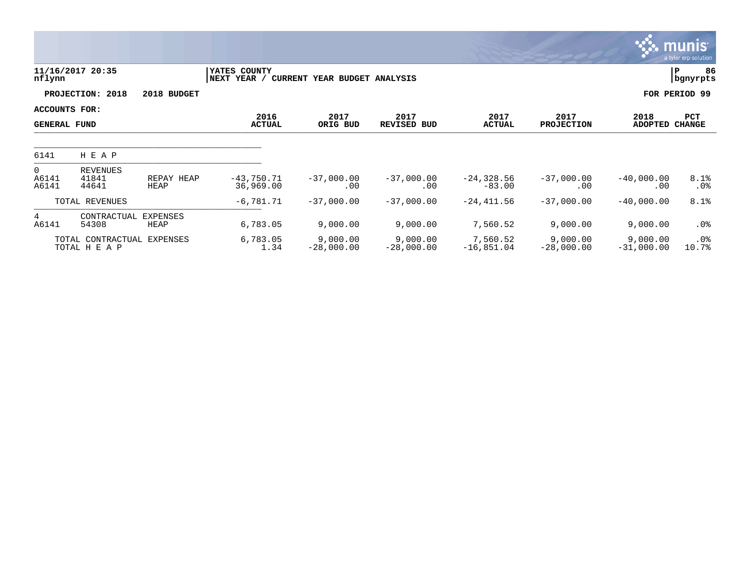|                                      |                                    |                         |                             |                              |                            |                           |                           |                          | <b>munis</b><br>a tyler erp solution |
|--------------------------------------|------------------------------------|-------------------------|-----------------------------|------------------------------|----------------------------|---------------------------|---------------------------|--------------------------|--------------------------------------|
| nflynn                               | 11/16/2017 20:35                   |                         | YATES COUNTY<br>NEXT YEAR / | CURRENT YEAR BUDGET ANALYSIS |                            |                           |                           |                          | lР<br>86<br>  bgnyrpts               |
|                                      | PROJECTION: 2018                   | 2018 BUDGET             |                             |                              |                            |                           |                           |                          | FOR PERIOD 99                        |
| ACCOUNTS FOR:<br><b>GENERAL FUND</b> |                                    |                         | 2016<br><b>ACTUAL</b>       | 2017<br>ORIG BUD             | 2017<br><b>REVISED BUD</b> | 2017<br><b>ACTUAL</b>     | 2017<br><b>PROJECTION</b> | 2018<br><b>ADOPTED</b>   | PCT<br><b>CHANGE</b>                 |
| 6141                                 | H E A P                            |                         |                             |                              |                            |                           |                           |                          |                                      |
| $\overline{0}$<br>A6141<br>A6141     | <b>REVENUES</b><br>41841<br>44641  | REPAY HEAP<br>HEAP      | $-43,750.71$<br>36,969.00   | $-37,000.00$<br>.00          | $-37,000.00$<br>.00        | $-24, 328.56$<br>$-83.00$ | $-37,000.00$<br>.00       | $-40,000.00$<br>.00      | 8.1%<br>$.0\%$                       |
|                                      | TOTAL REVENUES                     |                         | $-6,781.71$                 | $-37,000.00$                 | $-37,000.00$               | $-24,411.56$              | $-37,000.00$              | $-40,000.00$             | 8.1%                                 |
| 4<br>A6141                           | CONTRACTUAL<br>54308               | <b>EXPENSES</b><br>HEAP | 6,783.05                    | 9,000.00                     | 9,000.00                   | 7,560.52                  | 9,000.00                  | 9,000.00                 | .0%                                  |
|                                      | TOTAL CONTRACTUAL<br>TOTAL H E A P | EXPENSES                | 6,783.05<br>1.34            | 9,000.00<br>$-28,000.00$     | 9,000.00<br>$-28,000.00$   | 7,560.52<br>$-16,851.04$  | 9,000.00<br>$-28,000.00$  | 9,000.00<br>$-31,000.00$ | $.0\%$<br>10.7%                      |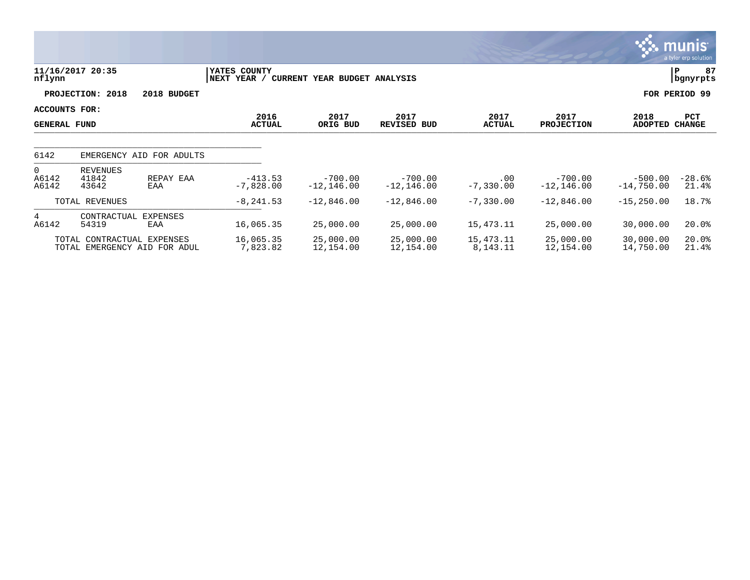|                                      |                            |                                                            |                             |                              |                            |                       |                            |                           | <b>munis</b><br>a tyler erp solution |
|--------------------------------------|----------------------------|------------------------------------------------------------|-----------------------------|------------------------------|----------------------------|-----------------------|----------------------------|---------------------------|--------------------------------------|
| nflynn                               | 11/16/2017 20:35           |                                                            | YATES COUNTY<br>NEXT YEAR / | CURRENT YEAR BUDGET ANALYSIS |                            |                       |                            |                           | 87<br>lР<br>  bgnyrpts               |
|                                      | PROJECTION: 2018           | 2018 BUDGET                                                |                             |                              |                            |                       |                            |                           | FOR PERIOD 99                        |
| ACCOUNTS FOR:<br><b>GENERAL FUND</b> |                            |                                                            | 2016<br><b>ACTUAL</b>       | 2017<br>ORIG BUD             | 2017<br><b>REVISED BUD</b> | 2017<br><b>ACTUAL</b> | 2017<br><b>PROJECTION</b>  | 2018<br><b>ADOPTED</b>    | PCT<br><b>CHANGE</b>                 |
| 6142                                 | EMERGENCY AID              | FOR ADULTS                                                 |                             |                              |                            |                       |                            |                           |                                      |
| $\overline{0}$<br>A6142<br>A6142     | REVENUES<br>41842<br>43642 | REPAY EAA<br>EAA                                           | $-413.53$<br>$-7,828.00$    | $-700.00$<br>$-12, 146.00$   | $-700.00$<br>$-12, 146.00$ | .00<br>$-7,330.00$    | $-700.00$<br>$-12, 146.00$ | $-500.00$<br>$-14,750.00$ | $-28.6%$<br>21.4%                    |
|                                      | TOTAL REVENUES             |                                                            | $-8, 241.53$                | $-12,846.00$                 | $-12,846.00$               | $-7,330.00$           | $-12,846.00$               | $-15, 250.00$             | 18.7%                                |
| $4^{\circ}$<br>A6142                 | CONTRACTUAL<br>54319       | <b>EXPENSES</b><br>EAA                                     | 16,065.35                   | 25,000.00                    | 25,000.00                  | 15,473.11             | 25,000.00                  | 30,000.00                 | 20.0%                                |
|                                      |                            | TOTAL CONTRACTUAL EXPENSES<br>TOTAL EMERGENCY AID FOR ADUL | 16,065.35<br>7,823.82       | 25,000.00<br>12,154.00       | 25,000.00<br>12,154.00     | 15,473.11<br>8,143.11 | 25,000.00<br>12,154.00     | 30,000.00<br>14,750.00    | 20.0%<br>21.4%                       |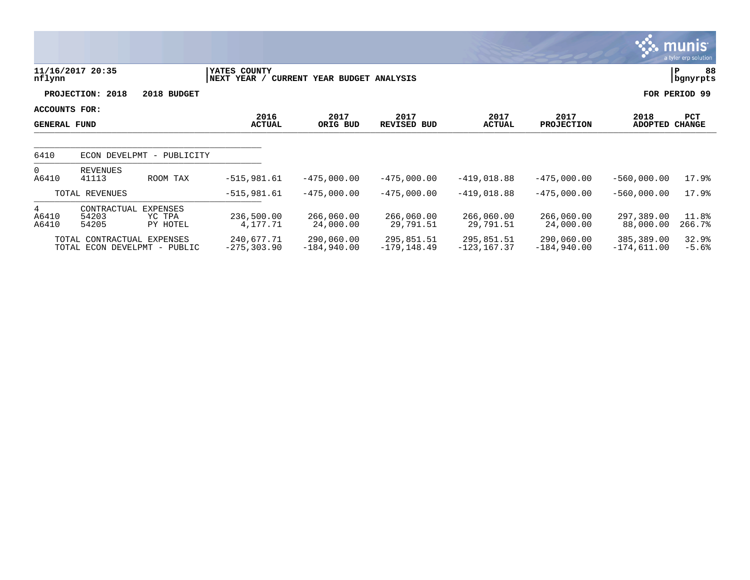|                                      |                               |                                |                              |                              |                              |                              |                             |                             | munis<br>a tyler erp solution |
|--------------------------------------|-------------------------------|--------------------------------|------------------------------|------------------------------|------------------------------|------------------------------|-----------------------------|-----------------------------|-------------------------------|
| nflynn                               | 11/16/2017 20:35              |                                | YATES COUNTY<br>NEXT YEAR /  | CURRENT YEAR BUDGET ANALYSIS |                              |                              |                             |                             | 88<br>P<br>bgnyrpts           |
|                                      | PROJECTION: 2018              | 2018 BUDGET                    |                              |                              |                              |                              |                             |                             | FOR PERIOD 99                 |
| ACCOUNTS FOR:<br><b>GENERAL FUND</b> |                               |                                | 2016<br><b>ACTUAL</b>        | 2017<br>ORIG BUD             | 2017<br>REVISED BUD          | 2017<br><b>ACTUAL</b>        | 2017<br><b>PROJECTION</b>   | 2018<br><b>ADOPTED</b>      | PCT<br><b>CHANGE</b>          |
| 6410                                 |                               | ECON DEVELPMT - PUBLICITY      |                              |                              |                              |                              |                             |                             |                               |
| $\overline{0}$<br>A6410              | REVENUES<br>41113             | ROOM TAX                       | $-515,981.61$                | $-475,000.00$                | $-475,000.00$                | $-419,018.88$                | $-475,000.00$               | $-560,000.00$               | 17.9%                         |
|                                      | TOTAL REVENUES                |                                | $-515,981.61$                | $-475,000.00$                | $-475,000.00$                | $-419,018.88$                | $-475,000.00$               | $-560,000.00$               | 17.9%                         |
| 4<br>A6410<br>A6410                  | CONTRACTUAL<br>54203<br>54205 | EXPENSES<br>YC TPA<br>PY HOTEL | 236,500.00<br>4,177.71       | 266,060.00<br>24,000.00      | 266,060.00<br>29,791.51      | 266,060.00<br>29,791.51      | 266,060.00<br>24,000.00     | 297,389.00<br>88,000.00     | 11.8%<br>266.7%               |
|                                      | TOTAL CONTRACTUAL EXPENSES    | TOTAL ECON DEVELPMT - PUBLIC   | 240,677.71<br>$-275, 303.90$ | 290,060.00<br>$-184,940.00$  | 295,851.51<br>$-179, 148.49$ | 295,851.51<br>$-123, 167.37$ | 290,060.00<br>$-184,940.00$ | 385,389.00<br>$-174,611.00$ | 32.9%<br>$-5.6%$              |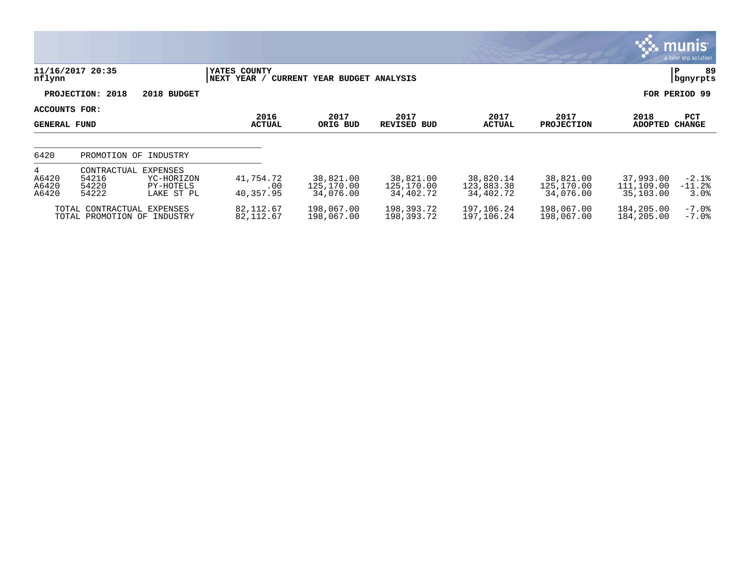|                                        |                                                                                             |                                |                                      |                                      |                                      |                                      |                                      | <b>munis</b><br>a tyler erp solution |
|----------------------------------------|---------------------------------------------------------------------------------------------|--------------------------------|--------------------------------------|--------------------------------------|--------------------------------------|--------------------------------------|--------------------------------------|--------------------------------------|
| nflynn                                 | 11/16/2017 20:35                                                                            | YATES COUNTY<br>YEAR /<br>NEXT | CURRENT YEAR BUDGET ANALYSIS         |                                      |                                      |                                      |                                      | 89<br> P<br>  bgnyrpts               |
|                                        | PROJECTION: 2018<br>2018 BUDGET                                                             |                                |                                      |                                      |                                      |                                      |                                      | FOR PERIOD 99                        |
| ACCOUNTS FOR:<br><b>GENERAL FUND</b>   |                                                                                             | 2016<br><b>ACTUAL</b>          | 2017<br>ORIG BUD                     | 2017<br><b>REVISED BUD</b>           | 2017<br><b>ACTUAL</b>                | 2017<br><b>PROJECTION</b>            | 2018<br><b>ADOPTED</b>               | PCT<br><b>CHANGE</b>                 |
| 6420                                   | PROMOTION OF INDUSTRY                                                                       |                                |                                      |                                      |                                      |                                      |                                      |                                      |
| $4^{\circ}$<br>A6420<br>A6420<br>A6420 | EXPENSES<br>CONTRACTUAL<br>54216<br>YC-HORIZON<br>54220<br>PY-HOTELS<br>54222<br>LAKE ST PL | 41,754.72<br>.00<br>40,357.95  | 38,821.00<br>125,170.00<br>34,076.00 | 38,821.00<br>125,170.00<br>34,402.72 | 38,820.14<br>123,883.38<br>34,402.72 | 38,821.00<br>125,170.00<br>34,076.00 | 37,993.00<br>111,109.00<br>35,103.00 | $-2.1%$<br>$-11.2$ $8$<br>3.0%       |
|                                        | TOTAL CONTRACTUAL EXPENSES<br>TOTAL PROMOTION OF INDUSTRY                                   | 82, 112.67<br>82, 112.67       | 198,067.00<br>198,067.00             | 198,393.72<br>198,393.72             | 197,106.24<br>197,106.24             | 198,067.00<br>198,067.00             | 184,205.00<br>184,205.00             | $-7.0$ %<br>$-7.0\%$                 |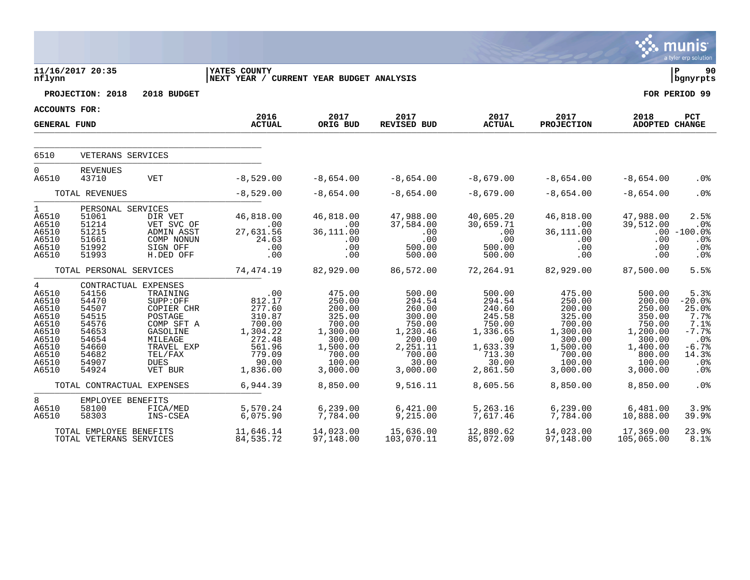|                                                                                                                        |                                                                                                                                                    |                                                                                                                                                               |                                                                                                                        |                                                                                                                              |                                                                                                                             |                                                                                                                          |                                                                                                                              |                                                                                                                              | <b>munis</b><br>a tyler erp solution                                                                             |
|------------------------------------------------------------------------------------------------------------------------|----------------------------------------------------------------------------------------------------------------------------------------------------|---------------------------------------------------------------------------------------------------------------------------------------------------------------|------------------------------------------------------------------------------------------------------------------------|------------------------------------------------------------------------------------------------------------------------------|-----------------------------------------------------------------------------------------------------------------------------|--------------------------------------------------------------------------------------------------------------------------|------------------------------------------------------------------------------------------------------------------------------|------------------------------------------------------------------------------------------------------------------------------|------------------------------------------------------------------------------------------------------------------|
| nflynn                                                                                                                 | 11/16/2017 20:35                                                                                                                                   |                                                                                                                                                               | YATES COUNTY<br>NEXT YEAR / CURRENT YEAR BUDGET ANALYSIS                                                               |                                                                                                                              |                                                                                                                             |                                                                                                                          |                                                                                                                              |                                                                                                                              | l P<br>90<br>  bgnyrpts                                                                                          |
|                                                                                                                        | PROJECTION: 2018                                                                                                                                   | 2018 BUDGET                                                                                                                                                   |                                                                                                                        |                                                                                                                              |                                                                                                                             |                                                                                                                          |                                                                                                                              |                                                                                                                              | FOR PERIOD 99                                                                                                    |
| <b>ACCOUNTS FOR:</b>                                                                                                   |                                                                                                                                                    |                                                                                                                                                               |                                                                                                                        |                                                                                                                              |                                                                                                                             |                                                                                                                          |                                                                                                                              |                                                                                                                              |                                                                                                                  |
| <b>GENERAL FUND</b>                                                                                                    |                                                                                                                                                    |                                                                                                                                                               | 2016<br><b>ACTUAL</b>                                                                                                  | 2017<br>ORIG BUD                                                                                                             | 2017<br><b>REVISED BUD</b>                                                                                                  | 2017<br><b>ACTUAL</b>                                                                                                    | 2017<br><b>PROJECTION</b>                                                                                                    | 2018<br>ADOPTED CHANGE                                                                                                       | <b>PCT</b>                                                                                                       |
| 6510                                                                                                                   | VETERANS SERVICES                                                                                                                                  |                                                                                                                                                               |                                                                                                                        |                                                                                                                              |                                                                                                                             |                                                                                                                          |                                                                                                                              |                                                                                                                              |                                                                                                                  |
| $\overline{0}$<br>A6510                                                                                                | <b>REVENUES</b><br>43710                                                                                                                           | <b>VET</b>                                                                                                                                                    | $-8,529.00$                                                                                                            | $-8,654.00$                                                                                                                  | $-8,654.00$                                                                                                                 | $-8,679.00$                                                                                                              | $-8,654.00$                                                                                                                  | $-8,654.00$                                                                                                                  | .0 <sub>8</sub>                                                                                                  |
|                                                                                                                        | TOTAL REVENUES                                                                                                                                     |                                                                                                                                                               | $-8,529.00$                                                                                                            | $-8,654.00$                                                                                                                  | $-8,654.00$                                                                                                                 | $-8,679.00$                                                                                                              | $-8,654.00$                                                                                                                  | $-8,654.00$                                                                                                                  | .0%                                                                                                              |
| $\mathbf{1}$<br>A6510<br>A6510<br>A6510<br>A6510<br>A6510<br>A6510                                                     | PERSONAL SERVICES<br>51061<br>51214<br>51215<br>51661<br>51992<br>51993                                                                            | DIR VET<br>VET SVC OF<br>ADMIN ASST<br>COMP NONUN<br>SIGN OFF<br>H.DED OFF                                                                                    | 46,818.00<br>.00<br>27,631.56<br>24.63<br>.00<br>.00                                                                   | 46,818.00<br>.00<br>36,111.00<br>.00<br>.00<br>.00                                                                           | 47,988.00<br>37,584.00<br>.00<br>.00<br>500.00<br>500.00                                                                    | 40,605.20<br>30,659.71<br>.00<br>.00<br>500.00<br>500.00                                                                 | 46,818.00<br>$.00 \,$<br>36,111.00<br>$.00 \,$<br>$.00 \,$<br>$.00 \,$                                                       | 47,988.00<br>39,512.00<br>.00<br>.00<br>.00                                                                                  | 2.5%<br>.0%<br>$.00 - 100.0$<br>.0 <sub>8</sub><br>.0%<br>. 0 %                                                  |
|                                                                                                                        | TOTAL PERSONAL SERVICES                                                                                                                            |                                                                                                                                                               | 74,474.19                                                                                                              | 82,929.00                                                                                                                    | 86,572.00                                                                                                                   | 72,264.91                                                                                                                | 82,929.00                                                                                                                    | 87,500.00                                                                                                                    | 5.5%                                                                                                             |
| $4\phantom{0}$<br>A6510<br>A6510<br>A6510<br>A6510<br>A6510<br>A6510<br>A6510<br>A6510<br>A6510<br>A6510<br>A6510<br>8 | 54156<br>54470<br>54507<br>54515<br>54576<br>54653<br>54654<br>54660<br>54682<br>54907<br>54924<br>TOTAL CONTRACTUAL EXPENSES<br>EMPLOYEE BENEFITS | CONTRACTUAL EXPENSES<br>TRAINING<br>SUPP:OFF<br>COPIER CHR<br>POSTAGE<br>COMP SFT A<br>GASOLINE<br>MILEAGE<br>TRAVEL EXP<br>TEL/FAX<br><b>DUES</b><br>VET BUR | .00<br>812.17<br>277.60<br>310.87<br>700.00<br>1,304.22<br>272.48<br>561.96<br>779.09<br>90.00<br>1,836.00<br>6,944.39 | 475.00<br>250.00<br>200.00<br>325.00<br>700.00<br>1,300.00<br>300.00<br>1,500.00<br>700.00<br>100.00<br>3,000.00<br>8,850.00 | 500.00<br>294.54<br>260.00<br>300.00<br>750.00<br>1,230.46<br>200.00<br>2,251.11<br>700.00<br>30.00<br>3,000.00<br>9,516.11 | 500.00<br>294.54<br>240.60<br>245.58<br>750.00<br>1,336.65<br>.00<br>1,633.39<br>713.30<br>30.00<br>2,861.50<br>8,605.56 | 475.00<br>250.00<br>200.00<br>325.00<br>700.00<br>1,300.00<br>300.00<br>1,500.00<br>700.00<br>100.00<br>3,000.00<br>8,850.00 | 500.00<br>200.00<br>250.00<br>350.00<br>750.00<br>1,200.00<br>300.00<br>1,400.00<br>800.00<br>100.00<br>3,000.00<br>8,850.00 | 5.3%<br>$-20.0%$<br>25.0%<br>7.7%<br>7.1%<br>$-7.7%$<br>.0 <sub>8</sub><br>$-6.7%$<br>14.3%<br>.0%<br>.0%<br>.0% |
| A6510<br>A6510                                                                                                         | 58100<br>58303                                                                                                                                     | FICA/MED<br>INS-CSEA                                                                                                                                          | 5,570.24<br>6,075.90                                                                                                   | 6, 239.00<br>7,784.00                                                                                                        | 6,421.00<br>9,215.00                                                                                                        | 5,263.16<br>7,617.46                                                                                                     | 6, 239.00<br>7,784.00                                                                                                        | 6,481.00<br>10,888.00                                                                                                        | 3.9%<br>39.9 <sub>8</sub>                                                                                        |
|                                                                                                                        | TOTAL EMPLOYEE BENEFITS<br>TOTAL VETERANS SERVICES                                                                                                 |                                                                                                                                                               | 11,646.14<br>84,535.72                                                                                                 | 14,023.00<br>97,148.00                                                                                                       | 15,636.00<br>103,070.11                                                                                                     | 12,880.62<br>85,072.09                                                                                                   | 14,023.00<br>97,148.00                                                                                                       | 17,369.00<br>105,065.00                                                                                                      | 23.9%<br>8.1%                                                                                                    |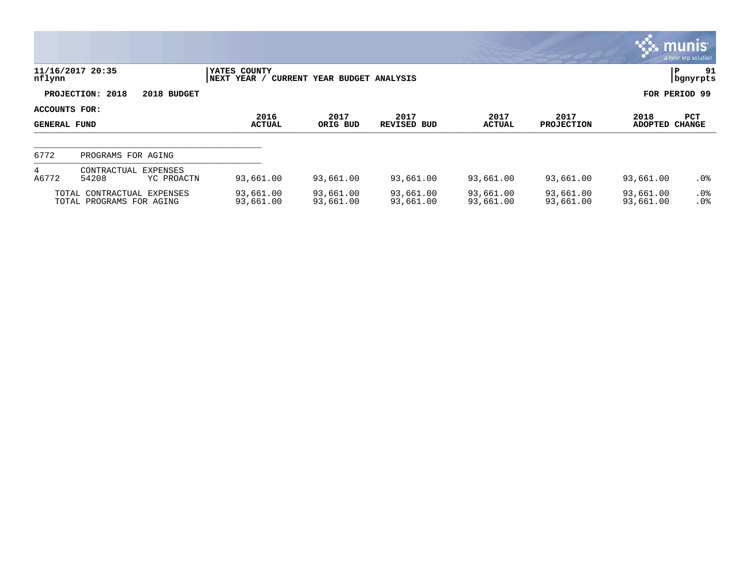|                                      |                                                        |                        |                             |                              |                        |                        |                           |                        | <b>munis</b><br>a tyler erp solution |
|--------------------------------------|--------------------------------------------------------|------------------------|-----------------------------|------------------------------|------------------------|------------------------|---------------------------|------------------------|--------------------------------------|
| nflynn                               | 11/16/2017 20:35                                       |                        | YATES COUNTY<br>NEXT YEAR / | CURRENT YEAR BUDGET ANALYSIS |                        |                        |                           |                        | 91<br>ΙP<br>  bgnyrpts               |
|                                      | PROJECTION: 2018                                       | 2018 BUDGET            |                             |                              |                        |                        |                           |                        | FOR PERIOD 99                        |
| ACCOUNTS FOR:<br><b>GENERAL FUND</b> |                                                        |                        | 2016<br><b>ACTUAL</b>       | 2017<br>ORIG BUD             | 2017<br>REVISED BUD    | 2017<br><b>ACTUAL</b>  | 2017<br><b>PROJECTION</b> | 2018<br><b>ADOPTED</b> | <b>PCT</b><br><b>CHANGE</b>          |
| 6772                                 | PROGRAMS FOR AGING                                     |                        |                             |                              |                        |                        |                           |                        |                                      |
| 4<br>A6772                           | CONTRACTUAL<br>54208                                   | EXPENSES<br>YC PROACTN | 93,661.00                   | 93,661.00                    | 93,661.00              | 93,661.00              | 93,661.00                 | 93,661.00              | .0%                                  |
|                                      | TOTAL CONTRACTUAL EXPENSES<br>TOTAL PROGRAMS FOR AGING |                        | 93,661.00<br>93,661.00      | 93,661.00<br>93,661.00       | 93,661.00<br>93,661.00 | 93,661.00<br>93,661.00 | 93,661.00<br>93,661.00    | 93,661.00<br>93,661.00 | $.0\%$<br>.0%                        |

 $\overline{10}$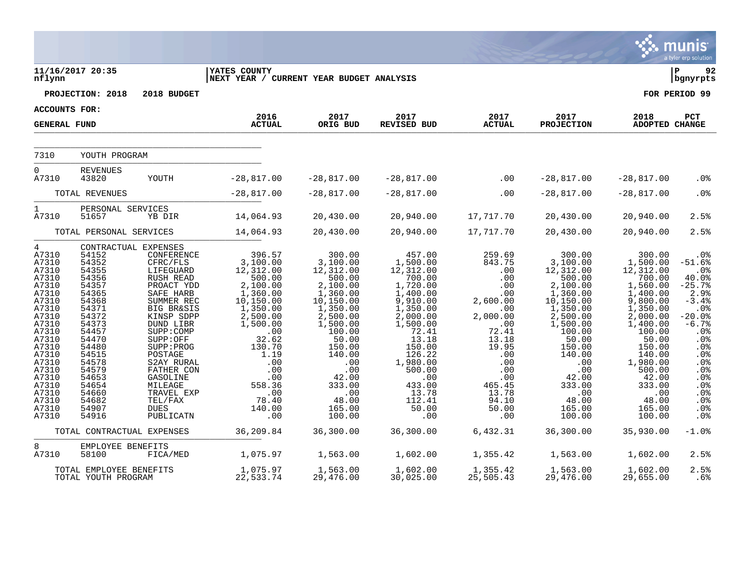|                                                                                                                                                                                                                       |                                                                                                                                                                                                    |                                                                                                                                                                                                                                                                                                                                  |                                                                                                                                                                                                                                      |                                                                                                                                                                                                                                |                                                                                                                                                                                                                                   |                                                                                                                                                                                       |                                                                                                                                                                                                                                |                                                                                                                                                                                                                                       | a tyler erp solution                                                                                                                                                                           |
|-----------------------------------------------------------------------------------------------------------------------------------------------------------------------------------------------------------------------|----------------------------------------------------------------------------------------------------------------------------------------------------------------------------------------------------|----------------------------------------------------------------------------------------------------------------------------------------------------------------------------------------------------------------------------------------------------------------------------------------------------------------------------------|--------------------------------------------------------------------------------------------------------------------------------------------------------------------------------------------------------------------------------------|--------------------------------------------------------------------------------------------------------------------------------------------------------------------------------------------------------------------------------|-----------------------------------------------------------------------------------------------------------------------------------------------------------------------------------------------------------------------------------|---------------------------------------------------------------------------------------------------------------------------------------------------------------------------------------|--------------------------------------------------------------------------------------------------------------------------------------------------------------------------------------------------------------------------------|---------------------------------------------------------------------------------------------------------------------------------------------------------------------------------------------------------------------------------------|------------------------------------------------------------------------------------------------------------------------------------------------------------------------------------------------|
| nflynn                                                                                                                                                                                                                | 11/16/2017 20:35                                                                                                                                                                                   |                                                                                                                                                                                                                                                                                                                                  | <b>YATES COUNTY</b><br>NEXT YEAR / CURRENT YEAR BUDGET ANALYSIS                                                                                                                                                                      |                                                                                                                                                                                                                                |                                                                                                                                                                                                                                   |                                                                                                                                                                                       |                                                                                                                                                                                                                                |                                                                                                                                                                                                                                       | l P<br>92<br>  bgnyrpts                                                                                                                                                                        |
|                                                                                                                                                                                                                       | PROJECTION: 2018                                                                                                                                                                                   | 2018 BUDGET                                                                                                                                                                                                                                                                                                                      |                                                                                                                                                                                                                                      |                                                                                                                                                                                                                                |                                                                                                                                                                                                                                   |                                                                                                                                                                                       |                                                                                                                                                                                                                                |                                                                                                                                                                                                                                       | FOR PERIOD 99                                                                                                                                                                                  |
| ACCOUNTS FOR:                                                                                                                                                                                                         |                                                                                                                                                                                                    |                                                                                                                                                                                                                                                                                                                                  | 2016                                                                                                                                                                                                                                 | 2017                                                                                                                                                                                                                           | 2017                                                                                                                                                                                                                              | 2017                                                                                                                                                                                  | 2017                                                                                                                                                                                                                           | 2018                                                                                                                                                                                                                                  | PCT                                                                                                                                                                                            |
| <b>GENERAL FUND</b>                                                                                                                                                                                                   |                                                                                                                                                                                                    |                                                                                                                                                                                                                                                                                                                                  | <b>ACTUAL</b>                                                                                                                                                                                                                        | ORIG BUD                                                                                                                                                                                                                       | <b>REVISED BUD</b>                                                                                                                                                                                                                | <b>ACTUAL</b>                                                                                                                                                                         | <b>PROJECTION</b>                                                                                                                                                                                                              | ADOPTED CHANGE                                                                                                                                                                                                                        |                                                                                                                                                                                                |
| 7310                                                                                                                                                                                                                  | YOUTH PROGRAM                                                                                                                                                                                      |                                                                                                                                                                                                                                                                                                                                  |                                                                                                                                                                                                                                      |                                                                                                                                                                                                                                |                                                                                                                                                                                                                                   |                                                                                                                                                                                       |                                                                                                                                                                                                                                |                                                                                                                                                                                                                                       |                                                                                                                                                                                                |
| $\overline{0}$<br>A7310                                                                                                                                                                                               | <b>REVENUES</b><br>43820                                                                                                                                                                           | YOUTH                                                                                                                                                                                                                                                                                                                            | $-28,817.00$                                                                                                                                                                                                                         | $-28,817.00$                                                                                                                                                                                                                   | $-28,817.00$                                                                                                                                                                                                                      | $\sim$ 00                                                                                                                                                                             | $-28,817.00$                                                                                                                                                                                                                   | $-28,817.00$                                                                                                                                                                                                                          | .0 <sub>8</sub>                                                                                                                                                                                |
|                                                                                                                                                                                                                       | TOTAL REVENUES                                                                                                                                                                                     |                                                                                                                                                                                                                                                                                                                                  | $-28,817.00$                                                                                                                                                                                                                         | $-28,817.00$                                                                                                                                                                                                                   | $-28,817.00$                                                                                                                                                                                                                      | .00                                                                                                                                                                                   | $-28,817.00$                                                                                                                                                                                                                   | $-28,817.00$                                                                                                                                                                                                                          | .0%                                                                                                                                                                                            |
| $\mathbf{1}$<br>A7310                                                                                                                                                                                                 | PERSONAL SERVICES<br>51657                                                                                                                                                                         | YB DIR                                                                                                                                                                                                                                                                                                                           | 14,064.93                                                                                                                                                                                                                            | 20,430.00                                                                                                                                                                                                                      | 20,940.00                                                                                                                                                                                                                         | 17,717.70                                                                                                                                                                             | 20,430.00                                                                                                                                                                                                                      | 20,940.00                                                                                                                                                                                                                             | 2.5%                                                                                                                                                                                           |
|                                                                                                                                                                                                                       | TOTAL PERSONAL SERVICES                                                                                                                                                                            |                                                                                                                                                                                                                                                                                                                                  | 14,064.93                                                                                                                                                                                                                            | 20,430.00                                                                                                                                                                                                                      | 20,940.00                                                                                                                                                                                                                         | 17,717.70                                                                                                                                                                             | 20,430.00                                                                                                                                                                                                                      | 20,940.00                                                                                                                                                                                                                             | 2.5%                                                                                                                                                                                           |
| $4\overline{ }$<br>A7310<br>A7310<br>A7310<br>A7310<br>A7310<br>A7310<br>A7310<br>A7310<br>A7310<br>A7310<br>A7310<br>A7310<br>A7310<br>A7310<br>A7310<br>A7310<br>A7310<br>A7310<br>A7310<br>A7310<br>A7310<br>A7310 | 54152<br>54352<br>54355<br>54356<br>54357<br>54365<br>54368<br>54371<br>54372<br>54373<br>54457<br>54470<br>54480<br>54515<br>54578<br>54579<br>54653<br>54654<br>54660<br>54682<br>54907<br>54916 | CONTRACTUAL EXPENSES<br>CONFERENCE<br>CFRC/FLS<br>LIFEGUARD<br>RUSH READ<br>PROACT YDD<br>SAFE HARB<br>SUMMER REC<br><b>BIG BR&amp;SIS</b><br>KINSP SDPP<br>DUND LIBR<br>SUPP: COMP<br>SUPP:OFF<br>SUPP: PROG<br>POSTAGE<br>S2AY RURAL<br>FATHER CON<br>GASOLINE<br>MILEAGE<br>TRAVEL EXP<br>TEL/FAX<br><b>DUES</b><br>PUBLICATN | 396.57<br>3,100.00<br>12,312.00<br>500.00<br>2,100.00<br>1,360.00<br>10, 150.00<br>1,350.00<br>2,500.00<br>1,500.00<br>$.00 \,$<br>32.62<br>130.70<br>1.19<br>$\ldots$<br>.00<br>$.00 \,$<br>558.36<br>.00<br>78.40<br>140.00<br>.00 | 300.00<br>3,100.00<br>12,312.00<br>500.00<br>2,100.00<br>1,360.00<br>10,150.00<br>1,350.00<br>2,500.00<br>1,500.00<br>100.00<br>50.00<br>150.00<br>140.00<br>.00<br>.00<br>42.00<br>333.00<br>.00<br>48.00<br>165.00<br>100.00 | 457.00<br>1,500.00<br>12,312.00<br>700.00<br>1,720.00<br>1,400.00<br>9,910.00<br>1,350.00<br>2,000.00<br>1,500.00<br>72.41<br>13.18<br>150.00<br>126.22<br>1,980.00<br>500.00<br>.00<br>433.00<br>13.78<br>112.41<br>50.00<br>.00 | 259.69<br>843.75<br>.00<br>.00<br>.00<br>.00<br>2,600.00<br>.00<br>2,000.00<br>.00<br>72.41<br>13.18<br>19.95<br>.00<br>.00<br>.00<br>.00<br>465.45<br>13.78<br>94.10<br>50.00<br>.00 | 300.00<br>3,100.00<br>12,312.00<br>500.00<br>2,100.00<br>1,360.00<br>10,150.00<br>1,350.00<br>2,500.00<br>1,500.00<br>100.00<br>50.00<br>150.00<br>140.00<br>.00<br>.00<br>42.00<br>333.00<br>.00<br>48.00<br>165.00<br>100.00 | 300.00<br>1,500.00<br>12,312.00<br>700.00<br>1,560.00<br>1,400.00<br>9,800.00<br>1,350.00<br>2,000.00<br>1,400.00<br>100.00<br>50.00<br>150.00<br>140.00<br>1,980.00<br>500.00<br>42.00<br>333.00<br>.00<br>48.00<br>165.00<br>100.00 | . 0 %<br>$-51.6%$<br>.0%<br>40.0%<br>$-25.7%$<br>2.9%<br>$-3.4%$<br>.0%<br>$-20.0%$<br>$-6.7%$<br>.0%<br>.0%<br>.0%<br>.0%<br>.0%<br>.0%<br>.0%<br>.0%<br>.0%<br>.0%<br>.0%<br>.0 <sub>8</sub> |
|                                                                                                                                                                                                                       | TOTAL CONTRACTUAL EXPENSES                                                                                                                                                                         |                                                                                                                                                                                                                                                                                                                                  | 36,209.84                                                                                                                                                                                                                            | 36,300.00                                                                                                                                                                                                                      | 36,300.00                                                                                                                                                                                                                         | 6,432.31                                                                                                                                                                              | 36,300.00                                                                                                                                                                                                                      | 35,930.00                                                                                                                                                                                                                             | $-1.0%$                                                                                                                                                                                        |
| 8<br>A7310                                                                                                                                                                                                            | EMPLOYEE BENEFITS<br>58100                                                                                                                                                                         | FICA/MED                                                                                                                                                                                                                                                                                                                         | 1,075.97                                                                                                                                                                                                                             | 1,563.00                                                                                                                                                                                                                       | 1,602.00                                                                                                                                                                                                                          | 1,355.42                                                                                                                                                                              | 1,563.00                                                                                                                                                                                                                       | 1,602.00                                                                                                                                                                                                                              | 2.5%                                                                                                                                                                                           |
|                                                                                                                                                                                                                       | TOTAL EMPLOYEE BENEFITS<br>TOTAL YOUTH PROGRAM                                                                                                                                                     |                                                                                                                                                                                                                                                                                                                                  | 1,075.97<br>22,533.74                                                                                                                                                                                                                | 1,563.00<br>29,476.00                                                                                                                                                                                                          | 1,602.00<br>30,025.00                                                                                                                                                                                                             | 1,355.42<br>25,505.43                                                                                                                                                                 | 1,563.00<br>29,476.00                                                                                                                                                                                                          | 1,602.00<br>29,655.00                                                                                                                                                                                                                 | 2.5%<br>$.6\%$                                                                                                                                                                                 |

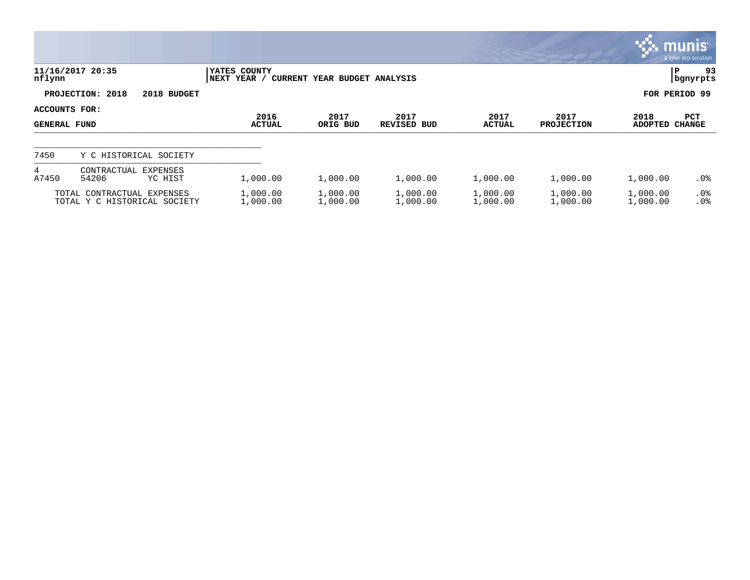|                                             |                                                            |                             |                              |                            |                       |                           | $\mathbf{\ddot{\cdot}}\mathbf{\ddot{\cdot}}\mathbf{mm}$ | a tyler erp solution        |
|---------------------------------------------|------------------------------------------------------------|-----------------------------|------------------------------|----------------------------|-----------------------|---------------------------|---------------------------------------------------------|-----------------------------|
| nflynn                                      | 11/16/2017 20:35                                           | YATES COUNTY<br>NEXT YEAR / | CURRENT YEAR BUDGET ANALYSIS |                            |                       |                           | P                                                       | 93<br>  bgnyrpts            |
|                                             | PROJECTION: 2018<br>2018 BUDGET                            |                             |                              |                            |                       |                           |                                                         | FOR PERIOD 99               |
| <b>ACCOUNTS FOR:</b><br><b>GENERAL FUND</b> |                                                            | 2016<br><b>ACTUAL</b>       | 2017<br>ORIG BUD             | 2017<br><b>REVISED BUD</b> | 2017<br><b>ACTUAL</b> | 2017<br><b>PROJECTION</b> | 2018<br><b>ADOPTED</b>                                  | <b>PCT</b><br><b>CHANGE</b> |
| 7450                                        | Y C HISTORICAL SOCIETY                                     |                             |                              |                            |                       |                           |                                                         |                             |
| 4<br>A7450                                  | EXPENSES<br>CONTRACTUAL<br>54206<br>YC HIST                | 1,000.00                    | 1,000.00                     | 1,000.00                   | 1,000.00              | 1,000.00                  | 1,000.00                                                | .0%                         |
|                                             | TOTAL CONTRACTUAL EXPENSES<br>TOTAL Y C HISTORICAL SOCIETY | 1,000.00<br>1,000.00        | 1,000.00<br>1,000.00         | 1,000.00<br>1,000.00       | 1,000.00<br>1,000.00  | 1,000.00<br>1,000.00      | 1,000.00<br>1,000.00                                    | $.0\%$<br>.0 <sup>°</sup>   |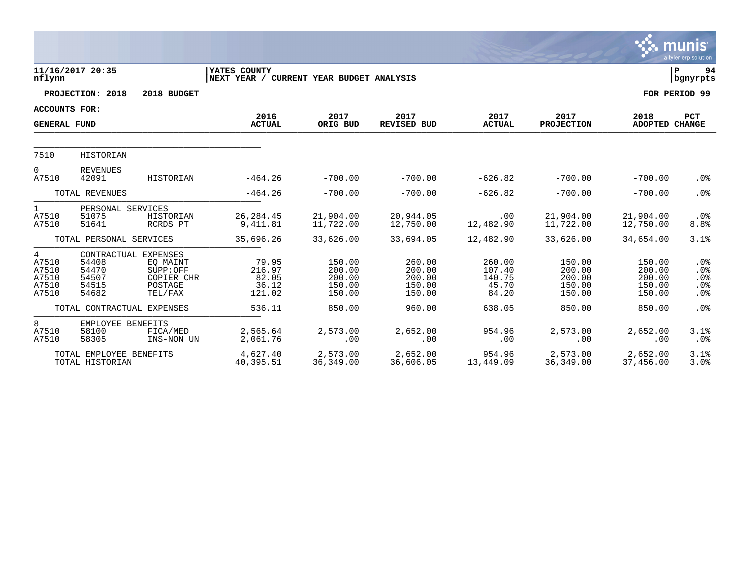|                                                |                                            |                                                                                  |                                                           |                                                |                                                |                                              |                                                |                                                | munis<br>a tyler erp solution      |
|------------------------------------------------|--------------------------------------------|----------------------------------------------------------------------------------|-----------------------------------------------------------|------------------------------------------------|------------------------------------------------|----------------------------------------------|------------------------------------------------|------------------------------------------------|------------------------------------|
| nflynn                                         | 11/16/2017 20:35                           |                                                                                  | YATES COUNTY<br> NEXT YEAR / CURRENT YEAR BUDGET ANALYSIS |                                                |                                                |                                              |                                                |                                                | lР<br>94<br>  bgnyrpts             |
|                                                | PROJECTION: 2018                           | 2018 BUDGET                                                                      |                                                           |                                                |                                                |                                              |                                                |                                                | FOR PERIOD 99                      |
| <b>ACCOUNTS FOR:</b>                           |                                            |                                                                                  | 2016                                                      | 2017                                           | 2017                                           | 2017                                         | 2017                                           | 2018                                           | <b>PCT</b>                         |
| <b>GENERAL FUND</b>                            |                                            |                                                                                  | <b>ACTUAL</b>                                             | ORIG BUD                                       | REVISED BUD                                    | <b>ACTUAL</b>                                | PROJECTION                                     | ADOPTED CHANGE                                 |                                    |
|                                                |                                            |                                                                                  |                                                           |                                                |                                                |                                              |                                                |                                                |                                    |
| 7510                                           | HISTORIAN                                  |                                                                                  |                                                           |                                                |                                                |                                              |                                                |                                                |                                    |
| $\Omega$<br>A7510                              | <b>REVENUES</b><br>42091                   | HISTORIAN                                                                        | $-464.26$                                                 | $-700.00$                                      | $-700.00$                                      | $-626.82$                                    | $-700.00$                                      | $-700.00$                                      | .0%                                |
|                                                | TOTAL REVENUES                             |                                                                                  | $-464.26$                                                 | $-700.00$                                      | $-700.00$                                      | $-626.82$                                    | $-700.00$                                      | $-700.00$                                      | .0%                                |
| 1<br>A7510<br>A7510                            | PERSONAL SERVICES<br>51075<br>51641        | HISTORIAN<br>RCRDS PT                                                            | 26, 284.45<br>9,411.81                                    | 21,904.00<br>11,722.00                         | 20,944.05<br>12,750.00                         | .00<br>12,482.90                             | 21,904.00<br>11,722.00                         | 21,904.00<br>12,750.00                         | .0%<br>8.8%                        |
|                                                | TOTAL PERSONAL SERVICES                    |                                                                                  | 35,696.26                                                 | 33,626.00                                      | 33,694.05                                      | 12,482.90                                    | 33,626.00                                      | 34,654.00                                      | 3.1%                               |
| 4<br>A7510<br>A7510<br>A7510<br>A7510<br>A7510 | 54408<br>54470<br>54507<br>54515<br>54682  | CONTRACTUAL EXPENSES<br>EO MAINT<br>SUPP:OFF<br>COPIER CHR<br>POSTAGE<br>TEL/FAX | 79.95<br>216.97<br>82.05<br>36.12<br>121.02               | 150.00<br>200.00<br>200.00<br>150.00<br>150.00 | 260.00<br>200.00<br>200.00<br>150.00<br>150.00 | 260.00<br>107.40<br>140.75<br>45.70<br>84.20 | 150.00<br>200.00<br>200.00<br>150.00<br>150.00 | 150.00<br>200.00<br>200.00<br>150.00<br>150.00 | $.0\%$<br>.0%<br>.0%<br>.0%<br>.0% |
|                                                | TOTAL CONTRACTUAL EXPENSES                 |                                                                                  | 536.11                                                    | 850.00                                         | 960.00                                         | 638.05                                       | 850.00                                         | 850.00                                         | .0%                                |
| 8<br>A7510<br>A7510                            | EMPLOYEE BENEFITS<br>58100<br>58305        | FICA/MED<br>INS-NON UN                                                           | 2,565.64<br>2,061.76                                      | 2,573.00<br>.00                                | 2,652.00<br>.00                                | 954.96<br>.00                                | 2,573.00<br>.00                                | 2,652.00<br>.00                                | 3.1%<br>.0%                        |
|                                                | TOTAL EMPLOYEE BENEFITS<br>TOTAL HISTORIAN |                                                                                  | 4,627.40<br>40,395.51                                     | 2,573.00<br>36,349.00                          | 2,652.00<br>36,606.05                          | 954.96<br>13,449.09                          | 2,573.00<br>36,349.00                          | 2,652.00<br>37,456.00                          | 3.1%<br>3.0%                       |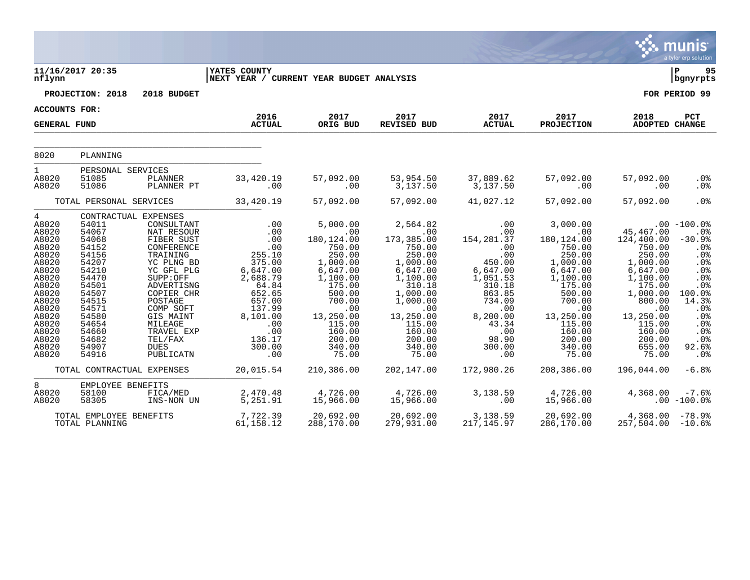|                                                                                                                                                                                   |                                                                                                                                                                                        |                                                                                                                                                                                                                                           |                                                                                                                                                                                          |                                                                                                                                                                                                            |                                                                                                                                                                                                          |                                                                                                                                                                                        |                                                                                                                                                                                           |                                                                                                                                                                                            | munis<br>a tyler erp solution                                                                                                                                  |
|-----------------------------------------------------------------------------------------------------------------------------------------------------------------------------------|----------------------------------------------------------------------------------------------------------------------------------------------------------------------------------------|-------------------------------------------------------------------------------------------------------------------------------------------------------------------------------------------------------------------------------------------|------------------------------------------------------------------------------------------------------------------------------------------------------------------------------------------|------------------------------------------------------------------------------------------------------------------------------------------------------------------------------------------------------------|----------------------------------------------------------------------------------------------------------------------------------------------------------------------------------------------------------|----------------------------------------------------------------------------------------------------------------------------------------------------------------------------------------|-------------------------------------------------------------------------------------------------------------------------------------------------------------------------------------------|--------------------------------------------------------------------------------------------------------------------------------------------------------------------------------------------|----------------------------------------------------------------------------------------------------------------------------------------------------------------|
| nflynn                                                                                                                                                                            | 11/16/2017 20:35                                                                                                                                                                       |                                                                                                                                                                                                                                           | <b>YATES COUNTY</b><br>NEXT YEAR / CURRENT YEAR BUDGET ANALYSIS                                                                                                                          |                                                                                                                                                                                                            |                                                                                                                                                                                                          |                                                                                                                                                                                        |                                                                                                                                                                                           |                                                                                                                                                                                            | İP<br>95<br>  bgnyrpts                                                                                                                                         |
|                                                                                                                                                                                   | PROJECTION: 2018                                                                                                                                                                       | 2018 BUDGET                                                                                                                                                                                                                               |                                                                                                                                                                                          |                                                                                                                                                                                                            |                                                                                                                                                                                                          |                                                                                                                                                                                        |                                                                                                                                                                                           |                                                                                                                                                                                            | FOR PERIOD 99                                                                                                                                                  |
| <b>ACCOUNTS FOR:</b>                                                                                                                                                              |                                                                                                                                                                                        |                                                                                                                                                                                                                                           |                                                                                                                                                                                          |                                                                                                                                                                                                            |                                                                                                                                                                                                          |                                                                                                                                                                                        |                                                                                                                                                                                           |                                                                                                                                                                                            |                                                                                                                                                                |
| <b>GENERAL FUND</b>                                                                                                                                                               |                                                                                                                                                                                        |                                                                                                                                                                                                                                           | 2016<br><b>ACTUAL</b>                                                                                                                                                                    | 2017<br>ORIG BUD                                                                                                                                                                                           | 2017<br>REVISED BUD                                                                                                                                                                                      | 2017<br><b>ACTUAL</b>                                                                                                                                                                  | 2017<br><b>PROJECTION</b>                                                                                                                                                                 | 2018<br>ADOPTED CHANGE                                                                                                                                                                     | PCT                                                                                                                                                            |
| 8020                                                                                                                                                                              | PLANNING                                                                                                                                                                               |                                                                                                                                                                                                                                           |                                                                                                                                                                                          |                                                                                                                                                                                                            |                                                                                                                                                                                                          |                                                                                                                                                                                        |                                                                                                                                                                                           |                                                                                                                                                                                            |                                                                                                                                                                |
| $1 \quad$<br>A8020<br>A8020                                                                                                                                                       | PERSONAL SERVICES<br>51085<br>51086                                                                                                                                                    | PLANNER<br>PLANNER PT                                                                                                                                                                                                                     | 33,420.19<br>$\sim 00$                                                                                                                                                                   | 57,092.00<br>.00                                                                                                                                                                                           | 53,954.50<br>3,137.50                                                                                                                                                                                    | 37,889.62<br>3,137.50                                                                                                                                                                  | 57,092.00<br>.00                                                                                                                                                                          | 57,092.00<br>.00                                                                                                                                                                           | .0%<br>.0%                                                                                                                                                     |
|                                                                                                                                                                                   | TOTAL PERSONAL SERVICES                                                                                                                                                                |                                                                                                                                                                                                                                           | 33,420.19                                                                                                                                                                                | 57,092.00                                                                                                                                                                                                  | 57,092.00                                                                                                                                                                                                | 41,027.12                                                                                                                                                                              | 57,092.00                                                                                                                                                                                 | 57,092.00                                                                                                                                                                                  | .0%                                                                                                                                                            |
| $4\overline{ }$<br>A8020<br>A8020<br>A8020<br>A8020<br>A8020<br>A8020<br>A8020<br>A8020<br>A8020<br>A8020<br>A8020<br>A8020<br>A8020<br>A8020<br>A8020<br>A8020<br>A8020<br>A8020 | CONTRACTUAL EXPENSES<br>54011<br>54067<br>54068<br>54152<br>54156<br>54207<br>54210<br>54470<br>54501<br>54507<br>54515<br>54571<br>54580<br>54654<br>54660<br>54682<br>54907<br>54916 | CONSULTANT<br>NAT RESOUR<br>FIBER SUST<br>CONFERENCE<br>TRAINING<br>YC PLNG BD<br>YC GFL PLG<br>SUPP:OFF<br>ADVERTISNG<br>COPIER CHR<br>POSTAGE<br>COMP SOFT<br>GIS MAINT<br>MILEAGE<br>TRAVEL EXP<br>TEL/FAX<br><b>DUES</b><br>PUBLICATN | .00<br>.00<br>$\frac{00}{00}$<br>.00<br>255.10<br>375.00<br>6,647.00<br>2,688.79<br>64.84<br>652.65<br>657.00<br>137.99<br>8,101.00<br>.00<br>.00<br>136.17<br>300.00<br>$\overline{00}$ | 5,000.00<br>$\overline{00}$<br>180,124.00<br>750.00<br>250.00<br>1,000.00<br>6,647.00<br>1,100.00<br>175.00<br>500.00<br>700.00<br>13.250.00<br>13,250.00<br>115.00<br>160.00<br>200.00<br>340.00<br>75.00 | 2,564.82<br>.00<br>173,385.00<br>750.00<br>250.00<br>1,000.00<br>6,647.00<br>1,100.00<br>310.18<br>1,000.00<br>1,000.00<br>$\overline{00}$<br>13,250.00<br>115.00<br>160.00<br>200.00<br>340.00<br>75.00 | $\overline{00}$<br>.00<br>154, 281.37<br>$\sim$ 00<br>.00<br>450.00<br>6,647.00<br>1,051.53<br>310.18<br>863.85<br>734.09<br>.00<br>8,200.00<br>43.34<br>.00<br>98.90<br>300.00<br>.00 | 3,000.00<br>.00<br>180, 124.00<br>750.00<br>250.00<br>1,000.00<br>6,647.00<br>1,100.00<br>175.00<br>500.00<br>700.00<br>.00<br>13,250.00<br>115.00<br>160.00<br>200.00<br>340.00<br>75.00 | 45,467.00<br>124,400.00<br>750.00<br>250.00<br>1,000.00<br>6,647.00<br>1,100.00<br>175.00<br>1,000.00<br>800.00<br>$\sim 00$<br>13,250.00<br>115.00<br>160.00<br>200.00<br>655.00<br>75.00 | $.00 - 100.0$<br>. 0 %<br>$-30.9%$<br>.0%<br>.0%<br>.0 <sup>8</sup><br>.0%<br>.0%<br>.0%<br>100.0%<br>14.3%<br>.0%<br>.0%<br>.0%<br>.0%<br>.0%<br>92.6%<br>.0% |
|                                                                                                                                                                                   | TOTAL CONTRACTUAL EXPENSES                                                                                                                                                             |                                                                                                                                                                                                                                           | 20,015.54                                                                                                                                                                                | 210,386.00                                                                                                                                                                                                 | 202,147.00                                                                                                                                                                                               | 172,980.26                                                                                                                                                                             | 208,386.00                                                                                                                                                                                | 196,044.00                                                                                                                                                                                 | $-6.8%$                                                                                                                                                        |
| 8<br>A8020<br>A8020                                                                                                                                                               | EMPLOYEE BENEFITS<br>58100<br>58305                                                                                                                                                    | FICA/MED<br>INS-NON UN                                                                                                                                                                                                                    | 2,470.48<br>5,251.91                                                                                                                                                                     | 4,726.00<br>15,966.00                                                                                                                                                                                      | 4,726.00<br>15,966.00                                                                                                                                                                                    | 3,138.59<br>$\sim$ 00                                                                                                                                                                  | 4,726.00<br>15,966.00                                                                                                                                                                     | $4,368.00$ $-100.08$<br>$00$ $-100.08$                                                                                                                                                     |                                                                                                                                                                |
|                                                                                                                                                                                   | TOTAL EMPLOYEE BENEFITS<br>TOTAL PLANNING                                                                                                                                              |                                                                                                                                                                                                                                           | 7,722.39<br>61,158.12                                                                                                                                                                    | 20,692.00<br>288,170.00                                                                                                                                                                                    | 20,692.00<br>279,931.00                                                                                                                                                                                  | 3,138.59<br>217,145.97                                                                                                                                                                 | 20,692.00<br>286,170.00                                                                                                                                                                   | $4,368.00 -78.9$<br>$257,504.00 -10.68$                                                                                                                                                    |                                                                                                                                                                |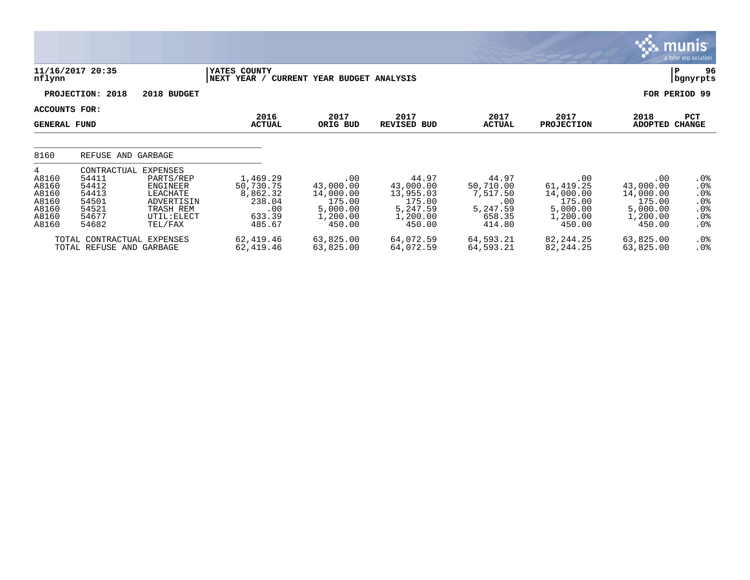|                                                                  |                                                                                     |                                                                                        |                                                                        |                                                                           |                                                                             |                                                                       |                                                                            |                                                                           | munis <sup>®</sup><br>a tyler erp solution          |
|------------------------------------------------------------------|-------------------------------------------------------------------------------------|----------------------------------------------------------------------------------------|------------------------------------------------------------------------|---------------------------------------------------------------------------|-----------------------------------------------------------------------------|-----------------------------------------------------------------------|----------------------------------------------------------------------------|---------------------------------------------------------------------------|-----------------------------------------------------|
| nflynn                                                           | 11/16/2017 20:35                                                                    |                                                                                        | <b>IYATES COUNTY</b><br>NEXT YEAR / CURRENT YEAR BUDGET ANALYSIS       |                                                                           |                                                                             |                                                                       |                                                                            |                                                                           | 96<br>P<br>bgnyrpts                                 |
|                                                                  | PROJECTION: 2018                                                                    | 2018 BUDGET                                                                            |                                                                        |                                                                           |                                                                             |                                                                       |                                                                            |                                                                           | FOR PERIOD 99                                       |
| ACCOUNTS FOR:<br><b>GENERAL FUND</b>                             |                                                                                     |                                                                                        | 2016<br><b>ACTUAL</b>                                                  | 2017<br>ORIG BUD                                                          | 2017<br><b>REVISED BUD</b>                                                  | 2017<br><b>ACTUAL</b>                                                 | 2017<br><b>PROJECTION</b>                                                  | 2018<br><b>ADOPTED</b>                                                    | <b>PCT</b><br><b>CHANGE</b>                         |
| 8160                                                             | REFUSE AND GARBAGE                                                                  |                                                                                        |                                                                        |                                                                           |                                                                             |                                                                       |                                                                            |                                                                           |                                                     |
| 4<br>A8160<br>A8160<br>A8160<br>A8160<br>A8160<br>A8160<br>A8160 | CONTRACTUAL EXPENSES<br>54411<br>54412<br>54413<br>54501<br>54521<br>54677<br>54682 | PARTS/REP<br>ENGINEER<br>LEACHATE<br>ADVERTISIN<br>TRASH REM<br>UTIL: ELECT<br>TEL/FAX | 1,469.29<br>50,730.75<br>8,862.32<br>238.04<br>.00<br>633.39<br>485.67 | .00<br>43,000.00<br>14,000.00<br>175.00<br>5,000.00<br>1,200.00<br>450.00 | 44.97<br>43,000.00<br>13,955.03<br>175.00<br>5,247.59<br>1,200.00<br>450.00 | 44.97<br>50,710.00<br>7,517.50<br>.00<br>5,247.59<br>658.35<br>414.80 | .00<br>61, 419.25<br>14,000.00<br>175.00<br>5,000.00<br>1,200.00<br>450.00 | .00<br>43,000.00<br>14,000.00<br>175.00<br>5,000.00<br>1,200.00<br>450.00 | $.0\%$<br>.0%<br>.0%<br>.0%<br>.0%<br>.0%<br>$.0\%$ |
|                                                                  | TOTAL CONTRACTUAL EXPENSES<br>TOTAL REFUSE AND GARBAGE                              |                                                                                        | 62,419.46<br>62,419.46                                                 | 63,825.00<br>63,825.00                                                    | 64,072.59<br>64,072.59                                                      | 64,593.21<br>64,593.21                                                | 82, 244.25<br>82, 244. 25                                                  | 63,825.00<br>63,825.00                                                    | $.0\%$<br>$.0\%$                                    |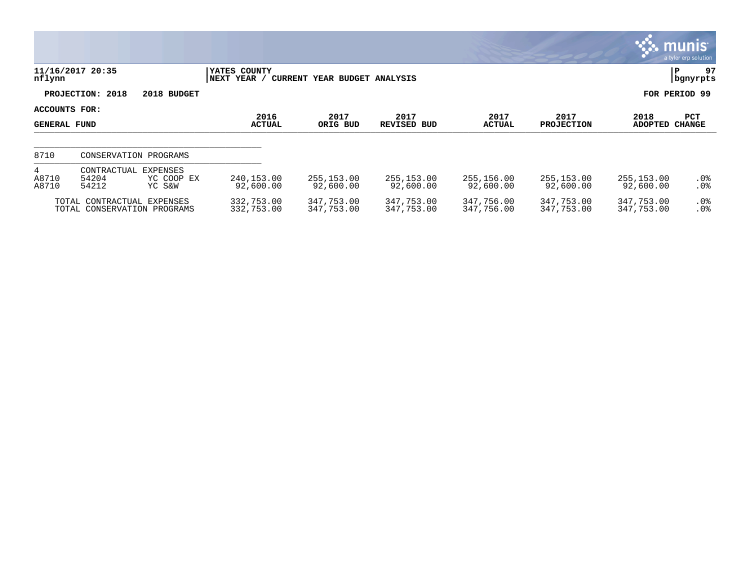|                                      |                                                           |                                  |                             |                              |                          |                          |                           |                          | munis<br>a tyler erp solution |
|--------------------------------------|-----------------------------------------------------------|----------------------------------|-----------------------------|------------------------------|--------------------------|--------------------------|---------------------------|--------------------------|-------------------------------|
| nflynn                               | 11/16/2017 20:35                                          |                                  | YATES COUNTY<br>NEXT YEAR / | CURRENT YEAR BUDGET ANALYSIS |                          |                          |                           |                          | 97<br>P<br>bgnyrpts           |
|                                      | PROJECTION: 2018                                          | 2018 BUDGET                      |                             |                              |                          |                          |                           |                          | FOR PERIOD 99                 |
| ACCOUNTS FOR:<br><b>GENERAL FUND</b> |                                                           |                                  | 2016<br><b>ACTUAL</b>       | 2017<br>ORIG BUD             | 2017<br>REVISED BUD      | 2017<br><b>ACTUAL</b>    | 2017<br><b>PROJECTION</b> | 2018<br><b>ADOPTED</b>   | PCT<br><b>CHANGE</b>          |
| 8710                                 |                                                           | CONSERVATION PROGRAMS            |                             |                              |                          |                          |                           |                          |                               |
| 4<br>A8710<br>A8710                  | CONTRACTUAL<br>54204<br>54212                             | EXPENSES<br>YC COOP EX<br>YC S&W | 240,153.00<br>92,600.00     | 255,153.00<br>92,600.00      | 255,153.00<br>92,600.00  | 255,156.00<br>92,600.00  | 255,153.00<br>92,600.00   | 255,153.00<br>92,600.00  | $.0\%$<br>.0%                 |
|                                      | TOTAL CONTRACTUAL EXPENSES<br>TOTAL CONSERVATION PROGRAMS |                                  | 332,753.00<br>332,753.00    | 347,753.00<br>347,753.00     | 347,753.00<br>347,753.00 | 347,756.00<br>347,756.00 | 347,753.00<br>347,753.00  | 347,753.00<br>347,753.00 | $.0\%$<br>.0%                 |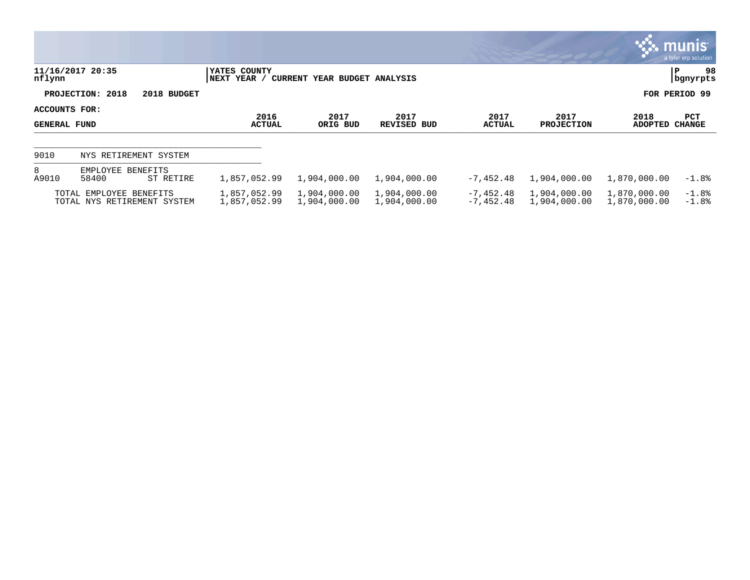|                               |                                                        |                              |                              |                              |                          |                              |                              | $\mathbb{C}$ munis<br>a tyler erp solution |
|-------------------------------|--------------------------------------------------------|------------------------------|------------------------------|------------------------------|--------------------------|------------------------------|------------------------------|--------------------------------------------|
| nflynn                        | 11/16/2017 20:35                                       | YATES COUNTY<br> NEXT YEAR / | CURRENT YEAR BUDGET ANALYSIS |                              |                          |                              |                              | 98<br>P<br>  bgnyrpts                      |
|                               | PROJECTION: 2018<br>2018 BUDGET                        |                              |                              |                              |                          |                              |                              | FOR PERIOD 99                              |
| ACCOUNTS FOR:<br>GENERAL FUND |                                                        | 2016<br><b>ACTUAL</b>        | 2017<br>ORIG BUD             | 2017<br>REVISED BUD          | 2017<br><b>ACTUAL</b>    | 2017<br><b>PROJECTION</b>    | 2018<br>ADOPTED              | PCT<br><b>CHANGE</b>                       |
| 9010                          | NYS RETIREMENT SYSTEM                                  |                              |                              |                              |                          |                              |                              |                                            |
| 8<br>A9010                    | EMPLOYEE BENEFITS<br>58400<br>ST RETIRE                | 1,857,052.99                 | 1,904,000.00                 | 1,904,000.00                 | $-7,452.48$              | 1,904,000.00                 | 1,870,000.00                 | $-1.8%$                                    |
|                               | TOTAL EMPLOYEE BENEFITS<br>TOTAL NYS RETIREMENT SYSTEM | 1,857,052.99<br>1,857,052.99 | 1,904,000.00<br>1,904,000.00 | 1,904,000.00<br>1,904,000.00 | -7,452.48<br>$-7,452.48$ | 1,904,000.00<br>1,904,000.00 | 1,870,000.00<br>1,870,000.00 | $-1.8\%$<br>$-1.8%$                        |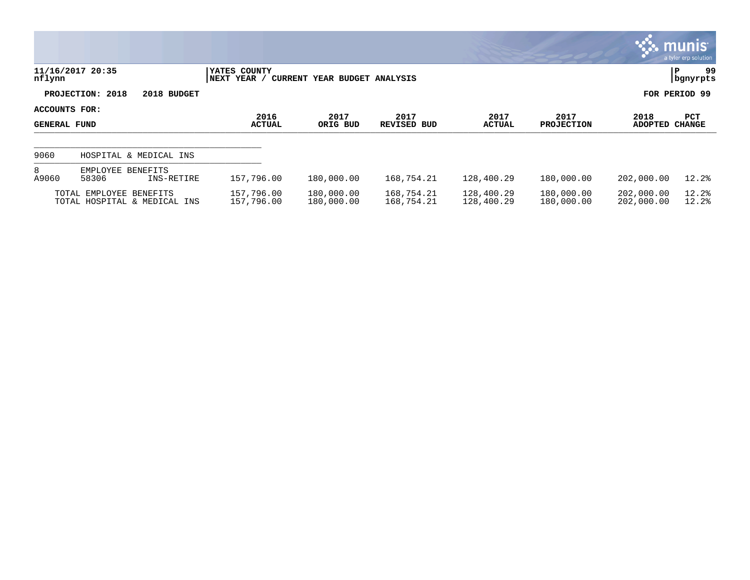|                                      |                                                         |                             |                              |                          |                          |                           |                          | <b>munis</b><br>a tyler erp solution |
|--------------------------------------|---------------------------------------------------------|-----------------------------|------------------------------|--------------------------|--------------------------|---------------------------|--------------------------|--------------------------------------|
| nflynn                               | 11/16/2017 20:35                                        | YATES COUNTY<br>NEXT YEAR / | CURRENT YEAR BUDGET ANALYSIS |                          |                          |                           |                          | 99<br>ΙP<br>  bgnyrpts               |
|                                      | PROJECTION: 2018<br>2018 BUDGET                         |                             |                              |                          |                          |                           |                          | FOR PERIOD 99                        |
| ACCOUNTS FOR:<br><b>GENERAL FUND</b> |                                                         | 2016<br><b>ACTUAL</b>       | 2017<br>ORIG BUD             | 2017<br>REVISED BUD      | 2017<br><b>ACTUAL</b>    | 2017<br><b>PROJECTION</b> | 2018<br><b>ADOPTED</b>   | <b>PCT</b><br><b>CHANGE</b>          |
| 9060                                 | HOSPITAL & MEDICAL INS                                  |                             |                              |                          |                          |                           |                          |                                      |
| 8<br>A9060                           | EMPLOYEE BENEFITS<br>58306<br>INS-RETIRE                | 157,796.00                  | 180,000.00                   | 168,754.21               | 128,400.29               | 180,000.00                | 202,000.00               | 12.2%                                |
|                                      | TOTAL EMPLOYEE BENEFITS<br>TOTAL HOSPITAL & MEDICAL INS | 157,796.00<br>157,796.00    | 180,000.00<br>180,000.00     | 168,754.21<br>168,754.21 | 128,400.29<br>128,400.29 | 180,000.00<br>180,000.00  | 202,000.00<br>202,000.00 | 12.2%<br>12.2%                       |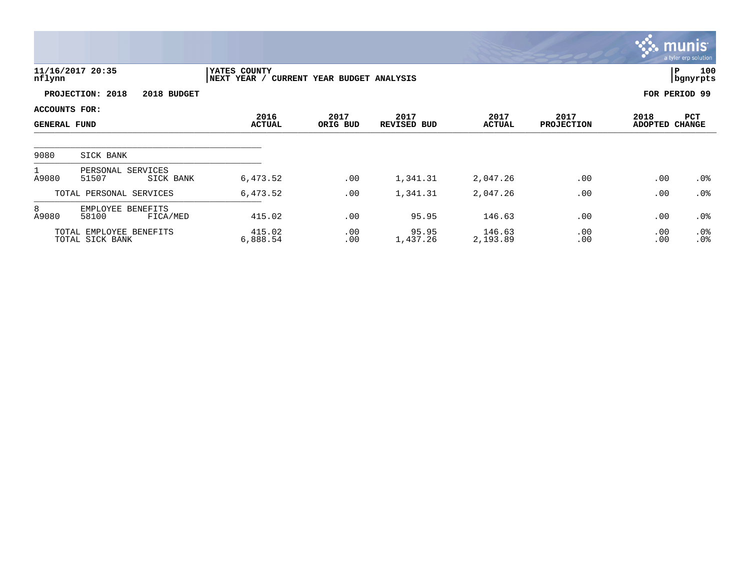|                                             |                                            |                                     |                              |                     |                       |                           |                        | <b>munis</b><br>a tyler erp solution |
|---------------------------------------------|--------------------------------------------|-------------------------------------|------------------------------|---------------------|-----------------------|---------------------------|------------------------|--------------------------------------|
| nflynn                                      | 11/16/2017 20:35                           | <b>IYATES COUNTY</b><br>NEXT YEAR / | CURRENT YEAR BUDGET ANALYSIS |                     |                       |                           |                        | 100<br>l P<br>  bgnyrpts             |
|                                             | PROJECTION: 2018<br>2018 BUDGET            |                                     |                              |                     |                       |                           |                        | FOR PERIOD 99                        |
| <b>ACCOUNTS FOR:</b><br><b>GENERAL FUND</b> |                                            | 2016<br><b>ACTUAL</b>               | 2017<br>ORIG BUD             | 2017<br>REVISED BUD | 2017<br><b>ACTUAL</b> | 2017<br><b>PROJECTION</b> | 2018<br>ADOPTED CHANGE | PCT                                  |
| 9080                                        | SICK BANK                                  |                                     |                              |                     |                       |                           |                        |                                      |
| $\mathbf{1}$<br>A9080                       | PERSONAL SERVICES<br>SICK BANK<br>51507    | 6,473.52                            | .00                          | 1,341.31            | 2,047.26              | .00                       | .00                    | $.0\%$                               |
|                                             | TOTAL PERSONAL SERVICES                    | 6,473.52                            | .00                          | 1,341.31            | 2,047.26              | .00                       | .00                    | .0%                                  |
| 8<br>A9080                                  | EMPLOYEE BENEFITS<br>58100<br>FICA/MED     | 415.02                              | .00                          | 95.95               | 146.63                | .00                       | .00                    | .0 <sub>8</sub>                      |
|                                             | TOTAL EMPLOYEE BENEFITS<br>TOTAL SICK BANK | 415.02<br>6,888.54                  | .00<br>.00                   | 95.95<br>1,437.26   | 146.63<br>2,193.89    | .00<br>.00                | .00<br>.00             | .0%<br>.0%                           |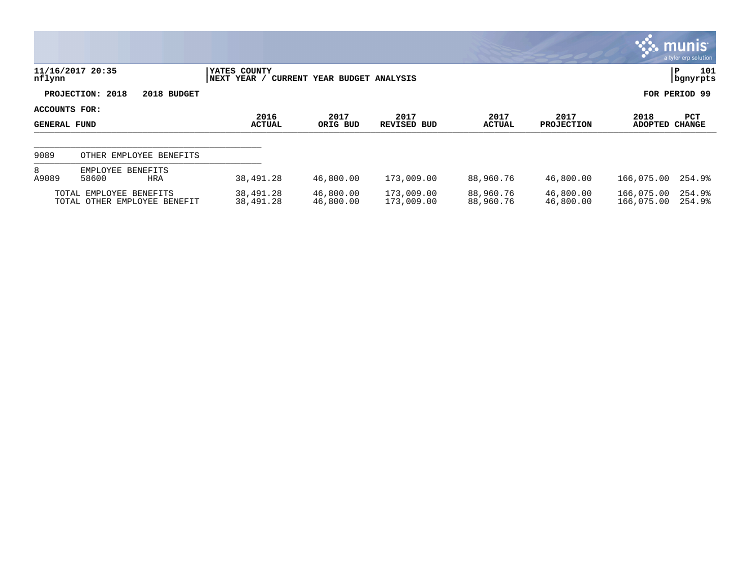|                                      |                                                         |                              |                                         |                          |                        |                           |                          | <b>WE MUNIS</b><br>a tyler erp solution |
|--------------------------------------|---------------------------------------------------------|------------------------------|-----------------------------------------|--------------------------|------------------------|---------------------------|--------------------------|-----------------------------------------|
| nflynn                               | 11/16/2017 20:35                                        | YATES COUNTY<br> NEXT YEAR / | CURRENT YEAR BUDGET ANALYSIS            |                          |                        |                           |                          | 101<br>P<br><i>i</i> bgnyrpts           |
|                                      | PROJECTION: 2018<br>2018 BUDGET                         |                              |                                         |                          |                        |                           |                          | FOR PERIOD 99                           |
| ACCOUNTS FOR:<br><b>GENERAL FUND</b> |                                                         | 2016<br><b>ACTUAL</b>        | 2017<br>2017<br>ORIG BUD<br>REVISED BUD |                          | 2017<br>ACTUAL         | 2017<br><b>PROJECTION</b> | 2018<br><b>ADOPTED</b>   | <b>PCT</b><br><b>CHANGE</b>             |
| 9089                                 | OTHER EMPLOYEE BENEFITS                                 |                              |                                         |                          |                        |                           |                          |                                         |
| 8<br>A9089                           | EMPLOYEE BENEFITS<br>58600<br>HRA                       | 38,491.28                    | 46,800.00                               | 173,009.00               | 88,960.76              | 46,800.00                 | 166,075.00               | 254.9%                                  |
|                                      | TOTAL EMPLOYEE BENEFITS<br>TOTAL OTHER EMPLOYEE BENEFIT | 38,491.28<br>38,491.28       | 46,800.00<br>46,800.00                  | 173,009.00<br>173,009.00 | 88,960.76<br>88,960.76 | 46,800.00<br>46,800.00    | 166,075.00<br>166,075.00 | 254.9%<br>254.9%                        |

**The State**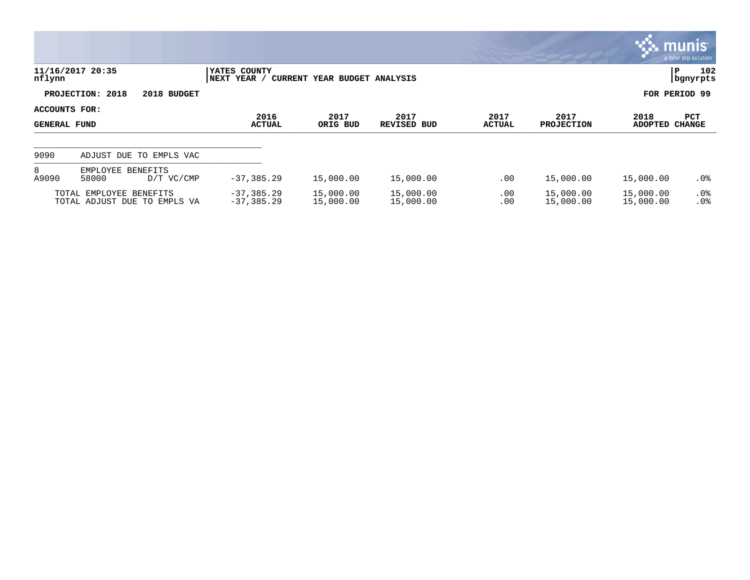|                                      |                                                         |                         |                                |                              |                        |                       |                           |                        | $\mathbb{C}$ munis $\mathbb{C}$<br>a tyler erp solution |
|--------------------------------------|---------------------------------------------------------|-------------------------|--------------------------------|------------------------------|------------------------|-----------------------|---------------------------|------------------------|---------------------------------------------------------|
| nflynn                               | 11/16/2017 20:35                                        |                         | YATES COUNTY<br>NEXT YEAR /    | CURRENT YEAR BUDGET ANALYSIS |                        |                       |                           |                        | 102<br>P<br>  bgnyrpts                                  |
|                                      | PROJECTION: 2018                                        | 2018 BUDGET             |                                |                              |                        |                       |                           |                        | FOR PERIOD 99                                           |
| ACCOUNTS FOR:<br><b>GENERAL FUND</b> |                                                         |                         | 2016<br><b>ACTUAL</b>          | 2017<br>ORIG BUD             | 2017<br>REVISED BUD    | 2017<br><b>ACTUAL</b> | 2017<br><b>PROJECTION</b> | 2018<br><b>ADOPTED</b> | PCT<br><b>CHANGE</b>                                    |
| 9090                                 |                                                         | ADJUST DUE TO EMPLS VAC |                                |                              |                        |                       |                           |                        |                                                         |
| 8<br>A9090                           | EMPLOYEE BENEFITS<br>58000                              | D/T VC/CMP              | $-37, 385.29$                  | 15,000.00                    | 15,000.00              | .00                   | 15,000.00                 | 15,000.00              | $.0\%$                                                  |
|                                      | TOTAL EMPLOYEE BENEFITS<br>TOTAL ADJUST DUE TO EMPLS VA |                         | $-37, 385.29$<br>$-37, 385.29$ | 15,000.00<br>15,000.00       | 15,000.00<br>15,000.00 | .00<br>.00            | 15,000.00<br>15,000.00    | 15,000.00<br>15,000.00 | $.0\%$<br>.0%                                           |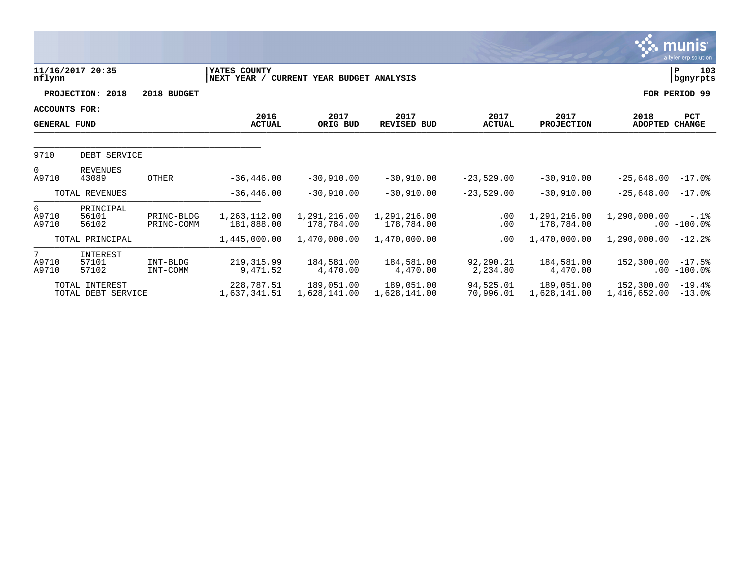|                                             |                             |                            |                                                          |                            |                            |                            |                            |                        | munis <sup>®</sup><br>a tyler erp solution |
|---------------------------------------------|-----------------------------|----------------------------|----------------------------------------------------------|----------------------------|----------------------------|----------------------------|----------------------------|------------------------|--------------------------------------------|
| nflynn                                      | 11/16/2017 20:35            |                            | YATES COUNTY<br>NEXT YEAR / CURRENT YEAR BUDGET ANALYSIS |                            |                            |                            |                            |                        | $\, {\bf P}$<br>103<br>bgnyrpts            |
|                                             | PROJECTION: 2018            | 2018 BUDGET                |                                                          |                            |                            |                            |                            |                        | FOR PERIOD 99                              |
| <b>ACCOUNTS FOR:</b><br><b>GENERAL FUND</b> |                             |                            | 2016<br><b>ACTUAL</b>                                    | 2017<br>ORIG BUD           | 2017<br><b>REVISED BUD</b> | 2017<br><b>ACTUAL</b>      | 2017<br><b>PROJECTION</b>  | 2018<br><b>ADOPTED</b> | <b>PCT</b><br><b>CHANGE</b>                |
| 9710                                        | DEBT SERVICE                |                            |                                                          |                            |                            |                            |                            |                        |                                            |
| $\Omega$<br>A9710                           | <b>REVENUES</b><br>43089    | <b>OTHER</b>               | $-36, 446.00$                                            | $-30,910.00$               | $-30,910.00$               | $-23,529.00$               | $-30,910.00$               | $-25,648.00$           | $-17.0%$                                   |
|                                             | TOTAL REVENUES              |                            | $-36, 446.00$                                            | $-30,910,00$               | $-30,910.00$               | $-23,529.00$               | $-30,910.00$               | $-25,648.00$           | $-17.0\%$                                  |
| 6<br>A9710<br>A9710                         | PRINCIPAL<br>56101<br>56102 | PRINC-BLDG<br>PRINC-COMM   | 1,263,112.00<br>181,888.00                               | 1,291,216.00<br>178,784.00 | 1,291,216.00<br>178,784.00 | .00<br>.00                 | 1,291,216.00<br>178,784.00 | 1,290,000.00           | $-.1$ %<br>$.00 - 100.0$                   |
|                                             | TOTAL PRINCIPAL             |                            | 1,445,000.00                                             | 1,470,000.00               | 1,470,000.00               | .00                        | 1,470,000.00               | 1,290,000.00           | $-12.2$                                    |
| $7^{\circ}$<br>A9710<br>A9710               | INTEREST<br>57101<br>57102  | INT-BLDG<br>INT-COMM       | 219, 315.99<br>9,471.52                                  | 184,581.00<br>4,470.00     | 184,581.00<br>4,470.00     | 92,290.21<br>2,234.80      | 184,581.00<br>4,470.00     | 152,300.00             | $-17.5%$<br>$.00 - 100.0$ %                |
| TOTAL INTEREST<br>TOTAL DEBT SERVICE        |                             | 228,787.51<br>1,637,341.51 | 189,051.00<br>1,628,141.00                               | 189,051,00<br>1,628,141.00 | 94,525.01<br>70,996.01     | 189,051.00<br>1,628,141.00 | 152,300.00<br>1,416,652.00 | $-19.4%$<br>$-13.0$ %  |                                            |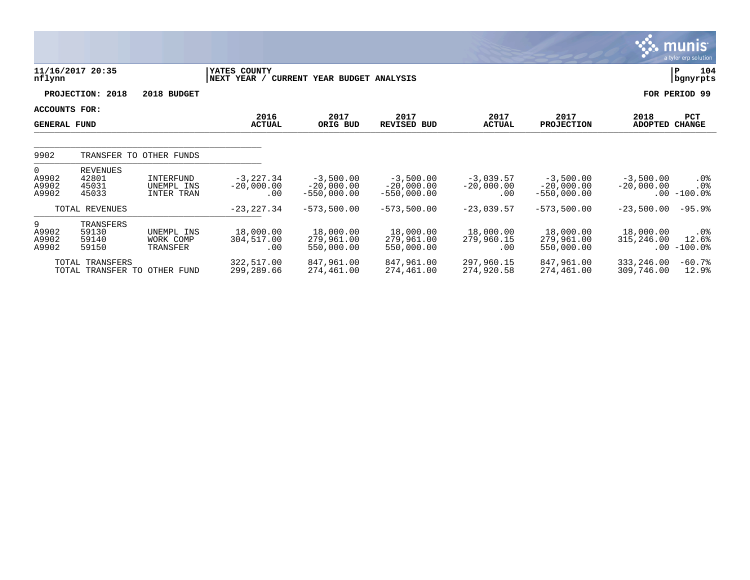|                                      |                                                        |                                       |                                     |                                              |                                              |                                     |                                              |                             | <b>munis</b><br>a tyler erp solution |
|--------------------------------------|--------------------------------------------------------|---------------------------------------|-------------------------------------|----------------------------------------------|----------------------------------------------|-------------------------------------|----------------------------------------------|-----------------------------|--------------------------------------|
| nflynn                               | 11/16/2017 20:35                                       |                                       | YATES COUNTY<br>NEXT YEAR /         | CURRENT YEAR BUDGET ANALYSIS                 |                                              |                                     |                                              |                             | 104<br>P<br>bgnyrpts                 |
|                                      | PROJECTION: 2018                                       | 2018 BUDGET                           |                                     |                                              |                                              |                                     |                                              |                             | FOR PERIOD 99                        |
| ACCOUNTS FOR:<br><b>GENERAL FUND</b> |                                                        |                                       | 2016<br><b>ACTUAL</b>               | 2017<br>ORIG BUD                             | 2017<br><b>REVISED BUD</b>                   | 2017<br><b>ACTUAL</b>               | 2017<br><b>PROJECTION</b>                    | 2018<br><b>ADOPTED</b>      | <b>PCT</b><br><b>CHANGE</b>          |
| 9902                                 |                                                        | TRANSFER TO OTHER FUNDS               |                                     |                                              |                                              |                                     |                                              |                             |                                      |
| $\Omega$<br>A9902<br>A9902<br>A9902  | <b>REVENUES</b><br>42801<br>45031<br>45033             | INTERFUND<br>UNEMPL INS<br>INTER TRAN | $-3, 227.34$<br>$-20,000.00$<br>.00 | $-3,500.00$<br>$-20,000.00$<br>$-550,000.00$ | $-3,500.00$<br>$-20,000.00$<br>$-550,000.00$ | $-3,039.57$<br>$-20,000.00$<br>.00. | $-3,500.00$<br>$-20,000.00$<br>$-550,000.00$ | $-3,500.00$<br>$-20,000.00$ | .0%<br>$.0\%$<br>$.00 - 100.0$       |
|                                      | TOTAL REVENUES                                         |                                       | $-23, 227.34$                       | $-573,500.00$                                | $-573,500.00$                                | $-23,039.57$                        | $-573,500.00$                                | $-23,500.00$                | $-95.9%$                             |
| 9<br>A9902<br>A9902<br>A9902         | TRANSFERS<br>59130<br>59140<br>59150                   | UNEMPL INS<br>WORK COMP<br>TRANSFER   | 18,000.00<br>304,517.00<br>.00      | 18,000.00<br>279,961.00<br>550,000.00        | 18,000.00<br>279,961.00<br>550,000.00        | 18,000.00<br>279,960.15<br>.00      | 18,000.00<br>279,961.00<br>550,000.00        | 18,000.00<br>315,246.00     | .0%<br>12.6%<br>$.00 - 100.0$        |
|                                      | <b>TOTAL TRANSFERS</b><br>TOTAL TRANSFER TO OTHER FUND |                                       | 322,517.00<br>299,289.66            | 847,961.00<br>274,461.00                     | 847,961.00<br>274,461.00                     | 297,960.15<br>274,920.58            | 847,961.00<br>274,461.00                     | 333,246.00<br>309,746.00    | $-60.7%$<br>12.9%                    |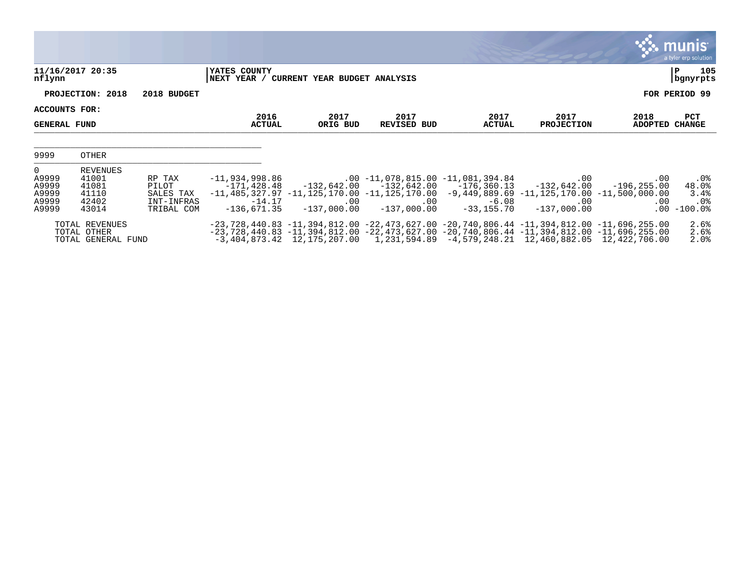|                                                           |                                                       |                                                          |                                                            |                                          |                                                                                                                                                                                                                                                                                                      |                           |                                                     |                                                    | <b>munis</b><br>a tyler erp solution            |
|-----------------------------------------------------------|-------------------------------------------------------|----------------------------------------------------------|------------------------------------------------------------|------------------------------------------|------------------------------------------------------------------------------------------------------------------------------------------------------------------------------------------------------------------------------------------------------------------------------------------------------|---------------------------|-----------------------------------------------------|----------------------------------------------------|-------------------------------------------------|
| nflynn                                                    | 11/16/2017 20:35                                      |                                                          | YATES COUNTY                                               | NEXT YEAR / CURRENT YEAR BUDGET ANALYSIS |                                                                                                                                                                                                                                                                                                      |                           |                                                     |                                                    | 105<br> P<br>bgnyrpts                           |
|                                                           | PROJECTION: 2018                                      | 2018 BUDGET                                              |                                                            |                                          |                                                                                                                                                                                                                                                                                                      |                           |                                                     |                                                    | FOR PERIOD 99                                   |
| ACCOUNTS FOR:<br><b>GENERAL FUND</b>                      |                                                       |                                                          | 2016<br><b>ACTUAL</b>                                      | 2017<br>ORIG BUD                         | 2017<br>REVISED BUD                                                                                                                                                                                                                                                                                  | 2017<br><b>ACTUAL</b>     | 2017<br><b>PROJECTION</b>                           | 2018<br><b>ADOPTED</b>                             | PCT<br><b>CHANGE</b>                            |
| 9999                                                      | OTHER                                                 |                                                          |                                                            |                                          |                                                                                                                                                                                                                                                                                                      |                           |                                                     |                                                    |                                                 |
| $\mathbf{0}$<br>A9999<br>A9999<br>A9999<br>A9999<br>A9999 | REVENUES<br>41001<br>41081<br>41110<br>42402<br>43014 | RP TAX<br>PILOT<br>SALES TAX<br>INT-INFRAS<br>TRIBAL COM | -11,934,998.86<br>-171,428.48<br>$-14.17$<br>$-136,671.35$ | $.00 \,$<br>$-137,000.00$                | .00 -11,078,815.00 -11,081,394.84<br>$-132,642.00$ $-132,642.00$ $-176,360.13$<br>$-11, 485, 327.97$ $-11, 125, 170.00$ $-11, 125, 170.00$ $-9, 449, 889.69$ $-11, 125, 170.00$ $-11, 500, 000.00$<br>$.00 \,$<br>$-137,000.00$                                                                      | $-6.08$<br>$-33, 155, 70$ | $.00 \,$<br>-132,642.00<br>$.00\,$<br>$-137,000.00$ | $.00 \,$<br>$-196, 255.00$<br>$.00 \,$<br>$.00 \,$ | $.0\%$<br>48.0%<br>3.4%<br>$.0\%$<br>$-100.0$ % |
|                                                           | TOTAL REVENUES<br>TOTAL OTHER<br>TOTAL GENERAL FUND   |                                                          |                                                            |                                          | -23,728,440.83 -11,394,812.00 -22,473,627.00 -20,740,806.44 -11,394,812.00 -11,696,255.00<br>$-23,728,440.83$ $-11,394,812.00$ $-22,473,627.00$ $-20,740,806.44$ $-11,394,812.00$ $-11,696,255.00$<br>$-3,404,873.42$ $12,175,207.00$ $1,231,594.89$ $-4,579,248.21$ $12,460,882.05$ $12,422,706.00$ |                           |                                                     |                                                    | 2.6%<br>2.6%<br>2.0%                            |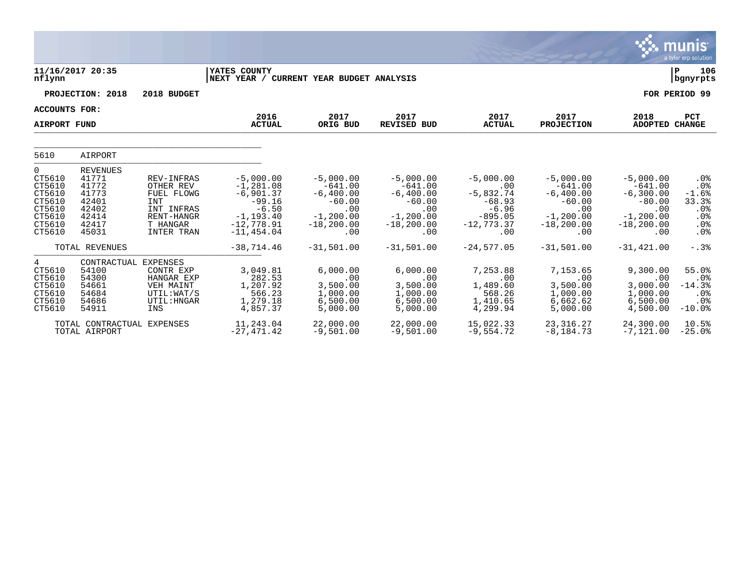|                                                                                   |                                                                                         |                                                                                                                         |                                                                                                                    |                                                                                                     |                                                                                                    |                                                                                                |                                                                                                    |                                                                                                       | a tyler erp solution                                                                  |
|-----------------------------------------------------------------------------------|-----------------------------------------------------------------------------------------|-------------------------------------------------------------------------------------------------------------------------|--------------------------------------------------------------------------------------------------------------------|-----------------------------------------------------------------------------------------------------|----------------------------------------------------------------------------------------------------|------------------------------------------------------------------------------------------------|----------------------------------------------------------------------------------------------------|-------------------------------------------------------------------------------------------------------|---------------------------------------------------------------------------------------|
| nflynn                                                                            | 11/16/2017 20:35                                                                        |                                                                                                                         | <b>YATES COUNTY</b><br>NEXT YEAR / CURRENT YEAR BUDGET ANALYSIS                                                    |                                                                                                     |                                                                                                    |                                                                                                |                                                                                                    |                                                                                                       | Þ<br>106<br>  bgnyrpts                                                                |
|                                                                                   | PROJECTION: 2018                                                                        | 2018 BUDGET                                                                                                             |                                                                                                                    |                                                                                                     |                                                                                                    |                                                                                                |                                                                                                    |                                                                                                       | FOR PERIOD 99                                                                         |
| <b>ACCOUNTS FOR:</b>                                                              |                                                                                         |                                                                                                                         | 2016                                                                                                               | 2017                                                                                                | 2017                                                                                               | 2017                                                                                           | 2017                                                                                               |                                                                                                       |                                                                                       |
| <b>AIRPORT FUND</b>                                                               |                                                                                         |                                                                                                                         | <b>ACTUAL</b>                                                                                                      | ORIG BUD                                                                                            | <b>REVISED BUD</b>                                                                                 | <b>ACTUAL</b>                                                                                  | <b>PROJECTION</b>                                                                                  | 2018<br><b>ADOPTED</b>                                                                                | <b>PCT</b><br><b>CHANGE</b>                                                           |
|                                                                                   |                                                                                         |                                                                                                                         |                                                                                                                    |                                                                                                     |                                                                                                    |                                                                                                |                                                                                                    |                                                                                                       |                                                                                       |
| 5610                                                                              | AIRPORT                                                                                 |                                                                                                                         |                                                                                                                    |                                                                                                     |                                                                                                    |                                                                                                |                                                                                                    |                                                                                                       |                                                                                       |
| 0<br>CT5610<br>CT5610<br>CT5610<br>CT5610<br>CT5610<br>CT5610<br>CT5610<br>CT5610 | <b>REVENUES</b><br>41771<br>41772<br>41773<br>42401<br>42402<br>42414<br>42417<br>45031 | <b>REV-INFRAS</b><br>OTHER REV<br>FUEL FLOWG<br><b>INT</b><br>INT INFRAS<br>RENT-HANGR<br>T HANGAR<br><b>INTER TRAN</b> | $-5,000.00$<br>$-1, 281.08$<br>$-6,901.37$<br>$-99.16$<br>$-6.50$<br>$-1, 193.40$<br>$-12,778.91$<br>$-11, 454.04$ | $-5,000.00$<br>$-641.00$<br>$-6,400.00$<br>$-60.00$<br>.00<br>$-1, 200.00$<br>$-18, 200, 00$<br>.00 | $-5,000.00$<br>$-641.00$<br>$-6,400.00$<br>$-60.00$<br>.00<br>$-1, 200.00$<br>$-18, 200.00$<br>.00 | $-5,000.00$<br>.00<br>$-5,832.74$<br>$-68.93$<br>$-6.96$<br>$-895.05$<br>$-12, 773, 37$<br>.00 | $-5,000.00$<br>$-641.00$<br>$-6,400.00$<br>$-60.00$<br>.00<br>$-1, 200.00$<br>$-18, 200.00$<br>.00 | $-5,000.00$<br>$-641.00$<br>$-6, 300.00$<br>$-80.00$<br>.00<br>$-1, 200, 00$<br>$-18, 200, 00$<br>.00 | .0 <sub>8</sub><br>.0%<br>$-1.6%$<br>33.3%<br>$.0\%$<br>.0%<br>.0 <sub>8</sub><br>.0% |
|                                                                                   | TOTAL REVENUES                                                                          |                                                                                                                         | $-38,714.46$                                                                                                       | $-31,501.00$                                                                                        | $-31,501.00$                                                                                       | $-24,577.05$                                                                                   | $-31,501.00$                                                                                       | $-31, 421.00$                                                                                         | $-.3%$                                                                                |
| 4<br>CT5610<br>CT5610<br>CT5610<br>CT5610<br>CT5610<br>CT5610                     | CONTRACTUAL EXPENSES<br>54100<br>54300<br>54661<br>54684<br>54686<br>54911              | CONTR EXP<br>HANGAR EXP<br>VEH MAINT<br>UTIL: WAT/S<br>UTIL: HNGAR<br>INS                                               | 3,049.81<br>282.53<br>1,207.92<br>566.23<br>1,279.18<br>4,857.37                                                   | 6,000.00<br>.00<br>3,500.00<br>1,000.00<br>6,500.00<br>5,000.00                                     | 6,000.00<br>.00<br>3,500.00<br>1,000.00<br>6,500.00<br>5,000.00                                    | 7,253.88<br>.00<br>1,489.60<br>568.26<br>1,410.65<br>4,299.94                                  | 7,153.65<br>.00<br>3,500.00<br>1,000.00<br>6,662.62<br>5,000.00                                    | 9,300.00<br>.00<br>3,000.00<br>1,000.00<br>6,500.00<br>4,500.00                                       | 55.0%<br>.0 <sub>8</sub><br>$-14.3%$<br>.0%<br>$.0\%$<br>$-10.0%$                     |
|                                                                                   | TOTAL CONTRACTUAL EXPENSES<br>TOTAL AIRPORT                                             |                                                                                                                         | 11,243.04<br>$-27,471.42$                                                                                          | 22,000.00<br>$-9,501.00$                                                                            | 22,000.00<br>$-9,501.00$                                                                           | 15,022.33<br>$-9,554.72$                                                                       | 23, 316. 27<br>$-8, 184.73$                                                                        | 24,300.00<br>$-7,121.00$                                                                              | 10.5%<br>$-25.0%$                                                                     |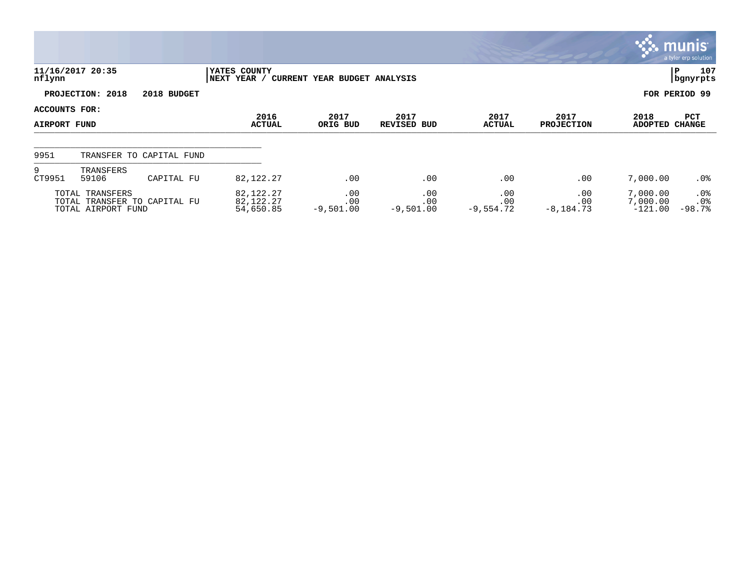|                               |                                       |                              |                                       |                              |                           |                           |                           |                                   | $\mathbb{C}$ munis<br>a tyler erp solution     |
|-------------------------------|---------------------------------------|------------------------------|---------------------------------------|------------------------------|---------------------------|---------------------------|---------------------------|-----------------------------------|------------------------------------------------|
| nflynn                        | 11/16/2017 20:35                      |                              | YATES COUNTY<br>NEXT YEAR /           | CURRENT YEAR BUDGET ANALYSIS |                           |                           |                           |                                   | 107<br>P<br>  bgnyrpts                         |
|                               | PROJECTION: 2018                      | 2018 BUDGET                  |                                       |                              |                           |                           |                           |                                   | FOR PERIOD 99                                  |
| ACCOUNTS FOR:<br>AIRPORT FUND |                                       |                              | 2016<br><b>ACTUAL</b>                 | 2017<br>ORIG BUD             | 2017<br>REVISED BUD       | 2017<br>ACTUAL            | 2017<br><b>PROJECTION</b> | 2018<br><b>ADOPTED</b>            | PCT<br><b>CHANGE</b>                           |
| 9951                          |                                       | TRANSFER TO CAPITAL FUND     |                                       |                              |                           |                           |                           |                                   |                                                |
| 9<br>CT9951                   | TRANSFERS<br>59106                    | CAPITAL FU                   | 82, 122. 27                           | .00                          | .00                       | .00                       | .00                       | 7,000.00                          | $.0\%$                                         |
|                               | TOTAL TRANSFERS<br>TOTAL AIRPORT FUND | TOTAL TRANSFER TO CAPITAL FU | 82, 122. 27<br>82,122.27<br>54,650.85 | .00<br>.00<br>$-9,501.00$    | .00<br>.00<br>$-9,501.00$ | .00<br>.00<br>$-9,554.72$ | .00<br>.00<br>$-8,184.73$ | 7,000.00<br>7,000.00<br>$-121.00$ | .0 <sub>8</sub><br>.0 <sub>8</sub><br>$-98.7%$ |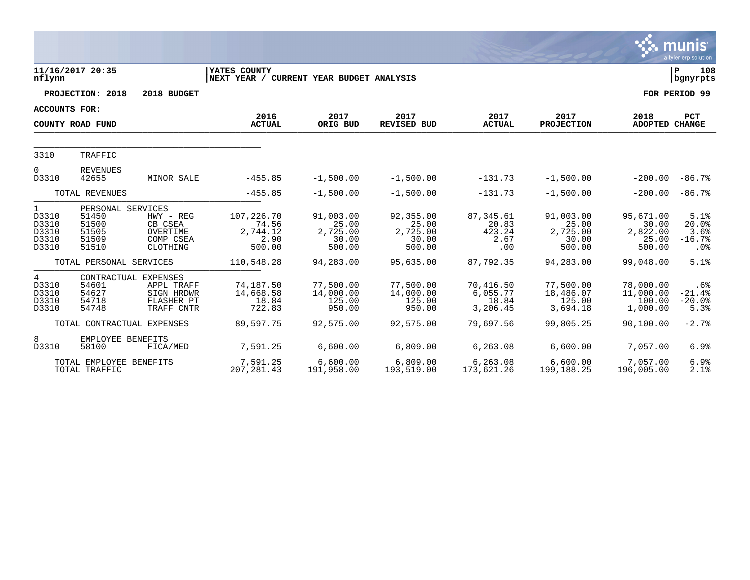|                                                           |                                                                |                                                                              |                                                                 |                                                   |                                                   |                                             |                                                   |                                                   | <b>munis</b><br>a tyler erp solution                 |
|-----------------------------------------------------------|----------------------------------------------------------------|------------------------------------------------------------------------------|-----------------------------------------------------------------|---------------------------------------------------|---------------------------------------------------|---------------------------------------------|---------------------------------------------------|---------------------------------------------------|------------------------------------------------------|
| nflynn                                                    | 11/16/2017 20:35                                               |                                                                              | <b>YATES COUNTY</b><br>NEXT YEAR / CURRENT YEAR BUDGET ANALYSIS |                                                   |                                                   |                                             |                                                   |                                                   | l P<br>108<br>  bgnyrpts                             |
|                                                           | PROJECTION: 2018                                               | 2018 BUDGET                                                                  |                                                                 |                                                   |                                                   |                                             |                                                   |                                                   | FOR PERIOD 99                                        |
| <b>ACCOUNTS FOR:</b>                                      |                                                                |                                                                              |                                                                 |                                                   |                                                   |                                             |                                                   |                                                   |                                                      |
|                                                           | COUNTY ROAD FUND                                               |                                                                              | 2016<br><b>ACTUAL</b>                                           | 2017<br>ORIG BUD                                  | 2017<br><b>REVISED BUD</b>                        | 2017<br><b>ACTUAL</b>                       | 2017<br><b>PROJECTION</b>                         | 2018<br>ADOPTED CHANGE                            | PCT                                                  |
| 3310                                                      | TRAFFIC                                                        |                                                                              |                                                                 |                                                   |                                                   |                                             |                                                   |                                                   |                                                      |
| $\mathbf 0$<br>D3310                                      | <b>REVENUES</b><br>42655                                       | MINOR SALE                                                                   | $-455.85$                                                       | $-1,500.00$                                       | $-1,500.00$                                       | $-131.73$                                   | $-1,500.00$                                       | $-200.00$                                         | $-86.7%$                                             |
|                                                           | TOTAL REVENUES                                                 |                                                                              | $-455.85$                                                       | $-1,500.00$                                       | $-1,500.00$                                       | $-131.73$                                   | $-1,500.00$                                       | $-200.00$                                         | $-86.7%$                                             |
| $\mathbf{1}$<br>D3310<br>D3310<br>D3310<br>D3310<br>D3310 | PERSONAL SERVICES<br>51450<br>51500<br>51505<br>51509<br>51510 | HWY - REG<br>CB CSEA<br>OVERTIME<br>COMP CSEA<br>CLOTHING                    | 107,226.70<br>74.56<br>2,744.12<br>2.90<br>500.00               | 91,003.00<br>25.00<br>2,725.00<br>30.00<br>500.00 | 92,355.00<br>25.00<br>2,725.00<br>30.00<br>500.00 | 87,345.61<br>20.83<br>423.24<br>2.67<br>.00 | 91,003.00<br>25.00<br>2,725.00<br>30.00<br>500.00 | 95,671.00<br>30.00<br>2,822.00<br>25.00<br>500.00 | 5.1%<br>20.0%<br>3.6%<br>$-16.7%$<br>.0 <sub>8</sub> |
|                                                           | TOTAL PERSONAL SERVICES                                        |                                                                              | 110,548.28                                                      | 94,283.00                                         | 95,635.00                                         | 87,792.35                                   | 94,283.00                                         | 99,048.00                                         | 5.1%                                                 |
| 4<br>D3310<br>D3310<br>D3310<br>D3310                     | 54601<br>54627<br>54718<br>54748                               | CONTRACTUAL EXPENSES<br>APPL TRAFF<br>SIGN HRDWR<br>FLASHER PT<br>TRAFF CNTR | 74,187.50<br>14,668.58<br>18.84<br>722.83                       | 77,500.00<br>14,000.00<br>125.00<br>950.00        | 77,500.00<br>14,000.00<br>125.00<br>950.00        | 70,416.50<br>6,055.77<br>18.84<br>3,206.45  | 77,500.00<br>18,486.07<br>125.00<br>3,694.18      | 78,000.00<br>11,000.00<br>100.00<br>1,000.00      | .6%<br>$-21.4%$<br>$-20.0%$<br>5.3%                  |
|                                                           |                                                                | TOTAL CONTRACTUAL EXPENSES                                                   | 89,597.75                                                       | 92,575.00                                         | 92,575.00                                         | 79,697.56                                   | 99,805.25                                         | 90,100.00                                         | $-2.7%$                                              |
| 8<br>D3310                                                | EMPLOYEE BENEFITS<br>58100                                     | FICA/MED                                                                     | 7,591.25                                                        | 6,600.00                                          | 6,809.00                                          | 6,263.08                                    | 6,600.00                                          | 7,057.00                                          | 6.9%                                                 |
|                                                           | TOTAL EMPLOYEE BENEFITS<br>TOTAL TRAFFIC                       |                                                                              | 7,591.25<br>207, 281.43                                         | 6,600.00<br>191,958.00                            | 6,809.00<br>193,519.00                            | 6,263.08<br>173,621.26                      | 6,600.00<br>199, 188. 25                          | 7,057.00<br>196,005.00                            | 6.9%<br>2.1%                                         |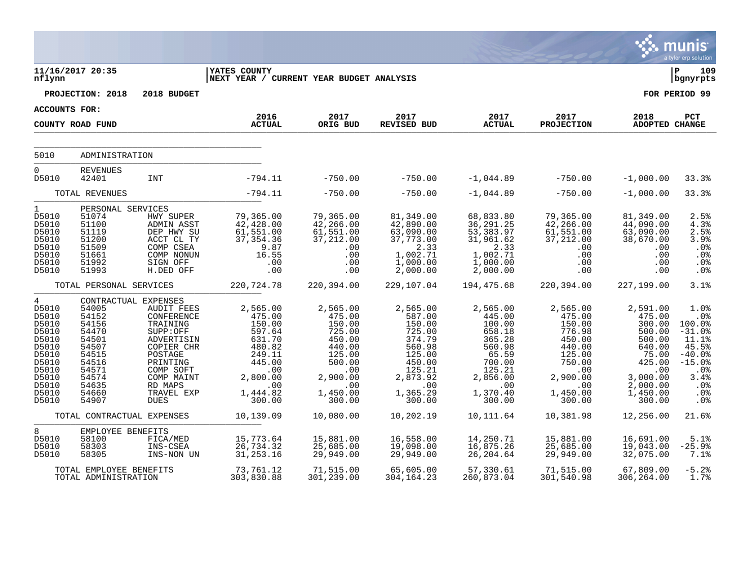|                                                                                                                                     |                                                                                                                   |                                                                                                                                                                                                       |                                                                                                                                |                                                                                                                                |                                                                                                                                   |                                                                                                                                  |                                                                                                                                |                                                                                                                                    | munis<br>a tyler erp solution                                                                                               |
|-------------------------------------------------------------------------------------------------------------------------------------|-------------------------------------------------------------------------------------------------------------------|-------------------------------------------------------------------------------------------------------------------------------------------------------------------------------------------------------|--------------------------------------------------------------------------------------------------------------------------------|--------------------------------------------------------------------------------------------------------------------------------|-----------------------------------------------------------------------------------------------------------------------------------|----------------------------------------------------------------------------------------------------------------------------------|--------------------------------------------------------------------------------------------------------------------------------|------------------------------------------------------------------------------------------------------------------------------------|-----------------------------------------------------------------------------------------------------------------------------|
| nflynn                                                                                                                              | 11/16/2017 20:35                                                                                                  |                                                                                                                                                                                                       | YATES COUNTY<br>NEXT YEAR / CURRENT YEAR BUDGET ANALYSIS                                                                       |                                                                                                                                |                                                                                                                                   |                                                                                                                                  |                                                                                                                                |                                                                                                                                    | ∣ P<br>109<br>bgnyrpts                                                                                                      |
|                                                                                                                                     | PROJECTION: 2018                                                                                                  | 2018 BUDGET                                                                                                                                                                                           |                                                                                                                                |                                                                                                                                |                                                                                                                                   |                                                                                                                                  |                                                                                                                                |                                                                                                                                    | FOR PERIOD 99                                                                                                               |
| <b>ACCOUNTS FOR:</b>                                                                                                                |                                                                                                                   |                                                                                                                                                                                                       |                                                                                                                                |                                                                                                                                |                                                                                                                                   |                                                                                                                                  |                                                                                                                                |                                                                                                                                    |                                                                                                                             |
|                                                                                                                                     | COUNTY ROAD FUND                                                                                                  |                                                                                                                                                                                                       | 2016<br><b>ACTUAL</b>                                                                                                          | 2017<br>ORIG BUD                                                                                                               | 2017<br><b>REVISED BUD</b>                                                                                                        | 2017<br><b>ACTUAL</b>                                                                                                            | 2017<br><b>PROJECTION</b>                                                                                                      | 2018<br>ADOPTED CHANGE                                                                                                             | PCT                                                                                                                         |
| 5010                                                                                                                                | ADMINISTRATION                                                                                                    |                                                                                                                                                                                                       |                                                                                                                                |                                                                                                                                |                                                                                                                                   |                                                                                                                                  |                                                                                                                                |                                                                                                                                    |                                                                                                                             |
| 0<br>D5010                                                                                                                          | <b>REVENUES</b><br>42401                                                                                          | <b>INT</b>                                                                                                                                                                                            | $-794.11$                                                                                                                      | $-750.00$                                                                                                                      | $-750.00$                                                                                                                         | $-1,044.89$                                                                                                                      | $-750.00$                                                                                                                      | $-1,000.00$                                                                                                                        | 33.3%                                                                                                                       |
|                                                                                                                                     | TOTAL REVENUES                                                                                                    |                                                                                                                                                                                                       | $-794.11$                                                                                                                      | $-750.00$                                                                                                                      | $-750.00$                                                                                                                         | $-1,044.89$                                                                                                                      | $-750.00$                                                                                                                      | $-1,000.00$                                                                                                                        | 33.3%                                                                                                                       |
| $\mathbf 1$<br>D5010<br>D5010<br>D5010<br>D5010<br>D5010<br>D5010<br>D5010<br>D5010                                                 | PERSONAL SERVICES<br>51074<br>51100<br>51119<br>51200<br>51509<br>51661<br>51992<br>51993                         | HWY SUPER<br><b>ADMIN ASST</b><br>DEP HWY SU<br>ACCT CL TY<br>COMP CSEA<br>COMP NONUN<br>SIGN OFF<br>H.DED OFF                                                                                        | 79,365.00<br>42,428.00<br>61,551.00<br>37, 354.36<br>9.87<br>16.55<br>.00<br>.00                                               | 79,365.00<br>42,266.00<br>61,551.00<br>37,212.00<br>.00<br>.00<br>.00<br>.00                                                   | 81,349.00<br>42,890.00<br>63,090.00<br>37,773.00<br>2.33<br>1,002.71<br>1,000.00<br>2,000.00                                      | 68,833.80<br>36,291.25<br>53,383.97<br>31,961.62<br>2.33<br>1,002.71<br>1,000.00<br>2,000.00                                     | 79,365.00<br>42,266.00<br>61,551.00<br>37, 212.00<br>.00<br>.00<br>$.00 \,$<br>.00                                             | 81,349.00<br>44,090.00<br>63,090.00<br>38,670.00<br>.00<br>.00<br>.00<br>.00                                                       | 2.5%<br>4.3%<br>2.5%<br>3.9%<br>.0%<br>.0%<br>.0%<br>.0%                                                                    |
|                                                                                                                                     | TOTAL PERSONAL SERVICES                                                                                           |                                                                                                                                                                                                       | 220,724.78                                                                                                                     | 220,394.00                                                                                                                     | 229,107.04                                                                                                                        | 194,475.68                                                                                                                       | 220,394.00                                                                                                                     | 227,199.00                                                                                                                         | 3.1%                                                                                                                        |
| $\overline{4}$<br>D5010<br>D5010<br>D5010<br>D5010<br>D5010<br>D5010<br>D5010<br>D5010<br>D5010<br>D5010<br>D5010<br>D5010<br>D5010 | 54005<br>54152<br>54156<br>54470<br>54501<br>54507<br>54515<br>54516<br>54571<br>54574<br>54635<br>54660<br>54907 | CONTRACTUAL EXPENSES<br><b>AUDIT FEES</b><br>CONFERENCE<br>TRAINING<br>SUPP:OFF<br>ADVERTISIN<br>COPIER CHR<br>POSTAGE<br>PRINTING<br>COMP SOFT<br>COMP MAINT<br>RD MAPS<br>TRAVEL EXP<br><b>DUES</b> | 2,565.00<br>475.00<br>150.00<br>597.64<br>631.70<br>480.82<br>249.11<br>445.00<br>.00<br>2,800.00<br>.00<br>1,444.82<br>300.00 | 2,565.00<br>475.00<br>150.00<br>725.00<br>450.00<br>440.00<br>125.00<br>500.00<br>.00<br>2,900.00<br>.00<br>1,450.00<br>300.00 | 2,565.00<br>587.00<br>150.00<br>725.00<br>374.79<br>560.98<br>125.00<br>450.00<br>125.21<br>2,873.92<br>.00<br>1,365.29<br>300.00 | 2,565.00<br>445.00<br>100.00<br>658.18<br>365.28<br>560.98<br>65.59<br>700.00<br>125.21<br>2,856.00<br>.00<br>1,370.40<br>300.00 | 2,565.00<br>475.00<br>150.00<br>776.98<br>450.00<br>440.00<br>125.00<br>750.00<br>.00<br>2,900.00<br>.00<br>1,450.00<br>300.00 | 2,591.00<br>475.00<br>300.00<br>500.00<br>500.00<br>640.00<br>75.00<br>425.00<br>.00<br>3,000.00<br>2,000.00<br>1,450.00<br>300.00 | 1.0%<br>.0%<br>100.0%<br>$-31.0%$<br>11.1%<br>45.5%<br>$-40.0%$<br>$-15.0%$<br>.0%<br>3.4%<br>.0%<br>.0%<br>.0 <sub>8</sub> |
|                                                                                                                                     | TOTAL CONTRACTUAL EXPENSES                                                                                        |                                                                                                                                                                                                       | 10,139.09                                                                                                                      | 10,080.00                                                                                                                      | 10,202.19                                                                                                                         | 10,111.64                                                                                                                        | 10,381.98                                                                                                                      | 12,256.00                                                                                                                          | 21.6%                                                                                                                       |
| 8<br>D5010<br>D5010<br>D5010                                                                                                        | EMPLOYEE BENEFITS<br>58100<br>58303<br>58305                                                                      | FICA/MED<br>INS-CSEA<br>INS-NON UN                                                                                                                                                                    | 15,773.64<br>26,734.32<br>31, 253. 16                                                                                          | 15,881.00<br>25,685.00<br>29,949.00                                                                                            | 16,558.00<br>19,098.00<br>29,949.00                                                                                               | 14,250.71<br>16,875.26<br>26,204.64                                                                                              | 15,881.00<br>25,685.00<br>29,949.00                                                                                            | 16,691.00<br>19,043.00<br>32,075.00                                                                                                | 5.1%<br>$-25.9%$<br>7.1%                                                                                                    |
|                                                                                                                                     | TOTAL EMPLOYEE BENEFITS<br>TOTAL ADMINISTRATION                                                                   |                                                                                                                                                                                                       | 73,761.12<br>303,830.88                                                                                                        | 71,515.00<br>301,239.00                                                                                                        | 65,605.00<br>304,164.23                                                                                                           | 57,330.61<br>260,873.04                                                                                                          | 71,515.00<br>301,540.98                                                                                                        | 67,809.00<br>306,264.00                                                                                                            | $-5.2%$<br>1.7%                                                                                                             |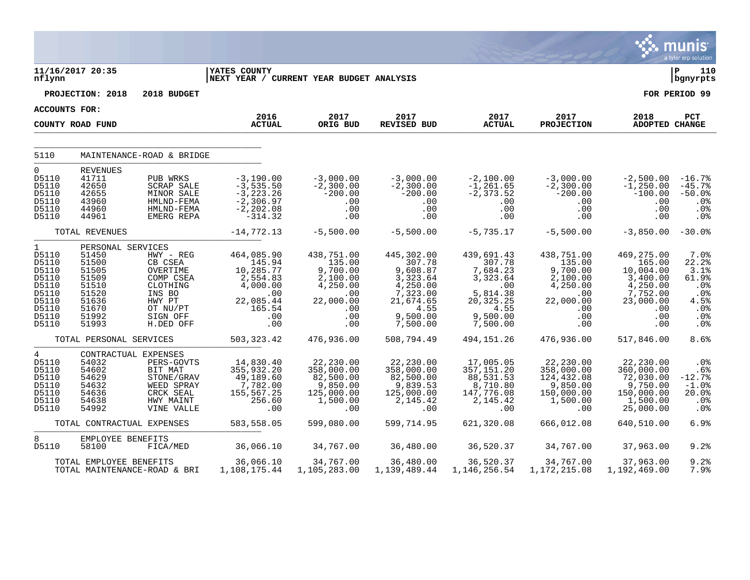|                                                                                                        |                                                                                                             |                                                                                                                    |                                                                                                       |                                                                                                   |                                                                                                                   |                                                                                                              |                                                                                                        |                                                                                                         | a tyler erp solution                                                                     |
|--------------------------------------------------------------------------------------------------------|-------------------------------------------------------------------------------------------------------------|--------------------------------------------------------------------------------------------------------------------|-------------------------------------------------------------------------------------------------------|---------------------------------------------------------------------------------------------------|-------------------------------------------------------------------------------------------------------------------|--------------------------------------------------------------------------------------------------------------|--------------------------------------------------------------------------------------------------------|---------------------------------------------------------------------------------------------------------|------------------------------------------------------------------------------------------|
| nflynn                                                                                                 | 11/16/2017 20:35                                                                                            |                                                                                                                    | YATES COUNTY<br>NEXT YEAR / CURRENT YEAR BUDGET ANALYSIS                                              |                                                                                                   |                                                                                                                   |                                                                                                              |                                                                                                        |                                                                                                         | ∣ P<br>110<br>bgnyrpts                                                                   |
|                                                                                                        | PROJECTION: 2018                                                                                            | 2018 BUDGET                                                                                                        |                                                                                                       |                                                                                                   |                                                                                                                   |                                                                                                              |                                                                                                        |                                                                                                         | FOR PERIOD 99                                                                            |
| <b>ACCOUNTS FOR:</b>                                                                                   |                                                                                                             |                                                                                                                    |                                                                                                       |                                                                                                   |                                                                                                                   |                                                                                                              |                                                                                                        |                                                                                                         |                                                                                          |
|                                                                                                        | COUNTY ROAD FUND                                                                                            |                                                                                                                    | 2016<br><b>ACTUAL</b>                                                                                 | 2017<br>ORIG BUD                                                                                  | 2017<br><b>REVISED BUD</b>                                                                                        | 2017<br><b>ACTUAL</b>                                                                                        | 2017<br><b>PROJECTION</b>                                                                              | 2018<br>ADOPTED CHANGE                                                                                  | PCT                                                                                      |
|                                                                                                        |                                                                                                             |                                                                                                                    |                                                                                                       |                                                                                                   |                                                                                                                   |                                                                                                              |                                                                                                        |                                                                                                         |                                                                                          |
| 5110                                                                                                   |                                                                                                             | MAINTENANCE-ROAD & BRIDGE                                                                                          |                                                                                                       |                                                                                                   |                                                                                                                   |                                                                                                              |                                                                                                        |                                                                                                         |                                                                                          |
| $\mathbf 0$<br>D5110<br>D5110<br>D5110<br>D5110<br>D5110<br>D5110                                      | <b>REVENUES</b><br>41711<br>42650<br>42655<br>43960<br>44960<br>44961                                       | PUB WRKS<br><b>SCRAP SALE</b><br>MINOR SALE<br>HMLND-FEMA<br>HMLND-FEMA<br>EMERG REPA                              | $-3,190.00$<br>$-3,535.50$<br>$-3, 223.26$<br>$-2,306.97$<br>$-2, 202.08$<br>$-314.32$                | $-3,000.00$<br>$-2,300.00$<br>$-200.00$<br>.00<br>.00<br>.00                                      | $-3,000.00$<br>$-2,300.00$<br>$-200.00$<br>.00<br>.00<br>.00                                                      | $-2,100.00$<br>$-1, 261.65$<br>$-2, 373.52$<br>.00<br>.00<br>.00                                             | $-3,000.00$<br>$-2,300.00$<br>$-200.00$<br>$.00 \,$<br>$.00 \,$<br>.00                                 | $-2,500.00$<br>$-1, 250.00$<br>$-100.00$<br>.00<br>.00<br>.00                                           | $-16.7%$<br>$-45.7%$<br>$-50.0%$<br>.0%<br>.0%<br>.0%                                    |
|                                                                                                        | TOTAL REVENUES                                                                                              |                                                                                                                    | $-14,772.13$                                                                                          | $-5,500.00$                                                                                       | $-5,500.00$                                                                                                       | $-5,735.17$                                                                                                  | $-5,500.00$                                                                                            | $-3,850.00$                                                                                             | $-30.0%$                                                                                 |
| $\mathbf{1}$<br>D5110<br>D5110<br>D5110<br>D5110<br>D5110<br>D5110<br>D5110<br>D5110<br>D5110<br>D5110 | PERSONAL SERVICES<br>51450<br>51500<br>51505<br>51509<br>51510<br>51520<br>51636<br>51670<br>51992<br>51993 | HWY - REG<br>CB CSEA<br>OVERTIME<br>COMP CSEA<br>CLOTHING<br>INS BO<br>HWY PT<br>OT NU/PT<br>SIGN OFF<br>H.DED OFF | 464,085.90<br>145.94<br>10,285.77<br>2,554.83<br>4,000.00<br>.00<br>22,085.44<br>165.54<br>.00<br>.00 | 438,751.00<br>135.00<br>9,700.00<br>2,100.00<br>4,250.00<br>.00<br>22,000.00<br>.00<br>.00<br>.00 | 445,302.00<br>307.78<br>9,608.87<br>3,323.64<br>4,250.00<br>7,323.00<br>21,674.65<br>4.55<br>9,500.00<br>7,500.00 | 439,691.43<br>307.78<br>7,684.23<br>3,323.64<br>.00<br>5,814.38<br>20,325.25<br>4.55<br>9,500.00<br>7,500.00 | 438,751.00<br>135.00<br>9,700.00<br>2,100.00<br>4,250.00<br>.00<br>22,000.00<br>.00<br>$.00 \,$<br>.00 | 469,275.00<br>165.00<br>10,004.00<br>3,400.00<br>4,250.00<br>7,752.00<br>23,000.00<br>.00<br>.00<br>.00 | 7.0%<br>22.2%<br>3.1%<br>61.9%<br>.0%<br>.0%<br>4.5%<br>.0%<br>$.0\%$<br>.0 <sub>8</sub> |
|                                                                                                        | TOTAL PERSONAL SERVICES                                                                                     |                                                                                                                    | 503, 323.42                                                                                           | 476,936.00                                                                                        | 508,794.49                                                                                                        | 494, 151. 26                                                                                                 | 476,936.00                                                                                             | 517,846.00                                                                                              | 8.6%                                                                                     |
| $\overline{4}$<br>D5110<br>D5110<br>D5110<br>D5110<br>D5110<br>D5110<br>D5110                          | CONTRACTUAL EXPENSES<br>54032<br>54602<br>54629<br>54632<br>54636<br>54638<br>54992                         | PERS-GOVTS<br>BIT MAT<br>STONE/GRAV<br>WEED SPRAY<br>CRCK SEAL<br>HWY MAINT<br>VINE VALLE                          | 14,830.40<br>355,932.20<br>49,189.60<br>7,782.00<br>155,567.25<br>256.60<br>.00                       | 22,230.00<br>358,000.00<br>82,500.00<br>9,850.00<br>125,000.00<br>1,500.00<br>.00                 | 22,230.00<br>358,000.00<br>82,500.00<br>9,839.53<br>125,000.00<br>2, 145.42<br>.00                                | 17,005.05<br>357, 151.20<br>88,531.53<br>8,710.80<br>147,776.08<br>2,145.42<br>.00                           | 22,230.00<br>358,000.00<br>124,432.08<br>9,850.00<br>150,000.00<br>1,500.00<br>.00                     | 22,230.00<br>360,000.00<br>72,030.00<br>9,750.00<br>150,000.00<br>1,500.00<br>25,000.00                 | .0%<br>.6%<br>$-12.7%$<br>$-1.0%$<br>20.0%<br>.0%<br>.0 <sub>8</sub>                     |
|                                                                                                        | TOTAL CONTRACTUAL EXPENSES                                                                                  |                                                                                                                    | 583,558.05                                                                                            | 599,080.00                                                                                        | 599,714.95                                                                                                        | 621,320.08                                                                                                   | 666,012.08                                                                                             | 640,510.00                                                                                              | 6.9%                                                                                     |
| 8<br>D5110                                                                                             | EMPLOYEE BENEFITS<br>58100                                                                                  | FICA/MED                                                                                                           | 36,066.10                                                                                             | 34,767.00                                                                                         | 36,480.00                                                                                                         | 36,520.37                                                                                                    | 34,767.00                                                                                              | 37,963.00                                                                                               | 9.2%                                                                                     |
|                                                                                                        | TOTAL EMPLOYEE BENEFITS                                                                                     | TOTAL MAINTENANCE-ROAD & BRI                                                                                       | 36,066.10<br>1,108,175.44                                                                             | 34,767.00<br>1,105,283.00                                                                         | 36,480.00<br>1,139,489.44                                                                                         | 36,520.37<br>1,146,256.54                                                                                    | 34,767.00<br>1,172,215.08                                                                              | 37,963.00<br>1,192,469.00                                                                               | 9.2%<br>7.9%                                                                             |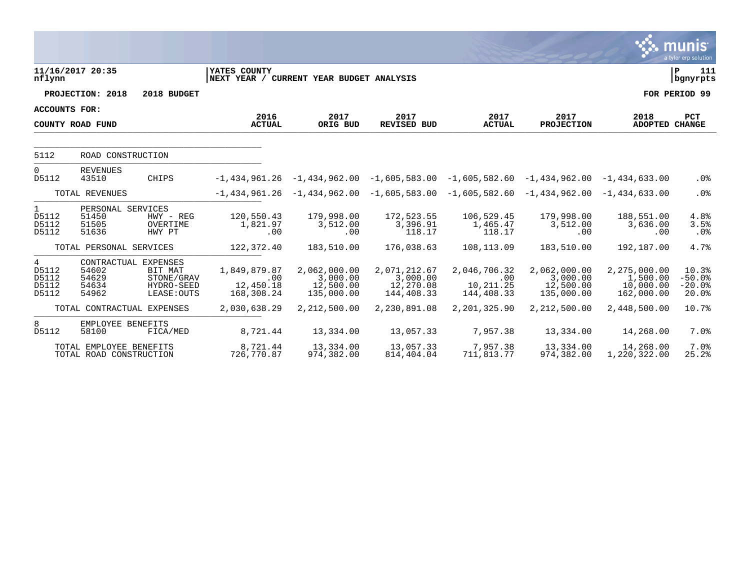|                                         |                                                          |                                                    |                                                          |                                                     |                                                                 |                                                |                                                     |                                                     | <b>munis</b><br>a tyler erp solution   |
|-----------------------------------------|----------------------------------------------------------|----------------------------------------------------|----------------------------------------------------------|-----------------------------------------------------|-----------------------------------------------------------------|------------------------------------------------|-----------------------------------------------------|-----------------------------------------------------|----------------------------------------|
| nflynn                                  | 11/16/2017 20:35                                         |                                                    | YATES COUNTY<br>NEXT YEAR / CURRENT YEAR BUDGET ANALYSIS |                                                     |                                                                 |                                                |                                                     |                                                     | P<br>111<br>bgnyrpts                   |
|                                         | PROJECTION: 2018                                         | 2018 BUDGET                                        |                                                          |                                                     |                                                                 |                                                |                                                     |                                                     | FOR PERIOD 99                          |
| <b>ACCOUNTS FOR:</b>                    |                                                          |                                                    | 2016                                                     | 2017                                                | 2017                                                            | 2017                                           | 2017                                                |                                                     |                                        |
| COUNTY ROAD FUND                        |                                                          |                                                    | <b>ACTUAL</b>                                            | ORIG BUD                                            | REVISED BUD                                                     | <b>ACTUAL</b>                                  | PROJECTION                                          | 2018<br>ADOPTED CHANGE                              | <b>PCT</b>                             |
| 5112                                    | ROAD CONSTRUCTION                                        |                                                    |                                                          |                                                     |                                                                 |                                                |                                                     |                                                     |                                        |
| $\mathbf 0$<br>D5112                    | <b>REVENUES</b><br>43510                                 | CHIPS                                              |                                                          |                                                     | $-1,434,961.26$ $-1,434,962.00$ $-1,605,583.00$ $-1,605,582.60$ |                                                | $-1,434,962.00 -1,434,633.00$                       |                                                     | .0%                                    |
|                                         | TOTAL REVENUES                                           |                                                    |                                                          |                                                     | $-1,434,961.26$ $-1,434,962.00$ $-1,605,583.00$ $-1,605,582.60$ |                                                | $-1,434,962.00 -1,434,633.00$                       |                                                     | .0%                                    |
| $\mathbf{1}$<br>D5112<br>D5112<br>D5112 | PERSONAL SERVICES<br>51450<br>51505<br>51636             | $HWY - REG$<br>OVERTIME<br>HWY PT                  | 120,550.43<br>1,821.97<br>.00                            | 179,998.00<br>3,512.00<br>.00                       | 172,523.55<br>3,396.91<br>118.17                                | 106,529.45<br>1,465.47<br>118.17               | 179,998.00<br>3,512.00<br>.00                       | 188,551.00<br>3,636.00<br>.00                       | 4.8%<br>3.5%<br>.0%                    |
|                                         | TOTAL PERSONAL SERVICES                                  |                                                    | 122,372.40                                               | 183,510.00                                          | 176,038.63                                                      | 108,113.09                                     | 183,510.00                                          | 192,187.00                                          | 4.7%                                   |
| 4<br>D5112<br>D5112<br>D5112<br>D5112   | CONTRACTUAL EXPENSES<br>54602<br>54629<br>54634<br>54962 | BIT MAT<br>STONE/GRAV<br>HYDRO-SEED<br>LEASE: OUTS | 1,849,879.87<br>.00<br>12,450.18<br>168,308.24           | 2,062,000.00<br>3,000.00<br>12,500.00<br>135,000.00 | 2,071,212.67<br>3,000.00<br>12,270.08<br>144,408.33             | 2,046,706.32<br>.00<br>10,211.25<br>144,408.33 | 2,062,000.00<br>3,000.00<br>12,500.00<br>135,000.00 | 2,275,000.00<br>1,500.00<br>10,000.00<br>162,000.00 | 10.3%<br>$-50.0%$<br>$-20.0%$<br>20.0% |
|                                         | TOTAL CONTRACTUAL EXPENSES                               |                                                    | 2,030,638.29                                             | 2,212,500.00                                        | 2,230,891.08                                                    | 2,201,325.90                                   | 2,212,500.00                                        | 2,448,500.00                                        | 10.7%                                  |
| 8<br>D5112                              | EMPLOYEE BENEFITS<br>58100                               | FICA/MED                                           | 8,721.44                                                 | 13,334.00                                           | 13,057.33                                                       | 7,957.38                                       | 13,334.00                                           | 14,268.00                                           | 7.0%                                   |
|                                         | TOTAL EMPLOYEE BENEFITS<br>TOTAL ROAD CONSTRUCTION       |                                                    | 8,721.44<br>726,770.87                                   | 13,334.00<br>974,382.00                             | 13,057.33<br>814, 404.04                                        | 7,957.38<br>711,813.77                         | 13,334.00<br>974,382.00                             | 14,268.00<br>1,220,322.00                           | 7.0%<br>25.2%                          |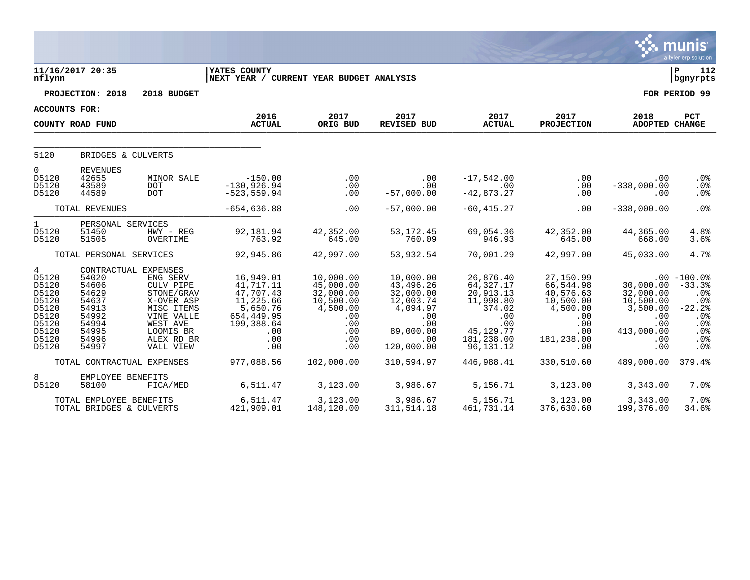|                                                                                                          |                                                                                                                                              |                                                                                                                                   |                                                                                                                             |                                                                                                               |                                                                                                                            |                                                                                                                                  |                                                                                                                                |                                                                                                         | munis<br>a tyler erp solution                                                                       |
|----------------------------------------------------------------------------------------------------------|----------------------------------------------------------------------------------------------------------------------------------------------|-----------------------------------------------------------------------------------------------------------------------------------|-----------------------------------------------------------------------------------------------------------------------------|---------------------------------------------------------------------------------------------------------------|----------------------------------------------------------------------------------------------------------------------------|----------------------------------------------------------------------------------------------------------------------------------|--------------------------------------------------------------------------------------------------------------------------------|---------------------------------------------------------------------------------------------------------|-----------------------------------------------------------------------------------------------------|
| nflynn                                                                                                   | 11/16/2017 20:35                                                                                                                             |                                                                                                                                   | <b>YATES COUNTY</b><br>NEXT YEAR / CURRENT YEAR BUDGET ANALYSIS                                                             |                                                                                                               |                                                                                                                            |                                                                                                                                  |                                                                                                                                |                                                                                                         | l P<br>112<br>bgnyrpts                                                                              |
|                                                                                                          | PROJECTION: 2018                                                                                                                             | 2018 BUDGET                                                                                                                       |                                                                                                                             |                                                                                                               |                                                                                                                            |                                                                                                                                  |                                                                                                                                |                                                                                                         | FOR PERIOD 99                                                                                       |
| <b>ACCOUNTS FOR:</b>                                                                                     |                                                                                                                                              |                                                                                                                                   |                                                                                                                             |                                                                                                               |                                                                                                                            |                                                                                                                                  |                                                                                                                                |                                                                                                         |                                                                                                     |
|                                                                                                          | COUNTY ROAD FUND                                                                                                                             |                                                                                                                                   | 2016<br><b>ACTUAL</b>                                                                                                       | 2017<br>ORIG BUD                                                                                              | 2017<br>REVISED BUD                                                                                                        | 2017<br><b>ACTUAL</b>                                                                                                            | 2017<br><b>PROJECTION</b>                                                                                                      | 2018<br>ADOPTED CHANGE                                                                                  | PCT                                                                                                 |
| 5120                                                                                                     | BRIDGES & CULVERTS                                                                                                                           |                                                                                                                                   |                                                                                                                             |                                                                                                               |                                                                                                                            |                                                                                                                                  |                                                                                                                                |                                                                                                         |                                                                                                     |
| $\mathbf 0$<br>D5120<br>D5120<br>D5120                                                                   | <b>REVENUES</b><br>42655<br>43589<br>44589                                                                                                   | MINOR SALE<br><b>DOT</b><br><b>DOT</b>                                                                                            | $-150.00$<br>$-130,926.94$<br>$-523, 559.94$                                                                                | .00<br>.00<br>.00                                                                                             | .00<br>.00<br>$-57,000.00$                                                                                                 | $-17,542.00$<br>.00<br>$-42,873.27$                                                                                              | $.00 \,$<br>.00<br>.00                                                                                                         | .00<br>$-338,000.00$<br>.00                                                                             | $.0\%$<br>.0%<br>.0%                                                                                |
|                                                                                                          | TOTAL REVENUES                                                                                                                               |                                                                                                                                   | $-654,636.88$                                                                                                               | .00                                                                                                           | $-57,000.00$                                                                                                               | $-60, 415.27$                                                                                                                    | $.00 \,$                                                                                                                       | $-338,000.00$                                                                                           | .0%                                                                                                 |
| $\mathbf 1$<br>D5120<br>D5120                                                                            | PERSONAL SERVICES<br>51450<br>51505                                                                                                          | HWY - REG<br>OVERTIME                                                                                                             | 92,181.94<br>763.92                                                                                                         | 42,352.00<br>645.00                                                                                           | 53, 172. 45<br>760.09                                                                                                      | 69,054.36<br>946.93                                                                                                              | 42,352.00<br>645.00                                                                                                            | 44,365.00<br>668.00                                                                                     | 4.8%<br>3.6%                                                                                        |
|                                                                                                          | TOTAL PERSONAL SERVICES                                                                                                                      |                                                                                                                                   | 92,945.86                                                                                                                   | 42,997.00                                                                                                     | 53,932.54                                                                                                                  | 70,001.29                                                                                                                        | 42,997.00                                                                                                                      | 45,033.00                                                                                               | 4.7%                                                                                                |
| $\overline{4}$<br>D5120<br>D5120<br>D5120<br>D5120<br>D5120<br>D5120<br>D5120<br>D5120<br>D5120<br>D5120 | CONTRACTUAL EXPENSES<br>54020<br>54606<br>54629<br>54637<br>54913<br>54992<br>54994<br>54995<br>54996<br>54997<br>TOTAL CONTRACTUAL EXPENSES | ENG SERV<br>CULV PIPE<br>STONE/GRAV<br>X-OVER ASP<br>MISC ITEMS<br>VINE VALLE<br>WEST AVE<br>LOOMIS BR<br>ALEX RD BR<br>VALL VIEW | 16,949.01<br>41,717.11<br>47,707.43<br>11,225.66<br>5,650.76<br>654,449.95<br>199,388.64<br>.00<br>.00<br>.00<br>977,088.56 | 10,000.00<br>45,000.00<br>32,000.00<br>10,500.00<br>4,500.00<br>.00<br>.00<br>.00<br>.00<br>.00<br>102,000.00 | 10,000.00<br>43,496.26<br>32,000.00<br>12,003.74<br>4,094.97<br>.00<br>.00<br>89,000.00<br>.00<br>120,000.00<br>310,594.97 | 26,876.40<br>64,327.17<br>20,913.13<br>11,998.80<br>374.02<br>.00<br>.00<br>45, 129. 77<br>181,238.00<br>96,131.12<br>446,988.41 | 27,150.99<br>66,544.98<br>40,576.63<br>10,500.00<br>4,500.00<br>.00<br>.00<br>$.00 \,$<br>181,238.00<br>$.00 \,$<br>330,510.60 | 30,000.00<br>32,000.00<br>10,500.00<br>3,500.00<br>.00<br>.00<br>413,000.00<br>.00<br>.00<br>489,000.00 | $.00 - 100.0%$<br>$-33.3%$<br>.0%<br>$.0\%$<br>$-22.2$<br>.0%<br>.0%<br>.0%<br>.0%<br>.0%<br>379.4% |
| 8                                                                                                        | EMPLOYEE BENEFITS                                                                                                                            |                                                                                                                                   |                                                                                                                             |                                                                                                               |                                                                                                                            |                                                                                                                                  |                                                                                                                                |                                                                                                         |                                                                                                     |
| D5120                                                                                                    | 58100                                                                                                                                        | FICA/MED                                                                                                                          | 6,511.47                                                                                                                    | 3,123.00                                                                                                      | 3,986.67                                                                                                                   | 5,156.71                                                                                                                         | 3,123.00                                                                                                                       | 3,343.00                                                                                                | 7.0%                                                                                                |
|                                                                                                          | TOTAL EMPLOYEE BENEFITS<br>TOTAL BRIDGES & CULVERTS                                                                                          |                                                                                                                                   | 6,511.47<br>421,909.01                                                                                                      | 3,123.00<br>148,120.00                                                                                        | 3,986.67<br>311, 514. 18                                                                                                   | 5,156.71<br>461,731.14                                                                                                           | 3,123.00<br>376,630.60                                                                                                         | 3,343.00<br>199,376.00                                                                                  | 7.0%<br>34.6%                                                                                       |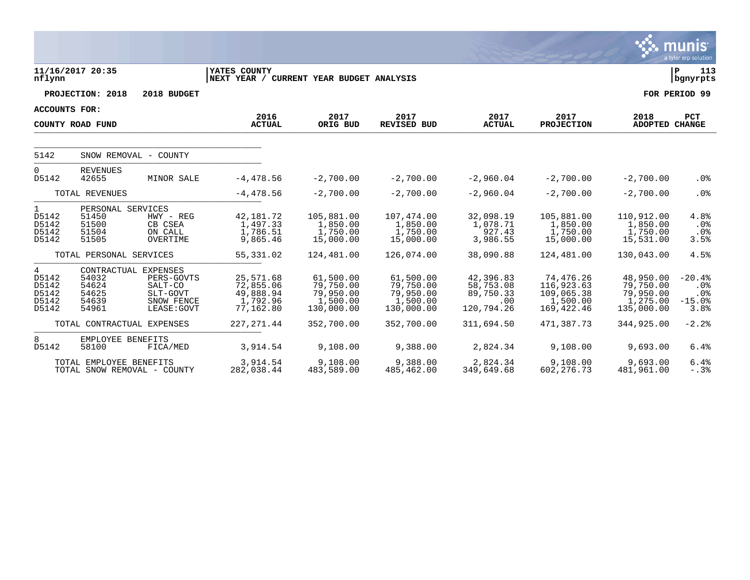|                                                  |                                                       |                                                                                        |                                                                 |                                                               |                                                               |                                                          |                                                                   |                                                               | <b>munis</b><br>a tyler erp solution                   |
|--------------------------------------------------|-------------------------------------------------------|----------------------------------------------------------------------------------------|-----------------------------------------------------------------|---------------------------------------------------------------|---------------------------------------------------------------|----------------------------------------------------------|-------------------------------------------------------------------|---------------------------------------------------------------|--------------------------------------------------------|
| nflynn                                           | 11/16/2017 20:35                                      |                                                                                        | <b>YATES COUNTY</b><br>NEXT YEAR / CURRENT YEAR BUDGET ANALYSIS |                                                               |                                                               |                                                          |                                                                   |                                                               | l P<br>113<br>  bgnyrpts                               |
|                                                  | PROJECTION: 2018                                      | 2018 BUDGET                                                                            |                                                                 |                                                               |                                                               |                                                          |                                                                   |                                                               | FOR PERIOD 99                                          |
| <b>ACCOUNTS FOR:</b>                             |                                                       |                                                                                        |                                                                 |                                                               |                                                               |                                                          |                                                                   |                                                               |                                                        |
|                                                  | COUNTY ROAD FUND                                      |                                                                                        | 2016<br><b>ACTUAL</b>                                           | 2017<br>ORIG BUD                                              | 2017<br><b>REVISED BUD</b>                                    | 2017<br><b>ACTUAL</b>                                    | 2017<br><b>PROJECTION</b>                                         | 2018<br><b>ADOPTED CHANGE</b>                                 | <b>PCT</b>                                             |
| 5142                                             |                                                       | SNOW REMOVAL - COUNTY                                                                  |                                                                 |                                                               |                                                               |                                                          |                                                                   |                                                               |                                                        |
| 0<br>D5142                                       | <b>REVENUES</b><br>42655                              | MINOR SALE                                                                             | $-4,478.56$                                                     | $-2,700.00$                                                   | $-2,700.00$                                                   | $-2,960.04$                                              | $-2,700.00$                                                       | $-2,700.00$                                                   | .0%                                                    |
| TOTAL REVENUES                                   |                                                       | $-4,478.56$                                                                            | $-2,700.00$                                                     | $-2,700.00$                                                   | $-2,960.04$                                                   | $-2,700.00$                                              | $-2,700.00$                                                       | .0%                                                           |                                                        |
| $\mathbf{1}$<br>D5142<br>D5142<br>D5142<br>D5142 | PERSONAL SERVICES<br>51450<br>51500<br>51504<br>51505 | $HWY - REG$<br>CB CSEA<br>ON CALL<br>OVERTIME                                          | 42,181.72<br>1,497.33<br>1,786.51<br>9,865.46                   | 105,881.00<br>1,850.00<br>1,750.00<br>15,000.00               | 107,474.00<br>1,850.00<br>1,750.00<br>15,000.00               | 32,098.19<br>1,078.71<br>927.43<br>3,986.55              | 105,881.00<br>1,850.00<br>1,750.00<br>15,000.00                   | 110,912.00<br>1,850.00<br>1,750.00<br>15,531.00               | 4.8%<br>.0%<br>$.0\%$<br>3.5%                          |
|                                                  | TOTAL PERSONAL SERVICES                               |                                                                                        | 55, 331.02                                                      | 124,481.00                                                    | 126,074.00                                                    | 38,090.88                                                | 124,481.00                                                        | 130,043.00                                                    | 4.5%                                                   |
| 4<br>D5142<br>D5142<br>D5142<br>D5142<br>D5142   | 54032<br>54624<br>54625<br>54639<br>54961             | CONTRACTUAL EXPENSES<br>PERS-GOVTS<br>SALT-CO<br>SLT-GOVT<br>SNOW FENCE<br>LEASE: GOVT | 25,571.68<br>72,855.06<br>49,888.94<br>1,792.96<br>77,162.80    | 61,500.00<br>79,750.00<br>79,950.00<br>1,500.00<br>130,000.00 | 61,500.00<br>79,750.00<br>79,950.00<br>1,500.00<br>130,000.00 | 42,396.83<br>58,753.08<br>89,750.33<br>.00<br>120,794.26 | 74,476.26<br>116,923.63<br>109,065.38<br>1,500.00<br>169, 422. 46 | 48,950.00<br>79,750.00<br>79,950.00<br>1,275.00<br>135,000.00 | $-20.4%$<br>.0 <sub>8</sub><br>.0%<br>$-15.0%$<br>3.8% |
|                                                  |                                                       | TOTAL CONTRACTUAL EXPENSES                                                             | 227, 271.44                                                     | 352,700.00                                                    | 352,700.00                                                    | 311,694.50                                               | 471,387.73                                                        | 344,925.00                                                    | $-2.2%$                                                |
| 8<br>D5142                                       | EMPLOYEE BENEFITS<br>58100                            | FICA/MED                                                                               | 3,914.54                                                        | 9,108.00                                                      | 9,388.00                                                      | 2,824.34                                                 | 9,108.00                                                          | 9,693.00                                                      | 6.4%                                                   |
|                                                  | TOTAL EMPLOYEE BENEFITS                               | TOTAL SNOW REMOVAL - COUNTY                                                            | 3,914.54<br>282,038.44                                          | 9,108.00<br>483,589.00                                        | 9,388.00<br>485,462.00                                        | 2,824.34<br>349,649.68                                   | 9,108.00<br>602, 276.73                                           | 9,693.00<br>481,961.00                                        | 6.4%<br>$-.3%$                                         |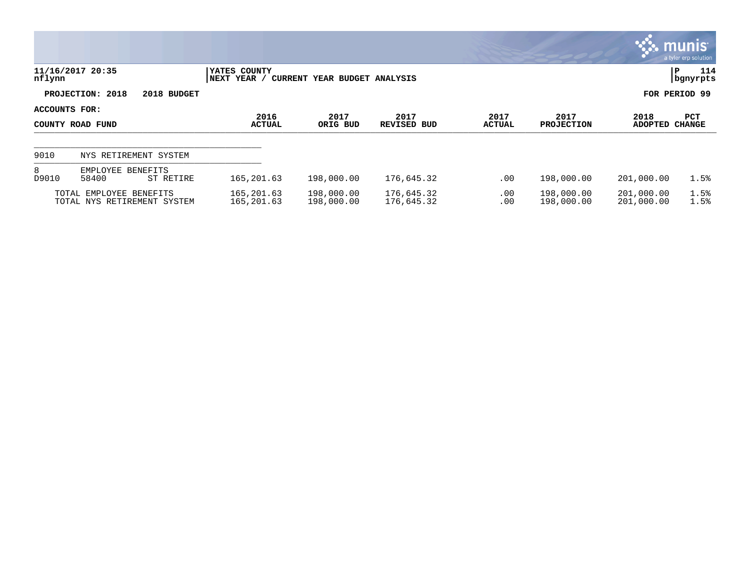|                                   |                                                        |                             |                              |                            |                       |                           |                          | munis <sup>.</sup><br>a tyler erp solution |
|-----------------------------------|--------------------------------------------------------|-----------------------------|------------------------------|----------------------------|-----------------------|---------------------------|--------------------------|--------------------------------------------|
| nflynn                            | 11/16/2017 20:35                                       | YATES COUNTY<br>NEXT YEAR / | CURRENT YEAR BUDGET ANALYSIS |                            |                       |                           |                          | 114<br>P<br>  bgnyrpts                     |
|                                   | PROJECTION: 2018<br>2018 BUDGET                        |                             |                              |                            |                       |                           |                          | FOR PERIOD 99                              |
| ACCOUNTS FOR:<br>COUNTY ROAD FUND |                                                        | 2016<br><b>ACTUAL</b>       | 2017<br>ORIG BUD             | 2017<br><b>REVISED BUD</b> | 2017<br><b>ACTUAL</b> | 2017<br><b>PROJECTION</b> | 2018<br><b>ADOPTED</b>   | PCT<br><b>CHANGE</b>                       |
| 9010                              | NYS RETIREMENT SYSTEM                                  |                             |                              |                            |                       |                           |                          |                                            |
| 8<br>D9010                        | EMPLOYEE BENEFITS<br>58400<br>ST RETIRE                | 165, 201.63                 | 198,000.00                   | 176,645.32                 | .00                   | 198,000.00                | 201,000.00               | 1.5%                                       |
|                                   | TOTAL EMPLOYEE BENEFITS<br>TOTAL NYS RETIREMENT SYSTEM | 165,201.63<br>165, 201.63   | 198,000.00<br>198,000.00     | 176,645.32<br>176,645.32   | $.00 \,$<br>.00       | 198,000.00<br>198,000.00  | 201,000.00<br>201,000.00 | 1.5%<br>1.5%                               |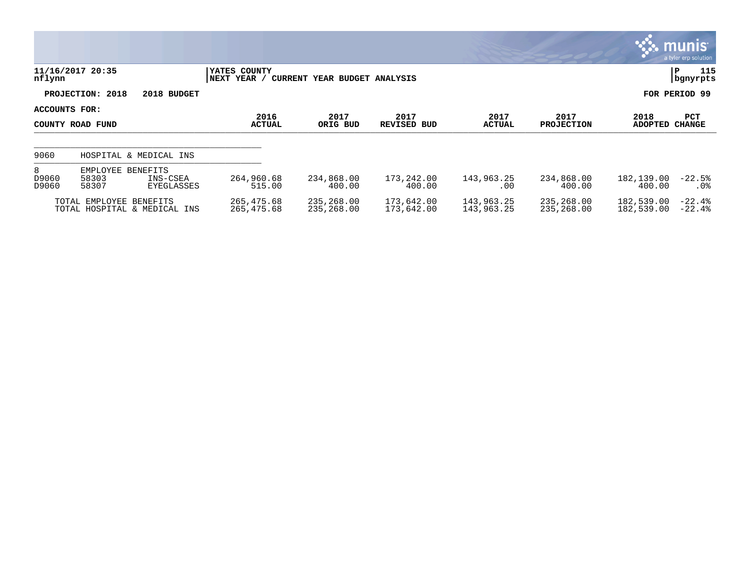|                     |                                                                  |                             |                              |                            |                          |                           |                          | $\sim$ munis i<br>a tyler erp solution |
|---------------------|------------------------------------------------------------------|-----------------------------|------------------------------|----------------------------|--------------------------|---------------------------|--------------------------|----------------------------------------|
| nflynn              | 11/16/2017 20:35                                                 | YATES COUNTY<br>NEXT YEAR / | CURRENT YEAR BUDGET ANALYSIS |                            |                          |                           |                          | 115<br>P<br>bgnyrpts                   |
|                     | PROJECTION: 2018<br>2018 BUDGET                                  |                             |                              |                            |                          |                           |                          | FOR PERIOD 99                          |
| ACCOUNTS FOR:       | COUNTY ROAD FUND                                                 | 2016<br><b>ACTUAL</b>       | 2017<br>ORIG BUD             | 2017<br><b>REVISED BUD</b> | 2017<br><b>ACTUAL</b>    | 2017<br><b>PROJECTION</b> | 2018<br>ADOPTED          | <b>PCT</b><br><b>CHANGE</b>            |
| 9060                | HOSPITAL & MEDICAL INS                                           |                             |                              |                            |                          |                           |                          |                                        |
| 8<br>D9060<br>D9060 | EMPLOYEE<br>BENEFITS<br>58303<br>INS-CSEA<br>58307<br>EYEGLASSES | 264,960.68<br>515.00        | 234,868.00<br>400.00         | 173,242.00<br>400.00       | 143,963.25<br>.00        | 234,868.00<br>400.00      | 182,139.00<br>400.00     | $-22.5%$<br>$.0\%$                     |
|                     | TOTAL EMPLOYEE BENEFITS<br>TOTAL HOSPITAL & MEDICAL INS          | 265,475.68<br>265,475.68    | 235,268.00<br>235,268.00     | 173,642.00<br>173,642.00   | 143,963.25<br>143,963.25 | 235,268.00<br>235,268.00  | 182,539.00<br>182,539.00 | $-22.4%$<br>$-22.4%$                   |

**D**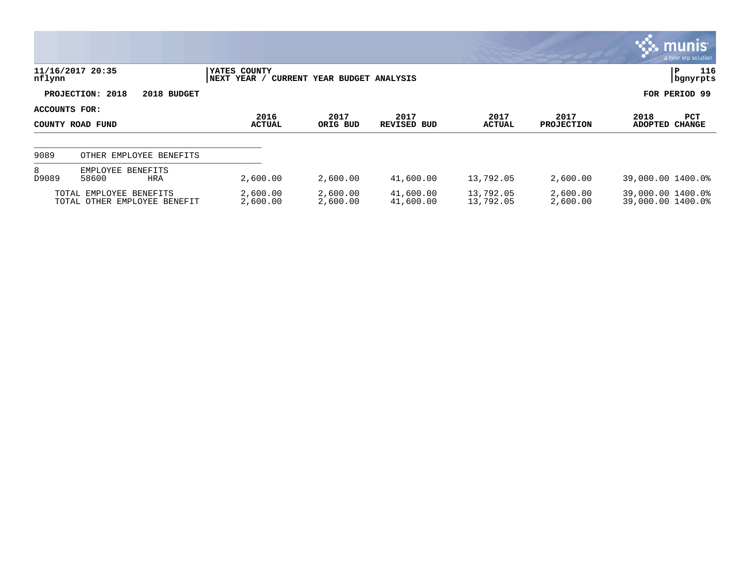|               |                                                         |                              |                                         |                        |                        |                           | , munis $^{\circ}$<br>a tyler erp solution     |
|---------------|---------------------------------------------------------|------------------------------|-----------------------------------------|------------------------|------------------------|---------------------------|------------------------------------------------|
| nflynn        | 11/16/2017 20:35                                        | YATES COUNTY<br> NEXT YEAR / | CURRENT YEAR BUDGET ANALYSIS            |                        |                        |                           | 116<br>P<br>  bgnyrpts                         |
|               | PROJECTION: 2018<br>2018 BUDGET                         |                              |                                         |                        |                        |                           | FOR PERIOD 99                                  |
| ACCOUNTS FOR: | COUNTY ROAD FUND                                        | 2016<br><b>ACTUAL</b>        | 2017<br>2017<br>ORIG BUD<br>REVISED BUD |                        | 2017<br>ACTUAL         | 2017<br><b>PROJECTION</b> | 2018<br>PCT<br><b>ADOPTED</b><br><b>CHANGE</b> |
| 9089          | OTHER EMPLOYEE BENEFITS                                 |                              |                                         |                        |                        |                           |                                                |
| 8<br>D9089    | EMPLOYEE BENEFITS<br>58600<br><b>HRA</b>                | 2,600.00                     | 2,600.00                                | 41,600.00              | 13,792.05              | 2,600.00                  | 39,000.00 1400.0%                              |
|               | TOTAL EMPLOYEE BENEFITS<br>TOTAL OTHER EMPLOYEE BENEFIT | 2,600.00<br>2,600.00         | 2,600.00<br>2,600.00                    | 41,600.00<br>41,600.00 | 13,792.05<br>13,792.05 | 2,600.00<br>2,600.00      | 39,000.00 1400.0%<br>39,000.00 1400.0%         |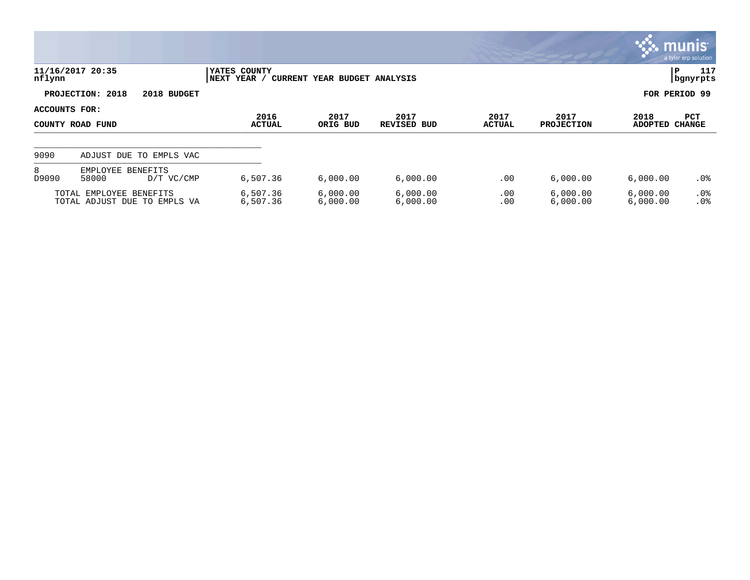|                                   |                                                         |                             |                              |                            |                       |                           | <b>WE munis</b>      | a tyler erp solution |  |
|-----------------------------------|---------------------------------------------------------|-----------------------------|------------------------------|----------------------------|-----------------------|---------------------------|----------------------|----------------------|--|
| nflynn                            | 11/16/2017 20:35                                        | YATES COUNTY<br>NEXT YEAR / | CURRENT YEAR BUDGET ANALYSIS |                            |                       |                           | IP.                  | 117<br>  bgnyrpts    |  |
|                                   | PROJECTION: 2018<br>2018 BUDGET                         |                             |                              |                            |                       |                           |                      | FOR PERIOD 99        |  |
| ACCOUNTS FOR:<br>COUNTY ROAD FUND |                                                         | 2016<br><b>ACTUAL</b>       | 2017<br>ORIG BUD             | 2017<br><b>REVISED BUD</b> | 2017<br><b>ACTUAL</b> | 2017<br><b>PROJECTION</b> | 2018<br>ADOPTED      | <b>PCT</b><br>CHANGE |  |
| 9090                              | ADJUST DUE TO EMPLS VAC                                 |                             |                              |                            |                       |                           |                      |                      |  |
| 8<br>D9090                        | EMPLOYEE BENEFITS<br>58000<br>D/T VC/CMP                | 6,507.36                    | 6,000.00                     | 6,000.00                   | .00                   | 6,000.00                  | 6,000.00             | .0%                  |  |
|                                   | TOTAL EMPLOYEE BENEFITS<br>TOTAL ADJUST DUE TO EMPLS VA | 6,507.36<br>6,507.36        | 6,000.00<br>6,000.00         | 6,000.00<br>6,000.00       | .00<br>.00            | 6,000.00<br>6,000.00      | 6,000.00<br>6,000.00 | $.0\%$<br>.0%        |  |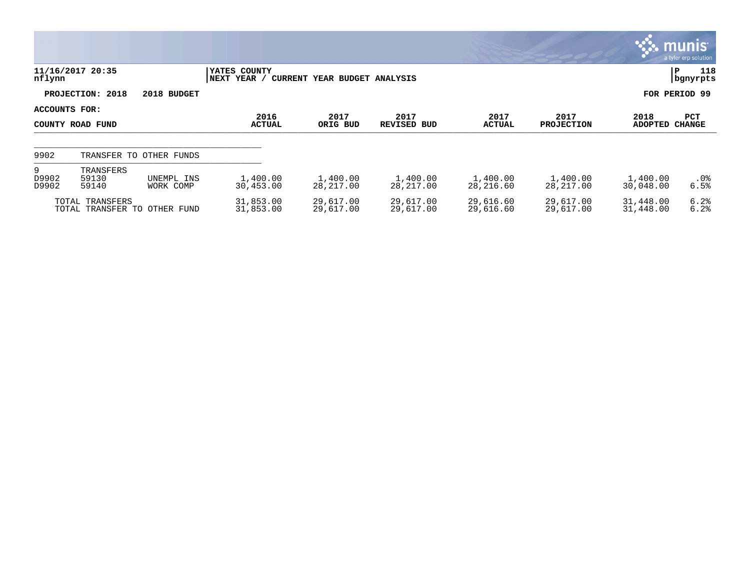|                                   |                                                 |                         |                                |                              |                            |                        |                           |                        | <b>munis</b><br>a tyler erp solution |
|-----------------------------------|-------------------------------------------------|-------------------------|--------------------------------|------------------------------|----------------------------|------------------------|---------------------------|------------------------|--------------------------------------|
| nflynn                            | 11/16/2017 20:35                                |                         | YATES COUNTY<br>YEAR /<br>NEXT | CURRENT YEAR BUDGET ANALYSIS |                            |                        |                           |                        | 118<br>IΡ<br>bgnyrpts                |
|                                   | PROJECTION: 2018                                | 2018 BUDGET             |                                |                              |                            |                        |                           |                        | FOR PERIOD 99                        |
| ACCOUNTS FOR:<br>COUNTY ROAD FUND |                                                 |                         | 2016<br><b>ACTUAL</b>          | 2017<br>ORIG BUD             | 2017<br><b>REVISED BUD</b> | 2017<br><b>ACTUAL</b>  | 2017<br><b>PROJECTION</b> | 2018<br><b>ADOPTED</b> | <b>PCT</b><br><b>CHANGE</b>          |
| 9902                              |                                                 | TRANSFER TO OTHER FUNDS |                                |                              |                            |                        |                           |                        |                                      |
| 9<br>D9902<br>D9902               | TRANSFERS<br>59130<br>59140                     | UNEMPL INS<br>WORK COMP | 1,400.00<br>30,453.00          | 1,400.00<br>28,217.00        | 1,400.00<br>28,217.00      | 1,400.00<br>28,216.60  | 1,400.00<br>28,217.00     | 1,400.00<br>30,048.00  | $.0\%$<br>6.5%                       |
|                                   | TOTAL TRANSFERS<br>TOTAL TRANSFER TO OTHER FUND |                         | 31,853.00<br>31,853.00         | 29,617.00<br>29,617.00       | 29,617.00<br>29,617.00     | 29,616.60<br>29,616.60 | 29,617.00<br>29,617.00    | 31,448.00<br>31,448.00 | 6.2%<br>6.2%                         |

**D**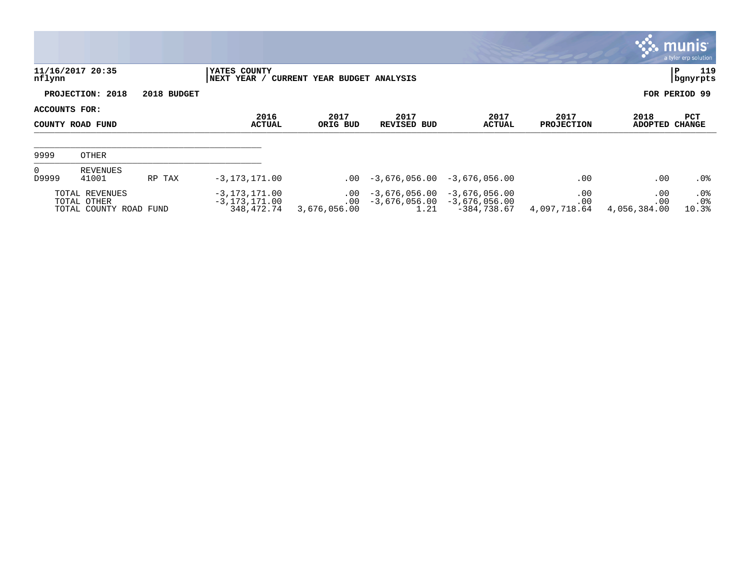|                                   |                                                         |                       |                                                      |                                      |                                            |                                                 |                                         |                            | <b>munis</b><br>a tyler erp solution |
|-----------------------------------|---------------------------------------------------------|-----------------------|------------------------------------------------------|--------------------------------------|--------------------------------------------|-------------------------------------------------|-----------------------------------------|----------------------------|--------------------------------------|
| nflynn                            | 11/16/2017 20:35                                        |                       | YATES COUNTY<br>NEXT YEAR /                          | CURRENT YEAR BUDGET ANALYSIS         |                                            |                                                 |                                         |                            | 119<br>∣P<br>  bgnyrpts              |
|                                   | PROJECTION: 2018                                        | 2018 BUDGET           |                                                      |                                      |                                            |                                                 |                                         |                            | FOR PERIOD 99                        |
| ACCOUNTS FOR:<br>COUNTY ROAD FUND |                                                         | 2016<br><b>ACTUAL</b> | 2017<br>ORIG BUD                                     | 2017<br>REVISED BUD                  | 2017<br>ACTUAL                             | 2017<br><b>PROJECTION</b>                       | 2018<br>PCT<br><b>ADOPTED</b><br>CHANGE |                            |                                      |
| 9999                              | OTHER                                                   |                       |                                                      |                                      |                                            |                                                 |                                         |                            |                                      |
| $\overline{0}$<br>D9999           | REVENUES<br>41001                                       | RP TAX                | $-3, 173, 171.00$                                    |                                      | $.00 - 3.676.056.00$                       | $-3,676,056.00$                                 | .00                                     | .00                        | .0%                                  |
|                                   | TOTAL REVENUES<br>TOTAL OTHER<br>TOTAL COUNTY ROAD FUND |                       | $-3, 173, 171.00$<br>$-3, 173, 171.00$<br>348,472.74 | $.00 \,$<br>$.00 \,$<br>3,676,056.00 | $-3,676,056.00$<br>$-3,676,056.00$<br>1.21 | $-3,676,056.00$<br>-3,676,056.00<br>-384,738.67 | .00<br>.00<br>4,097,718.64              | .00<br>.00<br>4,056,384.00 | $.0\%$<br>.0%<br>10.3%               |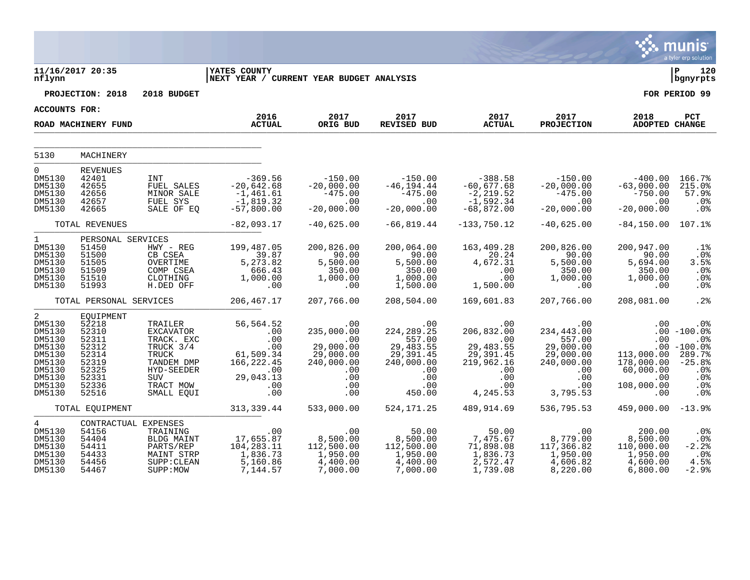|                                                                                                       |                                                                                                     |                                                                                                                               |                                                                                                     |                                                                                              |                                                                                                       |                                                                                                   |                                                                                                          |                                                                                 | munis<br>a tyler erp solution                                                                    |
|-------------------------------------------------------------------------------------------------------|-----------------------------------------------------------------------------------------------------|-------------------------------------------------------------------------------------------------------------------------------|-----------------------------------------------------------------------------------------------------|----------------------------------------------------------------------------------------------|-------------------------------------------------------------------------------------------------------|---------------------------------------------------------------------------------------------------|----------------------------------------------------------------------------------------------------------|---------------------------------------------------------------------------------|--------------------------------------------------------------------------------------------------|
| nflynn                                                                                                | 11/16/2017 20:35                                                                                    |                                                                                                                               | <b>IYATES COUNTY</b><br> NEXT YEAR / CURRENT YEAR BUDGET ANALYSIS                                   |                                                                                              |                                                                                                       |                                                                                                   |                                                                                                          |                                                                                 | l P<br>120<br>  bgnyrpts                                                                         |
|                                                                                                       | PROJECTION: 2018                                                                                    | 2018 BUDGET                                                                                                                   |                                                                                                     |                                                                                              |                                                                                                       |                                                                                                   |                                                                                                          |                                                                                 | FOR PERIOD 99                                                                                    |
| <b>ACCOUNTS FOR:</b>                                                                                  |                                                                                                     |                                                                                                                               |                                                                                                     |                                                                                              |                                                                                                       |                                                                                                   |                                                                                                          |                                                                                 |                                                                                                  |
|                                                                                                       | ROAD MACHINERY FUND                                                                                 |                                                                                                                               | 2016<br><b>ACTUAL</b>                                                                               | 2017<br>ORIG BUD                                                                             | 2017<br>REVISED BUD                                                                                   | 2017<br><b>ACTUAL</b>                                                                             | 2017<br><b>PROJECTION</b>                                                                                | 2018<br>ADOPTED CHANGE                                                          | PCT                                                                                              |
| 5130                                                                                                  | MACHINERY                                                                                           |                                                                                                                               |                                                                                                     |                                                                                              |                                                                                                       |                                                                                                   |                                                                                                          |                                                                                 |                                                                                                  |
| $\Omega$<br>DM5130<br>DM5130<br>DM5130<br>DM5130<br>DM5130                                            | <b>REVENUES</b><br>42401<br>42655<br>42656<br>42657<br>42665                                        | INT<br>FUEL SALES<br>MINOR SALE<br>FUEL SYS<br>SALE OF EQ                                                                     | -369.56<br>$-20,642.68$<br>$-1,461.61$<br>$-1,819.32$<br>$-57,800.00$                               | $-20,000.00$<br>$-475.00$<br>.00<br>$-20,000.00$                                             | $-150.00$ $-150.00$<br>$-46, 194.44$<br>$-475.00$<br>.00<br>$-20,000.00$                              | -388.58<br>$-60,677.68$<br>$-2, 219.52$<br>$-1,592.34$<br>$-68,872.00$                            | $-150.00$<br>$-20,000.00$<br>$-475.00$<br>.00<br>$-20,000.00$                                            | $-400.00$<br>$-63,000.00$<br>$-750.00$<br>.00<br>$-20,000.00$                   | 166.7%<br>215.0%<br>57.9%<br>.0%<br>.0%                                                          |
|                                                                                                       | TOTAL REVENUES                                                                                      |                                                                                                                               | $-82,093.17$                                                                                        | $-40,625.00$                                                                                 | $-66,819.44$                                                                                          | $-133,750.12$                                                                                     | $-40,625.00$                                                                                             | -84,150.00                                                                      | 107.1%                                                                                           |
| $\mathbf{1}$<br>DM5130<br>DM5130<br>DM5130<br>DM5130<br>DM5130<br>DM5130                              | PERSONAL SERVICES<br>51450<br>51500<br>51505<br>51509<br>51510<br>51993                             | $HWY - REG$<br>CB CSEA<br>OVERTIME<br>COMP CSEA<br>CLOTHING<br>H.DED OFF                                                      | 199,487.05<br>39.87<br>5,273.82<br>666.43<br>1,000.00<br>.00                                        | 200,826.00<br>90.00<br>5,500.00<br>350.00<br>1,000.00<br>00                                  | 200,064.00<br>90.00<br>5,500.00<br>5,500.00<br>350.00<br>1,000.00<br>1,500.00                         | 163,409.28<br>$20.24$<br>4,672.31<br>.00<br>.00<br>1,500.00                                       | 200,826.00<br>90.00<br>$5,500.00$<br>$350.00$<br>$1,000.00$<br>$0$                                       | 200,947.00<br>90.00<br>5,694.00<br>350.00<br>1,000.00<br>.00                    | .1%<br>.0%<br>3.5%<br>.0%<br>.0%<br>.0%                                                          |
|                                                                                                       | TOTAL PERSONAL SERVICES                                                                             |                                                                                                                               | 206,467.17                                                                                          | 207,766.00                                                                                   | 208,504.00                                                                                            | 169,601.83                                                                                        | 207,766.00                                                                                               | 208,081.00                                                                      | .2%                                                                                              |
| 2<br>DM5130<br>DM5130<br>DM5130<br>DM5130<br>DM5130<br>DM5130<br>DM5130<br>DM5130<br>DM5130<br>DM5130 | EOUIPMENT<br>52218<br>52310<br>52311<br>52312<br>52314<br>52319<br>52325<br>52331<br>52336<br>52516 | TRAILER<br>EXCAVATOR<br>TRACK. EXC<br>TRUCK 3/4<br><b>TRUCK</b><br>TANDEM DMP<br>HYD-SEEDER<br>SUV<br>TRACT MOW<br>SMALL EOUI | 56,564.52<br>$00$<br>.00<br>.00<br>.00<br>61,509.34<br>166,222.45<br>45. ككتب.<br>00.<br>.00<br>.00 | .00<br>235,000.00<br>.00<br>29,000.00<br>29,000.00<br>240,000.00<br>.00<br>.00<br>.00<br>.00 | .00<br>224, 289. 25<br>557.00<br>29,483.55<br>29, 391.45<br>240,000.00<br>.00<br>.00<br>.00<br>450.00 | .00<br>206,832.00<br>.00<br>29,483.55<br>29,391.45<br>219,962.16<br>.00<br>.00<br>.00<br>4,245.53 | $.00\,$<br>234,443.00<br>557.00<br>29,000.00<br>29,000.00<br>240,000.00<br>.00<br>.00<br>.00<br>3,795.53 | .00<br>.00<br>113,000.00<br>178,000.00<br>60,000.00<br>.00<br>108,000.00<br>.00 | .0%<br>$.00 - 100.0%$<br>.0%<br>$.00 - 100.0%$<br>289.7%<br>$-25.8%$<br>.0%<br>.0%<br>.0%<br>.0% |
|                                                                                                       | TOTAL EQUIPMENT                                                                                     |                                                                                                                               | 313,339.44                                                                                          | 533,000.00                                                                                   | 524,171.25                                                                                            | 489,914.69                                                                                        | 536,795.53                                                                                               | $459,000.00 - 13.9$                                                             |                                                                                                  |
| 4<br>DM5130<br>DM5130<br>DM5130<br>DM5130<br>DM5130<br>DM5130                                         | CONTRACTUAL EXPENSES<br>54156<br>54404<br>54411<br>54433<br>54456<br>54467                          | TRAINING<br>BLDG MAINT<br>PARTS/REP<br>MAINT STRP<br>SUPP: CLEAN<br>SUPP: MOW                                                 | .00<br>17,655.87<br>104, 283.11<br>1, 836.73<br>5,160.86<br>7,144.57                                | $8,500.00$<br>0.000 0.81<br>112,500.00<br>1,950.00<br>4,400.00<br>7,000.00                   | 50.00<br>8,500.00<br>112,500.00<br>1,950.00<br>4,400.00<br>7,000.00                                   | $50.00$<br>7,475.67<br>71,898.08<br>1,836.73<br>2,572.47<br>1,739.08                              | .00<br>8,779.00<br>117,366.82<br>1,950.00<br>4,606.82<br>8,220.00                                        | 200.00<br>8,500.00<br>110,000.00<br>1,950.00<br>4,600.00<br>6,800.00            | $.0\%$<br>.0%<br>$-2.2%$<br>$.0\%$<br>4.5%<br>$-2.9%$                                            |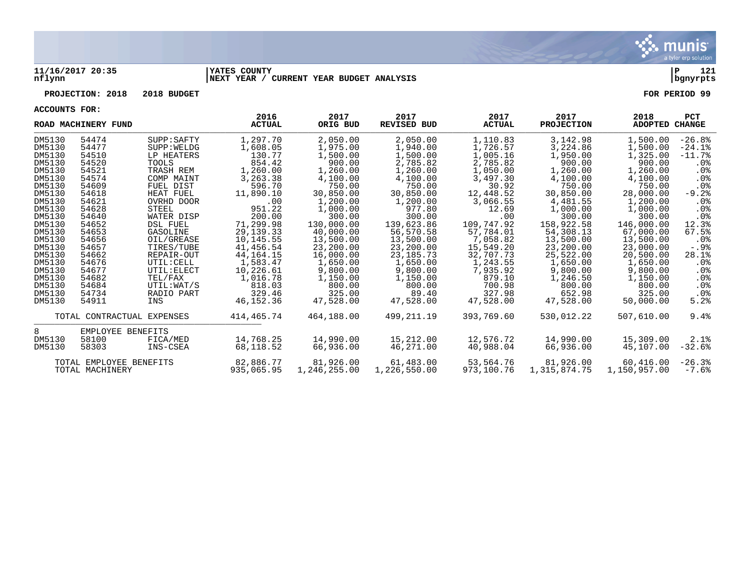

## **11/16/2017 20:35 |YATES COUNTY |P 121 nflynn |NEXT YEAR / CURRENT YEAR BUDGET ANALYSIS |bgnyrpts**

## **PROJECTION: 2018 2018 BUDGET FOR PERIOD 99**

**ACCOUNTS FOR:**

|        | ROAD MACHINERY FUND     |                            | 2016<br><b>ACTUAL</b> | 2017<br>ORIG BUD | 2017<br><b>REVISED BUD</b> | 2017<br><b>ACTUAL</b> | 2017<br><b>PROJECTION</b> | 2018<br>ADOPTED | <b>PCT</b><br><b>CHANGE</b> |
|--------|-------------------------|----------------------------|-----------------------|------------------|----------------------------|-----------------------|---------------------------|-----------------|-----------------------------|
| DM5130 | 54474                   | SUPP: SAFTY                | 1,297.70              | 2,050.00         | 2,050.00                   | 1,110.83              | 3,142.98                  | 1,500.00        | $-26.8%$                    |
| DM5130 | 54477                   | SUPP: WELDG                | 1,608.05              | 1,975.00         | 1,940.00                   | 1,726.57              | 3,224.86                  | 1,500.00        | $-24.1%$                    |
| DM5130 | 54510                   | LP HEATERS                 | 130.77                | 1,500.00         | 1,500.00                   | 1,005.16              | 1,950.00                  | 1,325.00        | $-11.7%$                    |
| DM5130 | 54520                   | <b>TOOLS</b>               | 854.42                | 900.00           | 2,785.82                   | 2,785.82              | 900.00                    | 900.00          | . 0 %                       |
| DM5130 | 54521                   | TRASH REM                  | 1,260.00              | 1,260.00         | 1,260.00                   | 1,050.00              | 1,260.00                  | 1,260.00        | $.0\%$                      |
| DM5130 | 54574                   | COMP MAINT                 | 3,263.38              | 4,100.00         | 4,100.00                   | 3,497.30              | 4,100.00                  | 4,100.00        | $.0\%$                      |
| DM5130 | 54609                   | FUEL DIST                  | 596.70                | 750.00           | 750.00                     | 30.92                 | 750.00                    | 750.00          | .0 <sub>8</sub>             |
| DM5130 | 54618                   | HEAT FUEL                  | 11,890.10             | 30,850.00        | 30,850.00                  | 12,448.52             | 30,850.00                 | 28,000.00       | $-9.2%$                     |
| DM5130 | 54621                   | OVRHD DOOR                 | .00                   | 1,200.00         | 1,200.00                   | 3,066.55              | 4,481.55                  | 1,200.00        | $.0\%$                      |
| DM5130 | 54628                   | STEEL                      | 951.22                | 1,000.00         | 977.80                     | 12.69                 | 1,000.00                  | 1,000.00        | $.0\%$                      |
| DM5130 | 54640                   | WATER DISP                 | 200.00                | 300.00           | 300.00                     | .00                   | 300.00                    | 300.00          | $.0\%$                      |
| DM5130 | 54652                   | <b>DSL FUEL</b>            | 71,299.98             | 130,000.00       | 139,623.86                 | 109,747.92            | 158,922.58                | 146,000.00      | 12.3%                       |
| DM5130 | 54653                   | GASOLINE                   | 29, 139. 33           | 40,000.00        | 56,570.58                  | 57,784.01             | 54,308.13                 | 67,000.00       | 67.5%                       |
| DM5130 | 54656                   | OIL/GREASE                 | 10,145.55             | 13,500.00        | 13,500.00                  | 7,058.82              | 13,500.00                 | 13,500.00       | $.0\%$                      |
| DM5130 | 54657                   | TIRES/TUBE                 | 41,456.54             | 23,200.00        | 23,200.00                  | 15,549.20             | 23,200.00                 | 23,000.00       | -.9%                        |
| DM5130 | 54662                   | REPAIR-OUT                 | 44, 164. 15           | 16,000.00        | 23, 185. 73                | 32,707.73             | 25,522.00                 | 20,500.00       | 28.1%                       |
| DM5130 | 54676                   | UTIL: CELL                 | 1,583.47              | 1,650.00         | 1,650.00                   | 1,243.55              | 1,650.00                  | 1,650.00        | $.0\%$                      |
| DM5130 | 54677                   | UTIL: ELECT                | 10,226.61             | 9,800.00         | 9,800.00                   | 7,935.92              | 9,800.00                  | 9,800.00        | $.0\%$                      |
| DM5130 | 54682                   | TEL/FAX                    | 1,016.78              | 1,150.00         | 1,150.00                   | 879.10                | 1,246.50                  | 1,150.00        | $.0\%$                      |
| DM5130 | 54684                   | UTIL:WAT/S                 | 818.03                | 800.00           | 800.00                     | 700.98                | 800.00                    | 800.00          | $.0\%$                      |
| DM5130 | 54734                   | RADIO PART                 | 329.46                | 325.00           | 89.40                      | 327.98                | 652.98                    | 325.00          | .0 <sub>8</sub>             |
| DM5130 | 54911                   | INS                        | 46, 152. 36           | 47,528.00        | 47,528.00                  | 47,528.00             | 47,528.00                 | 50,000.00       | 5.2%                        |
|        |                         | TOTAL CONTRACTUAL EXPENSES | 414,465.74            | 464,188.00       | 499,211.19                 | 393,769.60            | 530,012.22                | 507,610.00      | 9.4%                        |
| 8.     | EMPLOYEE BENEFITS       |                            |                       |                  |                            |                       |                           |                 |                             |
| DM5130 | 58100                   | FICA/MED                   | 14,768.25             | 14,990.00        | 15,212.00                  | 12,576.72             | 14,990.00                 | 15,309.00       | 2.1%                        |
| DM5130 | 58303                   | INS-CSEA                   | 68,118.52             | 66,936.00        | 46,271.00                  | 40,988.04             | 66,936.00                 | 45,107.00       | $-32.6%$                    |
|        | TOTAL EMPLOYEE BENEFITS |                            | 82,886.77             | 81,926.00        | 61,483.00                  | 53,564.76             | 81,926.00                 | 60,416.00       | $-26.3%$                    |
|        | TOTAL MACHINERY         |                            | 935,065.95            | 1,246,255.00     | 1,226,550.00               | 973,100.76            | 1,315,874.75              | 1,150,957.00    | $-7.6\%$                    |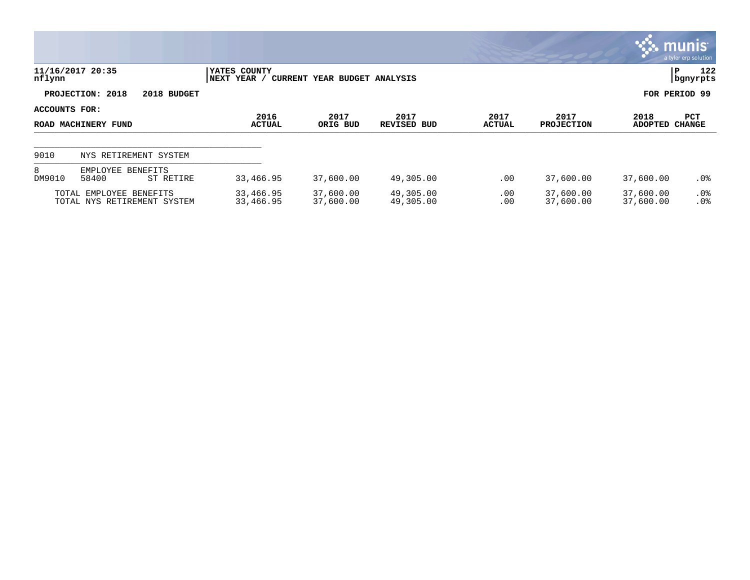|                                      |                                                        |                                                             |                        |                            |                       |                           |                        | <b>munis</b><br>a tyler erp solution |
|--------------------------------------|--------------------------------------------------------|-------------------------------------------------------------|------------------------|----------------------------|-----------------------|---------------------------|------------------------|--------------------------------------|
| nflynn                               | 11/16/2017 20:35                                       | YATES COUNTY<br>CURRENT YEAR BUDGET ANALYSIS<br>NEXT YEAR / |                        |                            |                       |                           |                        | 122<br>l P<br>  bgnyrpts             |
|                                      | PROJECTION: 2018<br>2018 BUDGET                        |                                                             |                        |                            |                       |                           | FOR PERIOD 99          |                                      |
| ACCOUNTS FOR:<br>ROAD MACHINERY FUND |                                                        | 2016<br>ACTUAL                                              | 2017<br>ORIG BUD       | 2017<br><b>REVISED BUD</b> | 2017<br><b>ACTUAL</b> | 2017<br><b>PROJECTION</b> | 2018<br><b>ADOPTED</b> | <b>PCT</b><br><b>CHANGE</b>          |
| 9010                                 | NYS RETIREMENT SYSTEM                                  |                                                             |                        |                            |                       |                           |                        |                                      |
| 8<br>DM9010                          | EMPLOYEE BENEFITS<br>58400<br>ST RETIRE                | 33,466.95                                                   | 37,600.00              | 49,305.00                  | $.00 \,$              | 37,600.00                 | 37,600.00              | .0%                                  |
|                                      | TOTAL EMPLOYEE BENEFITS<br>TOTAL NYS RETIREMENT SYSTEM | 33,466.95<br>33,466.95                                      | 37,600.00<br>37,600.00 | 49,305.00<br>49,305.00     | .00<br>.00            | 37,600.00<br>37,600.00    | 37,600.00<br>37,600.00 | $.0\%$<br>.0%                        |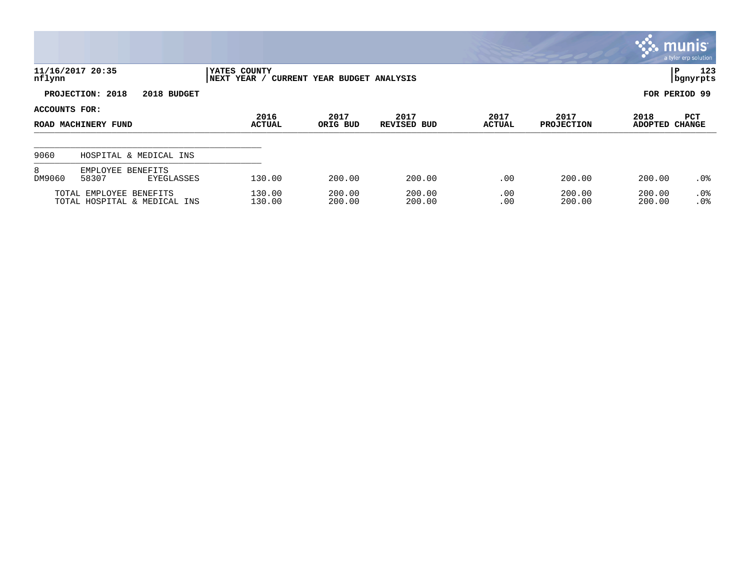|               |                                                         |                                                             |                  |                     |                       |                           |                  | $\mathbb{C}$ munis<br>a tyler erp solution |  |  |
|---------------|---------------------------------------------------------|-------------------------------------------------------------|------------------|---------------------|-----------------------|---------------------------|------------------|--------------------------------------------|--|--|
| nflynn        | 11/16/2017 20:35                                        | YATES COUNTY<br>NEXT YEAR /<br>CURRENT YEAR BUDGET ANALYSIS |                  |                     |                       |                           |                  | 123<br>P<br>  bgnyrpts                     |  |  |
|               | PROJECTION: 2018<br>2018 BUDGET                         |                                                             |                  |                     |                       |                           |                  | FOR PERIOD 99                              |  |  |
| ACCOUNTS FOR: | ROAD MACHINERY FUND                                     | 2016<br><b>ACTUAL</b>                                       | 2017<br>ORIG BUD | 2017<br>REVISED BUD | 2017<br><b>ACTUAL</b> | 2017<br><b>PROJECTION</b> | 2018<br>ADOPTED  | PCT<br><b>CHANGE</b>                       |  |  |
| 9060          | HOSPITAL & MEDICAL INS                                  |                                                             |                  |                     |                       |                           |                  |                                            |  |  |
| 8<br>DM9060   | EMPLOYEE BENEFITS<br>58307<br>EYEGLASSES                | 130.00                                                      | 200.00           | 200.00              | .00                   | 200.00                    | 200.00           | $.0\%$                                     |  |  |
|               | TOTAL EMPLOYEE BENEFITS<br>TOTAL HOSPITAL & MEDICAL INS | 130.00<br>130.00                                            | 200.00<br>200.00 | 200.00<br>200.00    | .00<br>.00            | 200.00<br>200.00          | 200.00<br>200.00 | .0%<br>.0 <sup>°</sup>                     |  |  |

**Contract**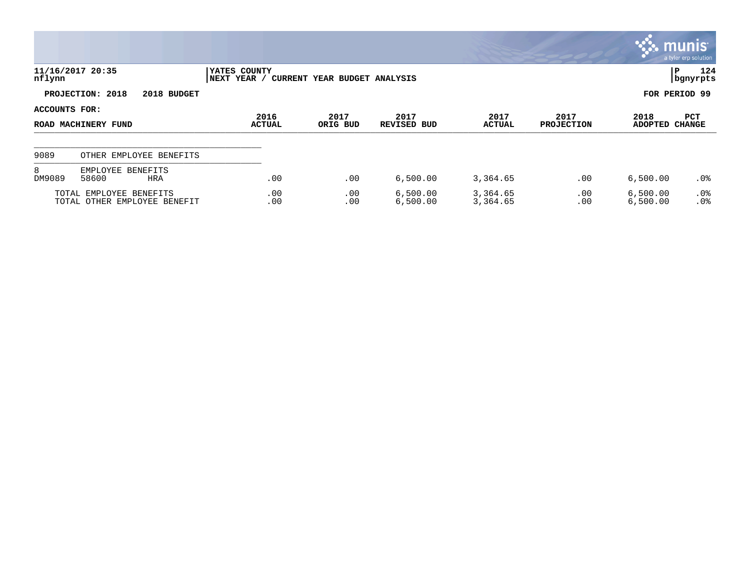|               |                                                         |                             |                              |                      |                       |                           |                        | <b>WE MUNIS</b><br>a tyler erp solution |
|---------------|---------------------------------------------------------|-----------------------------|------------------------------|----------------------|-----------------------|---------------------------|------------------------|-----------------------------------------|
| nflynn        | 11/16/2017 20:35                                        | YATES COUNTY<br>NEXT YEAR / | CURRENT YEAR BUDGET ANALYSIS |                      |                       |                           |                        | 124<br>P<br>  bgnyrpts                  |
|               | PROJECTION: 2018<br>2018 BUDGET                         |                             |                              |                      |                       |                           |                        | FOR PERIOD 99                           |
| ACCOUNTS FOR: | ROAD MACHINERY FUND                                     | 2016<br><b>ACTUAL</b>       | 2017<br>ORIG BUD             | 2017<br>REVISED BUD  | 2017<br><b>ACTUAL</b> | 2017<br><b>PROJECTION</b> | 2018<br><b>ADOPTED</b> | PCT<br><b>CHANGE</b>                    |
| 9089          | OTHER EMPLOYEE BENEFITS                                 |                             |                              |                      |                       |                           |                        |                                         |
| 8<br>DM9089   | EMPLOYEE BENEFITS<br>58600<br><b>HRA</b>                | .00                         | .00                          | 6,500.00             | 3,364.65              | .00                       | 6,500.00               | .0%                                     |
|               | TOTAL EMPLOYEE BENEFITS<br>TOTAL OTHER EMPLOYEE BENEFIT | .00<br>.00                  | .00<br>.00                   | 6,500.00<br>6,500.00 | 3,364.65<br>3,364.65  | .00<br>.00                | 6,500.00<br>6,500.00   | $.0\%$<br>.0%                           |

 $\mathcal{L}$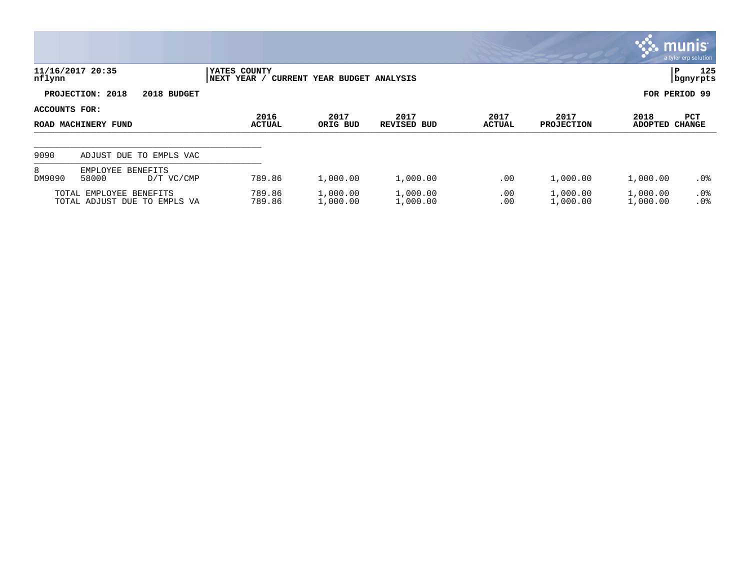|                                      |                                                         |                              |                              |                      |                       |                           | <b>W. munis</b>        | a tyler erp solution        |
|--------------------------------------|---------------------------------------------------------|------------------------------|------------------------------|----------------------|-----------------------|---------------------------|------------------------|-----------------------------|
| nflynn                               | 11/16/2017 20:35                                        | YATES COUNTY<br> NEXT YEAR / | CURRENT YEAR BUDGET ANALYSIS |                      |                       |                           | IP.                    | 125<br>  bgnyrpts           |
|                                      | PROJECTION: 2018<br>2018 BUDGET                         |                              |                              |                      |                       |                           | FOR PERIOD 99          |                             |
| ACCOUNTS FOR:<br>ROAD MACHINERY FUND |                                                         | 2016<br><b>ACTUAL</b>        | 2017<br>ORIG BUD             | 2017<br>REVISED BUD  | 2017<br><b>ACTUAL</b> | 2017<br><b>PROJECTION</b> | 2018<br><b>ADOPTED</b> | <b>PCT</b><br><b>CHANGE</b> |
| 9090                                 | ADJUST DUE TO EMPLS VAC                                 |                              |                              |                      |                       |                           |                        |                             |
| 8<br>DM9090                          | EMPLOYEE BENEFITS<br>58000<br>D/T VC/CMP                | 789.86                       | 1,000.00                     | 1,000.00             | .00                   | 1,000.00                  | 1,000.00               | $.0\%$                      |
|                                      | TOTAL EMPLOYEE BENEFITS<br>TOTAL ADJUST DUE TO EMPLS VA | 789.86<br>789.86             | 1,000.00<br>1,000.00         | 1,000.00<br>1,000.00 | .00<br>.00            | 1,000.00<br>1,000.00      | 1,000.00<br>1,000.00   | $.0\%$<br>.0%               |

 $\mathcal{L}^{\bullet}$  .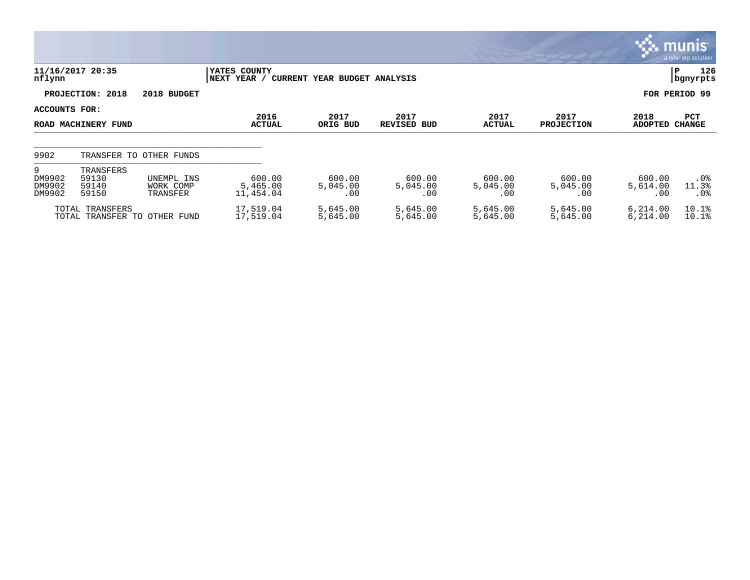|                                 |                                                                                 |                                     |                                 |                           |                           |                           |                           |                           | $\mathbb{C}$ munist<br>a tyler erp solution |
|---------------------------------|---------------------------------------------------------------------------------|-------------------------------------|---------------------------------|---------------------------|---------------------------|---------------------------|---------------------------|---------------------------|---------------------------------------------|
| nflynn                          | 11/16/2017 20:35<br>YATES COUNTY<br>NEXT YEAR /<br>CURRENT YEAR BUDGET ANALYSIS |                                     |                                 |                           |                           |                           |                           | 126<br>P<br>  bgnyrpts    |                                             |
|                                 | PROJECTION: 2018                                                                | 2018 BUDGET                         |                                 |                           |                           |                           |                           |                           | FOR PERIOD 99                               |
| ACCOUNTS FOR:                   |                                                                                 |                                     | 2016                            | 2017                      | 2017                      | 2017                      | 2017                      | 2018                      | PCT                                         |
| ROAD MACHINERY FUND             |                                                                                 |                                     | <b>ACTUAL</b>                   | ORIG BUD                  | <b>REVISED BUD</b>        | <b>ACTUAL</b>             | <b>PROJECTION</b>         | <b>ADOPTED</b>            | <b>CHANGE</b>                               |
|                                 |                                                                                 |                                     |                                 |                           |                           |                           |                           |                           |                                             |
| 9902                            |                                                                                 | TRANSFER TO OTHER FUNDS             |                                 |                           |                           |                           |                           |                           |                                             |
| 9<br>DM9902<br>DM9902<br>DM9902 | TRANSFERS<br>59130<br>59140<br>59150                                            | UNEMPL INS<br>WORK COMP<br>TRANSFER | 600.00<br>5,465.00<br>11,454.04 | 600.00<br>5,045.00<br>.00 | 600.00<br>5,045.00<br>.00 | 600.00<br>5,045.00<br>.00 | 600.00<br>5,045.00<br>.00 | 600.00<br>5,614.00<br>.00 | $.0\%$<br>11.3%<br>$.0\%$                   |
|                                 | TOTAL TRANSFERS                                                                 | TOTAL TRANSFER TO OTHER FUND        | 17,519.04<br>17,519.04          | 5,645.00<br>5,645.00      | 5,645.00<br>5,645.00      | 5,645.00<br>5,645.00      | 5,645.00<br>5,645.00      | 6,214.00<br>6,214.00      | 10.1%<br>10.1%                              |

and the state of the state of the state of the state of the state of the state of the state of the state of th